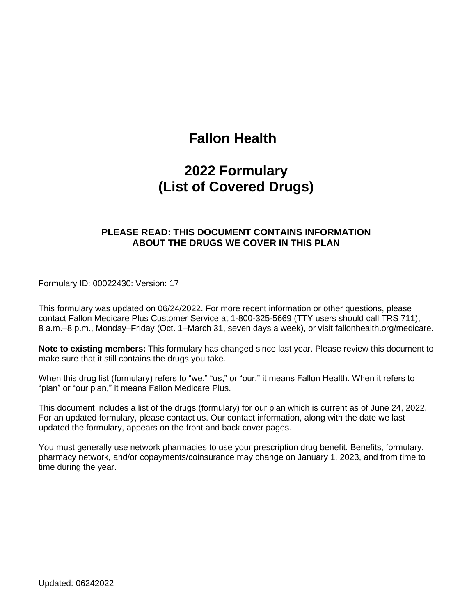# **Fallon Health**

# **2022 Formulary (List of Covered Drugs)**

#### **PLEASE READ: THIS DOCUMENT CONTAINS INFORMATION ABOUT THE DRUGS WE COVER IN THIS PLAN**

Formulary ID: 00022430: Version: 17

This formulary was updated on 06/24/2022. For more recent information or other questions, please contact Fallon Medicare Plus Customer Service at 1-800-325-5669 (TTY users should call TRS 711), 8 a.m.–8 p.m., Monday–Friday (Oct. 1–March 31, seven days a week), or visit fallonhealth.org/medicare.

**Note to existing members:** This formulary has changed since last year. Please review this document to make sure that it still contains the drugs you take.

When this drug list (formulary) refers to "we," "us," or "our," it means Fallon Health. When it refers to "plan" or "our plan," it means Fallon Medicare Plus.

This document includes a list of the drugs (formulary) for our plan which is current as of June 24, 2022. For an updated formulary, please contact us. Our contact information, along with the date we last updated the formulary, appears on the front and back cover pages.

You must generally use network pharmacies to use your prescription drug benefit. Benefits, formulary, pharmacy network, and/or copayments/coinsurance may change on January 1, 2023, and from time to time during the year.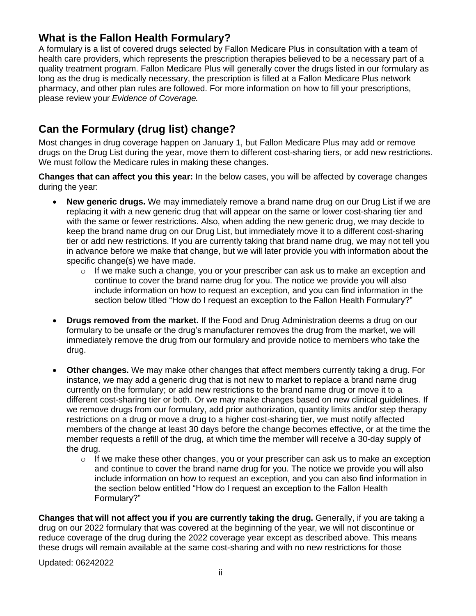# **What is the Fallon Health Formulary?**

A formulary is a list of covered drugs selected by Fallon Medicare Plus in consultation with a team of health care providers, which represents the prescription therapies believed to be a necessary part of a quality treatment program. Fallon Medicare Plus will generally cover the drugs listed in our formulary as long as the drug is medically necessary, the prescription is filled at a Fallon Medicare Plus network pharmacy, and other plan rules are followed. For more information on how to fill your prescriptions, please review your *Evidence of Coverage.*

# **Can the Formulary (drug list) change?**

Most changes in drug coverage happen on January 1, but Fallon Medicare Plus may add or remove drugs on the Drug List during the year, move them to different cost-sharing tiers, or add new restrictions. We must follow the Medicare rules in making these changes.

**Changes that can affect you this year:** In the below cases, you will be affected by coverage changes during the year:

- **New generic drugs.** We may immediately remove a brand name drug on our Drug List if we are replacing it with a new generic drug that will appear on the same or lower cost-sharing tier and with the same or fewer restrictions. Also, when adding the new generic drug, we may decide to keep the brand name drug on our Drug List, but immediately move it to a different cost-sharing tier or add new restrictions. If you are currently taking that brand name drug, we may not tell you in advance before we make that change, but we will later provide you with information about the specific change(s) we have made.
	- $\circ$  If we make such a change, you or your prescriber can ask us to make an exception and continue to cover the brand name drug for you. The notice we provide you will also include information on how to request an exception, and you can find information in the section below titled "How do I request an exception to the Fallon Health Formulary?"
- **Drugs removed from the market.** If the Food and Drug Administration deems a drug on our formulary to be unsafe or the drug's manufacturer removes the drug from the market, we will immediately remove the drug from our formulary and provide notice to members who take the drug.
- **Other changes.** We may make other changes that affect members currently taking a drug. For instance, we may add a generic drug that is not new to market to replace a brand name drug currently on the formulary; or add new restrictions to the brand name drug or move it to a different cost-sharing tier or both. Or we may make changes based on new clinical guidelines. If we remove drugs from our formulary, add prior authorization, quantity limits and/or step therapy restrictions on a drug or move a drug to a higher cost-sharing tier, we must notify affected members of the change at least 30 days before the change becomes effective, or at the time the member requests a refill of the drug, at which time the member will receive a 30-day supply of the drug.
	- $\circ$  If we make these other changes, you or your prescriber can ask us to make an exception and continue to cover the brand name drug for you. The notice we provide you will also include information on how to request an exception, and you can also find information in the section below entitled "How do I request an exception to the Fallon Health Formulary?"

**Changes that will not affect you if you are currently taking the drug.** Generally, if you are taking a drug on our 2022 formulary that was covered at the beginning of the year, we will not discontinue or reduce coverage of the drug during the 2022 coverage year except as described above. This means these drugs will remain available at the same cost-sharing and with no new restrictions for those

Updated: 06242022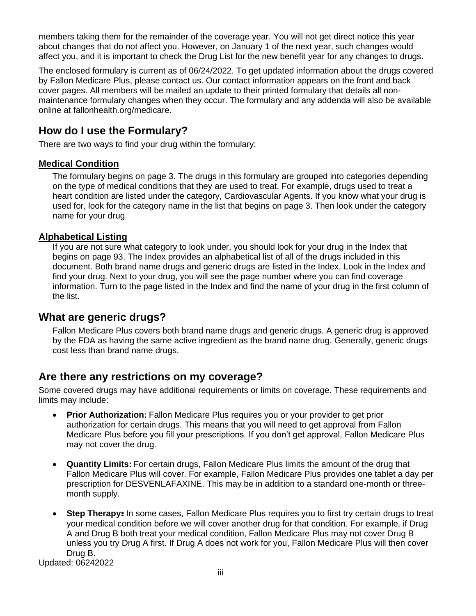members taking them for the remainder of the coverage year. You will not get direct notice this year about changes that do not affect you. However, on January 1 of the next year, such changes would affect you, and it is important to check the Drug List for the new benefit year for any changes to drugs.

The enclosed formulary is current as of 06/24/2022. To get updated information about the drugs covered by Fallon Medicare Plus, please contact us. Our contact information appears on the front and back cover pages. All members will be mailed an update to their printed formulary that details all nonmaintenance formulary changes when they occur. The formulary and any addenda will also be available online at fallonhealth.org/medicare.

# **How do I use the Formulary?**

There are two ways to find your drug within the formulary:

#### **Medical Condition**

The formulary begins on page 3. The drugs in this formulary are grouped into categories depending on the type of medical conditions that they are used to treat. For example, drugs used to treat a heart condition are listed under the category, Cardiovascular Agents. If you know what your drug is used for, look for the category name in the list that begins on page 3. Then look under the category name for your drug.

#### **Alphabetical Listing**

If you are not sure what category to look under, you should look for your drug in the Index that begins on page 93. The Index provides an alphabetical list of all of the drugs included in this document. Both brand name drugs and generic drugs are listed in the Index. Look in the Index and find your drug. Next to your drug, you will see the page number where you can find coverage information. Turn to the page listed in the Index and find the name of your drug in the first column of the list.

## **What are generic drugs?**

Fallon Medicare Plus covers both brand name drugs and generic drugs. A generic drug is approved by the FDA as having the same active ingredient as the brand name drug. Generally, generic drugs cost less than brand name drugs.

## **Are there any restrictions on my coverage?**

Some covered drugs may have additional requirements or limits on coverage. These requirements and limits may include:

- **Prior Authorization:** Fallon Medicare Plus requires you or your provider to get prior authorization for certain drugs. This means that you will need to get approval from Fallon Medicare Plus before you fill your prescriptions. If you don't get approval, Fallon Medicare Plus may not cover the drug.
- **Quantity Limits:** For certain drugs, Fallon Medicare Plus limits the amount of the drug that Fallon Medicare Plus will cover. For example, Fallon Medicare Plus provides one tablet a day per prescription for DESVENLAFAXINE. This may be in addition to a standard one-month or threemonth supply.
- **Step Therapy:** In some cases, Fallon Medicare Plus requires you to first try certain drugs to treat your medical condition before we will cover another drug for that condition. For example, if Drug A and Drug B both treat your medical condition, Fallon Medicare Plus may not cover Drug B unless you try Drug A first. If Drug A does not work for you, Fallon Medicare Plus will then cover Drug B.

Updated: 06242022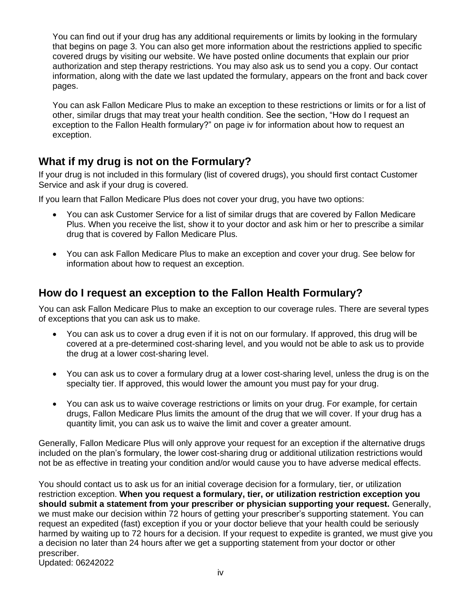You can find out if your drug has any additional requirements or limits by looking in the formulary that begins on page 3. You can also get more information about the restrictions applied to specific covered drugs by visiting our website. We have posted online documents that explain our prior authorization and step therapy restrictions. You may also ask us to send you a copy. Our contact information, along with the date we last updated the formulary, appears on the front and back cover pages.

You can ask Fallon Medicare Plus to make an exception to these restrictions or limits or for a list of other, similar drugs that may treat your health condition. See the section, "How do I request an exception to the Fallon Health formulary?" on page iv for information about how to request an exception.

# **What if my drug is not on the Formulary?**

If your drug is not included in this formulary (list of covered drugs), you should first contact Customer Service and ask if your drug is covered.

If you learn that Fallon Medicare Plus does not cover your drug, you have two options:

- You can ask Customer Service for a list of similar drugs that are covered by Fallon Medicare Plus. When you receive the list, show it to your doctor and ask him or her to prescribe a similar drug that is covered by Fallon Medicare Plus.
- You can ask Fallon Medicare Plus to make an exception and cover your drug. See below for information about how to request an exception.

# **How do I request an exception to the Fallon Health Formulary?**

You can ask Fallon Medicare Plus to make an exception to our coverage rules. There are several types of exceptions that you can ask us to make.

- You can ask us to cover a drug even if it is not on our formulary. If approved, this drug will be covered at a pre-determined cost-sharing level, and you would not be able to ask us to provide the drug at a lower cost-sharing level.
- You can ask us to cover a formulary drug at a lower cost-sharing level, unless the drug is on the specialty tier. If approved, this would lower the amount you must pay for your drug.
- You can ask us to waive coverage restrictions or limits on your drug. For example, for certain drugs, Fallon Medicare Plus limits the amount of the drug that we will cover. If your drug has a quantity limit, you can ask us to waive the limit and cover a greater amount.

Generally, Fallon Medicare Plus will only approve your request for an exception if the alternative drugs included on the plan's formulary, the lower cost-sharing drug or additional utilization restrictions would not be as effective in treating your condition and/or would cause you to have adverse medical effects.

Updated: 06242022 You should contact us to ask us for an initial coverage decision for a formulary, tier, or utilization restriction exception. **When you request a formulary, tier, or utilization restriction exception you should submit a statement from your prescriber or physician supporting your request.** Generally, we must make our decision within 72 hours of getting your prescriber's supporting statement. You can request an expedited (fast) exception if you or your doctor believe that your health could be seriously harmed by waiting up to 72 hours for a decision. If your request to expedite is granted, we must give you a decision no later than 24 hours after we get a supporting statement from your doctor or other prescriber.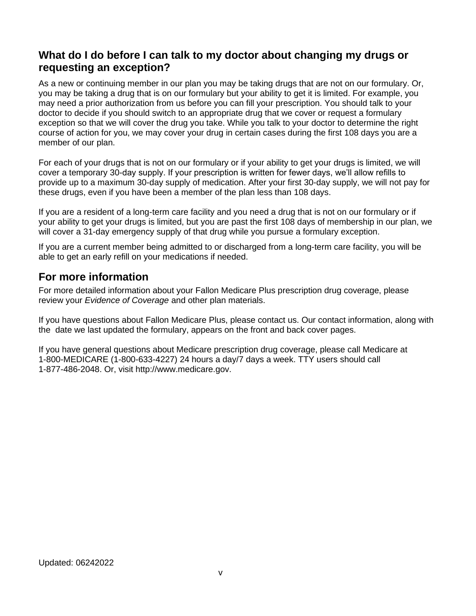## **What do I do before I can talk to my doctor about changing my drugs or requesting an exception?**

As a new or continuing member in our plan you may be taking drugs that are not on our formulary. Or, you may be taking a drug that is on our formulary but your ability to get it is limited. For example, you may need a prior authorization from us before you can fill your prescription. You should talk to your doctor to decide if you should switch to an appropriate drug that we cover or request a formulary exception so that we will cover the drug you take. While you talk to your doctor to determine the right course of action for you, we may cover your drug in certain cases during the first 108 days you are a member of our plan.

For each of your drugs that is not on our formulary or if your ability to get your drugs is limited, we will cover a temporary 30-day supply. If your prescription is written for fewer days, we'll allow refills to provide up to a maximum 30-day supply of medication. After your first 30-day supply, we will not pay for these drugs, even if you have been a member of the plan less than 108 days.

If you are a resident of a long-term care facility and you need a drug that is not on our formulary or if your ability to get your drugs is limited, but you are past the first 108 days of membership in our plan, we will cover a 31-day emergency supply of that drug while you pursue a formulary exception.

If you are a current member being admitted to or discharged from a long-term care facility, you will be able to get an early refill on your medications if needed.

## **For more information**

For more detailed information about your Fallon Medicare Plus prescription drug coverage, please review your *Evidence of Coverage* and other plan materials.

If you have questions about Fallon Medicare Plus, please contact us. Our contact information, along with the date we last updated the formulary, appears on the front and back cover pages.

If you have general questions about Medicare prescription drug coverage, please call Medicare at 1-800-MEDICARE (1-800-633-4227) 24 hours a day/7 days a week. TTY users should call 1-877-486-2048. Or, visit http://www.medicare.gov.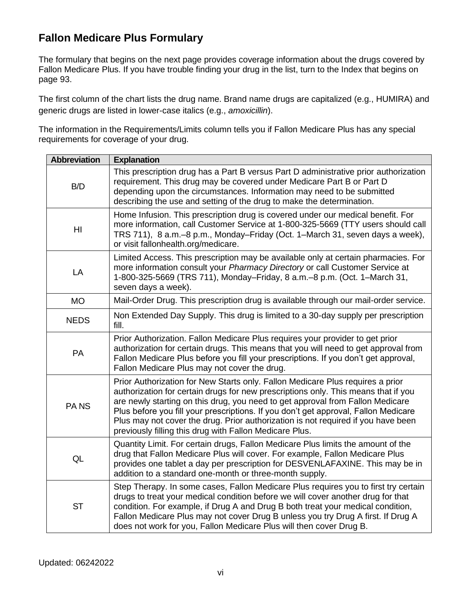# **Fallon Medicare Plus Formulary**

The formulary that begins on the next page provides coverage information about the drugs covered by Fallon Medicare Plus. If you have trouble finding your drug in the list, turn to the Index that begins on page 93.

The first column of the chart lists the drug name. Brand name drugs are capitalized (e.g., HUMIRA) and generic drugs are listed in lower-case italics (e.g., *amoxicillin*).

The information in the Requirements/Limits column tells you if Fallon Medicare Plus has any special requirements for coverage of your drug.

| <b>Abbreviation</b> | <b>Explanation</b>                                                                                                                                                                                                                                                                                                                                                                                                                                                                            |
|---------------------|-----------------------------------------------------------------------------------------------------------------------------------------------------------------------------------------------------------------------------------------------------------------------------------------------------------------------------------------------------------------------------------------------------------------------------------------------------------------------------------------------|
| B/D                 | This prescription drug has a Part B versus Part D administrative prior authorization<br>requirement. This drug may be covered under Medicare Part B or Part D<br>depending upon the circumstances. Information may need to be submitted<br>describing the use and setting of the drug to make the determination.                                                                                                                                                                              |
| H <sub>l</sub>      | Home Infusion. This prescription drug is covered under our medical benefit. For<br>more information, call Customer Service at 1-800-325-5669 (TTY users should call<br>TRS 711), 8 a.m.–8 p.m., Monday–Friday (Oct. 1–March 31, seven days a week),<br>or visit fallonhealth.org/medicare.                                                                                                                                                                                                    |
| LA                  | Limited Access. This prescription may be available only at certain pharmacies. For<br>more information consult your Pharmacy Directory or call Customer Service at<br>1-800-325-5669 (TRS 711), Monday–Friday, 8 a.m.–8 p.m. (Oct. 1–March 31,<br>seven days a week).                                                                                                                                                                                                                         |
| <b>MO</b>           | Mail-Order Drug. This prescription drug is available through our mail-order service.                                                                                                                                                                                                                                                                                                                                                                                                          |
| <b>NEDS</b>         | Non Extended Day Supply. This drug is limited to a 30-day supply per prescription<br>fill.                                                                                                                                                                                                                                                                                                                                                                                                    |
| PA                  | Prior Authorization. Fallon Medicare Plus requires your provider to get prior<br>authorization for certain drugs. This means that you will need to get approval from<br>Fallon Medicare Plus before you fill your prescriptions. If you don't get approval,<br>Fallon Medicare Plus may not cover the drug.                                                                                                                                                                                   |
| PA <sub>NS</sub>    | Prior Authorization for New Starts only. Fallon Medicare Plus requires a prior<br>authorization for certain drugs for new prescriptions only. This means that if you<br>are newly starting on this drug, you need to get approval from Fallon Medicare<br>Plus before you fill your prescriptions. If you don't get approval, Fallon Medicare<br>Plus may not cover the drug. Prior authorization is not required if you have been<br>previously filling this drug with Fallon Medicare Plus. |
| QL                  | Quantity Limit. For certain drugs, Fallon Medicare Plus limits the amount of the<br>drug that Fallon Medicare Plus will cover. For example, Fallon Medicare Plus<br>provides one tablet a day per prescription for DESVENLAFAXINE. This may be in<br>addition to a standard one-month or three-month supply.                                                                                                                                                                                  |
| <b>ST</b>           | Step Therapy. In some cases, Fallon Medicare Plus requires you to first try certain<br>drugs to treat your medical condition before we will cover another drug for that<br>condition. For example, if Drug A and Drug B both treat your medical condition,<br>Fallon Medicare Plus may not cover Drug B unless you try Drug A first. If Drug A<br>does not work for you, Fallon Medicare Plus will then cover Drug B.                                                                         |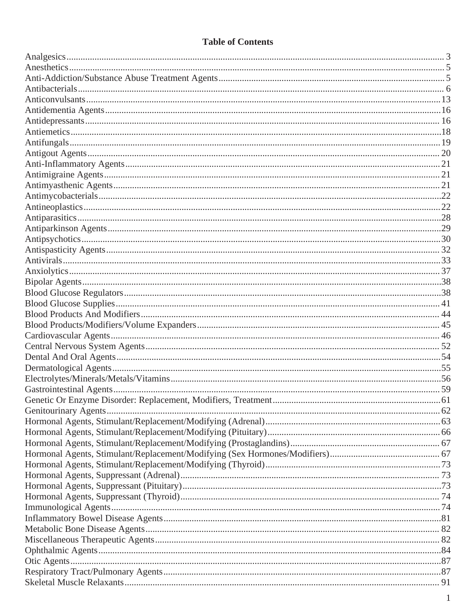## **Table of Contents**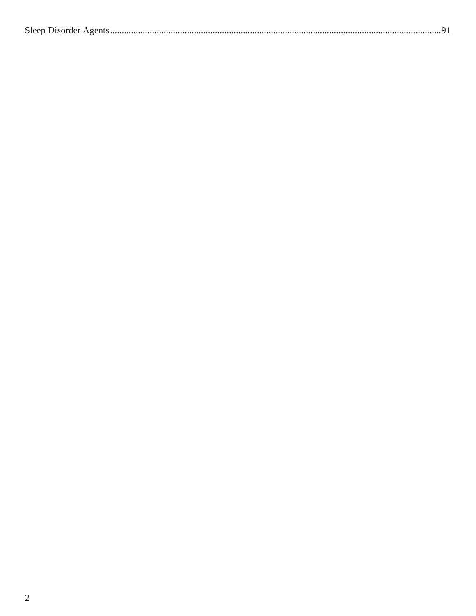|--|--|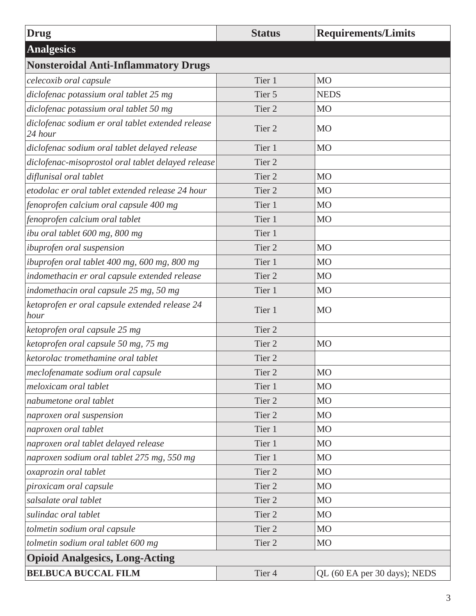<span id="page-8-0"></span>

| <b>Drug</b>                                                  | <b>Status</b>     | <b>Requirements/Limits</b>   |
|--------------------------------------------------------------|-------------------|------------------------------|
| <b>Analgesics</b>                                            |                   |                              |
| <b>Nonsteroidal Anti-Inflammatory Drugs</b>                  |                   |                              |
| celecoxib oral capsule                                       | Tier 1            | <b>MO</b>                    |
| diclofenac potassium oral tablet 25 mg                       | Tier 5            | <b>NEDS</b>                  |
| diclofenac potassium oral tablet 50 mg                       | Tier 2            | M <sub>O</sub>               |
| diclofenac sodium er oral tablet extended release<br>24 hour | Tier <sub>2</sub> | <b>MO</b>                    |
| diclofenac sodium oral tablet delayed release                | Tier 1            | <b>MO</b>                    |
| diclofenac-misoprostol oral tablet delayed release           | Tier 2            |                              |
| diflunisal oral tablet                                       | Tier 2            | M <sub>O</sub>               |
| etodolac er oral tablet extended release 24 hour             | Tier <sub>2</sub> | M <sub>O</sub>               |
| fenoprofen calcium oral capsule 400 mg                       | Tier 1            | M <sub>O</sub>               |
| fenoprofen calcium oral tablet                               | Tier 1            | <b>MO</b>                    |
| ibu oral tablet 600 mg, 800 mg                               | Tier 1            |                              |
| ibuprofen oral suspension                                    | Tier <sub>2</sub> | <b>MO</b>                    |
| ibuprofen oral tablet 400 mg, 600 mg, 800 mg                 | Tier 1            | M <sub>O</sub>               |
| indomethacin er oral capsule extended release                | Tier <sub>2</sub> | M <sub>O</sub>               |
| indomethacin oral capsule 25 mg, 50 mg                       | Tier 1            | M <sub>O</sub>               |
| ketoprofen er oral capsule extended release 24<br>hour       | Tier 1            | <b>MO</b>                    |
| ketoprofen oral capsule 25 mg                                | Tier <sub>2</sub> |                              |
| ketoprofen oral capsule 50 mg, 75 mg                         | Tier <sub>2</sub> | <b>MO</b>                    |
| ketorolac tromethamine oral tablet                           | Tier 2            |                              |
| meclofenamate sodium oral capsule                            | Tier <sub>2</sub> | <b>MO</b>                    |
| meloxicam oral tablet                                        | Tier 1            | M <sub>O</sub>               |
| nabumetone oral tablet                                       | Tier 2            | M <sub>O</sub>               |
| naproxen oral suspension                                     | Tier 2            | <b>MO</b>                    |
| naproxen oral tablet                                         | Tier 1            | <b>MO</b>                    |
| naproxen oral tablet delayed release                         | Tier 1            | M <sub>O</sub>               |
| naproxen sodium oral tablet 275 mg, 550 mg                   | Tier 1            | M <sub>O</sub>               |
| oxaprozin oral tablet                                        | Tier 2            | M <sub>O</sub>               |
| piroxicam oral capsule                                       | Tier <sub>2</sub> | M <sub>O</sub>               |
| salsalate oral tablet                                        | Tier 2            | <b>MO</b>                    |
| sulindac oral tablet                                         | Tier 2            | M <sub>O</sub>               |
| tolmetin sodium oral capsule                                 | Tier 2            | M <sub>O</sub>               |
| tolmetin sodium oral tablet 600 mg                           | Tier 2            | M <sub>O</sub>               |
| <b>Opioid Analgesics, Long-Acting</b>                        |                   |                              |
| <b>BELBUCA BUCCAL FILM</b>                                   | Tier 4            | QL (60 EA per 30 days); NEDS |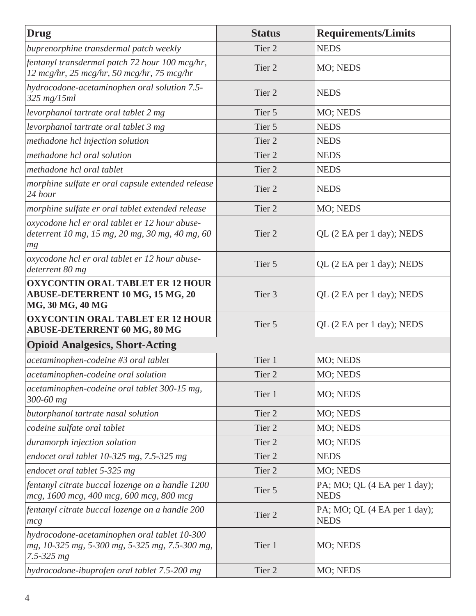| <b>Drug</b>                                                                                                      | <b>Status</b>     | <b>Requirements/Limits</b>                  |
|------------------------------------------------------------------------------------------------------------------|-------------------|---------------------------------------------|
| buprenorphine transdermal patch weekly                                                                           | Tier 2            | <b>NEDS</b>                                 |
| fentanyl transdermal patch 72 hour 100 mcg/hr,<br>12 mcg/hr, 25 mcg/hr, 50 mcg/hr, 75 mcg/hr                     | Tier 2            | MO; NEDS                                    |
| hydrocodone-acetaminophen oral solution 7.5-<br>$325$ mg/15ml                                                    | Tier <sub>2</sub> | <b>NEDS</b>                                 |
| levorphanol tartrate oral tablet 2 mg                                                                            | Tier 5            | MO; NEDS                                    |
| levorphanol tartrate oral tablet 3 mg                                                                            | Tier 5            | <b>NEDS</b>                                 |
| methadone hcl injection solution                                                                                 | Tier 2            | <b>NEDS</b>                                 |
| methadone hcl oral solution                                                                                      | Tier 2            | <b>NEDS</b>                                 |
| methadone hcl oral tablet                                                                                        | Tier 2            | <b>NEDS</b>                                 |
| morphine sulfate er oral capsule extended release<br>24 hour                                                     | Tier 2            | <b>NEDS</b>                                 |
| morphine sulfate er oral tablet extended release                                                                 | Tier 2            | MO; NEDS                                    |
| oxycodone hcl er oral tablet er 12 hour abuse-<br>deterrent 10 mg, 15 mg, 20 mg, 30 mg, 40 mg, 60<br>mg          | Tier 2            | QL (2 EA per 1 day); NEDS                   |
| oxycodone hcl er oral tablet er 12 hour abuse-<br>deterrent 80 mg                                                | Tier 5            | QL (2 EA per 1 day); NEDS                   |
| <b>OXYCONTIN ORAL TABLET ER 12 HOUR</b><br><b>ABUSE-DETERRENT 10 MG, 15 MG, 20</b><br>MG, 30 MG, 40 MG           | Tier 3            | QL (2 EA per 1 day); NEDS                   |
| <b>OXYCONTIN ORAL TABLET ER 12 HOUR</b><br><b>ABUSE-DETERRENT 60 MG, 80 MG</b>                                   | Tier 5            | QL (2 EA per 1 day); NEDS                   |
| <b>Opioid Analgesics, Short-Acting</b>                                                                           |                   |                                             |
| acetaminophen-codeine #3 oral tablet                                                                             | Tier 1            | MO; NEDS                                    |
| acetaminophen-codeine oral solution                                                                              | Tier <sub>2</sub> | MO; NEDS                                    |
| acetaminophen-codeine oral tablet 300-15 mg,<br>$300 - 60$ mg                                                    | Tier 1            | MO; NEDS                                    |
| butorphanol tartrate nasal solution                                                                              | Tier 2            | MO; NEDS                                    |
| codeine sulfate oral tablet                                                                                      | Tier 2            | MO; NEDS                                    |
| duramorph injection solution                                                                                     | Tier 2            | MO; NEDS                                    |
| endocet oral tablet $10-325$ mg, $7.5-325$ mg                                                                    | Tier 2            | <b>NEDS</b>                                 |
| endocet oral tablet 5-325 mg                                                                                     | Tier 2            | MO; NEDS                                    |
| fentanyl citrate buccal lozenge on a handle 1200<br>mcg, 1600 mcg, 400 mcg, 600 mcg, 800 mcg                     | Tier 5            | PA; MO; QL (4 EA per 1 day);<br><b>NEDS</b> |
| fentanyl citrate buccal lozenge on a handle 200<br>mcg                                                           | Tier 2            | PA; MO; QL (4 EA per 1 day);<br><b>NEDS</b> |
| hydrocodone-acetaminophen oral tablet 10-300<br>mg, 10-325 mg, 5-300 mg, 5-325 mg, 7.5-300 mg,<br>$7.5 - 325 mg$ | Tier 1            | MO; NEDS                                    |
| hydrocodone-ibuprofen oral tablet 7.5-200 mg                                                                     | Tier 2            | MO; NEDS                                    |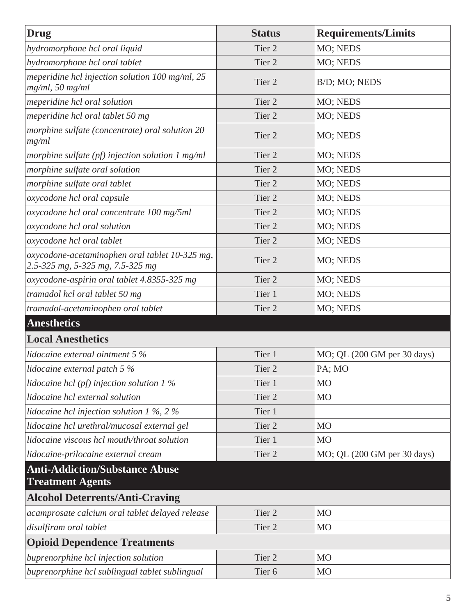<span id="page-10-0"></span>

| <b>Drug</b>                                                                        | <b>Status</b>     | <b>Requirements/Limits</b>  |
|------------------------------------------------------------------------------------|-------------------|-----------------------------|
| hydromorphone hcl oral liquid                                                      | Tier 2            | MO; NEDS                    |
| hydromorphone hcl oral tablet                                                      | Tier 2            | MO; NEDS                    |
| meperidine hcl injection solution $100$ mg/ml, $25$<br>$mg/ml$ , 50 mg/ml          | Tier <sub>2</sub> | B/D; MO; NEDS               |
| meperidine hcl oral solution                                                       | Tier 2            | MO; NEDS                    |
| meperidine hcl oral tablet 50 mg                                                   | Tier <sub>2</sub> | MO; NEDS                    |
| morphine sulfate (concentrate) oral solution 20<br>mg/ml                           | Tier 2            | MO; NEDS                    |
| morphine sulfate $(pf)$ injection solution 1 mg/ml                                 | Tier 2            | MO; NEDS                    |
| morphine sulfate oral solution                                                     | Tier 2            | MO; NEDS                    |
| morphine sulfate oral tablet                                                       | Tier 2            | MO; NEDS                    |
| oxycodone hcl oral capsule                                                         | Tier 2            | MO; NEDS                    |
| oxycodone hcl oral concentrate 100 mg/5ml                                          | Tier <sub>2</sub> | MO; NEDS                    |
| oxycodone hcl oral solution                                                        | Tier 2            | MO; NEDS                    |
| oxycodone hcl oral tablet                                                          | Tier 2            | MO; NEDS                    |
| oxycodone-acetaminophen oral tablet 10-325 mg,<br>2.5-325 mg, 5-325 mg, 7.5-325 mg | Tier <sub>2</sub> | MO; NEDS                    |
| oxycodone-aspirin oral tablet 4.8355-325 mg                                        | Tier 2            | MO; NEDS                    |
| tramadol hcl oral tablet 50 mg                                                     | Tier 1            | MO; NEDS                    |
| tramadol-acetaminophen oral tablet                                                 | Tier 2            | MO; NEDS                    |
| <b>Anesthetics</b>                                                                 |                   |                             |
| <b>Local Anesthetics</b>                                                           |                   |                             |
| lidocaine external ointment $5\%$                                                  | Tier 1            | MO; QL (200 GM per 30 days) |
| lidocaine external patch 5 $%$                                                     | Tier <sub>2</sub> | PA; MO                      |
| lidocaine hcl (pf) injection solution $1\%$                                        | Tier 1            | M <sub>O</sub>              |
| lidocaine hcl external solution                                                    | Tier <sub>2</sub> | M <sub>O</sub>              |
| lidocaine hcl injection solution 1 %, 2 %                                          | Tier 1            |                             |
| lidocaine hcl urethral/mucosal external gel                                        | Tier 2            | M <sub>O</sub>              |
| lidocaine viscous hcl mouth/throat solution                                        | Tier 1            | M <sub>O</sub>              |
| lidocaine-prilocaine external cream                                                | Tier 2            | MO; QL (200 GM per 30 days) |
| <b>Anti-Addiction/Substance Abuse</b><br><b>Treatment Agents</b>                   |                   |                             |
| <b>Alcohol Deterrents/Anti-Craving</b>                                             |                   |                             |
| acamprosate calcium oral tablet delayed release                                    | Tier <sub>2</sub> | MO                          |
| disulfiram oral tablet                                                             | Tier 2            | M <sub>O</sub>              |
| <b>Opioid Dependence Treatments</b>                                                |                   |                             |
| buprenorphine hcl injection solution                                               | Tier 2            | M <sub>O</sub>              |
| buprenorphine hcl sublingual tablet sublingual                                     | Tier <sub>6</sub> | M <sub>O</sub>              |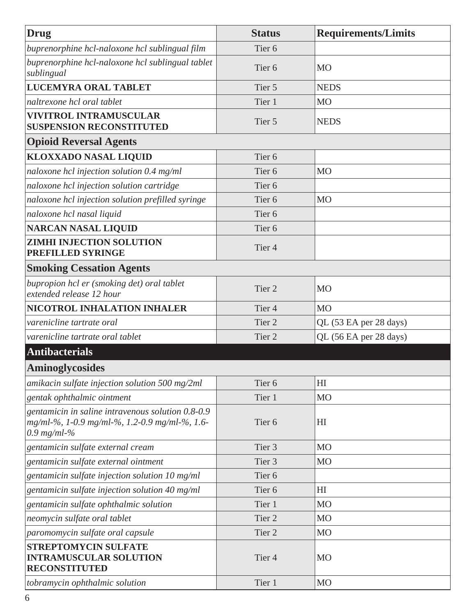<span id="page-11-0"></span>

| <b>Drug</b>                                                                                                         | <b>Status</b>     | <b>Requirements/Limits</b> |
|---------------------------------------------------------------------------------------------------------------------|-------------------|----------------------------|
| buprenorphine hcl-naloxone hcl sublingual film                                                                      | Tier <sub>6</sub> |                            |
| buprenorphine hcl-naloxone hcl sublingual tablet<br>sublingual                                                      | Tier <sub>6</sub> | <b>MO</b>                  |
| <b>LUCEMYRA ORAL TABLET</b>                                                                                         | Tier 5            | <b>NEDS</b>                |
| naltrexone hcl oral tablet                                                                                          | Tier 1            | M <sub>O</sub>             |
| <b>VIVITROL INTRAMUSCULAR</b><br><b>SUSPENSION RECONSTITUTED</b>                                                    | Tier 5            | <b>NEDS</b>                |
| <b>Opioid Reversal Agents</b>                                                                                       |                   |                            |
| <b>KLOXXADO NASAL LIQUID</b>                                                                                        | Tier <sub>6</sub> |                            |
| naloxone hcl injection solution 0.4 mg/ml                                                                           | Tier <sub>6</sub> | <b>MO</b>                  |
| naloxone hcl injection solution cartridge                                                                           | Tier <sub>6</sub> |                            |
| naloxone hcl injection solution prefilled syringe                                                                   | Tier <sub>6</sub> | <b>MO</b>                  |
| naloxone hcl nasal liquid                                                                                           | Tier <sub>6</sub> |                            |
| <b>NARCAN NASAL LIQUID</b>                                                                                          | Tier <sub>6</sub> |                            |
| <b>ZIMHI INJECTION SOLUTION</b><br>PREFILLED SYRINGE                                                                | Tier 4            |                            |
| <b>Smoking Cessation Agents</b>                                                                                     |                   |                            |
| bupropion hcl er (smoking det) oral tablet<br>extended release 12 hour                                              | Tier <sub>2</sub> | M <sub>O</sub>             |
| NICOTROL INHALATION INHALER                                                                                         | Tier <sub>4</sub> | M <sub>O</sub>             |
| varenicline tartrate oral                                                                                           | Tier 2            | QL (53 EA per 28 days)     |
| varenicline tartrate oral tablet                                                                                    | Tier <sub>2</sub> | QL (56 EA per 28 days)     |
| <b>Antibacterials</b>                                                                                               |                   |                            |
| <b>Aminoglycosides</b>                                                                                              |                   |                            |
| amikacin sulfate injection solution 500 mg/2ml                                                                      | Tier <sub>6</sub> | H                          |
| gentak ophthalmic ointment                                                                                          | Tier 1            | MO                         |
| gentamicin in saline intravenous solution 0.8-0.9<br>mg/ml-%, 1-0.9 mg/ml-%, 1.2-0.9 mg/ml-%, 1.6-<br>$0.9$ mg/ml-% | Tier <sub>6</sub> | H <sub>I</sub>             |
| gentamicin sulfate external cream                                                                                   | Tier 3            | <b>MO</b>                  |
| gentamicin sulfate external ointment                                                                                | Tier 3            | M <sub>O</sub>             |
| gentamicin sulfate injection solution 10 mg/ml                                                                      | Tier <sub>6</sub> |                            |
| gentamicin sulfate injection solution 40 mg/ml                                                                      | Tier <sub>6</sub> | H <sub>I</sub>             |
| gentamicin sulfate ophthalmic solution                                                                              | Tier 1            | M <sub>O</sub>             |
| neomycin sulfate oral tablet                                                                                        | Tier 2            | M <sub>O</sub>             |
| paromomycin sulfate oral capsule                                                                                    | Tier 2            | <b>MO</b>                  |
| <b>STREPTOMYCIN SULFATE</b><br><b>INTRAMUSCULAR SOLUTION</b><br><b>RECONSTITUTED</b>                                | Tier 4            | MO                         |
| tobramycin ophthalmic solution                                                                                      | Tier 1            | <b>MO</b>                  |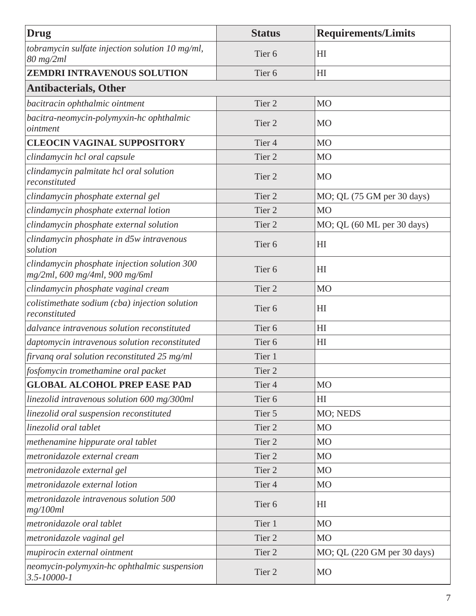| <b>Drug</b>                                                                    | <b>Status</b>     | <b>Requirements/Limits</b>  |
|--------------------------------------------------------------------------------|-------------------|-----------------------------|
| tobramycin sulfate injection solution 10 mg/ml,<br>80 mg/2ml                   | Tier <sub>6</sub> | H <sub>I</sub>              |
| ZEMDRI INTRAVENOUS SOLUTION                                                    | Tier <sub>6</sub> | H <sub>I</sub>              |
| <b>Antibacterials, Other</b>                                                   |                   |                             |
| bacitracin ophthalmic ointment                                                 | Tier 2            | M <sub>O</sub>              |
| bacitra-neomycin-polymyxin-hc ophthalmic<br>ointment                           | Tier 2            | <b>MO</b>                   |
| <b>CLEOCIN VAGINAL SUPPOSITORY</b>                                             | Tier <sub>4</sub> | M <sub>O</sub>              |
| clindamycin hcl oral capsule                                                   | Tier <sub>2</sub> | M <sub>O</sub>              |
| clindamycin palmitate hcl oral solution<br>reconstituted                       | Tier <sub>2</sub> | <b>MO</b>                   |
| clindamycin phosphate external gel                                             | Tier <sub>2</sub> | MO; QL (75 GM per 30 days)  |
| clindamycin phosphate external lotion                                          | Tier <sub>2</sub> | M <sub>O</sub>              |
| clindamycin phosphate external solution                                        | Tier <sub>2</sub> | MO; QL (60 ML per 30 days)  |
| clindamycin phosphate in d5w intravenous<br>solution                           | Tier <sub>6</sub> | H <sub>I</sub>              |
| clindamycin phosphate injection solution 300<br>mg/2ml, 600 mg/4ml, 900 mg/6ml | Tier <sub>6</sub> | H <sub>I</sub>              |
| clindamycin phosphate vaginal cream                                            | Tier <sub>2</sub> | M <sub>O</sub>              |
| colistimethate sodium (cba) injection solution<br>reconstituted                | Tier <sub>6</sub> | H <sub>I</sub>              |
| dalvance intravenous solution reconstituted                                    | Tier <sub>6</sub> | H <sub>I</sub>              |
| daptomycin intravenous solution reconstituted                                  | Tier <sub>6</sub> | H <sub>I</sub>              |
| firvang oral solution reconstituted 25 mg/ml                                   | Tier 1            |                             |
| fosfomycin tromethamine oral packet                                            | Tier <sub>2</sub> |                             |
| <b>GLOBAL ALCOHOL PREP EASE PAD</b>                                            | Tier <sub>4</sub> | <b>MO</b>                   |
| linezolid intravenous solution 600 mg/300ml                                    | Tier <sub>6</sub> | H <sub>I</sub>              |
| linezolid oral suspension reconstituted                                        | Tier 5            | MO; NEDS                    |
| linezolid oral tablet                                                          | Tier 2            | M <sub>O</sub>              |
| methenamine hippurate oral tablet                                              | Tier <sub>2</sub> | M <sub>O</sub>              |
| metronidazole external cream                                                   | Tier <sub>2</sub> | MO                          |
| metronidazole external gel                                                     | Tier <sub>2</sub> | M <sub>O</sub>              |
| metronidazole external lotion                                                  | Tier 4            | M <sub>O</sub>              |
| metronidazole intravenous solution 500<br>mg/100ml                             | Tier <sub>6</sub> | H <sub>I</sub>              |
| metronidazole oral tablet                                                      | Tier 1            | <b>MO</b>                   |
| metronidazole vaginal gel                                                      | Tier <sub>2</sub> | <b>MO</b>                   |
| mupirocin external ointment                                                    | Tier 2            | MO; QL (220 GM per 30 days) |
| neomycin-polymyxin-hc ophthalmic suspension<br>$3.5 - 10000 - 1$               | Tier 2            | MO                          |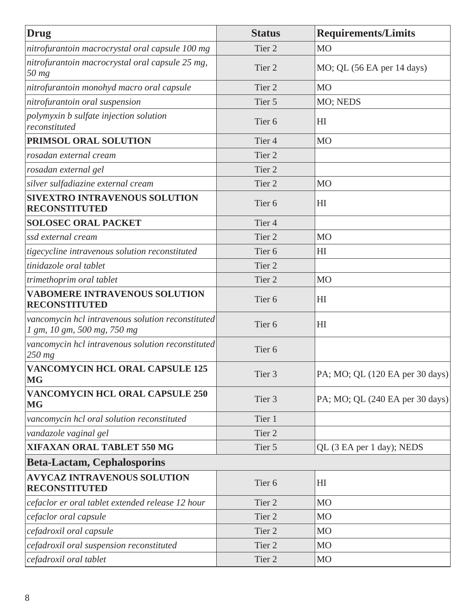| <b>Drug</b>                                                                      | <b>Status</b>     | <b>Requirements/Limits</b>      |
|----------------------------------------------------------------------------------|-------------------|---------------------------------|
| nitrofurantoin macrocrystal oral capsule 100 mg                                  | Tier <sub>2</sub> | M <sub>O</sub>                  |
| nitrofurantoin macrocrystal oral capsule 25 mg,<br>50 mg                         | Tier <sub>2</sub> | MO; QL (56 EA per 14 days)      |
| nitrofurantoin monohyd macro oral capsule                                        | Tier <sub>2</sub> | <b>MO</b>                       |
| nitrofurantoin oral suspension                                                   | Tier 5            | MO; NEDS                        |
| polymyxin b sulfate injection solution<br>reconstituted                          | Tier <sub>6</sub> | HI                              |
| PRIMSOL ORAL SOLUTION                                                            | Tier <sub>4</sub> | <b>MO</b>                       |
| rosadan external cream                                                           | Tier <sub>2</sub> |                                 |
| rosadan external gel                                                             | Tier <sub>2</sub> |                                 |
| silver sulfadiazine external cream                                               | Tier <sub>2</sub> | M <sub>O</sub>                  |
| <b>SIVEXTRO INTRAVENOUS SOLUTION</b><br><b>RECONSTITUTED</b>                     | Tier <sub>6</sub> | HI                              |
| <b>SOLOSEC ORAL PACKET</b>                                                       | Tier <sub>4</sub> |                                 |
| ssd external cream                                                               | Tier <sub>2</sub> | <b>MO</b>                       |
| tigecycline intravenous solution reconstituted                                   | Tier <sub>6</sub> | H <sub>I</sub>                  |
| tinidazole oral tablet                                                           | Tier <sub>2</sub> |                                 |
| trimethoprim oral tablet                                                         | Tier <sub>2</sub> | <b>MO</b>                       |
| <b>VABOMERE INTRAVENOUS SOLUTION</b><br><b>RECONSTITUTED</b>                     | Tier <sub>6</sub> | H <sub>I</sub>                  |
| vancomycin hcl intravenous solution reconstituted<br>1 gm, 10 gm, 500 mg, 750 mg | Tier <sub>6</sub> | HI                              |
| vancomycin hcl intravenous solution reconstituted<br>$250$ mg                    | Tier <sub>6</sub> |                                 |
| <b>VANCOMYCIN HCL ORAL CAPSULE 125</b><br><b>MG</b>                              | Tier 3            | PA; MO; QL (120 EA per 30 days) |
| <b>VANCOMYCIN HCL ORAL CAPSULE 250</b><br><b>MG</b>                              | Tier 3            | PA; MO; QL (240 EA per 30 days) |
| vancomycin hcl oral solution reconstituted                                       | Tier 1            |                                 |
| vandazole vaginal gel                                                            | Tier 2            |                                 |
| <b>XIFAXAN ORAL TABLET 550 MG</b>                                                | Tier 5            | QL (3 EA per 1 day); NEDS       |
| <b>Beta-Lactam, Cephalosporins</b>                                               |                   |                                 |
| <b>AVYCAZ INTRAVENOUS SOLUTION</b><br><b>RECONSTITUTED</b>                       | Tier <sub>6</sub> | H <sub>I</sub>                  |
| cefaclor er oral tablet extended release 12 hour                                 | Tier 2            | <b>MO</b>                       |
| cefaclor oral capsule                                                            | Tier 2            | <b>MO</b>                       |
| cefadroxil oral capsule                                                          | Tier 2            | <b>MO</b>                       |
| cefadroxil oral suspension reconstituted                                         | Tier 2            | M <sub>O</sub>                  |
| cefadroxil oral tablet                                                           | Tier 2            | MO                              |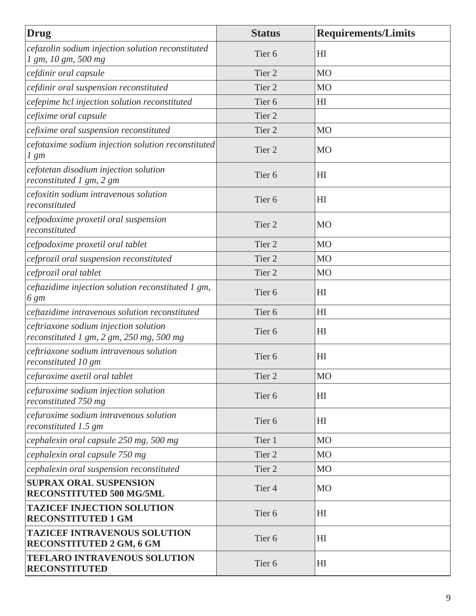| Drug                                                                                  | <b>Status</b>     | <b>Requirements/Limits</b> |
|---------------------------------------------------------------------------------------|-------------------|----------------------------|
| cefazolin sodium injection solution reconstituted<br>1 gm, 10 gm, 500 mg              | Tier <sub>6</sub> | H <sub>I</sub>             |
| cefdinir oral capsule                                                                 | Tier <sub>2</sub> | M <sub>O</sub>             |
| cefdinir oral suspension reconstituted                                                | Tier <sub>2</sub> | M <sub>O</sub>             |
| cefepime hcl injection solution reconstituted                                         | Tier <sub>6</sub> | H <sub>I</sub>             |
| cefixime oral capsule                                                                 | Tier <sub>2</sub> |                            |
| cefixime oral suspension reconstituted                                                | Tier <sub>2</sub> | <b>MO</b>                  |
| cefotaxime sodium injection solution reconstituted<br>$1 \, gm$                       | Tier <sub>2</sub> | <b>MO</b>                  |
| cefotetan disodium injection solution<br>reconstituted 1 gm, 2 gm                     | Tier <sub>6</sub> | HI                         |
| cefoxitin sodium intravenous solution<br>reconstituted                                | Tier <sub>6</sub> | H <sub>I</sub>             |
| cefpodoxime proxetil oral suspension<br>reconstituted                                 | Tier <sub>2</sub> | M <sub>O</sub>             |
| cefpodoxime proxetil oral tablet                                                      | Tier <sub>2</sub> | M <sub>O</sub>             |
| cefprozil oral suspension reconstituted                                               | Tier <sub>2</sub> | <b>MO</b>                  |
| cefprozil oral tablet                                                                 | Tier <sub>2</sub> | M <sub>O</sub>             |
| ceftazidime injection solution reconstituted 1 gm,<br>6 gm                            | Tier <sub>6</sub> | H <sub>I</sub>             |
| ceftazidime intravenous solution reconstituted                                        | Tier <sub>6</sub> | H <sub>I</sub>             |
| ceftriaxone sodium injection solution<br>reconstituted 1 gm, 2 gm, $250$ mg, $500$ mg | Tier <sub>6</sub> | H <sub>I</sub>             |
| ceftriaxone sodium intravenous solution<br>reconstituted 10 gm                        | Tier <sub>6</sub> | H <sub>I</sub>             |
| cefuroxime axetil oral tablet                                                         | Tier 2            | M <sub>O</sub>             |
| cefuroxime sodium injection solution<br>reconstituted 750 mg                          | Tier <sub>6</sub> | H <sub>I</sub>             |
| cefuroxime sodium intravenous solution<br>reconstituted 1.5 gm                        | Tier <sub>6</sub> | H <sub>I</sub>             |
| cephalexin oral capsule 250 mg, 500 mg                                                | Tier 1            | <b>MO</b>                  |
| cephalexin oral capsule 750 mg                                                        | Tier 2            | <b>MO</b>                  |
| cephalexin oral suspension reconstituted                                              | Tier 2            | <b>MO</b>                  |
| <b>SUPRAX ORAL SUSPENSION</b><br><b>RECONSTITUTED 500 MG/5ML</b>                      | Tier <sub>4</sub> | <b>MO</b>                  |
| <b>TAZICEF INJECTION SOLUTION</b><br><b>RECONSTITUTED 1 GM</b>                        | Tier <sub>6</sub> | HI                         |
| <b>TAZICEF INTRAVENOUS SOLUTION</b><br><b>RECONSTITUTED 2 GM, 6 GM</b>                | Tier <sub>6</sub> | H <sub>I</sub>             |
| <b>TEFLARO INTRAVENOUS SOLUTION</b><br><b>RECONSTITUTED</b>                           | Tier <sub>6</sub> | H <sub>I</sub>             |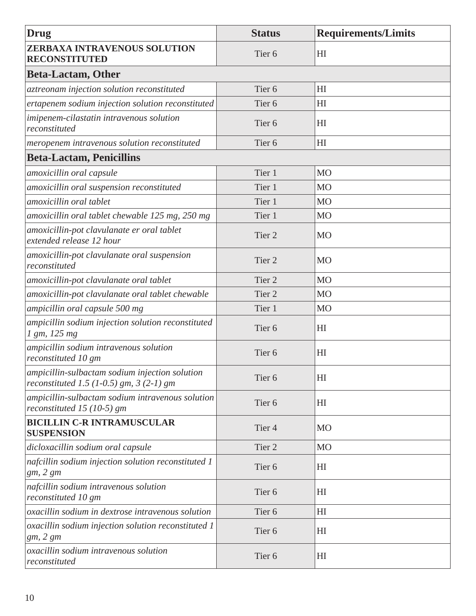| <b>Drug</b>                                                                                 | <b>Status</b>     | <b>Requirements/Limits</b> |
|---------------------------------------------------------------------------------------------|-------------------|----------------------------|
| <b>ZERBAXA INTRAVENOUS SOLUTION</b><br><b>RECONSTITUTED</b>                                 | Tier <sub>6</sub> | H <sub>I</sub>             |
| <b>Beta-Lactam, Other</b>                                                                   |                   |                            |
| aztreonam injection solution reconstituted                                                  | Tier <sub>6</sub> | H <sub>I</sub>             |
| ertapenem sodium injection solution reconstituted                                           | Tier <sub>6</sub> | H <sub>I</sub>             |
| imipenem-cilastatin intravenous solution<br>reconstituted                                   | Tier <sub>6</sub> | H <sub>I</sub>             |
| meropenem intravenous solution reconstituted                                                | Tier <sub>6</sub> | HI                         |
| <b>Beta-Lactam, Penicillins</b>                                                             |                   |                            |
| amoxicillin oral capsule                                                                    | Tier 1            | M <sub>O</sub>             |
| amoxicillin oral suspension reconstituted                                                   | Tier 1            | <b>MO</b>                  |
| amoxicillin oral tablet                                                                     | Tier 1            | <b>MO</b>                  |
| amoxicillin oral tablet chewable 125 mg, 250 mg                                             | Tier 1            | M <sub>O</sub>             |
| amoxicillin-pot clavulanate er oral tablet<br>extended release 12 hour                      | Tier <sub>2</sub> | <b>MO</b>                  |
| amoxicillin-pot clavulanate oral suspension<br>reconstituted                                | Tier 2            | <b>MO</b>                  |
| amoxicillin-pot clavulanate oral tablet                                                     | Tier <sub>2</sub> | M <sub>O</sub>             |
| amoxicillin-pot clavulanate oral tablet chewable                                            | Tier <sub>2</sub> | M <sub>O</sub>             |
| ampicillin oral capsule 500 mg                                                              | Tier 1            | M <sub>O</sub>             |
| ampicillin sodium injection solution reconstituted<br>1 gm, 125 mg                          | Tier <sub>6</sub> | HI                         |
| ampicillin sodium intravenous solution<br>reconstituted 10 gm                               | Tier <sub>6</sub> | H <sub>I</sub>             |
| ampicillin-sulbactam sodium injection solution<br>reconstituted 1.5 (1-0.5) gm, $3(2-1)$ gm | Tier <sub>6</sub> | H <sub>I</sub>             |
| ampicillin-sulbactam sodium intravenous solution<br>reconstituted 15 (10-5) gm              | Tier <sub>6</sub> | H <sub>I</sub>             |
| <b>BICILLIN C-R INTRAMUSCULAR</b><br><b>SUSPENSION</b>                                      | Tier <sub>4</sub> | <b>MO</b>                  |
| dicloxacillin sodium oral capsule                                                           | Tier <sub>2</sub> | M <sub>O</sub>             |
| nafcillin sodium injection solution reconstituted 1<br>gm, 2 gm                             | Tier <sub>6</sub> | H <sub>I</sub>             |
| nafcillin sodium intravenous solution<br>reconstituted 10 gm                                | Tier <sub>6</sub> | H <sub>I</sub>             |
| oxacillin sodium in dextrose intravenous solution                                           | Tier <sub>6</sub> | H <sub>I</sub>             |
| oxacillin sodium injection solution reconstituted 1<br>gm, 2 gm                             | Tier <sub>6</sub> | H <sub>I</sub>             |
| oxacillin sodium intravenous solution<br>reconstituted                                      | Tier <sub>6</sub> | H <sub>I</sub>             |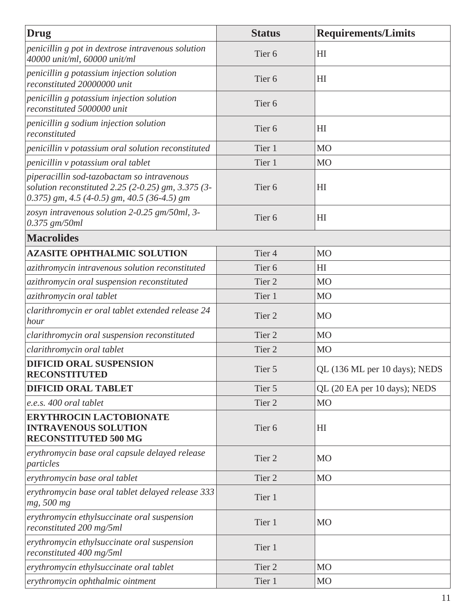| Drug                                                                                                                                                 | <b>Status</b>     | <b>Requirements/Limits</b>    |
|------------------------------------------------------------------------------------------------------------------------------------------------------|-------------------|-------------------------------|
| penicillin g pot in dextrose intravenous solution<br>40000 unit/ml, 60000 unit/ml                                                                    | Tier <sub>6</sub> | H <sub>I</sub>                |
| penicillin g potassium injection solution<br>reconstituted 20000000 unit                                                                             | Tier <sub>6</sub> | H <sub>I</sub>                |
| penicillin g potassium injection solution<br>reconstituted 5000000 unit                                                                              | Tier <sub>6</sub> |                               |
| penicillin g sodium injection solution<br>reconstituted                                                                                              | Tier <sub>6</sub> | H <sub>I</sub>                |
| penicillin v potassium oral solution reconstituted                                                                                                   | Tier 1            | M <sub>O</sub>                |
| penicillin v potassium oral tablet                                                                                                                   | Tier 1            | M <sub>O</sub>                |
| piperacillin sod-tazobactam so intravenous<br>solution reconstituted 2.25 (2-0.25) gm, $3.375$ (3-<br>$(0.375)$ gm, 4.5 (4-0.5) gm, 40.5 (36-4.5) gm | Tier <sub>6</sub> | H <sub>I</sub>                |
| zosyn intravenous solution 2-0.25 gm/50ml, 3-<br>$0.375$ gm/50ml                                                                                     | Tier <sub>6</sub> | H <sub>I</sub>                |
| <b>Macrolides</b>                                                                                                                                    |                   |                               |
| <b>AZASITE OPHTHALMIC SOLUTION</b>                                                                                                                   | Tier <sub>4</sub> | <b>MO</b>                     |
| azithromycin intravenous solution reconstituted                                                                                                      | Tier <sub>6</sub> | H <sub>I</sub>                |
| azithromycin oral suspension reconstituted                                                                                                           | Tier <sub>2</sub> | <b>MO</b>                     |
| azithromycin oral tablet                                                                                                                             | Tier 1            | <b>MO</b>                     |
| clarithromycin er oral tablet extended release 24<br>hour                                                                                            | Tier 2            | <b>MO</b>                     |
| clarithromycin oral suspension reconstituted                                                                                                         | Tier <sub>2</sub> | M <sub>O</sub>                |
| clarithromycin oral tablet                                                                                                                           | Tier <sub>2</sub> | <b>MO</b>                     |
| <b>DIFICID ORAL SUSPENSION</b><br><b>RECONSTITUTED</b>                                                                                               | Tier 5            | QL (136 ML per 10 days); NEDS |
| <b>DIFICID ORAL TABLET</b>                                                                                                                           | Tier 5            | QL (20 EA per 10 days); NEDS  |
| e.e.s. 400 oral tablet                                                                                                                               | Tier <sub>2</sub> | <b>MO</b>                     |
| <b>ERYTHROCIN LACTOBIONATE</b><br><b>INTRAVENOUS SOLUTION</b><br><b>RECONSTITUTED 500 MG</b>                                                         | Tier <sub>6</sub> | H <sub>I</sub>                |
| erythromycin base oral capsule delayed release<br>particles                                                                                          | Tier 2            | <b>MO</b>                     |
| erythromycin base oral tablet                                                                                                                        | Tier 2            | <b>MO</b>                     |
| erythromycin base oral tablet delayed release 333<br>mg, 500 mg                                                                                      | Tier 1            |                               |
| erythromycin ethylsuccinate oral suspension<br>reconstituted 200 mg/5ml                                                                              | Tier 1            | <b>MO</b>                     |
| erythromycin ethylsuccinate oral suspension<br>reconstituted 400 mg/5ml                                                                              | Tier 1            |                               |
| erythromycin ethylsuccinate oral tablet                                                                                                              | Tier 2            | <b>MO</b>                     |
| erythromycin ophthalmic ointment                                                                                                                     | Tier 1            | M <sub>O</sub>                |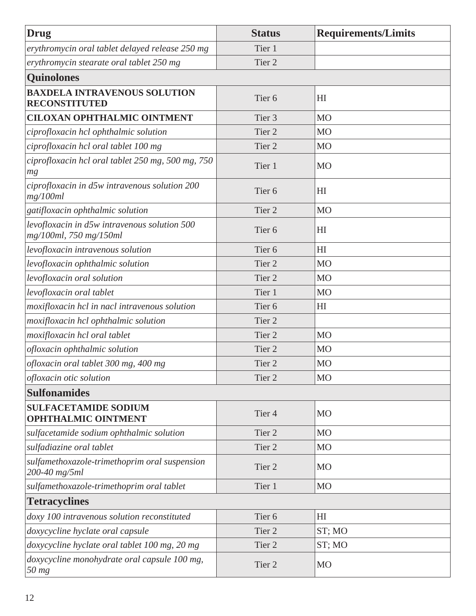| <b>Drug</b>                                                            | <b>Status</b>     | <b>Requirements/Limits</b> |
|------------------------------------------------------------------------|-------------------|----------------------------|
| erythromycin oral tablet delayed release 250 mg                        | Tier 1            |                            |
| erythromycin stearate oral tablet 250 mg                               | Tier <sub>2</sub> |                            |
| <b>Quinolones</b>                                                      |                   |                            |
| <b>BAXDELA INTRAVENOUS SOLUTION</b><br><b>RECONSTITUTED</b>            | Tier <sub>6</sub> | H <sub>I</sub>             |
| <b>CILOXAN OPHTHALMIC OINTMENT</b>                                     | Tier <sub>3</sub> | <b>MO</b>                  |
| ciprofloxacin hcl ophthalmic solution                                  | Tier <sub>2</sub> | M <sub>O</sub>             |
| ciprofloxacin hcl oral tablet 100 mg                                   | Tier <sub>2</sub> | <b>MO</b>                  |
| ciprofloxacin hcl oral tablet 250 mg, 500 mg, 750<br>mg                | Tier 1            | MO                         |
| ciprofloxacin in d5w intravenous solution 200<br>mg/100ml              | Tier <sub>6</sub> | H <sub>I</sub>             |
| gatifloxacin ophthalmic solution                                       | Tier <sub>2</sub> | <b>MO</b>                  |
| levofloxacin in d5w intravenous solution 500<br>mg/100ml, 750 mg/150ml | Tier <sub>6</sub> | H <sub>I</sub>             |
| levofloxacin intravenous solution                                      | Tier <sub>6</sub> | HI                         |
| levofloxacin ophthalmic solution                                       | Tier <sub>2</sub> | M <sub>O</sub>             |
| levofloxacin oral solution                                             | Tier <sub>2</sub> | M <sub>O</sub>             |
| levofloxacin oral tablet                                               | Tier 1            | <b>MO</b>                  |
| moxifloxacin hcl in nacl intravenous solution                          | Tier <sub>6</sub> | H <sub>I</sub>             |
| moxifloxacin hcl ophthalmic solution                                   | Tier <sub>2</sub> |                            |
| moxifloxacin hcl oral tablet                                           | Tier <sub>2</sub> | <b>MO</b>                  |
| ofloxacin ophthalmic solution                                          | Tier <sub>2</sub> | <b>MO</b>                  |
| ofloxacin oral tablet 300 mg, 400 mg                                   | Tier <sub>2</sub> | M <sub>O</sub>             |
| ofloxacin otic solution                                                | Tier <sub>2</sub> | M <sub>O</sub>             |
| <b>Sulfonamides</b>                                                    |                   |                            |
| <b>SULFACETAMIDE SODIUM</b><br><b>OPHTHALMIC OINTMENT</b>              | Tier <sub>4</sub> | <b>MO</b>                  |
| sulfacetamide sodium ophthalmic solution                               | Tier <sub>2</sub> | M <sub>O</sub>             |
| sulfadiazine oral tablet                                               | Tier <sub>2</sub> | M <sub>O</sub>             |
| sulfamethoxazole-trimethoprim oral suspension<br>200-40 mg/5ml         | Tier <sub>2</sub> | <b>MO</b>                  |
| sulfamethoxazole-trimethoprim oral tablet                              | Tier 1            | <b>MO</b>                  |
| <b>Tetracyclines</b>                                                   |                   |                            |
| doxy 100 intravenous solution reconstituted                            | Tier <sub>6</sub> | H <sub>I</sub>             |
| doxycycline hyclate oral capsule                                       | Tier <sub>2</sub> | ST; MO                     |
| doxycycline hyclate oral tablet 100 mg, 20 mg                          | Tier <sub>2</sub> | ST; MO                     |
| doxycycline monohydrate oral capsule 100 mg,<br>50 mg                  | Tier <sub>2</sub> | <b>MO</b>                  |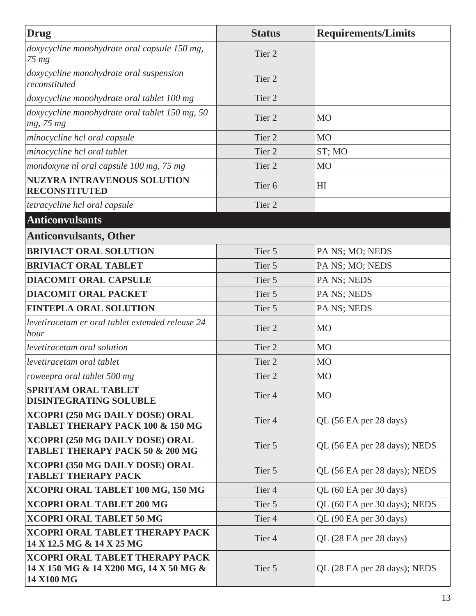<span id="page-18-0"></span>

| Drug                                                                                           | <b>Status</b>     | <b>Requirements/Limits</b>   |
|------------------------------------------------------------------------------------------------|-------------------|------------------------------|
| doxycycline monohydrate oral capsule 150 mg,<br>$75 \, mg$                                     | Tier <sub>2</sub> |                              |
| doxycycline monohydrate oral suspension<br>reconstituted                                       | Tier <sub>2</sub> |                              |
| doxycycline monohydrate oral tablet 100 mg                                                     | Tier <sub>2</sub> |                              |
| doxycycline monohydrate oral tablet 150 mg, 50<br>mg, 75 mg                                    | Tier 2            | <b>MO</b>                    |
| minocycline hcl oral capsule                                                                   | Tier <sub>2</sub> | <b>MO</b>                    |
| minocycline hcl oral tablet                                                                    | Tier <sub>2</sub> | ST; MO                       |
| mondoxyne nl oral capsule 100 mg, 75 mg                                                        | Tier <sub>2</sub> | M <sub>O</sub>               |
| <b>NUZYRA INTRAVENOUS SOLUTION</b><br><b>RECONSTITUTED</b>                                     | Tier <sub>6</sub> | H <sub>I</sub>               |
| tetracycline hcl oral capsule                                                                  | Tier <sub>2</sub> |                              |
| <b>Anticonvulsants</b>                                                                         |                   |                              |
| <b>Anticonvulsants, Other</b>                                                                  |                   |                              |
| <b>BRIVIACT ORAL SOLUTION</b>                                                                  | Tier 5            | PA NS; MO; NEDS              |
| <b>BRIVIACT ORAL TABLET</b>                                                                    | Tier 5            | PA NS; MO; NEDS              |
| <b>DIACOMIT ORAL CAPSULE</b>                                                                   | Tier 5            | PA NS; NEDS                  |
| <b>DIACOMIT ORAL PACKET</b>                                                                    | Tier 5            | PA NS; NEDS                  |
| <b>FINTEPLA ORAL SOLUTION</b>                                                                  | Tier 5            | PA NS; NEDS                  |
| levetiracetam er oral tablet extended release 24<br>hour                                       | Tier <sub>2</sub> | MO                           |
| levetiracetam oral solution                                                                    | Tier <sub>2</sub> | <b>MO</b>                    |
| levetiracetam oral tablet                                                                      | Tier <sub>2</sub> | M <sub>O</sub>               |
| roweepra oral tablet 500 mg                                                                    | Tier 2            | M <sub>O</sub>               |
| <b>SPRITAM ORAL TABLET</b><br><b>DISINTEGRATING SOLUBLE</b>                                    | Tier <sub>4</sub> | <b>MO</b>                    |
| XCOPRI (250 MG DAILY DOSE) ORAL<br><b>TABLET THERAPY PACK 100 &amp; 150 MG</b>                 | Tier <sub>4</sub> | QL (56 EA per 28 days)       |
| XCOPRI (250 MG DAILY DOSE) ORAL<br><b>TABLET THERAPY PACK 50 &amp; 200 MG</b>                  | Tier 5            | QL (56 EA per 28 days); NEDS |
| XCOPRI (350 MG DAILY DOSE) ORAL<br><b>TABLET THERAPY PACK</b>                                  | Tier 5            | QL (56 EA per 28 days); NEDS |
| XCOPRI ORAL TABLET 100 MG, 150 MG                                                              | Tier <sub>4</sub> | QL (60 EA per 30 days)       |
| <b>XCOPRI ORAL TABLET 200 MG</b>                                                               | Tier 5            | QL (60 EA per 30 days); NEDS |
| <b>XCOPRI ORAL TABLET 50 MG</b>                                                                | Tier <sub>4</sub> | QL (90 EA per 30 days)       |
| <b>XCOPRI ORAL TABLET THERAPY PACK</b><br>14 X 12.5 MG & 14 X 25 MG                            | Tier <sub>4</sub> | QL (28 EA per 28 days)       |
| <b>XCOPRI ORAL TABLET THERAPY PACK</b><br>14 X 150 MG & 14 X200 MG, 14 X 50 MG &<br>14 X100 MG | Tier 5            | QL (28 EA per 28 days); NEDS |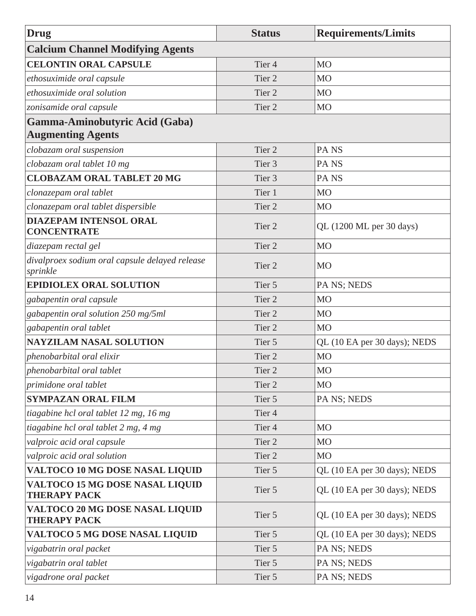| Drug                                                          | <b>Status</b>     | <b>Requirements/Limits</b>   |
|---------------------------------------------------------------|-------------------|------------------------------|
| <b>Calcium Channel Modifying Agents</b>                       |                   |                              |
| <b>CELONTIN ORAL CAPSULE</b>                                  | Tier <sub>4</sub> | M <sub>O</sub>               |
| ethosuximide oral capsule                                     | Tier <sub>2</sub> | M <sub>O</sub>               |
| ethosuximide oral solution                                    | Tier <sub>2</sub> | M <sub>O</sub>               |
| zonisamide oral capsule                                       | Tier <sub>2</sub> | <b>MO</b>                    |
| Gamma-Aminobutyric Acid (Gaba)                                |                   |                              |
| <b>Augmenting Agents</b>                                      |                   |                              |
| clobazam oral suspension                                      | Tier <sub>2</sub> | PA <sub>NS</sub>             |
| clobazam oral tablet 10 mg                                    | Tier <sub>3</sub> | PA <sub>NS</sub>             |
| <b>CLOBAZAM ORAL TABLET 20 MG</b>                             | Tier <sub>3</sub> | PA <sub>NS</sub>             |
| clonazepam oral tablet                                        | Tier 1            | M <sub>O</sub>               |
| clonazepam oral tablet dispersible                            | Tier <sub>2</sub> | M <sub>O</sub>               |
| <b>DIAZEPAM INTENSOL ORAL</b><br><b>CONCENTRATE</b>           | Tier <sub>2</sub> | QL (1200 ML per 30 days)     |
| diazepam rectal gel                                           | Tier <sub>2</sub> | <b>MO</b>                    |
| divalproex sodium oral capsule delayed release<br>sprinkle    | Tier <sub>2</sub> | <b>MO</b>                    |
| <b>EPIDIOLEX ORAL SOLUTION</b>                                | Tier 5            | PA NS; NEDS                  |
| gabapentin oral capsule                                       | Tier <sub>2</sub> | M <sub>O</sub>               |
| gabapentin oral solution 250 mg/5ml                           | Tier <sub>2</sub> | M <sub>O</sub>               |
| gabapentin oral tablet                                        | Tier <sub>2</sub> | M <sub>O</sub>               |
| <b>NAYZILAM NASAL SOLUTION</b>                                | Tier 5            | QL (10 EA per 30 days); NEDS |
| phenobarbital oral elixir                                     | Tier <sub>2</sub> | M <sub>O</sub>               |
| phenobarbital oral tablet                                     | Tier 2            | <b>MO</b>                    |
| <i>primidone oral tablet</i>                                  | Tier 2            | <b>MO</b>                    |
| <b>SYMPAZAN ORAL FILM</b>                                     | Tier 5            | PA NS; NEDS                  |
| tiagabine hcl oral tablet 12 mg, 16 mg                        | Tier <sub>4</sub> |                              |
| tiagabine hcl oral tablet 2 mg, 4 mg                          | Tier <sub>4</sub> | MO                           |
| valproic acid oral capsule                                    | Tier 2            | M <sub>O</sub>               |
| valproic acid oral solution                                   | Tier 2            | M <sub>O</sub>               |
| VALTOCO 10 MG DOSE NASAL LIQUID                               | Tier 5            | QL (10 EA per 30 days); NEDS |
| <b>VALTOCO 15 MG DOSE NASAL LIQUID</b><br><b>THERAPY PACK</b> | Tier 5            | QL (10 EA per 30 days); NEDS |
| VALTOCO 20 MG DOSE NASAL LIQUID<br><b>THERAPY PACK</b>        | Tier 5            | QL (10 EA per 30 days); NEDS |
| <b>VALTOCO 5 MG DOSE NASAL LIQUID</b>                         | Tier 5            | QL (10 EA per 30 days); NEDS |
| vigabatrin oral packet                                        | Tier 5            | PA NS; NEDS                  |
| vigabatrin oral tablet                                        | Tier 5            | PA NS; NEDS                  |
| vigadrone oral packet                                         | Tier 5            | PA NS; NEDS                  |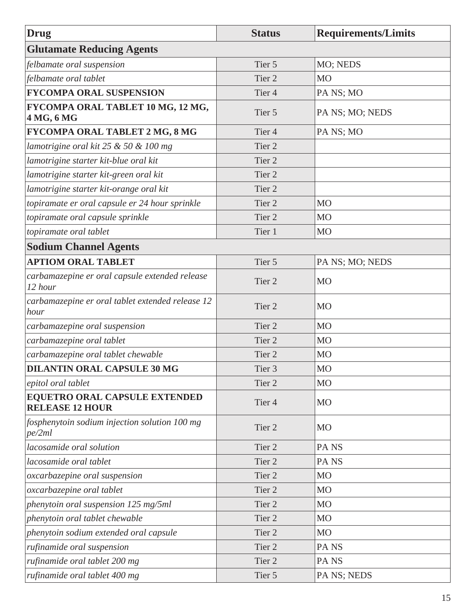| Drug                                                           | <b>Status</b>     | <b>Requirements/Limits</b> |
|----------------------------------------------------------------|-------------------|----------------------------|
| <b>Glutamate Reducing Agents</b>                               |                   |                            |
| felbamate oral suspension                                      | Tier 5            | MO; NEDS                   |
| felbamate oral tablet                                          | Tier <sub>2</sub> | M <sub>O</sub>             |
| <b>FYCOMPA ORAL SUSPENSION</b>                                 | Tier <sub>4</sub> | PA NS; MO                  |
| FYCOMPA ORAL TABLET 10 MG, 12 MG,<br>4 MG, 6 MG                | Tier 5            | PA NS; MO; NEDS            |
| FYCOMPA ORAL TABLET 2 MG, 8 MG                                 | Tier <sub>4</sub> | PA NS; MO                  |
| lamotrigine oral kit $25 & 50 & 100$ mg                        | Tier <sub>2</sub> |                            |
| lamotrigine starter kit-blue oral kit                          | Tier 2            |                            |
| lamotrigine starter kit-green oral kit                         | Tier <sub>2</sub> |                            |
| lamotrigine starter kit-orange oral kit                        | Tier 2            |                            |
| topiramate er oral capsule er 24 hour sprinkle                 | Tier <sub>2</sub> | M <sub>O</sub>             |
| topiramate oral capsule sprinkle                               | Tier <sub>2</sub> | <b>MO</b>                  |
| topiramate oral tablet                                         | Tier 1            | M <sub>O</sub>             |
| <b>Sodium Channel Agents</b>                                   |                   |                            |
| <b>APTIOM ORAL TABLET</b>                                      | Tier 5            | PA NS; MO; NEDS            |
| carbamazepine er oral capsule extended release<br>12 hour      | Tier 2            | M <sub>O</sub>             |
| carbamazepine er oral tablet extended release 12<br>hour       | Tier <sub>2</sub> | <b>MO</b>                  |
| carbamazepine oral suspension                                  | Tier <sub>2</sub> | M <sub>O</sub>             |
| carbamazepine oral tablet                                      | Tier <sub>2</sub> | M <sub>O</sub>             |
| carbamazepine oral tablet chewable                             | Tier 2            | M <sub>O</sub>             |
| <b>DILANTIN ORAL CAPSULE 30 MG</b>                             | Tier 3            | M <sub>O</sub>             |
| epitol oral tablet                                             | Tier <sub>2</sub> | <b>MO</b>                  |
| <b>EQUETRO ORAL CAPSULE EXTENDED</b><br><b>RELEASE 12 HOUR</b> | Tier <sub>4</sub> | <b>MO</b>                  |
| fosphenytoin sodium injection solution 100 mg<br>pe/2ml        | Tier <sub>2</sub> | M <sub>O</sub>             |
| lacosamide oral solution                                       | Tier <sub>2</sub> | PA <sub>NS</sub>           |
| lacosamide oral tablet                                         | Tier 2            | PA <sub>NS</sub>           |
| oxcarbazepine oral suspension                                  | Tier 2            | M <sub>O</sub>             |
| oxcarbazepine oral tablet                                      | Tier 2            | M <sub>O</sub>             |
| phenytoin oral suspension 125 mg/5ml                           | Tier 2            | M <sub>O</sub>             |
| phenytoin oral tablet chewable                                 | Tier <sub>2</sub> | M <sub>O</sub>             |
| phenytoin sodium extended oral capsule                         | Tier 2            | M <sub>O</sub>             |
| rufinamide oral suspension                                     | Tier 2            | PA <sub>NS</sub>           |
| rufinamide oral tablet 200 mg                                  | Tier 2            | PA <sub>NS</sub>           |
| rufinamide oral tablet 400 mg                                  | Tier 5            | PA NS; NEDS                |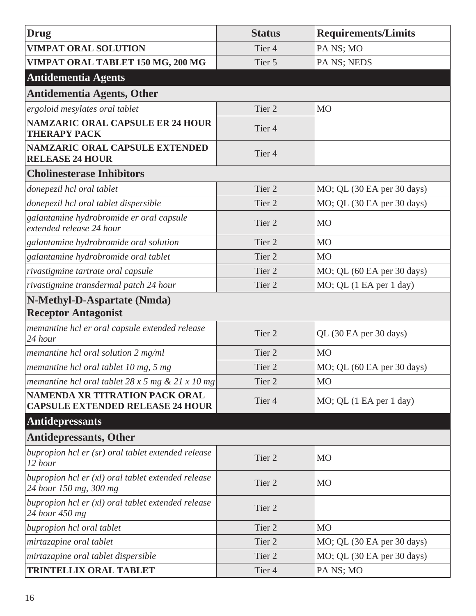<span id="page-21-0"></span>

| <b>Drug</b>                                                                   | <b>Status</b>     | <b>Requirements/Limits</b> |
|-------------------------------------------------------------------------------|-------------------|----------------------------|
| <b>VIMPAT ORAL SOLUTION</b>                                                   | Tier <sub>4</sub> | PA NS; MO                  |
| VIMPAT ORAL TABLET 150 MG, 200 MG                                             | Tier 5            | PA NS; NEDS                |
| <b>Antidementia Agents</b>                                                    |                   |                            |
| <b>Antidementia Agents, Other</b>                                             |                   |                            |
| ergoloid mesylates oral tablet                                                | Tier 2            | M <sub>O</sub>             |
| <b>NAMZARIC ORAL CAPSULE ER 24 HOUR</b><br><b>THERAPY PACK</b>                | Tier <sub>4</sub> |                            |
| <b>NAMZARIC ORAL CAPSULE EXTENDED</b><br><b>RELEASE 24 HOUR</b>               | Tier <sub>4</sub> |                            |
| <b>Cholinesterase Inhibitors</b>                                              |                   |                            |
| donepezil hcl oral tablet                                                     | Tier <sub>2</sub> | MO; QL (30 EA per 30 days) |
| donepezil hcl oral tablet dispersible                                         | Tier <sub>2</sub> | MO; QL (30 EA per 30 days) |
| galantamine hydrobromide er oral capsule<br>extended release 24 hour          | Tier <sub>2</sub> | <b>MO</b>                  |
| galantamine hydrobromide oral solution                                        | Tier <sub>2</sub> | <b>MO</b>                  |
| galantamine hydrobromide oral tablet                                          | Tier <sub>2</sub> | <b>MO</b>                  |
| rivastigmine tartrate oral capsule                                            | Tier <sub>2</sub> | MO; QL (60 EA per 30 days) |
| rivastigmine transdermal patch 24 hour                                        | Tier 2            | MO; QL (1 EA per 1 day)    |
| N-Methyl-D-Aspartate (Nmda)                                                   |                   |                            |
| <b>Receptor Antagonist</b>                                                    |                   |                            |
| memantine hcl er oral capsule extended release<br>24 hour                     | Tier <sub>2</sub> | QL (30 EA per 30 days)     |
| memantine hcl oral solution 2 mg/ml                                           | Tier 2            | <b>MO</b>                  |
| memantine hcl oral tablet 10 mg, 5 mg                                         | Tier 2            | MO; QL (60 EA per 30 days) |
| memantine hcl oral tablet $28 \times 5$ mg & $21 \times 10$ mg                | Tier 2            | M <sub>O</sub>             |
| NAMENDA XR TITRATION PACK ORAL<br><b>CAPSULE EXTENDED RELEASE 24 HOUR</b>     | Tier <sub>4</sub> | MO; QL (1 EA per 1 day)    |
| <b>Antidepressants</b>                                                        |                   |                            |
| <b>Antidepressants, Other</b>                                                 |                   |                            |
| bupropion hcl er (sr) oral tablet extended release<br>12 hour                 | Tier 2            | <b>MO</b>                  |
| bupropion hcl $er(xl)$ oral tablet extended release<br>24 hour 150 mg, 300 mg | Tier 2            | <b>MO</b>                  |
| bupropion hcl $er(xl)$ oral tablet extended release<br>24 hour 450 mg         | Tier 2            |                            |
| bupropion hcl oral tablet                                                     | Tier 2            | <b>MO</b>                  |
| mirtazapine oral tablet                                                       | Tier 2            | MO; QL (30 EA per 30 days) |
| mirtazapine oral tablet dispersible                                           | Tier 2            | MO; QL (30 EA per 30 days) |
| <b>TRINTELLIX ORAL TABLET</b>                                                 | Tier <sub>4</sub> | PA NS; MO                  |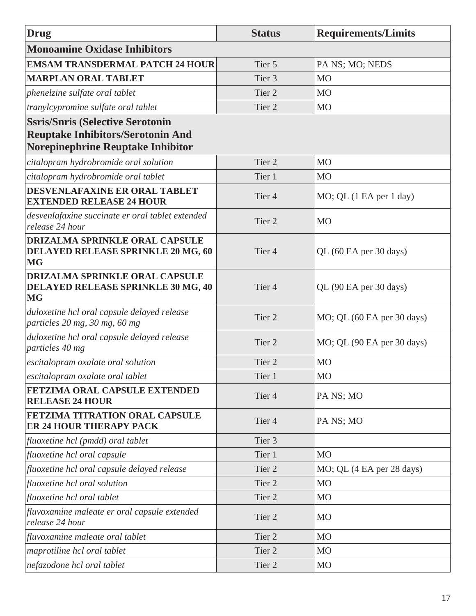| Drug                                                                                            | <b>Status</b>     | <b>Requirements/Limits</b> |
|-------------------------------------------------------------------------------------------------|-------------------|----------------------------|
| <b>Monoamine Oxidase Inhibitors</b>                                                             |                   |                            |
| <b>EMSAM TRANSDERMAL PATCH 24 HOUR</b>                                                          | Tier 5            | PA NS; MO; NEDS            |
| <b>MARPLAN ORAL TABLET</b>                                                                      | Tier <sub>3</sub> | <b>MO</b>                  |
| phenelzine sulfate oral tablet                                                                  | Tier <sub>2</sub> | M <sub>O</sub>             |
| tranylcypromine sulfate oral tablet                                                             | Tier <sub>2</sub> | <b>MO</b>                  |
| <b>Ssris/Snris (Selective Serotonin</b>                                                         |                   |                            |
| <b>Reuptake Inhibitors/Serotonin And</b>                                                        |                   |                            |
| Norepinephrine Reuptake Inhibitor                                                               |                   |                            |
| citalopram hydrobromide oral solution                                                           | Tier <sub>2</sub> | <b>MO</b>                  |
| citalopram hydrobromide oral tablet                                                             | Tier 1            | <b>MO</b>                  |
| DESVENLAFAXINE ER ORAL TABLET<br><b>EXTENDED RELEASE 24 HOUR</b>                                | Tier <sub>4</sub> | MO; QL (1 EA per 1 day)    |
| desvenlafaxine succinate er oral tablet extended<br>release 24 hour                             | Tier <sub>2</sub> | MO                         |
| <b>DRIZALMA SPRINKLE ORAL CAPSULE</b><br><b>DELAYED RELEASE SPRINKLE 20 MG, 60</b><br><b>MG</b> | Tier <sub>4</sub> | QL (60 EA per 30 days)     |
| <b>DRIZALMA SPRINKLE ORAL CAPSULE</b><br><b>DELAYED RELEASE SPRINKLE 30 MG, 40</b><br><b>MG</b> | Tier <sub>4</sub> | QL (90 EA per 30 days)     |
| duloxetine hcl oral capsule delayed release<br>particles 20 mg, 30 mg, 60 mg                    | Tier <sub>2</sub> | MO; QL (60 EA per 30 days) |
| duloxetine hcl oral capsule delayed release<br>particles 40 mg                                  | Tier <sub>2</sub> | MO; QL (90 EA per 30 days) |
| escitalopram oxalate oral solution                                                              | Tier <sub>2</sub> | <b>MO</b>                  |
| escitalopram oxalate oral tablet                                                                | Tier 1            | M <sub>O</sub>             |
| FETZIMA ORAL CAPSULE EXTENDED<br><b>RELEASE 24 HOUR</b>                                         | Tier <sub>4</sub> | PA NS; MO                  |
| FETZIMA TITRATION ORAL CAPSULE<br><b>ER 24 HOUR THERAPY PACK</b>                                | Tier <sub>4</sub> | PA NS; MO                  |
| fluoxetine hcl (pmdd) oral tablet                                                               | Tier <sub>3</sub> |                            |
| fluoxetine hcl oral capsule                                                                     | Tier 1            | <b>MO</b>                  |
| fluoxetine hcl oral capsule delayed release                                                     | Tier <sub>2</sub> | MO; QL (4 EA per 28 days)  |
| fluoxetine hcl oral solution                                                                    | Tier <sub>2</sub> | <b>MO</b>                  |
| fluoxetine hcl oral tablet                                                                      | Tier <sub>2</sub> | M <sub>O</sub>             |
| fluvoxamine maleate er oral capsule extended<br>release 24 hour                                 | Tier <sub>2</sub> | MO                         |
| fluvoxamine maleate oral tablet                                                                 | Tier 2            | <b>MO</b>                  |
| maprotiline hcl oral tablet                                                                     | Tier 2            | M <sub>O</sub>             |
| nefazodone hcl oral tablet                                                                      | Tier 2            | M <sub>O</sub>             |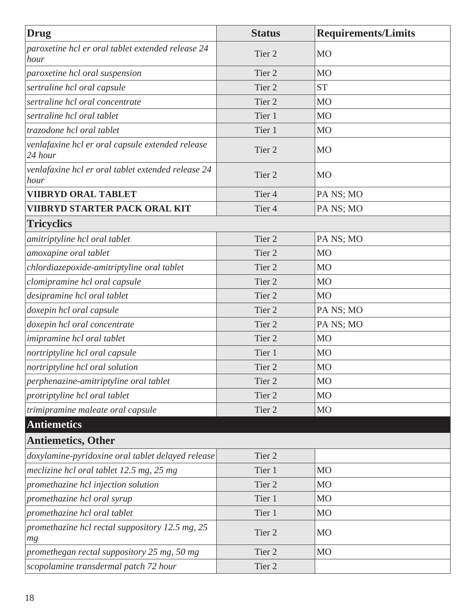<span id="page-23-0"></span>

| <b>Drug</b>                                                 | <b>Status</b>     | <b>Requirements/Limits</b> |
|-------------------------------------------------------------|-------------------|----------------------------|
| paroxetine hcl er oral tablet extended release 24<br>hour   | Tier <sub>2</sub> | <b>MO</b>                  |
| paroxetine hcl oral suspension                              | Tier <sub>2</sub> | <b>MO</b>                  |
| sertraline hcl oral capsule                                 | Tier <sub>2</sub> | <b>ST</b>                  |
| sertraline hcl oral concentrate                             | Tier <sub>2</sub> | M <sub>O</sub>             |
| sertraline hcl oral tablet                                  | Tier 1            | M <sub>O</sub>             |
| trazodone hcl oral tablet                                   | Tier 1            | M <sub>O</sub>             |
| venlafaxine hcl er oral capsule extended release<br>24 hour | Tier <sub>2</sub> | <b>MO</b>                  |
| venlafaxine hcl er oral tablet extended release 24<br>hour  | Tier <sub>2</sub> | <b>MO</b>                  |
| <b>VIIBRYD ORAL TABLET</b>                                  | Tier <sub>4</sub> | PA NS; MO                  |
| <b>VIIBRYD STARTER PACK ORAL KIT</b>                        | Tier <sub>4</sub> | PA NS; MO                  |
| <b>Tricyclics</b>                                           |                   |                            |
| amitriptyline hcl oral tablet                               | Tier <sub>2</sub> | PA NS; MO                  |
| amoxapine oral tablet                                       | Tier <sub>2</sub> | M <sub>O</sub>             |
| chlordiazepoxide-amitriptyline oral tablet                  | Tier <sub>2</sub> | M <sub>O</sub>             |
| clomipramine hcl oral capsule                               | Tier <sub>2</sub> | M <sub>O</sub>             |
| desipramine hcl oral tablet                                 | Tier <sub>2</sub> | M <sub>O</sub>             |
| doxepin hcl oral capsule                                    | Tier <sub>2</sub> | PA NS; MO                  |
| doxepin hcl oral concentrate                                | Tier <sub>2</sub> | PA NS; MO                  |
| imipramine hcl oral tablet                                  | Tier <sub>2</sub> | M <sub>O</sub>             |
| nortriptyline hcl oral capsule                              | Tier 1            | <b>MO</b>                  |
| nortriptyline hcl oral solution                             | Tier 2            | M <sub>O</sub>             |
| perphenazine-amitriptyline oral tablet                      | Tier <sub>2</sub> | M <sub>O</sub>             |
| protriptyline hcl oral tablet                               | Tier <sub>2</sub> | M <sub>O</sub>             |
| trimipramine maleate oral capsule                           | Tier 2            | M <sub>O</sub>             |
| <b>Antiemetics</b>                                          |                   |                            |
| <b>Antiemetics, Other</b>                                   |                   |                            |
| doxylamine-pyridoxine oral tablet delayed release           | Tier <sub>2</sub> |                            |
| meclizine hcl oral tablet 12.5 mg, 25 mg                    | Tier 1            | M <sub>O</sub>             |
| promethazine hcl injection solution                         | Tier <sub>2</sub> | M <sub>O</sub>             |
| promethazine hcl oral syrup                                 | Tier 1            | M <sub>O</sub>             |
| promethazine hcl oral tablet                                | Tier 1            | M <sub>O</sub>             |
| promethazine hcl rectal suppository 12.5 mg, 25<br>mg       | Tier <sub>2</sub> | <b>MO</b>                  |
| promethegan rectal suppository 25 mg, 50 mg                 | Tier 2            | M <sub>O</sub>             |
| scopolamine transdermal patch 72 hour                       | Tier 2            |                            |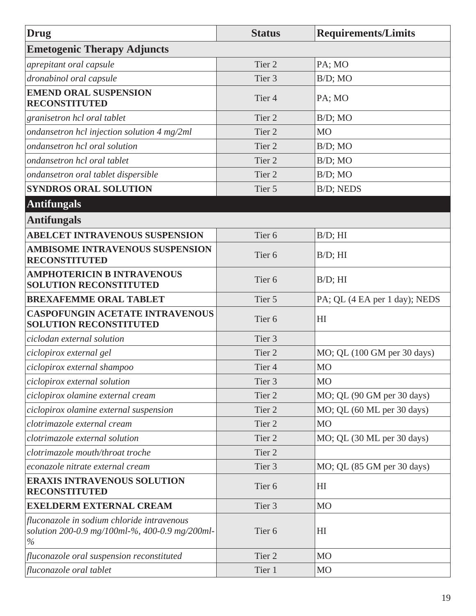<span id="page-24-0"></span>

| Drug                                                                                                 | <b>Status</b>     | <b>Requirements/Limits</b>    |
|------------------------------------------------------------------------------------------------------|-------------------|-------------------------------|
| <b>Emetogenic Therapy Adjuncts</b>                                                                   |                   |                               |
| aprepitant oral capsule                                                                              | Tier <sub>2</sub> | PA; MO                        |
| dronabinol oral capsule                                                                              | Tier <sub>3</sub> | $B/D$ ; MO                    |
| <b>EMEND ORAL SUSPENSION</b><br><b>RECONSTITUTED</b>                                                 | Tier <sub>4</sub> | PA; MO                        |
| granisetron hcl oral tablet                                                                          | Tier <sub>2</sub> | $B/D$ ; MO                    |
| ondansetron hcl injection solution 4 mg/2ml                                                          | Tier <sub>2</sub> | M <sub>O</sub>                |
| ondansetron hcl oral solution                                                                        | Tier <sub>2</sub> | $B/D$ ; MO                    |
| ondansetron hcl oral tablet                                                                          | Tier <sub>2</sub> | $B/D$ ; MO                    |
| ondansetron oral tablet dispersible                                                                  | Tier <sub>2</sub> | $B/D$ ; MO                    |
| <b>SYNDROS ORAL SOLUTION</b>                                                                         | Tier 5            | <b>B/D; NEDS</b>              |
| <b>Antifungals</b>                                                                                   |                   |                               |
| <b>Antifungals</b>                                                                                   |                   |                               |
| <b>ABELCET INTRAVENOUS SUSPENSION</b>                                                                | Tier <sub>6</sub> | $B/D$ ; HI                    |
| <b>AMBISOME INTRAVENOUS SUSPENSION</b><br><b>RECONSTITUTED</b>                                       | Tier <sub>6</sub> | $B/D$ ; HI                    |
| <b>AMPHOTERICIN B INTRAVENOUS</b><br><b>SOLUTION RECONSTITUTED</b>                                   | Tier <sub>6</sub> | $B/D$ ; HI                    |
| <b>BREXAFEMME ORAL TABLET</b>                                                                        | Tier 5            | PA; QL (4 EA per 1 day); NEDS |
| <b>CASPOFUNGIN ACETATE INTRAVENOUS</b><br><b>SOLUTION RECONSTITUTED</b>                              | Tier <sub>6</sub> | HI                            |
| ciclodan external solution                                                                           | Tier <sub>3</sub> |                               |
| ciclopirox external gel                                                                              | Tier <sub>2</sub> | MO; QL (100 GM per 30 days)   |
| ciclopirox external shampoo                                                                          | Tier <sub>4</sub> | <b>MO</b>                     |
| ciclopirox external solution                                                                         | Tier <sub>3</sub> | <b>MO</b>                     |
| ciclopirox olamine external cream                                                                    | Tier 2            | MO; QL (90 GM per 30 days)    |
| ciclopirox olamine external suspension                                                               | Tier 2            | MO; QL (60 ML per 30 days)    |
| clotrimazole external cream                                                                          | Tier <sub>2</sub> | M <sub>O</sub>                |
| clotrimazole external solution                                                                       | Tier <sub>2</sub> | MO; QL (30 ML per 30 days)    |
| clotrimazole mouth/throat troche                                                                     | Tier <sub>2</sub> |                               |
| econazole nitrate external cream                                                                     | Tier 3            | MO; QL (85 GM per 30 days)    |
| <b>ERAXIS INTRAVENOUS SOLUTION</b><br><b>RECONSTITUTED</b>                                           | Tier <sub>6</sub> | HI                            |
| <b>EXELDERM EXTERNAL CREAM</b>                                                                       | Tier 3            | MO                            |
| fluconazole in sodium chloride intravenous<br>solution 200-0.9 mg/100ml-%, 400-0.9 mg/200ml-<br>$\%$ | Tier <sub>6</sub> | HI                            |
| fluconazole oral suspension reconstituted                                                            | Tier 2            | M <sub>O</sub>                |
| fluconazole oral tablet                                                                              | Tier 1            | M <sub>O</sub>                |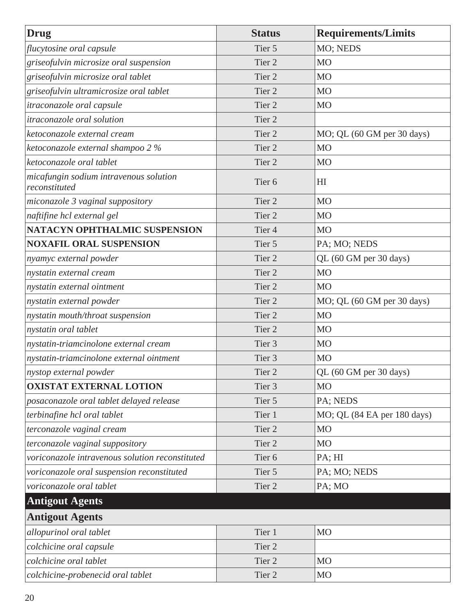<span id="page-25-0"></span>

| <b>Drug</b>                                             | <b>Status</b>     | <b>Requirements/Limits</b>  |
|---------------------------------------------------------|-------------------|-----------------------------|
| flucytosine oral capsule                                | Tier 5            | MO; NEDS                    |
| griseofulvin microsize oral suspension                  | Tier <sub>2</sub> | M <sub>O</sub>              |
| griseofulvin microsize oral tablet                      | Tier <sub>2</sub> | M <sub>O</sub>              |
| griseofulvin ultramicrosize oral tablet                 | Tier <sub>2</sub> | <b>MO</b>                   |
| itraconazole oral capsule                               | Tier <sub>2</sub> | M <sub>O</sub>              |
| <i>itraconazole oral solution</i>                       | Tier <sub>2</sub> |                             |
| ketoconazole external cream                             | Tier <sub>2</sub> | MO; QL (60 GM per 30 days)  |
| ketoconazole external shampoo 2 %                       | Tier <sub>2</sub> | <b>MO</b>                   |
| ketoconazole oral tablet                                | Tier <sub>2</sub> | M <sub>O</sub>              |
| micafungin sodium intravenous solution<br>reconstituted | Tier <sub>6</sub> | H <sub>I</sub>              |
| miconazole 3 vaginal suppository                        | Tier <sub>2</sub> | <b>MO</b>                   |
| naftifine hcl external gel                              | Tier <sub>2</sub> | M <sub>O</sub>              |
| NATACYN OPHTHALMIC SUSPENSION                           | Tier <sub>4</sub> | <b>MO</b>                   |
| <b>NOXAFIL ORAL SUSPENSION</b>                          | Tier 5            | PA; MO; NEDS                |
| nyamyc external powder                                  | Tier 2            | QL (60 GM per 30 days)      |
| nystatin external cream                                 | Tier 2            | M <sub>O</sub>              |
| nystatin external ointment                              | Tier <sub>2</sub> | <b>MO</b>                   |
| nystatin external powder                                | Tier 2            | MO; QL (60 GM per 30 days)  |
| nystatin mouth/throat suspension                        | Tier 2            | <b>MO</b>                   |
| nystatin oral tablet                                    | Tier <sub>2</sub> | M <sub>O</sub>              |
| nystatin-triamcinolone external cream                   | Tier 3            | M <sub>O</sub>              |
| nystatin-triamcinolone external ointment                | Tier <sub>3</sub> | M <sub>O</sub>              |
| nystop external powder                                  | Tier 2            | QL (60 GM per 30 days)      |
| <b>OXISTAT EXTERNAL LOTION</b>                          | Tier 3            | <b>MO</b>                   |
| posaconazole oral tablet delayed release                | Tier 5            | PA; NEDS                    |
| terbinafine hcl oral tablet                             | Tier 1            | MO; QL (84 EA per 180 days) |
| terconazole vaginal cream                               | Tier 2            | M <sub>O</sub>              |
| terconazole vaginal suppository                         | Tier 2            | M <sub>O</sub>              |
| voriconazole intravenous solution reconstituted         | Tier <sub>6</sub> | PA; HI                      |
| voriconazole oral suspension reconstituted              | Tier 5            | PA; MO; NEDS                |
| voriconazole oral tablet                                | Tier 2            | PA; MO                      |
| <b>Antigout Agents</b>                                  |                   |                             |
| <b>Antigout Agents</b>                                  |                   |                             |
| allopurinol oral tablet                                 | Tier 1            | M <sub>O</sub>              |
| colchicine oral capsule                                 | Tier 2            |                             |
| colchicine oral tablet                                  | Tier 2            | <b>MO</b>                   |
| colchicine-probenecid oral tablet                       | Tier <sub>2</sub> | M <sub>O</sub>              |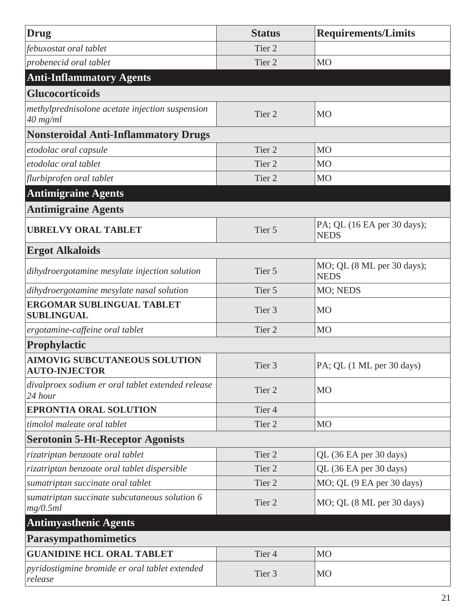<span id="page-26-0"></span>

| Drug                                                          | <b>Status</b>     | <b>Requirements/Limits</b>                 |
|---------------------------------------------------------------|-------------------|--------------------------------------------|
| febuxostat oral tablet                                        | Tier <sub>2</sub> |                                            |
| probenecid oral tablet                                        | Tier <sub>2</sub> | M <sub>O</sub>                             |
| <b>Anti-Inflammatory Agents</b>                               |                   |                                            |
| <b>Glucocorticoids</b>                                        |                   |                                            |
| methylprednisolone acetate injection suspension<br>$40$ mg/ml | Tier <sub>2</sub> | <b>MO</b>                                  |
| <b>Nonsteroidal Anti-Inflammatory Drugs</b>                   |                   |                                            |
| etodolac oral capsule                                         | Tier <sub>2</sub> | M <sub>O</sub>                             |
| etodolac oral tablet                                          | Tier <sub>2</sub> | M <sub>O</sub>                             |
| flurbiprofen oral tablet                                      | Tier <sub>2</sub> | M <sub>O</sub>                             |
| <b>Antimigraine Agents</b>                                    |                   |                                            |
| <b>Antimigraine Agents</b>                                    |                   |                                            |
| <b>UBRELVY ORAL TABLET</b>                                    | Tier 5            | PA; QL (16 EA per 30 days);<br><b>NEDS</b> |
| <b>Ergot Alkaloids</b>                                        |                   |                                            |
| dihydroergotamine mesylate injection solution                 | Tier 5            | MO; QL (8 ML per 30 days);<br><b>NEDS</b>  |
| dihydroergotamine mesylate nasal solution                     | Tier 5            | MO; NEDS                                   |
| <b>ERGOMAR SUBLINGUAL TABLET</b><br><b>SUBLINGUAL</b>         | Tier <sub>3</sub> | <b>MO</b>                                  |
| ergotamine-caffeine oral tablet                               | Tier <sub>2</sub> | <b>MO</b>                                  |
| Prophylactic                                                  |                   |                                            |
| <b>AIMOVIG SUBCUTANEOUS SOLUTION</b><br><b>AUTO-INJECTOR</b>  | Tier 3            | PA; QL (1 ML per 30 days)                  |
| divalproex sodium er oral tablet extended release<br>24 hour  | Tier <sub>2</sub> | <b>MO</b>                                  |
| <b>EPRONTIA ORAL SOLUTION</b>                                 | Tier <sub>4</sub> |                                            |
| timolol maleate oral tablet                                   | Tier <sub>2</sub> | M <sub>O</sub>                             |
| <b>Serotonin 5-Ht-Receptor Agonists</b>                       |                   |                                            |
| rizatriptan benzoate oral tablet                              | Tier 2            | QL (36 EA per 30 days)                     |
| rizatriptan benzoate oral tablet dispersible                  | Tier 2            | QL (36 EA per 30 days)                     |
| sumatriptan succinate oral tablet                             | Tier <sub>2</sub> | MO; QL (9 EA per 30 days)                  |
| sumatriptan succinate subcutaneous solution 6<br>mg/0.5ml     | Tier <sub>2</sub> | MO; QL (8 ML per 30 days)                  |
| <b>Antimyasthenic Agents</b>                                  |                   |                                            |
| Parasympathomimetics                                          |                   |                                            |
| <b>GUANIDINE HCL ORAL TABLET</b>                              | Tier <sub>4</sub> | M <sub>O</sub>                             |
| pyridostigmine bromide er oral tablet extended<br>release     | Tier 3            | <b>MO</b>                                  |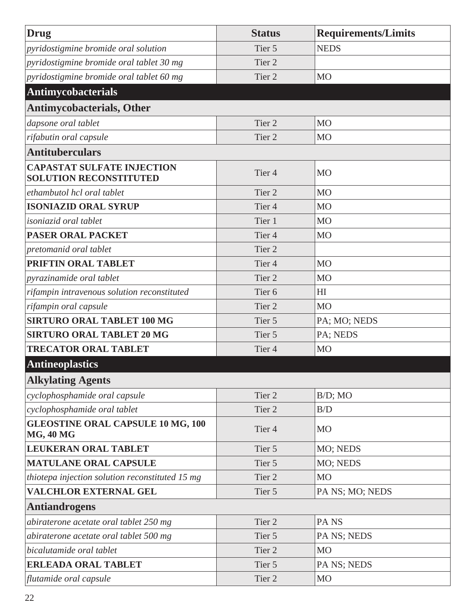<span id="page-27-0"></span>

| Drug                                                               | <b>Status</b>     | <b>Requirements/Limits</b> |
|--------------------------------------------------------------------|-------------------|----------------------------|
| pyridostigmine bromide oral solution                               | Tier 5            | <b>NEDS</b>                |
| pyridostigmine bromide oral tablet 30 mg                           | Tier <sub>2</sub> |                            |
| pyridostigmine bromide oral tablet 60 mg                           | Tier <sub>2</sub> | M <sub>O</sub>             |
| Antimycobacterials                                                 |                   |                            |
| <b>Antimycobacterials, Other</b>                                   |                   |                            |
| dapsone oral tablet                                                | Tier <sub>2</sub> | M <sub>O</sub>             |
| rifabutin oral capsule                                             | Tier <sub>2</sub> | M <sub>O</sub>             |
| <b>Antituberculars</b>                                             |                   |                            |
| <b>CAPASTAT SULFATE INJECTION</b><br><b>SOLUTION RECONSTITUTED</b> | Tier <sub>4</sub> | <b>MO</b>                  |
| ethambutol hcl oral tablet                                         | Tier <sub>2</sub> | MO                         |
| <b>ISONIAZID ORAL SYRUP</b>                                        | Tier <sub>4</sub> | M <sub>O</sub>             |
| <i>isoniazid oral tablet</i>                                       | Tier 1            | M <sub>O</sub>             |
| <b>PASER ORAL PACKET</b>                                           | Tier <sub>4</sub> | M <sub>O</sub>             |
| pretomanid oral tablet                                             | Tier <sub>2</sub> |                            |
| PRIFTIN ORAL TABLET                                                | Tier <sub>4</sub> | M <sub>O</sub>             |
| pyrazinamide oral tablet                                           | Tier <sub>2</sub> | <b>MO</b>                  |
| rifampin intravenous solution reconstituted                        | Tier <sub>6</sub> | HI                         |
| rifampin oral capsule                                              | Tier <sub>2</sub> | <b>MO</b>                  |
| <b>SIRTURO ORAL TABLET 100 MG</b>                                  | Tier 5            | PA; MO; NEDS               |
| <b>SIRTURO ORAL TABLET 20 MG</b>                                   | Tier 5            | PA; NEDS                   |
| <b>TRECATOR ORAL TABLET</b>                                        | Tier <sub>4</sub> | M <sub>O</sub>             |
| <b>Antineoplastics</b>                                             |                   |                            |
| <b>Alkylating Agents</b>                                           |                   |                            |
| cyclophosphamide oral capsule                                      | Tier <sub>2</sub> | $B/D$ ; MO                 |
| cyclophosphamide oral tablet                                       | Tier <sub>2</sub> | B/D                        |
| <b>GLEOSTINE ORAL CAPSULE 10 MG, 100</b><br><b>MG, 40 MG</b>       | Tier <sub>4</sub> | <b>MO</b>                  |
| <b>LEUKERAN ORAL TABLET</b>                                        | Tier 5            | MO; NEDS                   |
| <b>MATULANE ORAL CAPSULE</b>                                       | Tier 5            | MO; NEDS                   |
| thiotepa injection solution reconstituted 15 mg                    | Tier <sub>2</sub> | <b>MO</b>                  |
| <b>VALCHLOR EXTERNAL GEL</b>                                       | Tier 5            | PA NS; MO; NEDS            |
| <b>Antiandrogens</b>                                               |                   |                            |
| abiraterone acetate oral tablet 250 mg                             | Tier 2            | PA <sub>NS</sub>           |
| abiraterone acetate oral tablet 500 mg                             | Tier 5            | PA NS; NEDS                |
| bicalutamide oral tablet                                           | Tier 2            | <b>MO</b>                  |
| <b>ERLEADA ORAL TABLET</b>                                         | Tier 5            | PA NS; NEDS                |
| flutamide oral capsule                                             | Tier <sub>2</sub> | <b>MO</b>                  |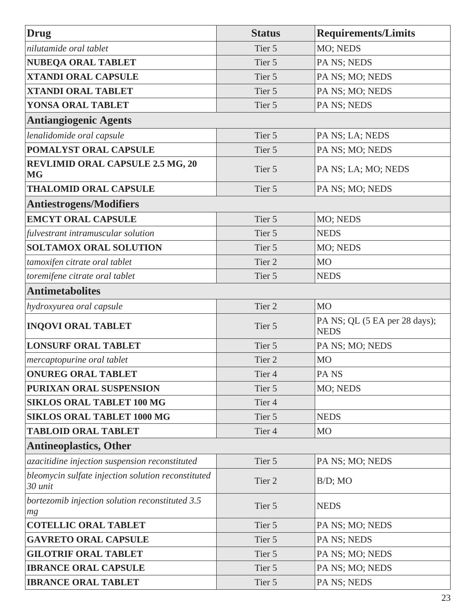| <b>Drug</b>                                                   | <b>Status</b>     | <b>Requirements/Limits</b>                   |
|---------------------------------------------------------------|-------------------|----------------------------------------------|
| nilutamide oral tablet                                        | Tier 5            | MO; NEDS                                     |
| <b>NUBEQA ORAL TABLET</b>                                     | Tier 5            | PA NS; NEDS                                  |
| <b>XTANDI ORAL CAPSULE</b>                                    | Tier 5            | PA NS; MO; NEDS                              |
| <b>XTANDI ORAL TABLET</b>                                     | Tier 5            | PA NS; MO; NEDS                              |
| YONSA ORAL TABLET                                             | Tier 5            | PA NS; NEDS                                  |
| <b>Antiangiogenic Agents</b>                                  |                   |                                              |
| lenalidomide oral capsule                                     | Tier 5            | PA NS; LA; NEDS                              |
| POMALYST ORAL CAPSULE                                         | Tier 5            | PA NS; MO; NEDS                              |
| <b>REVLIMID ORAL CAPSULE 2.5 MG, 20</b><br><b>MG</b>          | Tier 5            | PA NS; LA; MO; NEDS                          |
| <b>THALOMID ORAL CAPSULE</b>                                  | Tier 5            | PA NS; MO; NEDS                              |
| <b>Antiestrogens/Modifiers</b>                                |                   |                                              |
| <b>EMCYT ORAL CAPSULE</b>                                     | Tier 5            | MO; NEDS                                     |
| fulvestrant intramuscular solution                            | Tier 5            | <b>NEDS</b>                                  |
| <b>SOLTAMOX ORAL SOLUTION</b>                                 | Tier 5            | MO; NEDS                                     |
| tamoxifen citrate oral tablet                                 | Tier 2            | M <sub>O</sub>                               |
| toremifene citrate oral tablet                                | Tier 5            | <b>NEDS</b>                                  |
| <b>Antimetabolites</b>                                        |                   |                                              |
| hydroxyurea oral capsule                                      | Tier 2            | <b>MO</b>                                    |
| <b>INQOVI ORAL TABLET</b>                                     | Tier 5            | PA NS; QL (5 EA per 28 days);<br><b>NEDS</b> |
| <b>LONSURF ORAL TABLET</b>                                    | Tier 5            | PA NS; MO; NEDS                              |
| <i>mercaptopurine oral tablet</i>                             | Tier 2            | <b>MO</b>                                    |
| <b>ONUREG ORAL TABLET</b>                                     | Tier 4            | PA <sub>NS</sub>                             |
| PURIXAN ORAL SUSPENSION                                       | Tier 5            | MO; NEDS                                     |
| <b>SIKLOS ORAL TABLET 100 MG</b>                              | Tier <sub>4</sub> |                                              |
| <b>SIKLOS ORAL TABLET 1000 MG</b>                             | Tier 5            | <b>NEDS</b>                                  |
| <b>TABLOID ORAL TABLET</b>                                    | Tier <sub>4</sub> | <b>MO</b>                                    |
| <b>Antineoplastics, Other</b>                                 |                   |                                              |
| azacitidine injection suspension reconstituted                | Tier 5            | PA NS; MO; NEDS                              |
| bleomycin sulfate injection solution reconstituted<br>30 unit | Tier 2            | $B/D$ ; MO                                   |
| bortezomib injection solution reconstituted 3.5<br>$mg$       | Tier 5            | <b>NEDS</b>                                  |
| <b>COTELLIC ORAL TABLET</b>                                   | Tier 5            | PA NS; MO; NEDS                              |
| <b>GAVRETO ORAL CAPSULE</b>                                   | Tier 5            | PA NS; NEDS                                  |
| <b>GILOTRIF ORAL TABLET</b>                                   | Tier 5            | PA NS; MO; NEDS                              |
| <b>IBRANCE ORAL CAPSULE</b>                                   | Tier 5            | PA NS; MO; NEDS                              |
| <b>IBRANCE ORAL TABLET</b>                                    | Tier 5            | PA NS; NEDS                                  |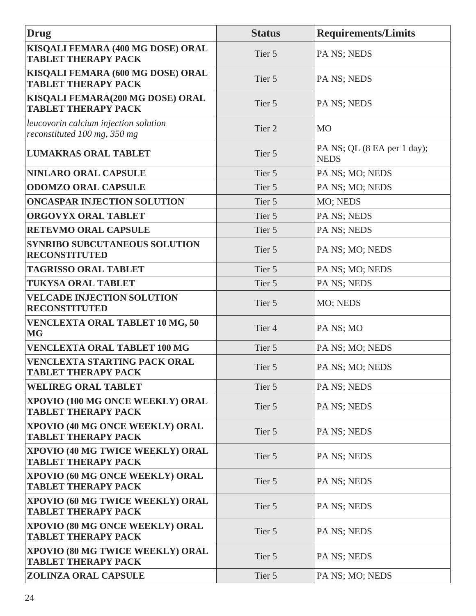| Drug                                                                  | <b>Status</b>     | <b>Requirements/Limits</b>                 |
|-----------------------------------------------------------------------|-------------------|--------------------------------------------|
| KISQALI FEMARA (400 MG DOSE) ORAL<br><b>TABLET THERAPY PACK</b>       | Tier 5            | <b>PA NS; NEDS</b>                         |
| KISQALI FEMARA (600 MG DOSE) ORAL<br><b>TABLET THERAPY PACK</b>       | Tier 5            | PA NS; NEDS                                |
| KISQALI FEMARA(200 MG DOSE) ORAL<br><b>TABLET THERAPY PACK</b>        | Tier 5            | PA NS; NEDS                                |
| leucovorin calcium injection solution<br>reconstituted 100 mg, 350 mg | Tier <sub>2</sub> | <b>MO</b>                                  |
| <b>LUMAKRAS ORAL TABLET</b>                                           | Tier 5            | PA NS; QL (8 EA per 1 day);<br><b>NEDS</b> |
| NINLARO ORAL CAPSULE                                                  | Tier 5            | PA NS; MO; NEDS                            |
| <b>ODOMZO ORAL CAPSULE</b>                                            | Tier 5            | PA NS; MO; NEDS                            |
| <b>ONCASPAR INJECTION SOLUTION</b>                                    | Tier 5            | MO; NEDS                                   |
| <b>ORGOVYX ORAL TABLET</b>                                            | Tier 5            | PA NS; NEDS                                |
| <b>RETEVMO ORAL CAPSULE</b>                                           | Tier 5            | PA NS; NEDS                                |
| <b>SYNRIBO SUBCUTANEOUS SOLUTION</b><br><b>RECONSTITUTED</b>          | Tier 5            | PA NS; MO; NEDS                            |
| <b>TAGRISSO ORAL TABLET</b>                                           | Tier 5            | PA NS; MO; NEDS                            |
| <b>TUKYSA ORAL TABLET</b>                                             | Tier 5            | PA NS; NEDS                                |
| <b>VELCADE INJECTION SOLUTION</b><br><b>RECONSTITUTED</b>             | Tier 5            | MO; NEDS                                   |
| <b>VENCLEXTA ORAL TABLET 10 MG, 50</b><br><b>MG</b>                   | Tier <sub>4</sub> | PA NS; MO                                  |
| <b>VENCLEXTA ORAL TABLET 100 MG</b>                                   | Tier 5            | PA NS; MO; NEDS                            |
| <b>VENCLEXTA STARTING PACK ORAL</b><br><b>TABLET THERAPY PACK</b>     | Tier 5            | PA NS; MO; NEDS                            |
| <b>WELIREG ORAL TABLET</b>                                            | Tier 5            | PA NS; NEDS                                |
| XPOVIO (100 MG ONCE WEEKLY) ORAL<br><b>TABLET THERAPY PACK</b>        | Tier 5            | PA NS; NEDS                                |
| XPOVIO (40 MG ONCE WEEKLY) ORAL<br><b>TABLET THERAPY PACK</b>         | Tier 5            | <b>PA NS; NEDS</b>                         |
| XPOVIO (40 MG TWICE WEEKLY) ORAL<br><b>TABLET THERAPY PACK</b>        | Tier 5            | PA NS; NEDS                                |
| XPOVIO (60 MG ONCE WEEKLY) ORAL<br><b>TABLET THERAPY PACK</b>         | Tier 5            | PA NS; NEDS                                |
| XPOVIO (60 MG TWICE WEEKLY) ORAL<br><b>TABLET THERAPY PACK</b>        | Tier 5            | <b>PA NS; NEDS</b>                         |
| XPOVIO (80 MG ONCE WEEKLY) ORAL<br><b>TABLET THERAPY PACK</b>         | Tier 5            | PA NS; NEDS                                |
| XPOVIO (80 MG TWICE WEEKLY) ORAL<br><b>TABLET THERAPY PACK</b>        | Tier 5            | PA NS; NEDS                                |
| <b>ZOLINZA ORAL CAPSULE</b>                                           | Tier 5            | PA NS; MO; NEDS                            |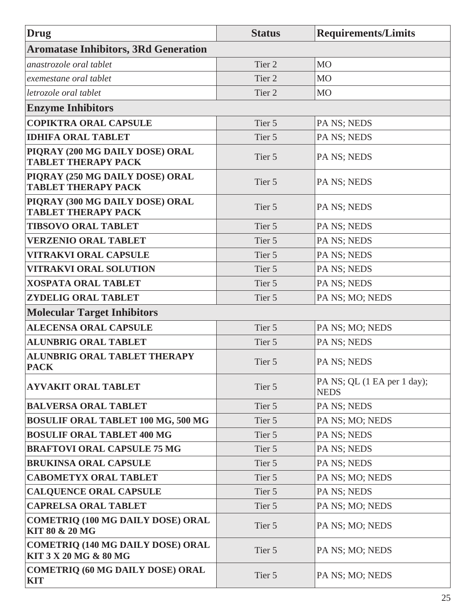| <b>Drug</b>                                                       | <b>Status</b> | <b>Requirements/Limits</b>                 |
|-------------------------------------------------------------------|---------------|--------------------------------------------|
| <b>Aromatase Inhibitors, 3Rd Generation</b>                       |               |                                            |
| anastrozole oral tablet                                           | Tier 2        | M <sub>O</sub>                             |
| exemestane oral tablet                                            | Tier 2        | M <sub>O</sub>                             |
| letrozole oral tablet                                             | Tier 2        | M <sub>O</sub>                             |
| <b>Enzyme Inhibitors</b>                                          |               |                                            |
| <b>COPIKTRA ORAL CAPSULE</b>                                      | Tier 5        | PA NS; NEDS                                |
| <b>IDHIFA ORAL TABLET</b>                                         | Tier 5        | PA NS; NEDS                                |
| PIQRAY (200 MG DAILY DOSE) ORAL<br><b>TABLET THERAPY PACK</b>     | Tier 5        | PA NS; NEDS                                |
| PIQRAY (250 MG DAILY DOSE) ORAL<br><b>TABLET THERAPY PACK</b>     | Tier 5        | PA NS; NEDS                                |
| PIQRAY (300 MG DAILY DOSE) ORAL<br><b>TABLET THERAPY PACK</b>     | Tier 5        | PA NS; NEDS                                |
| <b>TIBSOVO ORAL TABLET</b>                                        | Tier 5        | PA NS; NEDS                                |
| <b>VERZENIO ORAL TABLET</b>                                       | Tier 5        | PA NS; NEDS                                |
| <b>VITRAKVI ORAL CAPSULE</b>                                      | Tier 5        | PA NS; NEDS                                |
| <b>VITRAKVI ORAL SOLUTION</b>                                     | Tier 5        | PA NS; NEDS                                |
| <b>XOSPATA ORAL TABLET</b>                                        | Tier 5        | PA NS; NEDS                                |
| <b>ZYDELIG ORAL TABLET</b>                                        | Tier 5        | PA NS; MO; NEDS                            |
| <b>Molecular Target Inhibitors</b>                                |               |                                            |
| <b>ALECENSA ORAL CAPSULE</b>                                      | Tier 5        | PA NS; MO; NEDS                            |
| <b>ALUNBRIG ORAL TABLET</b>                                       | Tier 5        | PA NS; NEDS                                |
| <b>ALUNBRIG ORAL TABLET THERAPY</b><br><b>PACK</b>                | Tier 5        | PA NS; NEDS                                |
| <b>AYVAKIT ORAL TABLET</b>                                        | Tier 5        | PA NS; QL (1 EA per 1 day);<br><b>NEDS</b> |
| <b>BALVERSA ORAL TABLET</b>                                       | Tier 5        | PA NS; NEDS                                |
| <b>BOSULIF ORAL TABLET 100 MG, 500 MG</b>                         | Tier 5        | PA NS; MO; NEDS                            |
| <b>BOSULIF ORAL TABLET 400 MG</b>                                 | Tier 5        | PA NS; NEDS                                |
| <b>BRAFTOVI ORAL CAPSULE 75 MG</b>                                | Tier 5        | PA NS; NEDS                                |
| <b>BRUKINSA ORAL CAPSULE</b>                                      | Tier 5        | PA NS; NEDS                                |
| <b>CABOMETYX ORAL TABLET</b>                                      | Tier 5        | PA NS; MO; NEDS                            |
| <b>CALQUENCE ORAL CAPSULE</b>                                     | Tier 5        | PA NS; NEDS                                |
| <b>CAPRELSA ORAL TABLET</b>                                       | Tier 5        | PA NS; MO; NEDS                            |
| <b>COMETRIQ (100 MG DAILY DOSE) ORAL</b><br>KIT 80 & 20 MG        | Tier 5        | PA NS; MO; NEDS                            |
| <b>COMETRIQ (140 MG DAILY DOSE) ORAL</b><br>KIT 3 X 20 MG & 80 MG | Tier 5        | PA NS; MO; NEDS                            |
| <b>COMETRIQ (60 MG DAILY DOSE) ORAL</b><br><b>KIT</b>             | Tier 5        | PA NS; MO; NEDS                            |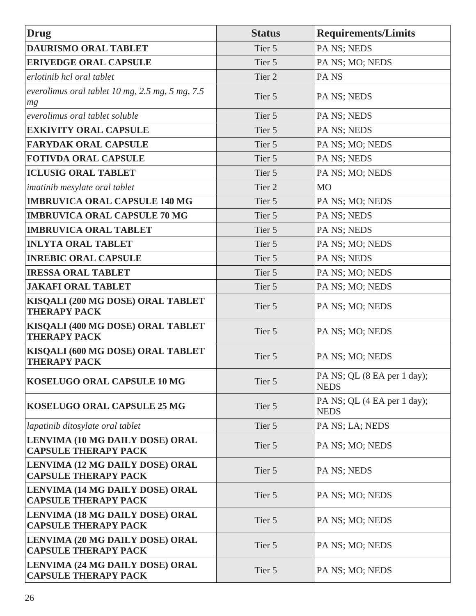| <b>Drug</b>                                                    | <b>Status</b>     | <b>Requirements/Limits</b>                 |
|----------------------------------------------------------------|-------------------|--------------------------------------------|
| <b>DAURISMO ORAL TABLET</b>                                    | Tier 5            | PA NS; NEDS                                |
| <b>ERIVEDGE ORAL CAPSULE</b>                                   | Tier 5            | PA NS; MO; NEDS                            |
| erlotinib hcl oral tablet                                      | Tier <sub>2</sub> | PA <sub>NS</sub>                           |
| everolimus oral tablet $10$ mg, $2.5$ mg, $5$ mg, $7.5$<br>mg  | Tier 5            | PA NS; NEDS                                |
| everolimus oral tablet soluble                                 | Tier 5            | PA NS; NEDS                                |
| <b>EXKIVITY ORAL CAPSULE</b>                                   | Tier 5            | PA NS; NEDS                                |
| <b>FARYDAK ORAL CAPSULE</b>                                    | Tier 5            | PA NS; MO; NEDS                            |
| <b>FOTIVDA ORAL CAPSULE</b>                                    | Tier 5            | PA NS; NEDS                                |
| <b>ICLUSIG ORAL TABLET</b>                                     | Tier 5            | PA NS; MO; NEDS                            |
| imatinib mesylate oral tablet                                  | Tier 2            | M <sub>O</sub>                             |
| <b>IMBRUVICA ORAL CAPSULE 140 MG</b>                           | Tier 5            | PA NS; MO; NEDS                            |
| <b>IMBRUVICA ORAL CAPSULE 70 MG</b>                            | Tier 5            | PA NS; NEDS                                |
| <b>IMBRUVICA ORAL TABLET</b>                                   | Tier 5            | PA NS; NEDS                                |
| <b>INLYTA ORAL TABLET</b>                                      | Tier 5            | PA NS; MO; NEDS                            |
| <b>INREBIC ORAL CAPSULE</b>                                    | Tier 5            | PA NS; NEDS                                |
| <b>IRESSA ORAL TABLET</b>                                      | Tier 5            | PA NS; MO; NEDS                            |
| <b>JAKAFI ORAL TABLET</b>                                      | Tier 5            | PA NS; MO; NEDS                            |
| KISQALI (200 MG DOSE) ORAL TABLET<br><b>THERAPY PACK</b>       | Tier 5            | PA NS; MO; NEDS                            |
| KISQALI (400 MG DOSE) ORAL TABLET<br><b>THERAPY PACK</b>       | Tier 5            | PA NS; MO; NEDS                            |
| KISQALI (600 MG DOSE) ORAL TABLET<br><b>THERAPY PACK</b>       | Tier 5            | PA NS; MO; NEDS                            |
| KOSELUGO ORAL CAPSULE 10 MG                                    | Tier 5            | PA NS; QL (8 EA per 1 day);<br><b>NEDS</b> |
| KOSELUGO ORAL CAPSULE 25 MG                                    | Tier 5            | PA NS; QL (4 EA per 1 day);<br><b>NEDS</b> |
| lapatinib ditosylate oral tablet                               | Tier 5            | PA NS; LA; NEDS                            |
| LENVIMA (10 MG DAILY DOSE) ORAL<br><b>CAPSULE THERAPY PACK</b> | Tier 5            | PA NS; MO; NEDS                            |
| LENVIMA (12 MG DAILY DOSE) ORAL<br><b>CAPSULE THERAPY PACK</b> | Tier 5            | PA NS; NEDS                                |
| LENVIMA (14 MG DAILY DOSE) ORAL<br><b>CAPSULE THERAPY PACK</b> | Tier 5            | PA NS; MO; NEDS                            |
| LENVIMA (18 MG DAILY DOSE) ORAL<br><b>CAPSULE THERAPY PACK</b> | Tier 5            | PA NS; MO; NEDS                            |
| LENVIMA (20 MG DAILY DOSE) ORAL<br><b>CAPSULE THERAPY PACK</b> | Tier 5            | PA NS; MO; NEDS                            |
| LENVIMA (24 MG DAILY DOSE) ORAL<br><b>CAPSULE THERAPY PACK</b> | Tier 5            | PA NS; MO; NEDS                            |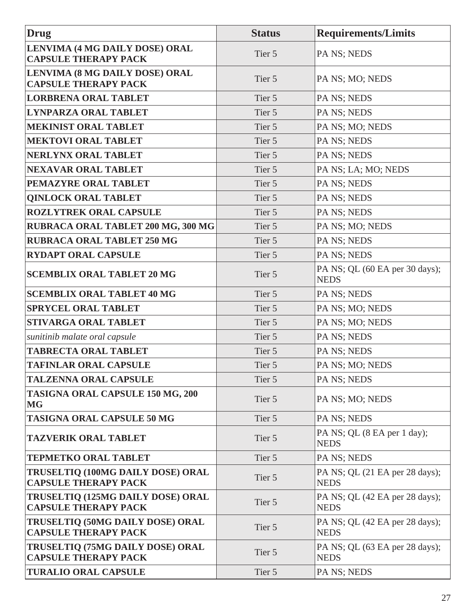| Drug                                                                 | <b>Status</b> | <b>Requirements/Limits</b>                    |
|----------------------------------------------------------------------|---------------|-----------------------------------------------|
| LENVIMA (4 MG DAILY DOSE) ORAL<br><b>CAPSULE THERAPY PACK</b>        | Tier 5        | PA NS; NEDS                                   |
| <b>LENVIMA (8 MG DAILY DOSE) ORAL</b><br><b>CAPSULE THERAPY PACK</b> | Tier 5        | PA NS; MO; NEDS                               |
| <b>LORBRENA ORAL TABLET</b>                                          | Tier 5        | PA NS; NEDS                                   |
| <b>LYNPARZA ORAL TABLET</b>                                          | Tier 5        | PA NS; NEDS                                   |
| <b>MEKINIST ORAL TABLET</b>                                          | Tier 5        | PA NS; MO; NEDS                               |
| <b>MEKTOVI ORAL TABLET</b>                                           | Tier 5        | PA NS; NEDS                                   |
| <b>NERLYNX ORAL TABLET</b>                                           | Tier 5        | PA NS; NEDS                                   |
| <b>NEXAVAR ORAL TABLET</b>                                           | Tier 5        | PA NS; LA; MO; NEDS                           |
| PEMAZYRE ORAL TABLET                                                 | Tier 5        | PA NS; NEDS                                   |
| <b>QINLOCK ORAL TABLET</b>                                           | Tier 5        | PA NS; NEDS                                   |
| <b>ROZLYTREK ORAL CAPSULE</b>                                        | Tier 5        | PA NS; NEDS                                   |
| RUBRACA ORAL TABLET 200 MG, 300 MG                                   | Tier 5        | PA NS; MO; NEDS                               |
| <b>RUBRACA ORAL TABLET 250 MG</b>                                    | Tier 5        | PA NS; NEDS                                   |
| <b>RYDAPT ORAL CAPSULE</b>                                           | Tier 5        | PA NS; NEDS                                   |
| <b>SCEMBLIX ORAL TABLET 20 MG</b>                                    | Tier 5        | PA NS; QL (60 EA per 30 days);<br><b>NEDS</b> |
| <b>SCEMBLIX ORAL TABLET 40 MG</b>                                    | Tier 5        | PA NS; NEDS                                   |
| <b>SPRYCEL ORAL TABLET</b>                                           | Tier 5        | PA NS; MO; NEDS                               |
| <b>STIVARGA ORAL TABLET</b>                                          | Tier 5        | PA NS; MO; NEDS                               |
| sunitinib malate oral capsule                                        | Tier 5        | PA NS; NEDS                                   |
| <b>TABRECTA ORAL TABLET</b>                                          | Tier 5        | PA NS; NEDS                                   |
| <b>TAFINLAR ORAL CAPSULE</b>                                         | Tier 5        | PA NS; MO; NEDS                               |
| <b>TALZENNA ORAL CAPSULE</b>                                         | Tier 5        | PA NS; NEDS                                   |
| <b>TASIGNA ORAL CAPSULE 150 MG, 200</b><br><b>MG</b>                 | Tier 5        | PA NS; MO; NEDS                               |
| <b>TASIGNA ORAL CAPSULE 50 MG</b>                                    | Tier 5        | PA NS; NEDS                                   |
| <b>TAZVERIK ORAL TABLET</b>                                          | Tier 5        | PA NS; QL (8 EA per 1 day);<br><b>NEDS</b>    |
| <b>TEPMETKO ORAL TABLET</b>                                          | Tier 5        | PA NS; NEDS                                   |
| TRUSELTIQ (100MG DAILY DOSE) ORAL<br><b>CAPSULE THERAPY PACK</b>     | Tier 5        | PA NS; QL (21 EA per 28 days);<br><b>NEDS</b> |
| TRUSELTIQ (125MG DAILY DOSE) ORAL<br><b>CAPSULE THERAPY PACK</b>     | Tier 5        | PA NS; QL (42 EA per 28 days);<br><b>NEDS</b> |
| TRUSELTIQ (50MG DAILY DOSE) ORAL<br><b>CAPSULE THERAPY PACK</b>      | Tier 5        | PA NS; QL (42 EA per 28 days);<br><b>NEDS</b> |
| TRUSELTIQ (75MG DAILY DOSE) ORAL<br><b>CAPSULE THERAPY PACK</b>      | Tier 5        | PA NS; QL (63 EA per 28 days);<br><b>NEDS</b> |
| <b>TURALIO ORAL CAPSULE</b>                                          | Tier 5        | PA NS; NEDS                                   |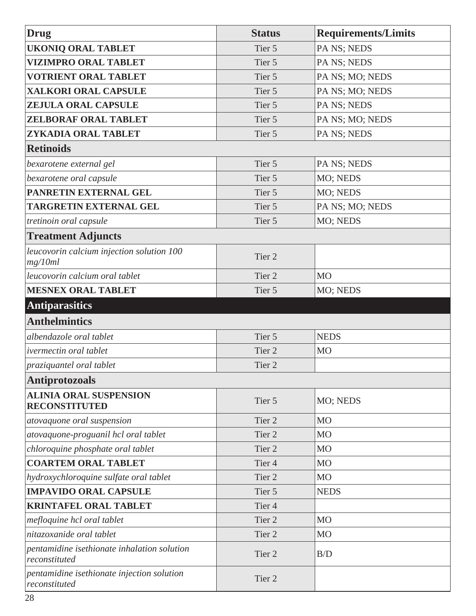<span id="page-33-0"></span>

| <b>Drug</b>                                                  | <b>Status</b>     | <b>Requirements/Limits</b> |
|--------------------------------------------------------------|-------------------|----------------------------|
| <b>UKONIQ ORAL TABLET</b>                                    | Tier 5            | PA NS; NEDS                |
| <b>VIZIMPRO ORAL TABLET</b>                                  | Tier 5            | PA NS; NEDS                |
| <b>VOTRIENT ORAL TABLET</b>                                  | Tier 5            | PA NS; MO; NEDS            |
| <b>XALKORI ORAL CAPSULE</b>                                  | Tier 5            | PA NS; MO; NEDS            |
| <b>ZEJULA ORAL CAPSULE</b>                                   | Tier 5            | PA NS; NEDS                |
| <b>ZELBORAF ORAL TABLET</b>                                  | Tier 5            | PA NS; MO; NEDS            |
| ZYKADIA ORAL TABLET                                          | Tier 5            | PA NS; NEDS                |
| <b>Retinoids</b>                                             |                   |                            |
| bexarotene external gel                                      | Tier 5            | PA NS; NEDS                |
| bexarotene oral capsule                                      | Tier 5            | MO; NEDS                   |
| PANRETIN EXTERNAL GEL                                        | Tier 5            | MO; NEDS                   |
| <b>TARGRETIN EXTERNAL GEL</b>                                | Tier 5            | PA NS; MO; NEDS            |
| tretinoin oral capsule                                       | Tier 5            | MO; NEDS                   |
| <b>Treatment Adjuncts</b>                                    |                   |                            |
| leucovorin calcium injection solution 100<br>mg/10ml         | Tier <sub>2</sub> |                            |
| leucovorin calcium oral tablet                               | Tier 2            | <b>MO</b>                  |
| <b>MESNEX ORAL TABLET</b>                                    | Tier 5            | MO; NEDS                   |
| <b>Antiparasitics</b>                                        |                   |                            |
| <b>Anthelmintics</b>                                         |                   |                            |
| albendazole oral tablet                                      | Tier 5            | <b>NEDS</b>                |
| ivermectin oral tablet                                       | Tier 2            | <b>MO</b>                  |
| praziquantel oral tablet                                     | Tier 2            |                            |
| <b>Antiprotozoals</b>                                        |                   |                            |
| <b>ALINIA ORAL SUSPENSION</b><br><b>RECONSTITUTED</b>        | Tier 5            | MO; NEDS                   |
| atovaquone oral suspension                                   | Tier 2            | <b>MO</b>                  |
| atovaquone-proguanil hcl oral tablet                         | Tier 2            | M <sub>O</sub>             |
| chloroquine phosphate oral tablet                            | Tier 2            | <b>MO</b>                  |
| <b>COARTEM ORAL TABLET</b>                                   | Tier <sub>4</sub> | M <sub>O</sub>             |
| hydroxychloroquine sulfate oral tablet                       | Tier <sub>2</sub> | <b>MO</b>                  |
| <b>IMPAVIDO ORAL CAPSULE</b>                                 | Tier 5            | <b>NEDS</b>                |
| <b>KRINTAFEL ORAL TABLET</b>                                 | Tier <sub>4</sub> |                            |
| mefloquine hcl oral tablet                                   | Tier 2            | <b>MO</b>                  |
| nitazoxanide oral tablet                                     | Tier <sub>2</sub> | <b>MO</b>                  |
| pentamidine isethionate inhalation solution<br>reconstituted | Tier 2            | B/D                        |
| pentamidine isethionate injection solution<br>reconstituted  | Tier 2            |                            |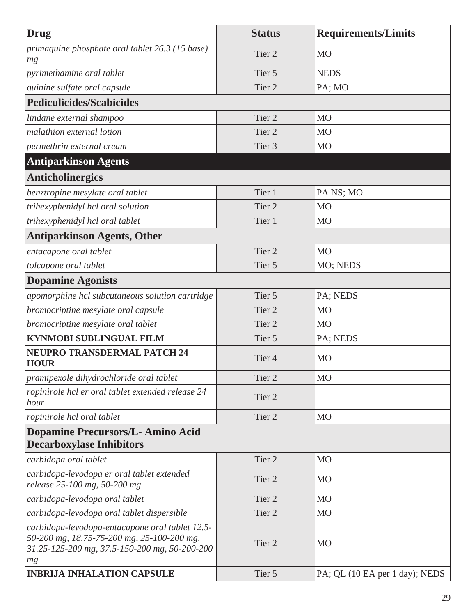<span id="page-34-0"></span>

| Drug                                                                                                                                                 | <b>Status</b>     | <b>Requirements/Limits</b>     |
|------------------------------------------------------------------------------------------------------------------------------------------------------|-------------------|--------------------------------|
| primaquine phosphate oral tablet 26.3 (15 base)<br>mg                                                                                                | Tier <sub>2</sub> | MO                             |
| pyrimethamine oral tablet                                                                                                                            | Tier 5            | <b>NEDS</b>                    |
| quinine sulfate oral capsule                                                                                                                         | Tier <sub>2</sub> | PA; MO                         |
| <b>Pediculicides/Scabicides</b>                                                                                                                      |                   |                                |
| lindane external shampoo                                                                                                                             | Tier <sub>2</sub> | M <sub>O</sub>                 |
| malathion external lotion                                                                                                                            | Tier <sub>2</sub> | M <sub>O</sub>                 |
| permethrin external cream                                                                                                                            | Tier <sub>3</sub> | M <sub>O</sub>                 |
| <b>Antiparkinson Agents</b>                                                                                                                          |                   |                                |
| <b>Anticholinergics</b>                                                                                                                              |                   |                                |
| benztropine mesylate oral tablet                                                                                                                     | Tier 1            | PA NS; MO                      |
| trihexyphenidyl hcl oral solution                                                                                                                    | Tier <sub>2</sub> | M <sub>O</sub>                 |
| trihexyphenidyl hcl oral tablet                                                                                                                      | Tier 1            | <b>MO</b>                      |
| <b>Antiparkinson Agents, Other</b>                                                                                                                   |                   |                                |
| entacapone oral tablet                                                                                                                               | Tier <sub>2</sub> | <b>MO</b>                      |
| tolcapone oral tablet                                                                                                                                | Tier 5            | MO; NEDS                       |
| <b>Dopamine Agonists</b>                                                                                                                             |                   |                                |
| apomorphine hcl subcutaneous solution cartridge                                                                                                      | Tier 5            | PA; NEDS                       |
| bromocriptine mesylate oral capsule                                                                                                                  | Tier <sub>2</sub> | <b>MO</b>                      |
| bromocriptine mesylate oral tablet                                                                                                                   | Tier <sub>2</sub> | MO                             |
| <b>KYNMOBI SUBLINGUAL FILM</b>                                                                                                                       | Tier 5            | PA; NEDS                       |
| <b>NEUPRO TRANSDERMAL PATCH 24</b><br><b>HOUR</b>                                                                                                    | Tier <sub>4</sub> | MO                             |
| pramipexole dihydrochloride oral tablet                                                                                                              | Tier 2            | M <sub>O</sub>                 |
| ropinirole hcl er oral tablet extended release 24<br>hour                                                                                            | Tier <sub>2</sub> |                                |
| ropinirole hcl oral tablet                                                                                                                           | Tier <sub>2</sub> | <b>MO</b>                      |
| <b>Dopamine Precursors/L- Amino Acid</b><br><b>Decarboxylase Inhibitors</b>                                                                          |                   |                                |
| carbidopa oral tablet                                                                                                                                | Tier 2            | <b>MO</b>                      |
| carbidopa-levodopa er oral tablet extended<br>release 25-100 mg, 50-200 mg                                                                           | Tier 2            | MO                             |
| carbidopa-levodopa oral tablet                                                                                                                       | Tier 2            | M <sub>O</sub>                 |
| carbidopa-levodopa oral tablet dispersible                                                                                                           | Tier <sub>2</sub> | <b>MO</b>                      |
| carbidopa-levodopa-entacapone oral tablet 12.5-<br>50-200 mg, 18.75-75-200 mg, 25-100-200 mg,<br>31.25-125-200 mg, 37.5-150-200 mg, 50-200-200<br>mg | Tier <sub>2</sub> | MO                             |
| <b>INBRIJA INHALATION CAPSULE</b>                                                                                                                    | Tier 5            | PA; QL (10 EA per 1 day); NEDS |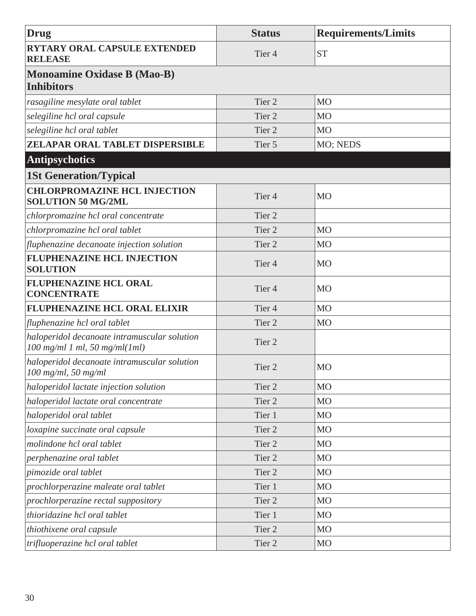<span id="page-35-0"></span>

| <b>Drug</b>                                                                     | <b>Status</b>     | <b>Requirements/Limits</b> |
|---------------------------------------------------------------------------------|-------------------|----------------------------|
| <b>RYTARY ORAL CAPSULE EXTENDED</b><br><b>RELEASE</b>                           | Tier <sub>4</sub> | <b>ST</b>                  |
| <b>Monoamine Oxidase B (Mao-B)</b><br><b>Inhibitors</b>                         |                   |                            |
| rasagiline mesylate oral tablet                                                 | Tier 2            | M <sub>O</sub>             |
| selegiline hcl oral capsule                                                     | Tier 2            | M <sub>O</sub>             |
| selegiline hcl oral tablet                                                      | Tier 2            | M <sub>O</sub>             |
| ZELAPAR ORAL TABLET DISPERSIBLE                                                 | Tier 5            | MO; NEDS                   |
| <b>Antipsychotics</b>                                                           |                   |                            |
| <b>1St Generation/Typical</b>                                                   |                   |                            |
| <b>CHLORPROMAZINE HCL INJECTION</b><br><b>SOLUTION 50 MG/2ML</b>                | Tier <sub>4</sub> | M <sub>O</sub>             |
| chlorpromazine hcl oral concentrate                                             | Tier 2            |                            |
| chlorpromazine hcl oral tablet                                                  | Tier 2            | M <sub>O</sub>             |
| fluphenazine decanoate injection solution                                       | Tier 2            | M <sub>O</sub>             |
| <b>FLUPHENAZINE HCL INJECTION</b><br><b>SOLUTION</b>                            | Tier <sub>4</sub> | M <sub>O</sub>             |
| <b>FLUPHENAZINE HCL ORAL</b><br><b>CONCENTRATE</b>                              | Tier <sub>4</sub> | <b>MO</b>                  |
| <b>FLUPHENAZINE HCL ORAL ELIXIR</b>                                             | Tier <sub>4</sub> | <b>MO</b>                  |
| fluphenazine hcl oral tablet                                                    | Tier 2            | M <sub>O</sub>             |
| haloperidol decanoate intramuscular solution<br>$100$ mg/ml 1 ml, 50 mg/ml(1ml) | Tier 2            |                            |
| haloperidol decanoate intramuscular solution<br>$100$ mg/ml, 50 mg/ml           | Tier <sub>2</sub> | M <sub>O</sub>             |
| haloperidol lactate injection solution                                          | Tier 2            | M <sub>O</sub>             |
| haloperidol lactate oral concentrate                                            | Tier 2            | <b>MO</b>                  |
| haloperidol oral tablet                                                         | Tier 1            | M <sub>O</sub>             |
| loxapine succinate oral capsule                                                 | Tier 2            | M <sub>O</sub>             |
| molindone hcl oral tablet                                                       | Tier <sub>2</sub> | M <sub>O</sub>             |
| perphenazine oral tablet                                                        | Tier 2            | M <sub>O</sub>             |
| pimozide oral tablet                                                            | Tier 2            | M <sub>O</sub>             |
| prochlorperazine maleate oral tablet                                            | Tier 1            | M <sub>O</sub>             |
| prochlorperazine rectal suppository                                             | Tier 2            | M <sub>O</sub>             |
| thioridazine hcl oral tablet                                                    | Tier 1            | M <sub>O</sub>             |
| thiothixene oral capsule                                                        | Tier 2            | M <sub>O</sub>             |
| trifluoperazine hcl oral tablet                                                 | Tier 2            | <b>MO</b>                  |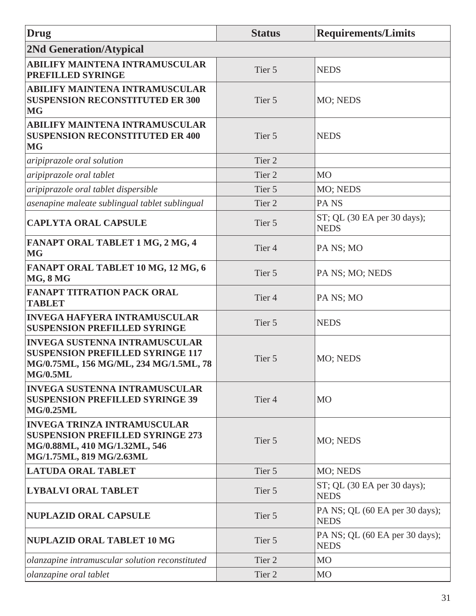| Drug                                                                                                                                         | <b>Status</b>     | <b>Requirements/Limits</b>                    |
|----------------------------------------------------------------------------------------------------------------------------------------------|-------------------|-----------------------------------------------|
| <b>2Nd Generation/Atypical</b>                                                                                                               |                   |                                               |
| <b>ABILIFY MAINTENA INTRAMUSCULAR</b><br>PREFILLED SYRINGE                                                                                   | Tier 5            | <b>NEDS</b>                                   |
| <b>ABILIFY MAINTENA INTRAMUSCULAR</b><br><b>SUSPENSION RECONSTITUTED ER 300</b><br><b>MG</b>                                                 | Tier 5            | MO; NEDS                                      |
| <b>ABILIFY MAINTENA INTRAMUSCULAR</b><br><b>SUSPENSION RECONSTITUTED ER 400</b><br><b>MG</b>                                                 | Tier 5            | <b>NEDS</b>                                   |
| aripiprazole oral solution                                                                                                                   | Tier <sub>2</sub> |                                               |
| aripiprazole oral tablet                                                                                                                     | Tier <sub>2</sub> | M <sub>O</sub>                                |
| aripiprazole oral tablet dispersible                                                                                                         | Tier 5            | MO; NEDS                                      |
| asenapine maleate sublingual tablet sublingual                                                                                               | Tier <sub>2</sub> | PA <sub>NS</sub>                              |
| <b>CAPLYTA ORAL CAPSULE</b>                                                                                                                  | Tier 5            | ST; QL (30 EA per 30 days);<br><b>NEDS</b>    |
| FANAPT ORAL TABLET 1 MG, 2 MG, 4<br><b>MG</b>                                                                                                | Tier <sub>4</sub> | PA NS; MO                                     |
| FANAPT ORAL TABLET 10 MG, 12 MG, 6<br><b>MG, 8 MG</b>                                                                                        | Tier 5            | PA NS; MO; NEDS                               |
| <b>FANAPT TITRATION PACK ORAL</b><br><b>TABLET</b>                                                                                           | Tier <sub>4</sub> | PA NS; MO                                     |
| <b>INVEGA HAFYERA INTRAMUSCULAR</b><br><b>SUSPENSION PREFILLED SYRINGE</b>                                                                   | Tier 5            | <b>NEDS</b>                                   |
| <b>INVEGA SUSTENNA INTRAMUSCULAR</b><br><b>SUSPENSION PREFILLED SYRINGE 117</b><br>MG/0.75ML, 156 MG/ML, 234 MG/1.5ML, 78<br><b>MG/0.5ML</b> | Tier 5            | MO; NEDS                                      |
| <b>INVEGA SUSTENNA INTRAMUSCULAR</b><br><b>SUSPENSION PREFILLED SYRINGE 39</b><br><b>MG/0.25ML</b>                                           | Tier <sub>4</sub> | <b>MO</b>                                     |
| <b>INVEGA TRINZA INTRAMUSCULAR</b><br><b>SUSPENSION PREFILLED SYRINGE 273</b><br>MG/0.88ML, 410 MG/1.32ML, 546<br>MG/1.75ML, 819 MG/2.63ML   | Tier 5            | MO; NEDS                                      |
| <b>LATUDA ORAL TABLET</b>                                                                                                                    | Tier 5            | MO; NEDS                                      |
| <b>LYBALVI ORAL TABLET</b>                                                                                                                   | Tier 5            | $ST$ ; QL (30 EA per 30 days);<br><b>NEDS</b> |
| NUPLAZID ORAL CAPSULE                                                                                                                        | Tier 5            | PA NS; QL (60 EA per 30 days);<br><b>NEDS</b> |
| NUPLAZID ORAL TABLET 10 MG                                                                                                                   | Tier 5            | PA NS; QL (60 EA per 30 days);<br><b>NEDS</b> |
| olanzapine intramuscular solution reconstituted                                                                                              | Tier 2            | M <sub>O</sub>                                |
| olanzapine oral tablet                                                                                                                       | Tier 2            | M <sub>O</sub>                                |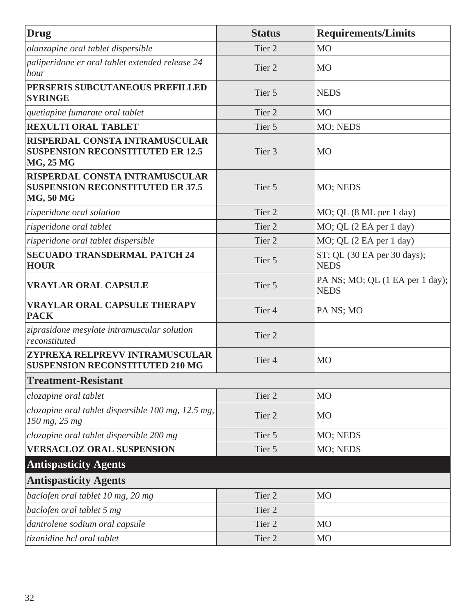| Drug                                                                                          | <b>Status</b>     | <b>Requirements/Limits</b>                     |
|-----------------------------------------------------------------------------------------------|-------------------|------------------------------------------------|
| olanzapine oral tablet dispersible                                                            | Tier <sub>2</sub> | <b>MO</b>                                      |
| paliperidone er oral tablet extended release 24<br>hour                                       | Tier 2            | <b>MO</b>                                      |
| PERSERIS SUBCUTANEOUS PREFILLED<br><b>SYRINGE</b>                                             | Tier 5            | <b>NEDS</b>                                    |
| quetiapine fumarate oral tablet                                                               | Tier <sub>2</sub> | <b>MO</b>                                      |
| <b>REXULTI ORAL TABLET</b>                                                                    | Tier 5            | MO; NEDS                                       |
| RISPERDAL CONSTA INTRAMUSCULAR<br><b>SUSPENSION RECONSTITUTED ER 12.5</b><br>MG, 25 MG        | Tier 3            | <b>MO</b>                                      |
| RISPERDAL CONSTA INTRAMUSCULAR<br><b>SUSPENSION RECONSTITUTED ER 37.5</b><br><b>MG, 50 MG</b> | Tier 5            | MO; NEDS                                       |
| risperidone oral solution                                                                     | Tier 2            | MO; QL (8 ML per 1 day)                        |
| risperidone oral tablet                                                                       | Tier 2            | MO; QL (2 EA per 1 day)                        |
| risperidone oral tablet dispersible                                                           | Tier 2            | MO; QL (2 EA per 1 day)                        |
| <b>SECUADO TRANSDERMAL PATCH 24</b><br><b>HOUR</b>                                            | Tier 5            | ST; QL (30 EA per 30 days);<br><b>NEDS</b>     |
| <b>VRAYLAR ORAL CAPSULE</b>                                                                   | Tier 5            | PA NS; MO; QL (1 EA per 1 day);<br><b>NEDS</b> |
| <b>VRAYLAR ORAL CAPSULE THERAPY</b><br><b>PACK</b>                                            | Tier <sub>4</sub> | PA NS; MO                                      |
| ziprasidone mesylate intramuscular solution<br>reconstituted                                  | Tier <sub>2</sub> |                                                |
| ZYPREXA RELPREVV INTRAMUSCULAR<br><b>SUSPENSION RECONSTITUTED 210 MG</b>                      | Tier <sub>4</sub> | <b>MO</b>                                      |
| <b>Treatment-Resistant</b>                                                                    |                   |                                                |
| clozapine oral tablet                                                                         | Tier 2            | <b>MO</b>                                      |
| clozapine oral tablet dispersible 100 mg, 12.5 mg,<br>150 mg, 25 mg                           | Tier 2            | <b>MO</b>                                      |
| clozapine oral tablet dispersible 200 mg                                                      | Tier 5            | MO; NEDS                                       |
| <b>VERSACLOZ ORAL SUSPENSION</b>                                                              | Tier 5            | MO; NEDS                                       |
| <b>Antispasticity Agents</b>                                                                  |                   |                                                |
| <b>Antispasticity Agents</b>                                                                  |                   |                                                |
| baclofen oral tablet 10 mg, 20 mg                                                             | Tier <sub>2</sub> | <b>MO</b>                                      |
| baclofen oral tablet 5 mg                                                                     | Tier <sub>2</sub> |                                                |
| dantrolene sodium oral capsule                                                                | Tier <sub>2</sub> | <b>MO</b>                                      |
| tizanidine hcl oral tablet                                                                    | Tier 2            | M <sub>O</sub>                                 |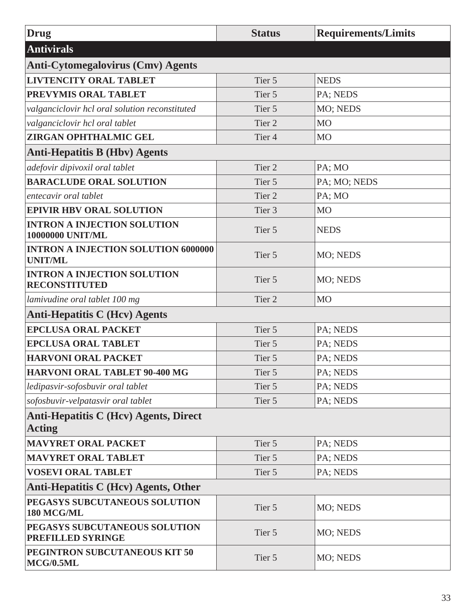| <b>Drug</b>                                                   | <b>Status</b>     | <b>Requirements/Limits</b> |
|---------------------------------------------------------------|-------------------|----------------------------|
| <b>Antivirals</b>                                             |                   |                            |
| <b>Anti-Cytomegalovirus (Cmv) Agents</b>                      |                   |                            |
| <b>LIVTENCITY ORAL TABLET</b>                                 | Tier 5            | <b>NEDS</b>                |
| PREVYMIS ORAL TABLET                                          | Tier 5            | PA; NEDS                   |
| valganciclovir hcl oral solution reconstituted                | Tier 5            | MO; NEDS                   |
| valganciclovir hcl oral tablet                                | Tier <sub>2</sub> | <b>MO</b>                  |
| <b>ZIRGAN OPHTHALMIC GEL</b>                                  | Tier <sub>4</sub> | M <sub>O</sub>             |
| <b>Anti-Hepatitis B (Hbv) Agents</b>                          |                   |                            |
| adefovir dipivoxil oral tablet                                | Tier <sub>2</sub> | PA; MO                     |
| <b>BARACLUDE ORAL SOLUTION</b>                                | Tier 5            | PA; MO; NEDS               |
| entecavir oral tablet                                         | Tier <sub>2</sub> | PA; MO                     |
| <b>EPIVIR HBV ORAL SOLUTION</b>                               | Tier <sub>3</sub> | M <sub>O</sub>             |
| <b>INTRON A INJECTION SOLUTION</b><br><b>10000000 UNIT/ML</b> | Tier 5            | <b>NEDS</b>                |
| <b>INTRON A INJECTION SOLUTION 6000000</b><br><b>UNIT/ML</b>  | Tier 5            | MO; NEDS                   |
| <b>INTRON A INJECTION SOLUTION</b><br><b>RECONSTITUTED</b>    | Tier 5            | MO; NEDS                   |
| lamivudine oral tablet 100 mg                                 | Tier <sub>2</sub> | <b>MO</b>                  |
| <b>Anti-Hepatitis C (Hev) Agents</b>                          |                   |                            |
| <b>EPCLUSA ORAL PACKET</b>                                    | Tier 5            | PA; NEDS                   |
| <b>EPCLUSA ORAL TABLET</b>                                    | Tier 5            | PA; NEDS                   |
| <b>HARVONI ORAL PACKET</b>                                    | Tier 5            | PA; NEDS                   |
| <b>HARVONI ORAL TABLET 90-400 MG</b>                          | Tier 5            | PA; NEDS                   |
| ledipasvir-sofosbuvir oral tablet                             | Tier 5            | PA; NEDS                   |
| sofosbuvir-velpatasvir oral tablet                            | Tier 5            | PA; NEDS                   |
| <b>Anti-Hepatitis C (Hev) Agents, Direct</b><br><b>Acting</b> |                   |                            |
| <b>MAVYRET ORAL PACKET</b>                                    | Tier 5            | PA; NEDS                   |
| <b>MAVYRET ORAL TABLET</b>                                    | Tier 5            | PA; NEDS                   |
| <b>VOSEVI ORAL TABLET</b>                                     | Tier 5            | PA; NEDS                   |
| Anti-Hepatitis C (Hcv) Agents, Other                          |                   |                            |
| PEGASYS SUBCUTANEOUS SOLUTION<br>180 MCG/ML                   | Tier 5            | MO; NEDS                   |
| PEGASYS SUBCUTANEOUS SOLUTION<br>PREFILLED SYRINGE            | Tier 5            | MO; NEDS                   |
| PEGINTRON SUBCUTANEOUS KIT 50<br>MCG/0.5ML                    | Tier 5            | MO; NEDS                   |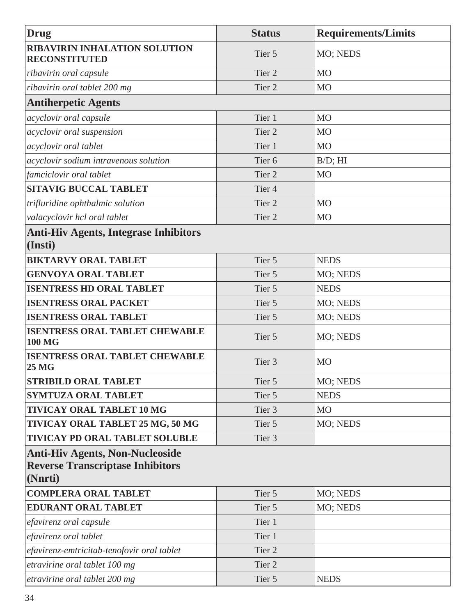| <b>Drug</b>                                                                                  | <b>Status</b>     | <b>Requirements/Limits</b> |
|----------------------------------------------------------------------------------------------|-------------------|----------------------------|
| <b>RIBAVIRIN INHALATION SOLUTION</b><br><b>RECONSTITUTED</b>                                 | Tier 5            | MO; NEDS                   |
| ribavirin oral capsule                                                                       | Tier <sub>2</sub> | <b>MO</b>                  |
| ribavirin oral tablet 200 mg                                                                 | Tier <sub>2</sub> | MO                         |
| <b>Antiherpetic Agents</b>                                                                   |                   |                            |
| acyclovir oral capsule                                                                       | Tier 1            | <b>MO</b>                  |
| acyclovir oral suspension                                                                    | Tier <sub>2</sub> | M <sub>O</sub>             |
| acyclovir oral tablet                                                                        | Tier 1            | <b>MO</b>                  |
| acyclovir sodium intravenous solution                                                        | Tier <sub>6</sub> | $B/D$ ; $HI$               |
| famciclovir oral tablet                                                                      | Tier <sub>2</sub> | <b>MO</b>                  |
| <b>SITAVIG BUCCAL TABLET</b>                                                                 | Tier <sub>4</sub> |                            |
| trifluridine ophthalmic solution                                                             | Tier 2            | <b>MO</b>                  |
| valacyclovir hcl oral tablet                                                                 | Tier <sub>2</sub> | <b>MO</b>                  |
| <b>Anti-Hiv Agents, Integrase Inhibitors</b><br>(Insti)                                      |                   |                            |
| <b>BIKTARVY ORAL TABLET</b>                                                                  | Tier 5            | <b>NEDS</b>                |
| <b>GENVOYA ORAL TABLET</b>                                                                   | Tier 5            | MO; NEDS                   |
| <b>ISENTRESS HD ORAL TABLET</b>                                                              | Tier 5            | <b>NEDS</b>                |
| <b>ISENTRESS ORAL PACKET</b>                                                                 | Tier 5            | MO; NEDS                   |
| <b>ISENTRESS ORAL TABLET</b>                                                                 | Tier 5            | MO; NEDS                   |
| <b>ISENTRESS ORAL TABLET CHEWABLE</b><br><b>100 MG</b>                                       | Tier 5            | MO; NEDS                   |
| <b>ISENTRESS ORAL TABLET CHEWABLE</b><br><b>25 MG</b>                                        | Tier <sub>3</sub> | <b>MO</b>                  |
| <b>STRIBILD ORAL TABLET</b>                                                                  | Tier 5            | MO; NEDS                   |
| <b>SYMTUZA ORAL TABLET</b>                                                                   | Tier 5            | <b>NEDS</b>                |
| <b>TIVICAY ORAL TABLET 10 MG</b>                                                             | Tier 3            | M <sub>O</sub>             |
| TIVICAY ORAL TABLET 25 MG, 50 MG                                                             | Tier 5            | MO; NEDS                   |
| <b>TIVICAY PD ORAL TABLET SOLUBLE</b>                                                        | Tier 3            |                            |
| <b>Anti-Hiv Agents, Non-Nucleoside</b><br><b>Reverse Transcriptase Inhibitors</b><br>(Nnrti) |                   |                            |
| <b>COMPLERA ORAL TABLET</b>                                                                  | Tier 5            | MO; NEDS                   |
| <b>EDURANT ORAL TABLET</b>                                                                   | Tier 5            | MO; NEDS                   |
| efavirenz oral capsule                                                                       | Tier 1            |                            |
| efavirenz oral tablet                                                                        | Tier 1            |                            |
| efavirenz-emtricitab-tenofovir oral tablet                                                   | Tier 2            |                            |
| etravirine oral tablet 100 mg                                                                | Tier 2            |                            |
| etravirine oral tablet 200 mg                                                                | Tier 5            | <b>NEDS</b>                |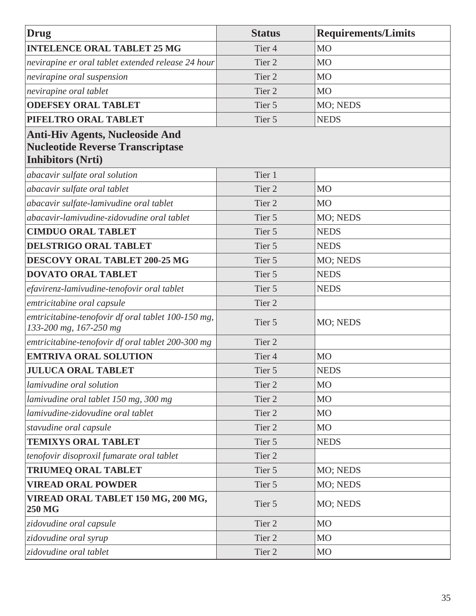| <b>Drug</b>                                                                                                   | <b>Status</b>     | <b>Requirements/Limits</b> |
|---------------------------------------------------------------------------------------------------------------|-------------------|----------------------------|
| <b>INTELENCE ORAL TABLET 25 MG</b>                                                                            | Tier <sub>4</sub> | <b>MO</b>                  |
| nevirapine er oral tablet extended release 24 hour                                                            | Tier 2            | <b>MO</b>                  |
| nevirapine oral suspension                                                                                    | Tier 2            | <b>MO</b>                  |
| nevirapine oral tablet                                                                                        | Tier 2            | <b>MO</b>                  |
| <b>ODEFSEY ORAL TABLET</b>                                                                                    | Tier 5            | MO; NEDS                   |
| PIFELTRO ORAL TABLET                                                                                          | Tier 5            | <b>NEDS</b>                |
| <b>Anti-Hiv Agents, Nucleoside And</b><br><b>Nucleotide Reverse Transcriptase</b><br><b>Inhibitors (Nrti)</b> |                   |                            |
| abacavir sulfate oral solution                                                                                | Tier 1            |                            |
| abacavir sulfate oral tablet                                                                                  | Tier 2            | <b>MO</b>                  |
| abacavir sulfate-lamivudine oral tablet                                                                       | Tier 2            | <b>MO</b>                  |
| abacavir-lamivudine-zidovudine oral tablet                                                                    | Tier 5            | MO; NEDS                   |
| <b>CIMDUO ORAL TABLET</b>                                                                                     | Tier 5            | <b>NEDS</b>                |
| DELSTRIGO ORAL TABLET                                                                                         | Tier 5            | <b>NEDS</b>                |
| <b>DESCOVY ORAL TABLET 200-25 MG</b>                                                                          | Tier 5            | MO; NEDS                   |
| <b>DOVATO ORAL TABLET</b>                                                                                     | Tier 5            | <b>NEDS</b>                |
| efavirenz-lamivudine-tenofovir oral tablet                                                                    | Tier 5            | <b>NEDS</b>                |
| emtricitabine oral capsule                                                                                    | Tier 2            |                            |
| emtricitabine-tenofovir df oral tablet 100-150 mg,<br>133-200 mg, 167-250 mg                                  | Tier 5            | MO; NEDS                   |
| emtricitabine-tenofovir df oral tablet 200-300 mg                                                             | Tier 2            |                            |
| <b>EMTRIVA ORAL SOLUTION</b>                                                                                  | Tier <sub>4</sub> | <b>MO</b>                  |
| <b>JULUCA ORAL TABLET</b>                                                                                     | Tier 5            | <b>NEDS</b>                |
| lamivudine oral solution                                                                                      | Tier 2            | <b>MO</b>                  |
| lamivudine oral tablet 150 mg, 300 mg                                                                         | Tier 2            | M <sub>O</sub>             |
| lamivudine-zidovudine oral tablet                                                                             | Tier 2            | M <sub>O</sub>             |
| stavudine oral capsule                                                                                        | Tier 2            | <b>MO</b>                  |
| <b>TEMIXYS ORAL TABLET</b>                                                                                    | Tier 5            | <b>NEDS</b>                |
| tenofovir disoproxil fumarate oral tablet                                                                     | Tier 2            |                            |
| <b>TRIUMEQ ORAL TABLET</b>                                                                                    | Tier 5            | MO; NEDS                   |
| <b>VIREAD ORAL POWDER</b>                                                                                     | Tier 5            | MO; NEDS                   |
| VIREAD ORAL TABLET 150 MG, 200 MG,<br><b>250 MG</b>                                                           | Tier 5            | MO; NEDS                   |
| zidovudine oral capsule                                                                                       | Tier 2            | <b>MO</b>                  |
| zidovudine oral syrup                                                                                         | Tier 2            | M <sub>O</sub>             |
| zidovudine oral tablet                                                                                        | Tier 2            | <b>MO</b>                  |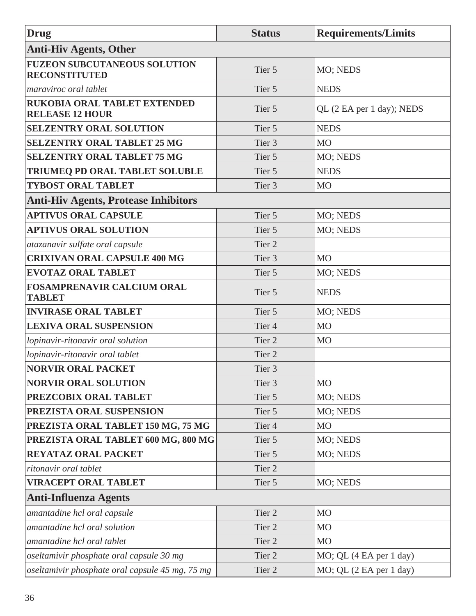| Drug                                                          | <b>Status</b>     | <b>Requirements/Limits</b> |
|---------------------------------------------------------------|-------------------|----------------------------|
| <b>Anti-Hiv Agents, Other</b>                                 |                   |                            |
| <b>FUZEON SUBCUTANEOUS SOLUTION</b><br><b>RECONSTITUTED</b>   | Tier 5            | MO; NEDS                   |
| maraviroc oral tablet                                         | Tier 5            | <b>NEDS</b>                |
| <b>RUKOBIA ORAL TABLET EXTENDED</b><br><b>RELEASE 12 HOUR</b> | Tier 5            | QL (2 EA per 1 day); NEDS  |
| <b>SELZENTRY ORAL SOLUTION</b>                                | Tier 5            | <b>NEDS</b>                |
| <b>SELZENTRY ORAL TABLET 25 MG</b>                            | Tier 3            | <b>MO</b>                  |
| <b>SELZENTRY ORAL TABLET 75 MG</b>                            | Tier 5            | MO; NEDS                   |
| TRIUMEQ PD ORAL TABLET SOLUBLE                                | Tier 5            | <b>NEDS</b>                |
| <b>TYBOST ORAL TABLET</b>                                     | Tier <sub>3</sub> | M <sub>O</sub>             |
| <b>Anti-Hiv Agents, Protease Inhibitors</b>                   |                   |                            |
| <b>APTIVUS ORAL CAPSULE</b>                                   | Tier 5            | MO; NEDS                   |
| <b>APTIVUS ORAL SOLUTION</b>                                  | Tier 5            | MO; NEDS                   |
| atazanavir sulfate oral capsule                               | Tier 2            |                            |
| <b>CRIXIVAN ORAL CAPSULE 400 MG</b>                           | Tier 3            | MO                         |
| <b>EVOTAZ ORAL TABLET</b>                                     | Tier 5            | MO; NEDS                   |
| <b>FOSAMPRENAVIR CALCIUM ORAL</b><br><b>TABLET</b>            | Tier 5            | <b>NEDS</b>                |
| <b>INVIRASE ORAL TABLET</b>                                   | Tier 5            | MO; NEDS                   |
| <b>LEXIVA ORAL SUSPENSION</b>                                 | Tier <sub>4</sub> | MO                         |
| lopinavir-ritonavir oral solution                             | Tier 2            | M <sub>O</sub>             |
| lopinavir-ritonavir oral tablet                               | Tier <sub>2</sub> |                            |
| <b>NORVIR ORAL PACKET</b>                                     | Tier 3            |                            |
| <b>NORVIR ORAL SOLUTION</b>                                   | Tier 3            | <b>MO</b>                  |
| PREZCOBIX ORAL TABLET                                         | Tier 5            | MO; NEDS                   |
| PREZISTA ORAL SUSPENSION                                      | Tier 5            | MO; NEDS                   |
| PREZISTA ORAL TABLET 150 MG, 75 MG                            | Tier <sub>4</sub> | M <sub>O</sub>             |
| PREZISTA ORAL TABLET 600 MG, 800 MG                           | Tier 5            | MO; NEDS                   |
| <b>REYATAZ ORAL PACKET</b>                                    | Tier 5            | MO; NEDS                   |
| ritonavir oral tablet                                         | Tier 2            |                            |
| <b>VIRACEPT ORAL TABLET</b>                                   | Tier 5            | MO; NEDS                   |
| <b>Anti-Influenza Agents</b>                                  |                   |                            |
| amantadine hcl oral capsule                                   | Tier 2            | M <sub>O</sub>             |
| amantadine hcl oral solution                                  | Tier 2            | M <sub>O</sub>             |
| amantadine hcl oral tablet                                    | Tier 2            | <b>MO</b>                  |
| oseltamivir phosphate oral capsule 30 mg                      | Tier 2            | $MO$ ; QL (4 EA per 1 day) |
| oseltamivir phosphate oral capsule 45 mg, 75 mg               | Tier 2            | MO; QL (2 EA per 1 day)    |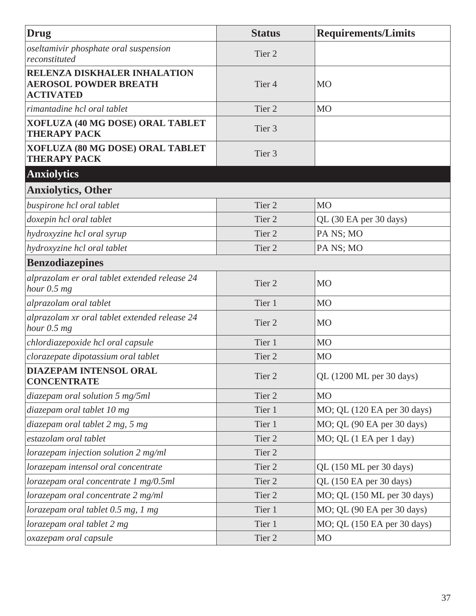| Drug                                                                             | <b>Status</b>     | <b>Requirements/Limits</b>  |
|----------------------------------------------------------------------------------|-------------------|-----------------------------|
| oseltamivir phosphate oral suspension<br>reconstituted                           | Tier <sub>2</sub> |                             |
| RELENZA DISKHALER INHALATION<br><b>AEROSOL POWDER BREATH</b><br><b>ACTIVATED</b> | Tier <sub>4</sub> | MO                          |
| rimantadine hcl oral tablet                                                      | Tier 2            | M <sub>O</sub>              |
| XOFLUZA (40 MG DOSE) ORAL TABLET<br><b>THERAPY PACK</b>                          | Tier 3            |                             |
| XOFLUZA (80 MG DOSE) ORAL TABLET<br><b>THERAPY PACK</b>                          | Tier 3            |                             |
| <b>Anxiolytics</b>                                                               |                   |                             |
| <b>Anxiolytics, Other</b>                                                        |                   |                             |
| buspirone hcl oral tablet                                                        | Tier <sub>2</sub> | M <sub>O</sub>              |
| doxepin hcl oral tablet                                                          | Tier <sub>2</sub> | QL (30 EA per 30 days)      |
| hydroxyzine hcl oral syrup                                                       | Tier <sub>2</sub> | PA NS; MO                   |
| hydroxyzine hcl oral tablet                                                      | Tier <sub>2</sub> | PA NS; MO                   |
| <b>Benzodiazepines</b>                                                           |                   |                             |
| alprazolam er oral tablet extended release 24<br>hour $0.5$ mg                   | Tier <sub>2</sub> | MO                          |
| alprazolam oral tablet                                                           | Tier 1            | <b>MO</b>                   |
| alprazolam xr oral tablet extended release 24<br>hour $0.5$ mg                   | Tier <sub>2</sub> | MO                          |
| chlordiazepoxide hcl oral capsule                                                | Tier 1            | <b>MO</b>                   |
| clorazepate dipotassium oral tablet                                              | Tier <sub>2</sub> | M <sub>O</sub>              |
| <b>DIAZEPAM INTENSOL ORAL</b><br><b>CONCENTRATE</b>                              | Tier 2            | QL (1200 ML per 30 days)    |
| diazepam oral solution 5 mg/5ml                                                  | Tier 2            | <b>MO</b>                   |
| diazepam oral tablet 10 mg                                                       | Tier 1            | MO; QL (120 EA per 30 days) |
| diazepam oral tablet 2 mg, 5 mg                                                  | Tier 1            | MO; QL (90 EA per 30 days)  |
| estazolam oral tablet                                                            | Tier 2            | MO; QL (1 EA per 1 day)     |
| lorazepam injection solution 2 mg/ml                                             | Tier 2            |                             |
| lorazepam intensol oral concentrate                                              | Tier 2            | QL (150 ML per 30 days)     |
| lorazepam oral concentrate 1 mg/0.5ml                                            | Tier 2            | QL (150 EA per 30 days)     |
| lorazepam oral concentrate 2 mg/ml                                               | Tier 2            | MO; QL (150 ML per 30 days) |
| lorazepam oral tablet 0.5 mg, 1 mg                                               | Tier 1            | MO; QL (90 EA per 30 days)  |
| lorazepam oral tablet 2 mg                                                       | Tier 1            | MO; QL (150 EA per 30 days) |
| oxazepam oral capsule                                                            | Tier 2            | <b>MO</b>                   |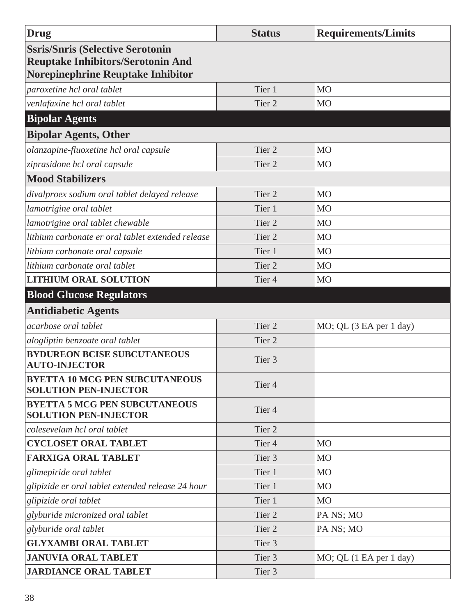| <b>Drug</b>                                                                                                              | <b>Status</b>     | <b>Requirements/Limits</b> |
|--------------------------------------------------------------------------------------------------------------------------|-------------------|----------------------------|
| <b>Ssris/Snris (Selective Serotonin</b><br><b>Reuptake Inhibitors/Serotonin And</b><br>Norepinephrine Reuptake Inhibitor |                   |                            |
| paroxetine hcl oral tablet                                                                                               | Tier 1            | M <sub>O</sub>             |
| venlafaxine hcl oral tablet                                                                                              | Tier 2            | M <sub>O</sub>             |
| <b>Bipolar Agents</b>                                                                                                    |                   |                            |
| <b>Bipolar Agents, Other</b>                                                                                             |                   |                            |
| olanzapine-fluoxetine hcl oral capsule                                                                                   | Tier <sub>2</sub> | M <sub>O</sub>             |
| ziprasidone hcl oral capsule                                                                                             | Tier <sub>2</sub> | M <sub>O</sub>             |
| <b>Mood Stabilizers</b>                                                                                                  |                   |                            |
| divalproex sodium oral tablet delayed release                                                                            | Tier <sub>2</sub> | M <sub>O</sub>             |
| lamotrigine oral tablet                                                                                                  | Tier 1            | M <sub>O</sub>             |
| lamotrigine oral tablet chewable                                                                                         | Tier <sub>2</sub> | M <sub>O</sub>             |
| lithium carbonate er oral tablet extended release                                                                        | Tier 2            | M <sub>O</sub>             |
| lithium carbonate oral capsule                                                                                           | Tier 1            | M <sub>O</sub>             |
| lithium carbonate oral tablet                                                                                            | Tier <sub>2</sub> | M <sub>O</sub>             |
| <b>LITHIUM ORAL SOLUTION</b>                                                                                             | Tier <sub>4</sub> | M <sub>O</sub>             |
| <b>Blood Glucose Regulators</b>                                                                                          |                   |                            |
| <b>Antidiabetic Agents</b>                                                                                               |                   |                            |
| acarbose oral tablet                                                                                                     | Tier <sub>2</sub> | MO; QL (3 EA per 1 day)    |
| alogliptin benzoate oral tablet                                                                                          | Tier <sub>2</sub> |                            |
| <b>BYDUREON BCISE SUBCUTANEOUS</b><br><b>AUTO-INJECTOR</b>                                                               | Tier 3            |                            |
| <b>BYETTA 10 MCG PEN SUBCUTANEOUS</b><br><b>SOLUTION PEN-INJECTOR</b>                                                    | Tier <sub>4</sub> |                            |
| <b>BYETTA 5 MCG PEN SUBCUTANEOUS</b><br><b>SOLUTION PEN-INJECTOR</b>                                                     | Tier <sub>4</sub> |                            |
| colesevelam hcl oral tablet                                                                                              | Tier 2            |                            |
| <b>CYCLOSET ORAL TABLET</b>                                                                                              | Tier <sub>4</sub> | M <sub>O</sub>             |
| <b>FARXIGA ORAL TABLET</b>                                                                                               | Tier <sub>3</sub> | M <sub>O</sub>             |
| glimepiride oral tablet                                                                                                  | Tier 1            | <b>MO</b>                  |
| glipizide er oral tablet extended release 24 hour                                                                        | Tier 1            | M <sub>O</sub>             |
| glipizide oral tablet                                                                                                    | Tier 1            | M <sub>O</sub>             |
| glyburide micronized oral tablet                                                                                         | Tier <sub>2</sub> | PA NS; MO                  |
| glyburide oral tablet                                                                                                    | Tier <sub>2</sub> | PA NS; MO                  |
| <b>GLYXAMBI ORAL TABLET</b>                                                                                              | Tier 3            |                            |
| <b>JANUVIA ORAL TABLET</b>                                                                                               | Tier 3            | MO; QL (1 EA per 1 day)    |
| <b>JARDIANCE ORAL TABLET</b>                                                                                             | Tier 3            |                            |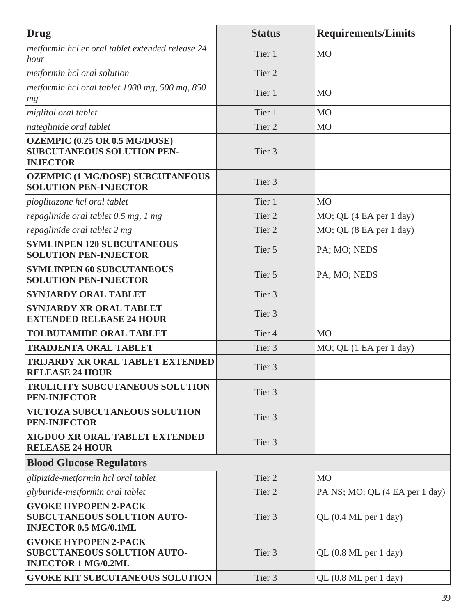| Drug                                                                                              | <b>Status</b>     | <b>Requirements/Limits</b>               |
|---------------------------------------------------------------------------------------------------|-------------------|------------------------------------------|
| metformin hcl er oral tablet extended release 24<br>hour                                          | Tier 1            | <b>MO</b>                                |
| metformin hcl oral solution                                                                       | Tier <sub>2</sub> |                                          |
| metformin hcl oral tablet 1000 mg, 500 mg, 850<br>mg                                              | Tier 1            | <b>MO</b>                                |
| miglitol oral tablet                                                                              | Tier 1            | M <sub>O</sub>                           |
| nateglinide oral tablet                                                                           | Tier <sub>2</sub> | M <sub>O</sub>                           |
| OZEMPIC (0.25 OR 0.5 MG/DOSE)<br><b>SUBCUTANEOUS SOLUTION PEN-</b><br><b>INJECTOR</b>             | Tier 3            |                                          |
| <b>OZEMPIC (1 MG/DOSE) SUBCUTANEOUS</b><br><b>SOLUTION PEN-INJECTOR</b>                           | Tier <sub>3</sub> |                                          |
| pioglitazone hcl oral tablet                                                                      | Tier 1            | <b>MO</b>                                |
| repaglinide oral tablet 0.5 mg, 1 mg                                                              | Tier <sub>2</sub> | MO; QL (4 EA per 1 day)                  |
| repaglinide oral tablet 2 mg                                                                      | Tier 2            | MO; QL (8 EA per 1 day)                  |
| <b>SYMLINPEN 120 SUBCUTANEOUS</b><br><b>SOLUTION PEN-INJECTOR</b>                                 | Tier 5            | PA; MO; NEDS                             |
| <b>SYMLINPEN 60 SUBCUTANEOUS</b><br><b>SOLUTION PEN-INJECTOR</b>                                  | Tier 5            | PA; MO; NEDS                             |
| <b>SYNJARDY ORAL TABLET</b>                                                                       | Tier 3            |                                          |
| <b>SYNJARDY XR ORAL TABLET</b><br><b>EXTENDED RELEASE 24 HOUR</b>                                 | Tier <sub>3</sub> |                                          |
| <b>TOLBUTAMIDE ORAL TABLET</b>                                                                    | Tier <sub>4</sub> | M <sub>O</sub>                           |
| <b>TRADJENTA ORAL TABLET</b>                                                                      | Tier 3            | MO; QL (1 EA per 1 day)                  |
| TRIJARDY XR ORAL TABLET EXTENDED<br><b>RELEASE 24 HOUR</b>                                        | Tier <sub>3</sub> |                                          |
| <b>TRULICITY SUBCUTANEOUS SOLUTION</b><br><b>PEN-INJECTOR</b>                                     | Tier <sub>3</sub> |                                          |
| <b>VICTOZA SUBCUTANEOUS SOLUTION</b><br><b>PEN-INJECTOR</b>                                       | Tier 3            |                                          |
| XIGDUO XR ORAL TABLET EXTENDED<br><b>RELEASE 24 HOUR</b>                                          | Tier <sub>3</sub> |                                          |
| <b>Blood Glucose Regulators</b>                                                                   |                   |                                          |
| glipizide-metformin hcl oral tablet                                                               | Tier 2            | <b>MO</b>                                |
| glyburide-metformin oral tablet                                                                   | Tier <sub>2</sub> | PA NS; MO; QL (4 EA per 1 day)           |
| <b>GVOKE HYPOPEN 2-PACK</b><br><b>SUBCUTANEOUS SOLUTION AUTO-</b><br><b>INJECTOR 0.5 MG/0.1ML</b> | Tier 3            | QL $(0.4 \text{ ML per } 1 \text{ day})$ |
| <b>GVOKE HYPOPEN 2-PACK</b><br><b>SUBCUTANEOUS SOLUTION AUTO-</b><br><b>INJECTOR 1 MG/0.2ML</b>   | Tier <sub>3</sub> | QL (0.8 ML per 1 day)                    |
| <b>GVOKE KIT SUBCUTANEOUS SOLUTION</b>                                                            | Tier 3            | QL (0.8 ML per 1 day)                    |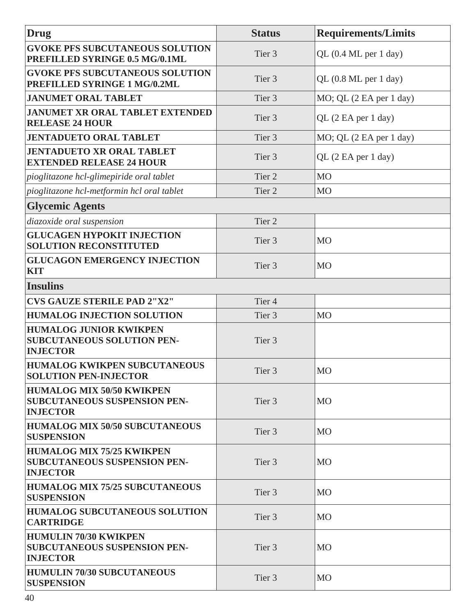| Drug                                                                                       | <b>Status</b>     | <b>Requirements/Limits</b>                    |
|--------------------------------------------------------------------------------------------|-------------------|-----------------------------------------------|
| <b>GVOKE PFS SUBCUTANEOUS SOLUTION</b><br>PREFILLED SYRINGE 0.5 MG/0.1ML                   | Tier 3            | QL (0.4 ML per 1 day)                         |
| <b>GVOKE PFS SUBCUTANEOUS SOLUTION</b><br>PREFILLED SYRINGE 1 MG/0.2ML                     | Tier <sub>3</sub> | QL (0.8 ML per 1 day)                         |
| <b>JANUMET ORAL TABLET</b>                                                                 | Tier <sub>3</sub> | $MO$ ; QL $(2 \text{ EA per } 1 \text{ day})$ |
| <b>JANUMET XR ORAL TABLET EXTENDED</b><br><b>RELEASE 24 HOUR</b>                           | Tier <sub>3</sub> | QL (2 EA per 1 day)                           |
| <b>JENTADUETO ORAL TABLET</b>                                                              | Tier <sub>3</sub> | MO; QL (2 EA per 1 day)                       |
| <b>JENTADUETO XR ORAL TABLET</b><br><b>EXTENDED RELEASE 24 HOUR</b>                        | Tier <sub>3</sub> | QL (2 EA per 1 day)                           |
| pioglitazone hcl-glimepiride oral tablet                                                   | Tier <sub>2</sub> | <b>MO</b>                                     |
| pioglitazone hcl-metformin hcl oral tablet                                                 | Tier <sub>2</sub> | M <sub>O</sub>                                |
| <b>Glycemic Agents</b>                                                                     |                   |                                               |
| diazoxide oral suspension                                                                  | Tier <sub>2</sub> |                                               |
| <b>GLUCAGEN HYPOKIT INJECTION</b><br><b>SOLUTION RECONSTITUTED</b>                         | Tier <sub>3</sub> | <b>MO</b>                                     |
| <b>GLUCAGON EMERGENCY INJECTION</b><br><b>KIT</b>                                          | Tier <sub>3</sub> | <b>MO</b>                                     |
| <b>Insulins</b>                                                                            |                   |                                               |
| <b>CVS GAUZE STERILE PAD 2"X2"</b>                                                         | Tier <sub>4</sub> |                                               |
| <b>HUMALOG INJECTION SOLUTION</b>                                                          | Tier <sub>3</sub> | M <sub>O</sub>                                |
| <b>HUMALOG JUNIOR KWIKPEN</b><br><b>SUBCUTANEOUS SOLUTION PEN-</b><br><b>INJECTOR</b>      | Tier <sub>3</sub> |                                               |
| <b>HUMALOG KWIKPEN SUBCUTANEOUS</b><br><b>SOLUTION PEN-INJECTOR</b>                        | Tier <sub>3</sub> | <b>MO</b>                                     |
| <b>HUMALOG MIX 50/50 KWIKPEN</b><br><b>SUBCUTANEOUS SUSPENSION PEN-</b><br><b>INJECTOR</b> | Tier 3            | <b>MO</b>                                     |
| <b>HUMALOG MIX 50/50 SUBCUTANEOUS</b><br><b>SUSPENSION</b>                                 | Tier <sub>3</sub> | <b>MO</b>                                     |
| <b>HUMALOG MIX 75/25 KWIKPEN</b><br><b>SUBCUTANEOUS SUSPENSION PEN-</b><br><b>INJECTOR</b> | Tier 3            | <b>MO</b>                                     |
| <b>HUMALOG MIX 75/25 SUBCUTANEOUS</b><br><b>SUSPENSION</b>                                 | Tier 3            | <b>MO</b>                                     |
| <b>HUMALOG SUBCUTANEOUS SOLUTION</b><br><b>CARTRIDGE</b>                                   | Tier <sub>3</sub> | <b>MO</b>                                     |
| <b>HUMULIN 70/30 KWIKPEN</b><br><b>SUBCUTANEOUS SUSPENSION PEN-</b><br><b>INJECTOR</b>     | Tier 3            | <b>MO</b>                                     |
| <b>HUMULIN 70/30 SUBCUTANEOUS</b><br><b>SUSPENSION</b>                                     | Tier 3            | <b>MO</b>                                     |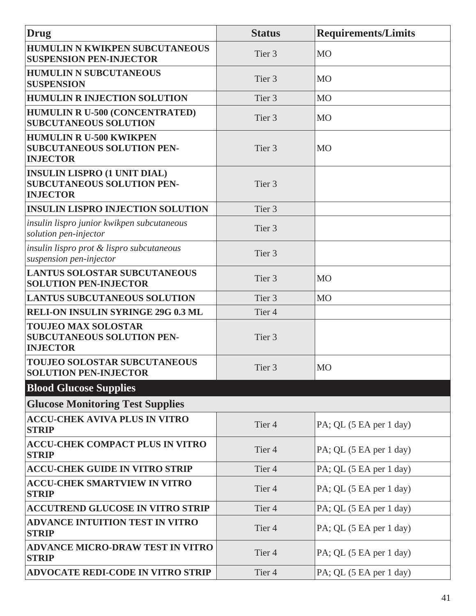| Drug                                                                                        | <b>Status</b>     | <b>Requirements/Limits</b> |
|---------------------------------------------------------------------------------------------|-------------------|----------------------------|
| <b>HUMULIN N KWIKPEN SUBCUTANEOUS</b><br><b>SUSPENSION PEN-INJECTOR</b>                     | Tier <sub>3</sub> | <b>MO</b>                  |
| <b>HUMULIN N SUBCUTANEOUS</b><br><b>SUSPENSION</b>                                          | Tier 3            | <b>MO</b>                  |
| <b>HUMULIN R INJECTION SOLUTION</b>                                                         | Tier 3            | M <sub>O</sub>             |
| <b>HUMULIN R U-500 (CONCENTRATED)</b><br><b>SUBCUTANEOUS SOLUTION</b>                       | Tier <sub>3</sub> | <b>MO</b>                  |
| <b>HUMULIN R U-500 KWIKPEN</b><br><b>SUBCUTANEOUS SOLUTION PEN-</b><br><b>INJECTOR</b>      | Tier <sub>3</sub> | <b>MO</b>                  |
| <b>INSULIN LISPRO (1 UNIT DIAL)</b><br><b>SUBCUTANEOUS SOLUTION PEN-</b><br><b>INJECTOR</b> | Tier <sub>3</sub> |                            |
| <b>INSULIN LISPRO INJECTION SOLUTION</b>                                                    | Tier <sub>3</sub> |                            |
| insulin lispro junior kwikpen subcutaneous<br>solution pen-injector                         | Tier <sub>3</sub> |                            |
| insulin lispro prot & lispro subcutaneous<br>suspension pen-injector                        | Tier <sub>3</sub> |                            |
| <b>LANTUS SOLOSTAR SUBCUTANEOUS</b><br><b>SOLUTION PEN-INJECTOR</b>                         | Tier <sub>3</sub> | <b>MO</b>                  |
| <b>LANTUS SUBCUTANEOUS SOLUTION</b>                                                         | Tier <sub>3</sub> | M <sub>O</sub>             |
| <b>RELI-ON INSULIN SYRINGE 29G 0.3 ML</b>                                                   | Tier <sub>4</sub> |                            |
| <b>TOUJEO MAX SOLOSTAR</b><br><b>SUBCUTANEOUS SOLUTION PEN-</b><br><b>INJECTOR</b>          | Tier <sub>3</sub> |                            |
| <b>TOUJEO SOLOSTAR SUBCUTANEOUS</b><br><b>SOLUTION PEN-INJECTOR</b>                         | Tier <sub>3</sub> | <b>MO</b>                  |
| <b>Blood Glucose Supplies</b>                                                               |                   |                            |
| <b>Glucose Monitoring Test Supplies</b>                                                     |                   |                            |
| <b>ACCU-CHEK AVIVA PLUS IN VITRO</b><br><b>STRIP</b>                                        | Tier <sub>4</sub> | PA; QL (5 EA per 1 day)    |
| <b>ACCU-CHEK COMPACT PLUS IN VITRO</b><br><b>STRIP</b>                                      | Tier <sub>4</sub> | PA; QL (5 EA per 1 day)    |
| <b>ACCU-CHEK GUIDE IN VITRO STRIP</b>                                                       | Tier <sub>4</sub> | PA; QL (5 EA per 1 day)    |
| <b>ACCU-CHEK SMARTVIEW IN VITRO</b><br><b>STRIP</b>                                         | Tier <sub>4</sub> | PA; QL (5 EA per 1 day)    |
| <b>ACCUTREND GLUCOSE IN VITRO STRIP</b>                                                     | Tier <sub>4</sub> | $PA$ ; QL (5 EA per 1 day) |
| <b>ADVANCE INTUITION TEST IN VITRO</b><br><b>STRIP</b>                                      | Tier <sub>4</sub> | PA; QL (5 EA per 1 day)    |
| <b>ADVANCE MICRO-DRAW TEST IN VITRO</b><br><b>STRIP</b>                                     | Tier <sub>4</sub> | PA; QL (5 EA per 1 day)    |
| <b>ADVOCATE REDI-CODE IN VITRO STRIP</b>                                                    | Tier <sub>4</sub> | PA; QL (5 EA per 1 day)    |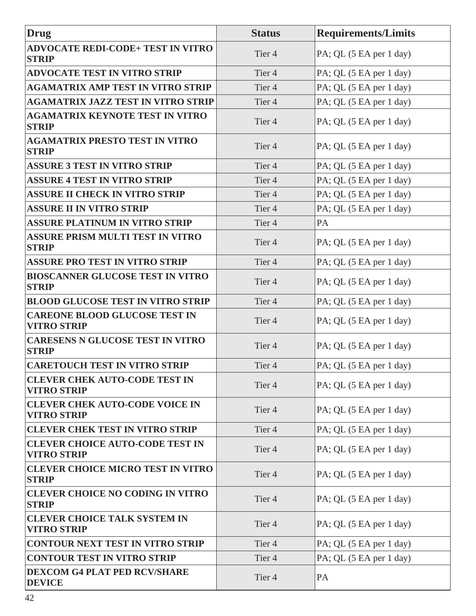| <b>Drug</b>                                                  | <b>Status</b>     | <b>Requirements/Limits</b> |
|--------------------------------------------------------------|-------------------|----------------------------|
| <b>ADVOCATE REDI-CODE+ TEST IN VITRO</b><br><b>STRIP</b>     | Tier <sub>4</sub> | PA; QL (5 EA per 1 day)    |
| <b>ADVOCATE TEST IN VITRO STRIP</b>                          | Tier <sub>4</sub> | PA; QL (5 EA per 1 day)    |
| <b>AGAMATRIX AMP TEST IN VITRO STRIP</b>                     | Tier <sub>4</sub> | PA; QL (5 EA per 1 day)    |
| <b>AGAMATRIX JAZZ TEST IN VITRO STRIP</b>                    | Tier <sub>4</sub> | PA; QL (5 EA per 1 day)    |
| <b>AGAMATRIX KEYNOTE TEST IN VITRO</b><br><b>STRIP</b>       | Tier <sub>4</sub> | PA; QL (5 EA per 1 day)    |
| <b>AGAMATRIX PRESTO TEST IN VITRO</b><br><b>STRIP</b>        | Tier <sub>4</sub> | PA; QL (5 EA per 1 day)    |
| <b>ASSURE 3 TEST IN VITRO STRIP</b>                          | Tier <sub>4</sub> | PA; QL (5 EA per 1 day)    |
| <b>ASSURE 4 TEST IN VITRO STRIP</b>                          | Tier <sub>4</sub> | PA; QL (5 EA per 1 day)    |
| <b>ASSURE II CHECK IN VITRO STRIP</b>                        | Tier <sub>4</sub> | PA; QL (5 EA per 1 day)    |
| <b>ASSURE II IN VITRO STRIP</b>                              | Tier <sub>4</sub> | PA; QL (5 EA per 1 day)    |
| <b>ASSURE PLATINUM IN VITRO STRIP</b>                        | Tier <sub>4</sub> | PA                         |
| <b>ASSURE PRISM MULTI TEST IN VITRO</b><br><b>STRIP</b>      | Tier <sub>4</sub> | PA; QL (5 EA per 1 day)    |
| <b>ASSURE PRO TEST IN VITRO STRIP</b>                        | Tier <sub>4</sub> | PA; QL (5 EA per 1 day)    |
| <b>BIOSCANNER GLUCOSE TEST IN VITRO</b><br><b>STRIP</b>      | Tier <sub>4</sub> | PA; QL (5 EA per 1 day)    |
| <b>BLOOD GLUCOSE TEST IN VITRO STRIP</b>                     | Tier <sub>4</sub> | PA; QL (5 EA per 1 day)    |
| <b>CAREONE BLOOD GLUCOSE TEST IN</b><br><b>VITRO STRIP</b>   | Tier <sub>4</sub> | PA; QL (5 EA per 1 day)    |
| <b>CARESENS N GLUCOSE TEST IN VITRO</b><br><b>STRIP</b>      | Tier <sub>4</sub> | PA; QL (5 EA per 1 day)    |
| <b>CARETOUCH TEST IN VITRO STRIP</b>                         | Tier <sub>4</sub> | PA; QL (5 EA per 1 day)    |
| <b>CLEVER CHEK AUTO-CODE TEST IN</b><br><b>VITRO STRIP</b>   | Tier <sub>4</sub> | PA; QL (5 EA per 1 day)    |
| <b>CLEVER CHEK AUTO-CODE VOICE IN</b><br><b>VITRO STRIP</b>  | Tier <sub>4</sub> | PA; QL (5 EA per 1 day)    |
| <b>CLEVER CHEK TEST IN VITRO STRIP</b>                       | Tier <sub>4</sub> | PA; QL (5 EA per 1 day)    |
| <b>CLEVER CHOICE AUTO-CODE TEST IN</b><br><b>VITRO STRIP</b> | Tier <sub>4</sub> | PA; QL (5 EA per 1 day)    |
| <b>CLEVER CHOICE MICRO TEST IN VITRO</b><br><b>STRIP</b>     | Tier <sub>4</sub> | PA; QL (5 EA per 1 day)    |
| <b>CLEVER CHOICE NO CODING IN VITRO</b><br><b>STRIP</b>      | Tier <sub>4</sub> | PA; QL (5 EA per 1 day)    |
| <b>CLEVER CHOICE TALK SYSTEM IN</b><br><b>VITRO STRIP</b>    | Tier <sub>4</sub> | PA; QL (5 EA per 1 day)    |
| <b>CONTOUR NEXT TEST IN VITRO STRIP</b>                      | Tier <sub>4</sub> | PA; QL (5 EA per 1 day)    |
| <b>CONTOUR TEST IN VITRO STRIP</b>                           | Tier <sub>4</sub> | PA; QL (5 EA per 1 day)    |
| <b>DEXCOM G4 PLAT PED RCV/SHARE</b><br><b>DEVICE</b>         | Tier <sub>4</sub> | PA                         |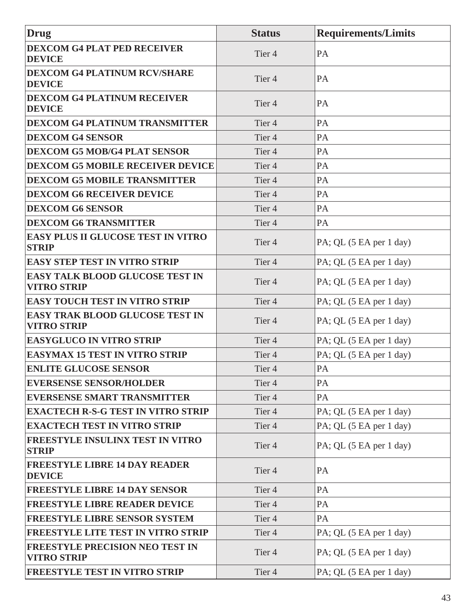| Drug                                                         | <b>Status</b>     | <b>Requirements/Limits</b> |
|--------------------------------------------------------------|-------------------|----------------------------|
| <b>DEXCOM G4 PLAT PED RECEIVER</b><br><b>DEVICE</b>          | Tier <sub>4</sub> | PA                         |
| <b>DEXCOM G4 PLATINUM RCV/SHARE</b><br><b>DEVICE</b>         | Tier <sub>4</sub> | PA                         |
| <b>DEXCOM G4 PLATINUM RECEIVER</b><br><b>DEVICE</b>          | Tier <sub>4</sub> | PA                         |
| <b>DEXCOM G4 PLATINUM TRANSMITTER</b>                        | Tier <sub>4</sub> | PA                         |
| <b>DEXCOM G4 SENSOR</b>                                      | Tier <sub>4</sub> | PA                         |
| <b>DEXCOM G5 MOB/G4 PLAT SENSOR</b>                          | Tier <sub>4</sub> | PA                         |
| <b>DEXCOM G5 MOBILE RECEIVER DEVICE</b>                      | Tier <sub>4</sub> | PA                         |
| <b>DEXCOM G5 MOBILE TRANSMITTER</b>                          | Tier <sub>4</sub> | PA                         |
| <b>DEXCOM G6 RECEIVER DEVICE</b>                             | Tier <sub>4</sub> | PA                         |
| <b>DEXCOM G6 SENSOR</b>                                      | Tier <sub>4</sub> | PA                         |
| <b>DEXCOM G6 TRANSMITTER</b>                                 | Tier <sub>4</sub> | PA                         |
| <b>EASY PLUS II GLUCOSE TEST IN VITRO</b><br><b>STRIP</b>    | Tier <sub>4</sub> | PA; QL (5 EA per 1 day)    |
| <b>EASY STEP TEST IN VITRO STRIP</b>                         | Tier <sub>4</sub> | PA; QL (5 EA per 1 day)    |
| <b>EASY TALK BLOOD GLUCOSE TEST IN</b><br><b>VITRO STRIP</b> | Tier <sub>4</sub> | PA; QL (5 EA per 1 day)    |
| <b>EASY TOUCH TEST IN VITRO STRIP</b>                        | Tier <sub>4</sub> | PA; QL (5 EA per 1 day)    |
| <b>EASY TRAK BLOOD GLUCOSE TEST IN</b><br><b>VITRO STRIP</b> | Tier <sub>4</sub> | PA; QL (5 EA per 1 day)    |
| <b>EASYGLUCO IN VITRO STRIP</b>                              | Tier <sub>4</sub> | PA; QL (5 EA per 1 day)    |
| <b>EASYMAX 15 TEST IN VITRO STRIP</b>                        | Tier <sub>4</sub> | PA; QL (5 EA per 1 day)    |
| <b>ENLITE GLUCOSE SENSOR</b>                                 | Tier 4            | PA                         |
| <b>EVERSENSE SENSOR/HOLDER</b>                               | Tier <sub>4</sub> | PA                         |
| <b>EVERSENSE SMART TRANSMITTER</b>                           | Tier <sub>4</sub> | PA                         |
| <b>EXACTECH R-S-G TEST IN VITRO STRIP</b>                    | Tier <sub>4</sub> | PA; QL (5 EA per 1 day)    |
| <b>EXACTECH TEST IN VITRO STRIP</b>                          | Tier <sub>4</sub> | PA; QL (5 EA per 1 day)    |
| FREESTYLE INSULINX TEST IN VITRO<br><b>STRIP</b>             | Tier <sub>4</sub> | PA; QL (5 EA per 1 day)    |
| <b>FREESTYLE LIBRE 14 DAY READER</b><br><b>DEVICE</b>        | Tier <sub>4</sub> | PA                         |
| <b>FREESTYLE LIBRE 14 DAY SENSOR</b>                         | Tier <sub>4</sub> | PA                         |
| <b>FREESTYLE LIBRE READER DEVICE</b>                         | Tier <sub>4</sub> | PA                         |
| <b>FREESTYLE LIBRE SENSOR SYSTEM</b>                         | Tier <sub>4</sub> | PA                         |
| <b>FREESTYLE LITE TEST IN VITRO STRIP</b>                    | Tier <sub>4</sub> | PA; QL (5 EA per 1 day)    |
| <b>FREESTYLE PRECISION NEO TEST IN</b><br><b>VITRO STRIP</b> | Tier <sub>4</sub> | PA; QL (5 EA per 1 day)    |
| <b>FREESTYLE TEST IN VITRO STRIP</b>                         | Tier 4            | PA; QL (5 EA per 1 day)    |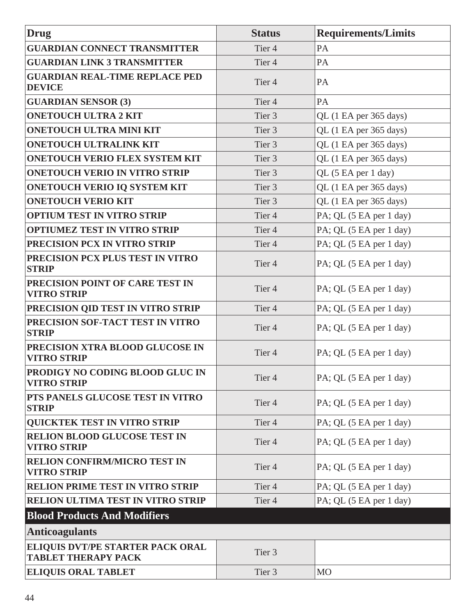| <b>Drug</b>                                                           | <b>Status</b>     | <b>Requirements/Limits</b> |
|-----------------------------------------------------------------------|-------------------|----------------------------|
| <b>GUARDIAN CONNECT TRANSMITTER</b>                                   | Tier <sub>4</sub> | PA                         |
| <b>GUARDIAN LINK 3 TRANSMITTER</b>                                    | Tier <sub>4</sub> | PA                         |
| <b>GUARDIAN REAL-TIME REPLACE PED</b><br><b>DEVICE</b>                | Tier <sub>4</sub> | PA                         |
| <b>GUARDIAN SENSOR (3)</b>                                            | Tier <sub>4</sub> | PA                         |
| <b>ONETOUCH ULTRA 2 KIT</b>                                           | Tier 3            | QL (1 EA per 365 days)     |
| <b>ONETOUCH ULTRA MINI KIT</b>                                        | Tier 3            | QL (1 EA per 365 days)     |
| <b>ONETOUCH ULTRALINK KIT</b>                                         | Tier 3            | QL (1 EA per 365 days)     |
| <b>ONETOUCH VERIO FLEX SYSTEM KIT</b>                                 | Tier 3            | QL (1 EA per 365 days)     |
| <b>ONETOUCH VERIO IN VITRO STRIP</b>                                  | Tier 3            | QL (5 EA per 1 day)        |
| <b>ONETOUCH VERIO IQ SYSTEM KIT</b>                                   | Tier 3            | QL (1 EA per 365 days)     |
| <b>ONETOUCH VERIO KIT</b>                                             | Tier 3            | QL (1 EA per 365 days)     |
| <b>OPTIUM TEST IN VITRO STRIP</b>                                     | Tier <sub>4</sub> | PA; QL (5 EA per 1 day)    |
| <b>OPTIUMEZ TEST IN VITRO STRIP</b>                                   | Tier <sub>4</sub> | PA; QL (5 EA per 1 day)    |
| PRECISION PCX IN VITRO STRIP                                          | Tier <sub>4</sub> | PA; QL (5 EA per 1 day)    |
| PRECISION PCX PLUS TEST IN VITRO<br><b>STRIP</b>                      | Tier <sub>4</sub> | PA; QL (5 EA per 1 day)    |
| PRECISION POINT OF CARE TEST IN<br><b>VITRO STRIP</b>                 | Tier <sub>4</sub> | PA; QL (5 EA per 1 day)    |
| PRECISION QID TEST IN VITRO STRIP                                     | Tier <sub>4</sub> | PA; QL (5 EA per 1 day)    |
| PRECISION SOF-TACT TEST IN VITRO<br><b>STRIP</b>                      | Tier <sub>4</sub> | PA; QL (5 EA per 1 day)    |
| PRECISION XTRA BLOOD GLUCOSE IN<br><b>VITRO STRIP</b>                 | Tier <sub>4</sub> | PA; QL (5 EA per 1 day)    |
| PRODIGY NO CODING BLOOD GLUC IN<br><b>VITRO STRIP</b>                 | Tier <sub>4</sub> | PA; QL (5 EA per 1 day)    |
| PTS PANELS GLUCOSE TEST IN VITRO<br><b>STRIP</b>                      | Tier <sub>4</sub> | PA; QL (5 EA per 1 day)    |
| <b>QUICKTEK TEST IN VITRO STRIP</b>                                   | Tier <sub>4</sub> | PA; QL (5 EA per 1 day)    |
| <b>RELION BLOOD GLUCOSE TEST IN</b><br><b>VITRO STRIP</b>             | Tier <sub>4</sub> | PA; QL (5 EA per 1 day)    |
| RELION CONFIRM/MICRO TEST IN<br><b>VITRO STRIP</b>                    | Tier <sub>4</sub> | PA; QL (5 EA per 1 day)    |
| <b>RELION PRIME TEST IN VITRO STRIP</b>                               | Tier <sub>4</sub> | PA; QL (5 EA per 1 day)    |
| RELION ULTIMA TEST IN VITRO STRIP                                     | Tier <sub>4</sub> | PA; QL (5 EA per 1 day)    |
| <b>Blood Products And Modifiers</b>                                   |                   |                            |
| <b>Anticoagulants</b>                                                 |                   |                            |
| <b>ELIQUIS DVT/PE STARTER PACK ORAL</b><br><b>TABLET THERAPY PACK</b> | Tier 3            |                            |
| <b>ELIQUIS ORAL TABLET</b>                                            | Tier 3            | M <sub>O</sub>             |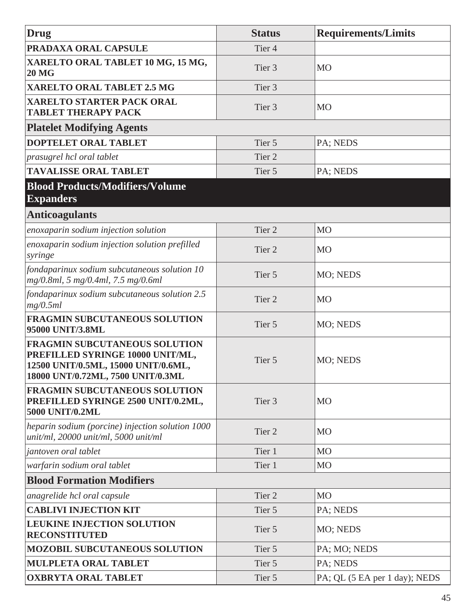| Drug                                                                                                                                                 | <b>Status</b>     | <b>Requirements/Limits</b>    |
|------------------------------------------------------------------------------------------------------------------------------------------------------|-------------------|-------------------------------|
| PRADAXA ORAL CAPSULE                                                                                                                                 | Tier <sub>4</sub> |                               |
| XARELTO ORAL TABLET 10 MG, 15 MG,<br><b>20 MG</b>                                                                                                    | Tier 3            | <b>MO</b>                     |
| <b>XARELTO ORAL TABLET 2.5 MG</b>                                                                                                                    | Tier 3            |                               |
| <b>XARELTO STARTER PACK ORAL</b><br><b>TABLET THERAPY PACK</b>                                                                                       | Tier <sub>3</sub> | M <sub>O</sub>                |
| <b>Platelet Modifying Agents</b>                                                                                                                     |                   |                               |
| DOPTELET ORAL TABLET                                                                                                                                 | Tier 5            | PA; NEDS                      |
| prasugrel hcl oral tablet                                                                                                                            | Tier 2            |                               |
| <b>TAVALISSE ORAL TABLET</b>                                                                                                                         | Tier 5            | PA; NEDS                      |
| <b>Blood Products/Modifiers/Volume</b><br><b>Expanders</b>                                                                                           |                   |                               |
| <b>Anticoagulants</b>                                                                                                                                |                   |                               |
| enoxaparin sodium injection solution                                                                                                                 | Tier <sub>2</sub> | M <sub>O</sub>                |
| enoxaparin sodium injection solution prefilled<br>syringe                                                                                            | Tier <sub>2</sub> | <b>MO</b>                     |
| fondaparinux sodium subcutaneous solution 10<br>mg/0.8ml, 5 mg/0.4ml, 7.5 mg/0.6ml                                                                   | Tier 5            | MO; NEDS                      |
| fondaparinux sodium subcutaneous solution 2.5<br>mg/0.5ml                                                                                            | Tier <sub>2</sub> | M <sub>O</sub>                |
| <b>FRAGMIN SUBCUTANEOUS SOLUTION</b><br>95000 UNIT/3.8ML                                                                                             | Tier 5            | MO; NEDS                      |
| <b>FRAGMIN SUBCUTANEOUS SOLUTION</b><br>PREFILLED SYRINGE 10000 UNIT/ML,<br>12500 UNIT/0.5ML, 15000 UNIT/0.6ML,<br>18000 UNT/0.72ML, 7500 UNIT/0.3ML | Tier 5            | MO; NEDS                      |
| <b>FRAGMIN SUBCUTANEOUS SOLUTION</b><br>PREFILLED SYRINGE 2500 UNIT/0.2ML,<br>5000 UNIT/0.2ML                                                        | Tier 3            | <b>MO</b>                     |
| heparin sodium (porcine) injection solution 1000<br>unit/ml, 20000 unit/ml, 5000 unit/ml                                                             | Tier <sub>2</sub> | <b>MO</b>                     |
| jantoven oral tablet                                                                                                                                 | Tier 1            | M <sub>O</sub>                |
| warfarin sodium oral tablet                                                                                                                          | Tier 1            | M <sub>O</sub>                |
| <b>Blood Formation Modifiers</b>                                                                                                                     |                   |                               |
| anagrelide hcl oral capsule                                                                                                                          | Tier <sub>2</sub> | M <sub>O</sub>                |
| <b>CABLIVI INJECTION KIT</b>                                                                                                                         | Tier 5            | PA; NEDS                      |
| <b>LEUKINE INJECTION SOLUTION</b><br><b>RECONSTITUTED</b>                                                                                            | Tier 5            | MO; NEDS                      |
| <b>MOZOBIL SUBCUTANEOUS SOLUTION</b>                                                                                                                 | Tier 5            | PA; MO; NEDS                  |
| MULPLETA ORAL TABLET                                                                                                                                 | Tier 5            | PA; NEDS                      |
| <b>OXBRYTA ORAL TABLET</b>                                                                                                                           | Tier 5            | PA; QL (5 EA per 1 day); NEDS |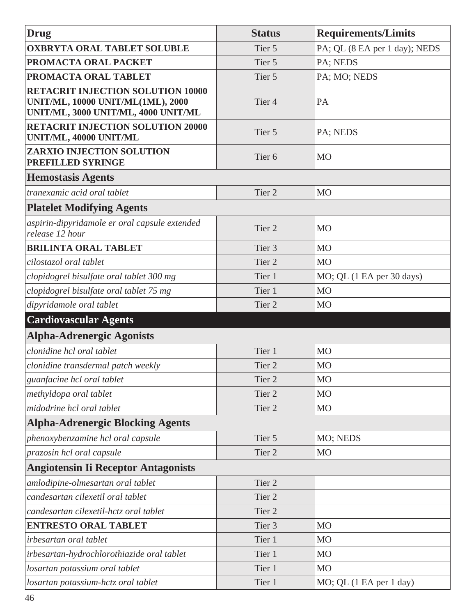| <b>Drug</b>                                                                                                          | <b>Status</b>     | <b>Requirements/Limits</b>                      |
|----------------------------------------------------------------------------------------------------------------------|-------------------|-------------------------------------------------|
| <b>OXBRYTA ORAL TABLET SOLUBLE</b>                                                                                   | Tier 5            | PA; QL (8 EA per 1 day); NEDS                   |
| PROMACTA ORAL PACKET                                                                                                 | Tier 5            | PA; NEDS                                        |
| PROMACTA ORAL TABLET                                                                                                 | Tier 5            | PA; MO; NEDS                                    |
| <b>RETACRIT INJECTION SOLUTION 10000</b><br>UNIT/ML, 10000 UNIT/ML(1ML), 2000<br>UNIT/ML, 3000 UNIT/ML, 4000 UNIT/ML | Tier <sub>4</sub> | PA                                              |
| <b>RETACRIT INJECTION SOLUTION 20000</b><br>UNIT/ML, 40000 UNIT/ML                                                   | Tier 5            | PA; NEDS                                        |
| <b>ZARXIO INJECTION SOLUTION</b><br>PREFILLED SYRINGE                                                                | Tier <sub>6</sub> | MO                                              |
| <b>Hemostasis Agents</b>                                                                                             |                   |                                                 |
| tranexamic acid oral tablet                                                                                          | Tier <sub>2</sub> | M <sub>O</sub>                                  |
| <b>Platelet Modifying Agents</b>                                                                                     |                   |                                                 |
| aspirin-dipyridamole er oral capsule extended<br>release 12 hour                                                     | Tier <sub>2</sub> | <b>MO</b>                                       |
| <b>BRILINTA ORAL TABLET</b>                                                                                          | Tier <sub>3</sub> | <b>MO</b>                                       |
| cilostazol oral tablet                                                                                               | Tier 2            | M <sub>O</sub>                                  |
| clopidogrel bisulfate oral tablet 300 mg                                                                             | Tier 1            | $MO$ ; QL $(1 \text{ EA per } 30 \text{ days})$ |
| clopidogrel bisulfate oral tablet 75 mg                                                                              | Tier 1            | M <sub>O</sub>                                  |
| dipyridamole oral tablet                                                                                             | Tier <sub>2</sub> | M <sub>O</sub>                                  |
| <b>Cardiovascular Agents</b>                                                                                         |                   |                                                 |
| <b>Alpha-Adrenergic Agonists</b>                                                                                     |                   |                                                 |
| clonidine hcl oral tablet                                                                                            | Tier 1            | <b>MO</b>                                       |
| clonidine transdermal patch weekly                                                                                   | Tier <sub>2</sub> | M <sub>O</sub>                                  |
| guanfacine hcl oral tablet                                                                                           | Tier <sub>2</sub> | M <sub>O</sub>                                  |
| methyldopa oral tablet                                                                                               | Tier 2            | M <sub>O</sub>                                  |
| midodrine hcl oral tablet                                                                                            | Tier 2            | MO                                              |
| <b>Alpha-Adrenergic Blocking Agents</b>                                                                              |                   |                                                 |
| phenoxybenzamine hcl oral capsule                                                                                    | Tier 5            | MO; NEDS                                        |
| prazosin hcl oral capsule                                                                                            | Tier 2            | MO                                              |
| <b>Angiotensin Ii Receptor Antagonists</b>                                                                           |                   |                                                 |
| amlodipine-olmesartan oral tablet                                                                                    | Tier 2            |                                                 |
| candesartan cilexetil oral tablet                                                                                    | Tier <sub>2</sub> |                                                 |
| candesartan cilexetil-hctz oral tablet                                                                               | Tier 2            |                                                 |
| <b>ENTRESTO ORAL TABLET</b>                                                                                          | Tier <sub>3</sub> | <b>MO</b>                                       |
| irbesartan oral tablet                                                                                               | Tier 1            | M <sub>O</sub>                                  |
| irbesartan-hydrochlorothiazide oral tablet                                                                           | Tier 1            | <b>MO</b>                                       |
| losartan potassium oral tablet                                                                                       | Tier 1            | M <sub>O</sub>                                  |
| losartan potassium-hctz oral tablet                                                                                  | Tier 1            | MO; QL (1 EA per 1 day)                         |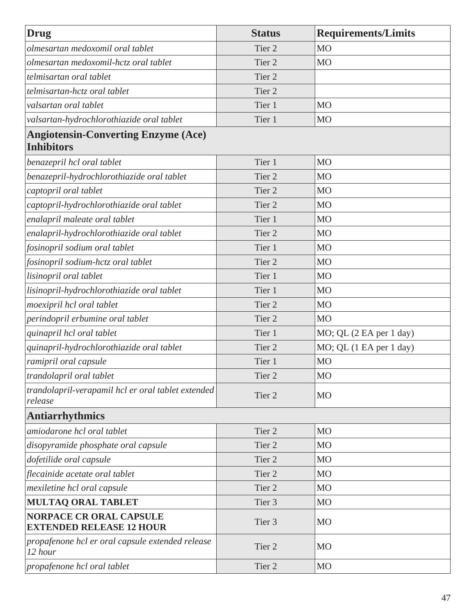| <b>Drug</b>                                                       | <b>Status</b>     | <b>Requirements/Limits</b> |
|-------------------------------------------------------------------|-------------------|----------------------------|
| olmesartan medoxomil oral tablet                                  | Tier <sub>2</sub> | M <sub>O</sub>             |
| olmesartan medoxomil-hctz oral tablet                             | Tier <sub>2</sub> | <b>MO</b>                  |
| telmisartan oral tablet                                           | Tier <sub>2</sub> |                            |
| telmisartan-hctz oral tablet                                      | Tier <sub>2</sub> |                            |
| valsartan oral tablet                                             | Tier 1            | M <sub>O</sub>             |
| valsartan-hydrochlorothiazide oral tablet                         | Tier 1            | M <sub>O</sub>             |
| <b>Angiotensin-Converting Enzyme (Ace)</b><br><b>Inhibitors</b>   |                   |                            |
| benazepril hcl oral tablet                                        | Tier 1            | M <sub>O</sub>             |
| benazepril-hydrochlorothiazide oral tablet                        | Tier <sub>2</sub> | M <sub>O</sub>             |
| captopril oral tablet                                             | Tier <sub>2</sub> | M <sub>O</sub>             |
| captopril-hydrochlorothiazide oral tablet                         | Tier <sub>2</sub> | M <sub>O</sub>             |
| enalapril maleate oral tablet                                     | Tier 1            | M <sub>O</sub>             |
| enalapril-hydrochlorothiazide oral tablet                         | Tier <sub>2</sub> | M <sub>O</sub>             |
| fosinopril sodium oral tablet                                     | Tier 1            | M <sub>O</sub>             |
| fosinopril sodium-hctz oral tablet                                | Tier <sub>2</sub> | M <sub>O</sub>             |
| lisinopril oral tablet                                            | Tier 1            | <b>MO</b>                  |
| lisinopril-hydrochlorothiazide oral tablet                        | Tier 1            | M <sub>O</sub>             |
| moexipril hcl oral tablet                                         | Tier <sub>2</sub> | <b>MO</b>                  |
| perindopril erbumine oral tablet                                  | Tier <sub>2</sub> | M <sub>O</sub>             |
| quinapril hcl oral tablet                                         | Tier 1            | MO; QL (2 EA per 1 day)    |
| quinapril-hydrochlorothiazide oral tablet                         | Tier <sub>2</sub> | MO; QL (1 EA per 1 day)    |
| ramipril oral capsule                                             | Tier 1            | M <sub>O</sub>             |
| trandolapril oral tablet                                          | Tier 2            | M <sub>O</sub>             |
| trandolapril-verapamil hcl er oral tablet extended<br>release     | Tier 2            | MO                         |
| <b>Antiarrhythmics</b>                                            |                   |                            |
| amiodarone hcl oral tablet                                        | Tier <sub>2</sub> | <b>MO</b>                  |
| disopyramide phosphate oral capsule                               | Tier <sub>2</sub> | <b>MO</b>                  |
| dofetilide oral capsule                                           | Tier <sub>2</sub> | <b>MO</b>                  |
| flecainide acetate oral tablet                                    | Tier <sub>2</sub> | <b>MO</b>                  |
| mexiletine hcl oral capsule                                       | Tier <sub>2</sub> | <b>MO</b>                  |
| <b>MULTAQ ORAL TABLET</b>                                         | Tier <sub>3</sub> | <b>MO</b>                  |
| <b>NORPACE CR ORAL CAPSULE</b><br><b>EXTENDED RELEASE 12 HOUR</b> | Tier 3            | <b>MO</b>                  |
| propafenone hcl er oral capsule extended release<br>12 hour       | Tier 2            | <b>MO</b>                  |
| propafenone hcl oral tablet                                       | Tier 2            | <b>MO</b>                  |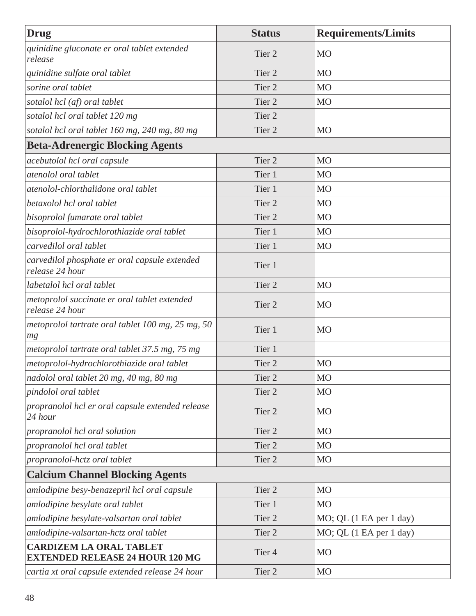| Drug                                                                     | <b>Status</b>     | <b>Requirements/Limits</b> |
|--------------------------------------------------------------------------|-------------------|----------------------------|
| quinidine gluconate er oral tablet extended<br>release                   | Tier 2            | MO                         |
| quinidine sulfate oral tablet                                            | Tier <sub>2</sub> | <b>MO</b>                  |
| sorine oral tablet                                                       | Tier <sub>2</sub> | M <sub>O</sub>             |
| sotalol hcl (af) oral tablet                                             | Tier <sub>2</sub> | M <sub>O</sub>             |
| sotalol hcl oral tablet 120 mg                                           | Tier <sub>2</sub> |                            |
| sotalol hcl oral tablet 160 mg, 240 mg, 80 mg                            | Tier <sub>2</sub> | M <sub>O</sub>             |
| <b>Beta-Adrenergic Blocking Agents</b>                                   |                   |                            |
| acebutolol hcl oral capsule                                              | Tier <sub>2</sub> | <b>MO</b>                  |
| atenolol oral tablet                                                     | Tier 1            | <b>MO</b>                  |
| atenolol-chlorthalidone oral tablet                                      | Tier 1            | <b>MO</b>                  |
| betaxolol hcl oral tablet                                                | Tier <sub>2</sub> | <b>MO</b>                  |
| bisoprolol fumarate oral tablet                                          | Tier <sub>2</sub> | <b>MO</b>                  |
| bisoprolol-hydrochlorothiazide oral tablet                               | Tier 1            | <b>MO</b>                  |
| carvedilol oral tablet                                                   | Tier 1            | <b>MO</b>                  |
| carvedilol phosphate er oral capsule extended<br>release 24 hour         | Tier 1            |                            |
| labetalol hcl oral tablet                                                | Tier <sub>2</sub> | <b>MO</b>                  |
| metoprolol succinate er oral tablet extended<br>release 24 hour          | Tier 2            | MO                         |
| metoprolol tartrate oral tablet 100 mg, 25 mg, 50<br>mg                  | Tier 1            | <b>MO</b>                  |
| metoprolol tartrate oral tablet 37.5 mg, 75 mg                           | Tier 1            |                            |
| metoprolol-hydrochlorothiazide oral tablet                               | Tier <sub>2</sub> | M <sub>O</sub>             |
| nadolol oral tablet 20 mg, 40 mg, 80 mg                                  | Tier 2            | M <sub>O</sub>             |
| pindolol oral tablet                                                     | Tier <sub>2</sub> | M <sub>O</sub>             |
| propranolol hcl er oral capsule extended release<br>24 hour              | Tier 2            | <b>MO</b>                  |
| propranolol hcl oral solution                                            | Tier <sub>2</sub> | <b>MO</b>                  |
| propranolol hcl oral tablet                                              | Tier <sub>2</sub> | <b>MO</b>                  |
| propranolol-hctz oral tablet                                             | Tier 2            | MO                         |
| <b>Calcium Channel Blocking Agents</b>                                   |                   |                            |
| amlodipine besy-benazepril hcl oral capsule                              | Tier 2            | MO                         |
| amlodipine besylate oral tablet                                          | Tier 1            | <b>MO</b>                  |
| amlodipine besylate-valsartan oral tablet                                | Tier 2            | MO; QL (1 EA per 1 day)    |
| amlodipine-valsartan-hctz oral tablet                                    | Tier 2            | MO; QL (1 EA per 1 day)    |
| <b>CARDIZEM LA ORAL TABLET</b><br><b>EXTENDED RELEASE 24 HOUR 120 MG</b> | Tier 4            | MO                         |
| cartia xt oral capsule extended release 24 hour                          | Tier 2            | <b>MO</b>                  |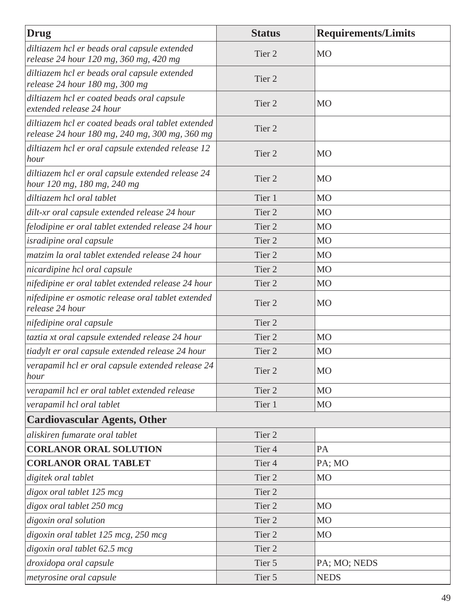| Drug                                                                                                 | <b>Status</b>     | <b>Requirements/Limits</b> |
|------------------------------------------------------------------------------------------------------|-------------------|----------------------------|
| diltiazem hcl er beads oral capsule extended<br>release 24 hour 120 mg, 360 mg, 420 mg               | Tier <sub>2</sub> | <b>MO</b>                  |
| diltiazem hcl er beads oral capsule extended<br>release 24 hour 180 mg, 300 mg                       | Tier <sub>2</sub> |                            |
| diltiazem hcl er coated beads oral capsule<br>extended release 24 hour                               | Tier <sub>2</sub> | <b>MO</b>                  |
| diltiazem hcl er coated beads oral tablet extended<br>release 24 hour 180 mg, 240 mg, 300 mg, 360 mg | Tier <sub>2</sub> |                            |
| diltiazem hcl er oral capsule extended release 12<br>hour                                            | Tier 2            | <b>MO</b>                  |
| diltiazem hcl er oral capsule extended release 24<br>hour 120 mg, 180 mg, 240 mg                     | Tier <sub>2</sub> | <b>MO</b>                  |
| diltiazem hcl oral tablet                                                                            | Tier 1            | M <sub>O</sub>             |
| dilt-xr oral capsule extended release 24 hour                                                        | Tier <sub>2</sub> | <b>MO</b>                  |
| felodipine er oral tablet extended release 24 hour                                                   | Tier <sub>2</sub> | <b>MO</b>                  |
| <i>isradipine oral capsule</i>                                                                       | Tier <sub>2</sub> | <b>MO</b>                  |
| matzim la oral tablet extended release 24 hour                                                       | Tier <sub>2</sub> | M <sub>O</sub>             |
| nicardipine hcl oral capsule                                                                         | Tier <sub>2</sub> | M <sub>O</sub>             |
| nifedipine er oral tablet extended release 24 hour                                                   | Tier <sub>2</sub> | M <sub>O</sub>             |
| nifedipine er osmotic release oral tablet extended<br>release 24 hour                                | Tier <sub>2</sub> | <b>MO</b>                  |
| nifedipine oral capsule                                                                              | Tier <sub>2</sub> |                            |
| taztia xt oral capsule extended release 24 hour                                                      | Tier <sub>2</sub> | M <sub>O</sub>             |
| tiadylt er oral capsule extended release 24 hour                                                     | Tier <sub>2</sub> | <b>MO</b>                  |
| verapamil hcl er oral capsule extended release 24<br>hour                                            | Tier 2            | <b>MO</b>                  |
| verapamil hcl er oral tablet extended release                                                        | Tier 2            | M <sub>O</sub>             |
| verapamil hcl oral tablet                                                                            | Tier 1            | M <sub>O</sub>             |
| <b>Cardiovascular Agents, Other</b>                                                                  |                   |                            |
| aliskiren fumarate oral tablet                                                                       | Tier <sub>2</sub> |                            |
| <b>CORLANOR ORAL SOLUTION</b>                                                                        | Tier 4            | PA                         |
| <b>CORLANOR ORAL TABLET</b>                                                                          | Tier <sub>4</sub> | PA; MO                     |
| digitek oral tablet                                                                                  | Tier <sub>2</sub> | <b>MO</b>                  |
| digox oral tablet 125 mcg                                                                            | Tier 2            |                            |
| digox oral tablet 250 mcg                                                                            | Tier 2            | <b>MO</b>                  |
| digoxin oral solution                                                                                | Tier 2            | M <sub>O</sub>             |
| digoxin oral tablet 125 mcg, 250 mcg                                                                 | Tier 2            | M <sub>O</sub>             |
| digoxin oral tablet 62.5 mcg                                                                         | Tier 2            |                            |
| droxidopa oral capsule                                                                               | Tier 5            | PA; MO; NEDS               |
| metyrosine oral capsule                                                                              | Tier 5            | <b>NEDS</b>                |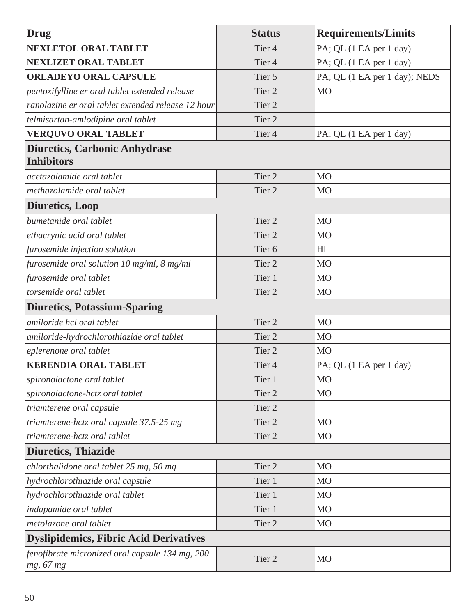| <b>Drug</b>                                                  | <b>Status</b>     | <b>Requirements/Limits</b>    |
|--------------------------------------------------------------|-------------------|-------------------------------|
| <b>NEXLETOL ORAL TABLET</b>                                  | Tier <sub>4</sub> | PA; QL (1 EA per 1 day)       |
| <b>NEXLIZET ORAL TABLET</b>                                  | Tier <sub>4</sub> | PA; QL (1 EA per 1 day)       |
| <b>ORLADEYO ORAL CAPSULE</b>                                 | Tier 5            | PA; QL (1 EA per 1 day); NEDS |
| pentoxifylline er oral tablet extended release               | Tier <sub>2</sub> | <b>MO</b>                     |
| ranolazine er oral tablet extended release 12 hour           | Tier <sub>2</sub> |                               |
| telmisartan-amlodipine oral tablet                           | Tier <sub>2</sub> |                               |
| <b>VERQUVO ORAL TABLET</b>                                   | Tier <sub>4</sub> | PA; QL (1 EA per 1 day)       |
| <b>Diuretics, Carbonic Anhydrase</b><br><b>Inhibitors</b>    |                   |                               |
| acetazolamide oral tablet                                    | Tier <sub>2</sub> | <b>MO</b>                     |
| methazolamide oral tablet                                    | Tier <sub>2</sub> | <b>MO</b>                     |
| <b>Diuretics, Loop</b>                                       |                   |                               |
| bumetanide oral tablet                                       | Tier <sub>2</sub> | M <sub>O</sub>                |
| ethacrynic acid oral tablet                                  | Tier <sub>2</sub> | M <sub>O</sub>                |
| furosemide injection solution                                | Tier <sub>6</sub> | HI                            |
| furosemide oral solution 10 mg/ml, 8 mg/ml                   | Tier <sub>2</sub> | M <sub>O</sub>                |
| furosemide oral tablet                                       | Tier 1            | <b>MO</b>                     |
| torsemide oral tablet                                        | Tier <sub>2</sub> | M <sub>O</sub>                |
| <b>Diuretics, Potassium-Sparing</b>                          |                   |                               |
| amiloride hcl oral tablet                                    | Tier <sub>2</sub> | M <sub>O</sub>                |
| amiloride-hydrochlorothiazide oral tablet                    | Tier <sub>2</sub> | M <sub>O</sub>                |
| eplerenone oral tablet                                       | Tier <sub>2</sub> | <b>MO</b>                     |
| <b>KERENDIA ORAL TABLET</b>                                  | Tier <sub>4</sub> | PA; QL (1 EA per 1 day)       |
| spironolactone oral tablet                                   | Tier 1            | M <sub>O</sub>                |
| spironolactone-hctz oral tablet                              | Tier 2            | M <sub>O</sub>                |
| triamterene oral capsule                                     | Tier 2            |                               |
| triamterene-hctz oral capsule 37.5-25 mg                     | Tier <sub>2</sub> | M <sub>O</sub>                |
| triamterene-hctz oral tablet                                 | Tier <sub>2</sub> | M <sub>O</sub>                |
| <b>Diuretics, Thiazide</b>                                   |                   |                               |
| chlorthalidone oral tablet 25 mg, 50 mg                      | Tier <sub>2</sub> | <b>MO</b>                     |
| hydrochlorothiazide oral capsule                             | Tier 1            | M <sub>O</sub>                |
| hydrochlorothiazide oral tablet                              | Tier 1            | M <sub>O</sub>                |
| indapamide oral tablet                                       | Tier 1            | M <sub>O</sub>                |
| metolazone oral tablet                                       | Tier <sub>2</sub> | M <sub>O</sub>                |
| <b>Dyslipidemics, Fibric Acid Derivatives</b>                |                   |                               |
| fenofibrate micronized oral capsule 134 mg, 200<br>mg, 67 mg | Tier 2            | <b>MO</b>                     |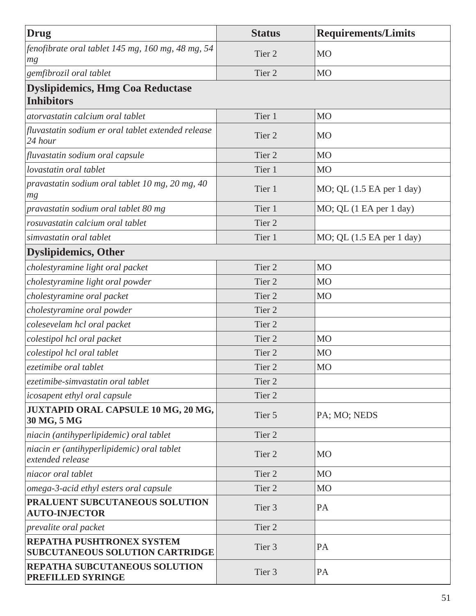| Drug                                                                | <b>Status</b>     | <b>Requirements/Limits</b>                      |
|---------------------------------------------------------------------|-------------------|-------------------------------------------------|
| fenofibrate oral tablet 145 mg, 160 mg, 48 mg, 54<br>mg             | Tier <sub>2</sub> | <b>MO</b>                                       |
| gemfibrozil oral tablet                                             | Tier <sub>2</sub> | <b>MO</b>                                       |
| <b>Dyslipidemics, Hmg Coa Reductase</b><br><b>Inhibitors</b>        |                   |                                                 |
| atoryastatin calcium oral tablet                                    | Tier 1            | M <sub>O</sub>                                  |
| fluvastatin sodium er oral tablet extended release<br>24 hour       | Tier 2            | <b>MO</b>                                       |
| fluvastatin sodium oral capsule                                     | Tier <sub>2</sub> | <b>MO</b>                                       |
| lovastatin oral tablet                                              | Tier 1            | <b>MO</b>                                       |
| pravastatin sodium oral tablet 10 mg, 20 mg, 40<br>mg               | Tier 1            | $MO$ ; QL $(1.5 \text{ EA per } 1 \text{ day})$ |
| pravastatin sodium oral tablet 80 mg                                | Tier 1            | MO; QL (1 EA per 1 day)                         |
| rosuvastatin calcium oral tablet                                    | Tier <sub>2</sub> |                                                 |
| simvastatin oral tablet                                             | Tier 1            | MO; QL (1.5 EA per 1 day)                       |
| <b>Dyslipidemics, Other</b>                                         |                   |                                                 |
| cholestyramine light oral packet                                    | Tier <sub>2</sub> | <b>MO</b>                                       |
| cholestyramine light oral powder                                    | Tier 2            | <b>MO</b>                                       |
| cholestyramine oral packet                                          | Tier <sub>2</sub> | MO                                              |
| cholestyramine oral powder                                          | Tier <sub>2</sub> |                                                 |
| colesevelam hcl oral packet                                         | Tier <sub>2</sub> |                                                 |
| colestipol hcl oral packet                                          | Tier <sub>2</sub> | <b>MO</b>                                       |
| colestipol hcl oral tablet                                          | Tier <sub>2</sub> | M <sub>O</sub>                                  |
| ezetimibe oral tablet                                               | Tier 2            | MO                                              |
| ezetimibe-simvastatin oral tablet                                   | Tier <sub>2</sub> |                                                 |
| icosapent ethyl oral capsule                                        | Tier <sub>2</sub> |                                                 |
| JUXTAPID ORAL CAPSULE 10 MG, 20 MG,<br>30 MG, 5 MG                  | Tier 5            | PA; MO; NEDS                                    |
| niacin (antihyperlipidemic) oral tablet                             | Tier <sub>2</sub> |                                                 |
| niacin er (antihyperlipidemic) oral tablet<br>extended release      | Tier 2            | <b>MO</b>                                       |
| niacor oral tablet                                                  | Tier <sub>2</sub> | <b>MO</b>                                       |
| omega-3-acid ethyl esters oral capsule                              | Tier 2            | M <sub>O</sub>                                  |
| PRALUENT SUBCUTANEOUS SOLUTION<br><b>AUTO-INJECTOR</b>              | Tier 3            | PA                                              |
| prevalite oral packet                                               | Tier <sub>2</sub> |                                                 |
| REPATHA PUSHTRONEX SYSTEM<br><b>SUBCUTANEOUS SOLUTION CARTRIDGE</b> | Tier 3            | PA                                              |
| REPATHA SUBCUTANEOUS SOLUTION<br>PREFILLED SYRINGE                  | Tier 3            | PA                                              |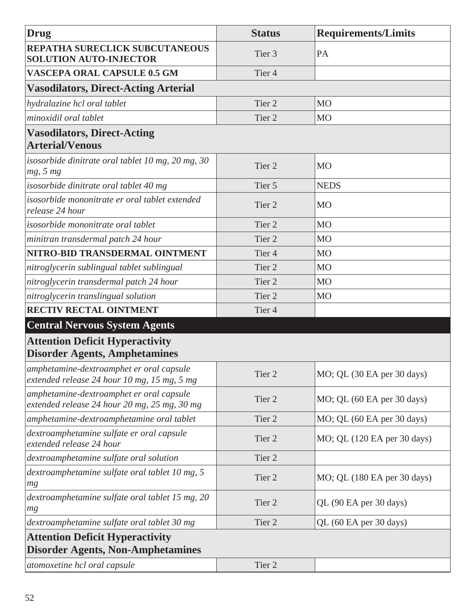| Drug                                                                                     | <b>Status</b>     | <b>Requirements/Limits</b>  |
|------------------------------------------------------------------------------------------|-------------------|-----------------------------|
| REPATHA SURECLICK SUBCUTANEOUS<br><b>SOLUTION AUTO-INJECTOR</b>                          | Tier <sub>3</sub> | PA                          |
| <b>VASCEPA ORAL CAPSULE 0.5 GM</b>                                                       | Tier <sub>4</sub> |                             |
| <b>Vasodilators, Direct-Acting Arterial</b>                                              |                   |                             |
| hydralazine hcl oral tablet                                                              | Tier <sub>2</sub> | M <sub>O</sub>              |
| minoxidil oral tablet                                                                    | Tier <sub>2</sub> | <b>MO</b>                   |
| <b>Vasodilators, Direct-Acting</b><br><b>Arterial/Venous</b>                             |                   |                             |
| isosorbide dinitrate oral tablet 10 mg, 20 mg, 30<br>mg, 5 mg                            | Tier <sub>2</sub> | <b>MO</b>                   |
| isosorbide dinitrate oral tablet 40 mg                                                   | Tier 5            | <b>NEDS</b>                 |
| isosorbide mononitrate er oral tablet extended<br>release 24 hour                        | Tier <sub>2</sub> | <b>MO</b>                   |
| isosorbide mononitrate oral tablet                                                       | Tier <sub>2</sub> | <b>MO</b>                   |
| minitran transdermal patch 24 hour                                                       | Tier <sub>2</sub> | <b>MO</b>                   |
| NITRO-BID TRANSDERMAL OINTMENT                                                           | Tier <sub>4</sub> | M <sub>O</sub>              |
| nitroglycerin sublingual tablet sublingual                                               | Tier <sub>2</sub> | M <sub>O</sub>              |
| nitroglycerin transdermal patch 24 hour                                                  | Tier <sub>2</sub> | M <sub>O</sub>              |
| nitroglycerin translingual solution                                                      | Tier <sub>2</sub> | MO                          |
| RECTIV RECTAL OINTMENT                                                                   | Tier <sub>4</sub> |                             |
| <b>Central Nervous System Agents</b>                                                     |                   |                             |
| <b>Attention Deficit Hyperactivity</b><br><b>Disorder Agents, Amphetamines</b>           |                   |                             |
| amphetamine-dextroamphet er oral capsule<br>extended release 24 hour 10 mg, 15 mg, 5 mg  | Tier 2            | MO; QL (30 EA per 30 days)  |
| amphetamine-dextroamphet er oral capsule<br>extended release 24 hour 20 mg, 25 mg, 30 mg | Tier 2            | MO; QL (60 EA per 30 days)  |
| amphetamine-dextroamphetamine oral tablet                                                | Tier 2            | MO; QL (60 EA per 30 days)  |
| dextroamphetamine sulfate er oral capsule<br>extended release 24 hour                    | Tier 2            | MO; QL (120 EA per 30 days) |
| dextroamphetamine sulfate oral solution                                                  | Tier <sub>2</sub> |                             |
| dextroamphetamine sulfate oral tablet 10 mg, 5<br>mg                                     | Tier 2            | MO; QL (180 EA per 30 days) |
| dextroamphetamine sulfate oral tablet 15 mg, 20<br>mg                                    | Tier 2            | QL (90 EA per 30 days)      |
| dextroamphetamine sulfate oral tablet 30 mg                                              | Tier 2            | QL (60 EA per 30 days)      |
| <b>Attention Deficit Hyperactivity</b>                                                   |                   |                             |
| <b>Disorder Agents, Non-Amphetamines</b>                                                 |                   |                             |
| atomoxetine hcl oral capsule                                                             | Tier 2            |                             |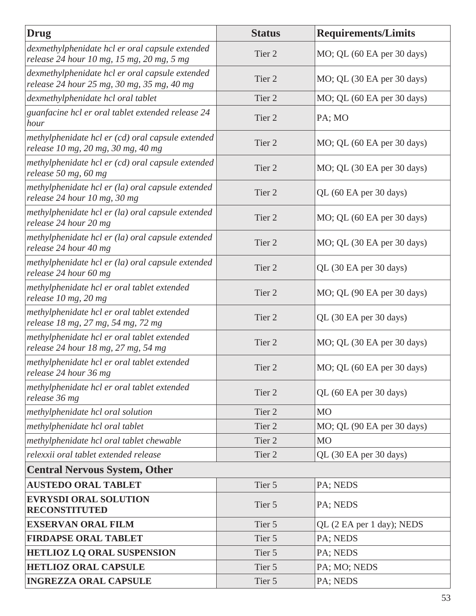| Drug                                                                                          | <b>Status</b>     | <b>Requirements/Limits</b> |
|-----------------------------------------------------------------------------------------------|-------------------|----------------------------|
| dexmethylphenidate hcl er oral capsule extended<br>release 24 hour 10 mg, 15 mg, 20 mg, 5 mg  | Tier 2            | MO; QL (60 EA per 30 days) |
| dexmethylphenidate hcl er oral capsule extended<br>release 24 hour 25 mg, 30 mg, 35 mg, 40 mg | Tier 2            | MO; QL (30 EA per 30 days) |
| dexmethylphenidate hcl oral tablet                                                            | Tier <sub>2</sub> | MO; QL (60 EA per 30 days) |
| guanfacine hcl er oral tablet extended release 24<br>hour                                     | Tier <sub>2</sub> | PA; MO                     |
| methylphenidate hcl er (cd) oral capsule extended<br>release 10 mg, 20 mg, 30 mg, 40 mg       | Tier 2            | MO; QL (60 EA per 30 days) |
| methylphenidate hcl er (cd) oral capsule extended<br>release 50 mg, 60 mg                     | Tier 2            | MO; QL (30 EA per 30 days) |
| methylphenidate hcl er (la) oral capsule extended<br>release 24 hour 10 mg, 30 mg             | Tier <sub>2</sub> | QL (60 EA per 30 days)     |
| methylphenidate hcl er (la) oral capsule extended<br>release 24 hour 20 mg                    | Tier <sub>2</sub> | MO; QL (60 EA per 30 days) |
| methylphenidate hcl er (la) oral capsule extended<br>release 24 hour 40 mg                    | Tier <sub>2</sub> | MO; QL (30 EA per 30 days) |
| methylphenidate hcl er (la) oral capsule extended<br>release 24 hour 60 mg                    | Tier <sub>2</sub> | QL (30 EA per 30 days)     |
| methylphenidate hcl er oral tablet extended<br>release $10$ mg, $20$ mg                       | Tier <sub>2</sub> | MO; QL (90 EA per 30 days) |
| methylphenidate hcl er oral tablet extended<br>release 18 mg, 27 mg, 54 mg, 72 mg             | Tier <sub>2</sub> | QL (30 EA per 30 days)     |
| methylphenidate hcl er oral tablet extended<br>release 24 hour 18 mg, 27 mg, 54 mg            | Tier 2            | MO; QL (30 EA per 30 days) |
| methylphenidate hcl er oral tablet extended<br>release 24 hour 36 mg                          | Tier <sub>2</sub> | MO; QL (60 EA per 30 days) |
| methylphenidate hcl er oral tablet extended<br>release 36 mg                                  | Tier 2            | QL (60 EA per 30 days)     |
| methylphenidate hcl oral solution                                                             | Tier 2            | <b>MO</b>                  |
| methylphenidate hcl oral tablet                                                               | Tier 2            | MO; QL (90 EA per 30 days) |
| methylphenidate hcl oral tablet chewable                                                      | Tier 2            | <b>MO</b>                  |
| relexxii oral tablet extended release                                                         | Tier 2            | QL (30 EA per 30 days)     |
| <b>Central Nervous System, Other</b>                                                          |                   |                            |
| <b>AUSTEDO ORAL TABLET</b>                                                                    | Tier 5            | PA; NEDS                   |
| <b>EVRYSDI ORAL SOLUTION</b><br><b>RECONSTITUTED</b>                                          | Tier 5            | PA; NEDS                   |
| <b>EXSERVAN ORAL FILM</b>                                                                     | Tier 5            | QL (2 EA per 1 day); NEDS  |
| <b>FIRDAPSE ORAL TABLET</b>                                                                   | Tier 5            | PA; NEDS                   |
| <b>HETLIOZ LQ ORAL SUSPENSION</b>                                                             | Tier 5            | PA; NEDS                   |
| <b>HETLIOZ ORAL CAPSULE</b>                                                                   | Tier 5            | PA; MO; NEDS               |
| <b>INGREZZA ORAL CAPSULE</b>                                                                  | Tier 5            | PA; NEDS                   |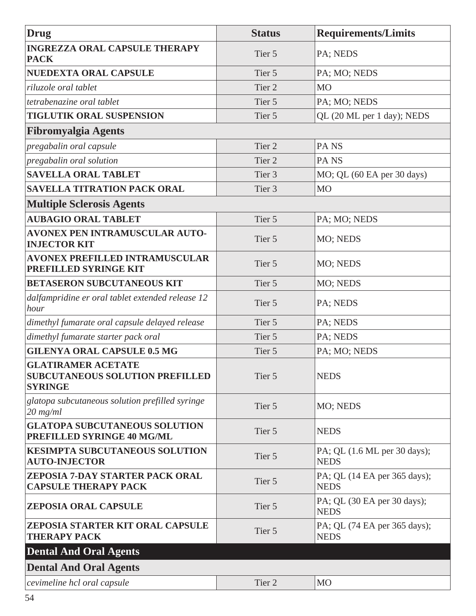| <b>Drug</b>                                                                           | <b>Status</b>     | <b>Requirements/Limits</b>                  |
|---------------------------------------------------------------------------------------|-------------------|---------------------------------------------|
| <b>INGREZZA ORAL CAPSULE THERAPY</b><br><b>PACK</b>                                   | Tier 5            | PA; NEDS                                    |
| <b>NUEDEXTA ORAL CAPSULE</b>                                                          | Tier 5            | PA; MO; NEDS                                |
| riluzole oral tablet                                                                  | Tier <sub>2</sub> | M <sub>O</sub>                              |
| tetrabenazine oral tablet                                                             | Tier 5            | PA; MO; NEDS                                |
| <b>TIGLUTIK ORAL SUSPENSION</b>                                                       | Tier 5            | QL (20 ML per 1 day); NEDS                  |
| <b>Fibromyalgia Agents</b>                                                            |                   |                                             |
| pregabalin oral capsule                                                               | Tier <sub>2</sub> | PA <sub>NS</sub>                            |
| pregabalin oral solution                                                              | Tier <sub>2</sub> | PA <sub>NS</sub>                            |
| <b>SAVELLA ORAL TABLET</b>                                                            | Tier <sub>3</sub> | MO; QL (60 EA per 30 days)                  |
| <b>SAVELLA TITRATION PACK ORAL</b>                                                    | Tier <sub>3</sub> | <b>MO</b>                                   |
| <b>Multiple Sclerosis Agents</b>                                                      |                   |                                             |
| <b>AUBAGIO ORAL TABLET</b>                                                            | Tier 5            | PA; MO; NEDS                                |
| <b>AVONEX PEN INTRAMUSCULAR AUTO-</b><br><b>INJECTOR KIT</b>                          | Tier 5            | MO; NEDS                                    |
| <b>AVONEX PREFILLED INTRAMUSCULAR</b><br>PREFILLED SYRINGE KIT                        | Tier 5            | MO; NEDS                                    |
| <b>BETASERON SUBCUTANEOUS KIT</b>                                                     | Tier 5            | MO; NEDS                                    |
| dalfampridine er oral tablet extended release 12<br>hour                              | Tier 5            | PA; NEDS                                    |
| dimethyl fumarate oral capsule delayed release                                        | Tier 5            | PA; NEDS                                    |
| dimethyl fumarate starter pack oral                                                   | Tier 5            | PA; NEDS                                    |
| <b>GILENYA ORAL CAPSULE 0.5 MG</b>                                                    | Tier 5            | PA; MO; NEDS                                |
| <b>GLATIRAMER ACETATE</b><br><b>SUBCUTANEOUS SOLUTION PREFILLED</b><br><b>SYRINGE</b> | Tier 5            | <b>NEDS</b>                                 |
| glatopa subcutaneous solution prefilled syringe<br>$20$ mg/ml                         | Tier 5            | MO; NEDS                                    |
| <b>GLATOPA SUBCUTANEOUS SOLUTION</b><br>PREFILLED SYRINGE 40 MG/ML                    | Tier 5            | <b>NEDS</b>                                 |
| <b>KESIMPTA SUBCUTANEOUS SOLUTION</b><br><b>AUTO-INJECTOR</b>                         | Tier 5            | PA; QL (1.6 ML per 30 days);<br><b>NEDS</b> |
| ZEPOSIA 7-DAY STARTER PACK ORAL<br><b>CAPSULE THERAPY PACK</b>                        | Tier 5            | PA; QL (14 EA per 365 days);<br><b>NEDS</b> |
| <b>ZEPOSIA ORAL CAPSULE</b>                                                           | Tier 5            | PA; QL (30 EA per 30 days);<br><b>NEDS</b>  |
| ZEPOSIA STARTER KIT ORAL CAPSULE<br><b>THERAPY PACK</b>                               | Tier 5            | PA; QL (74 EA per 365 days);<br><b>NEDS</b> |
| <b>Dental And Oral Agents</b>                                                         |                   |                                             |
| <b>Dental And Oral Agents</b>                                                         |                   |                                             |
| cevimeline hcl oral capsule                                                           | Tier 2            | MO                                          |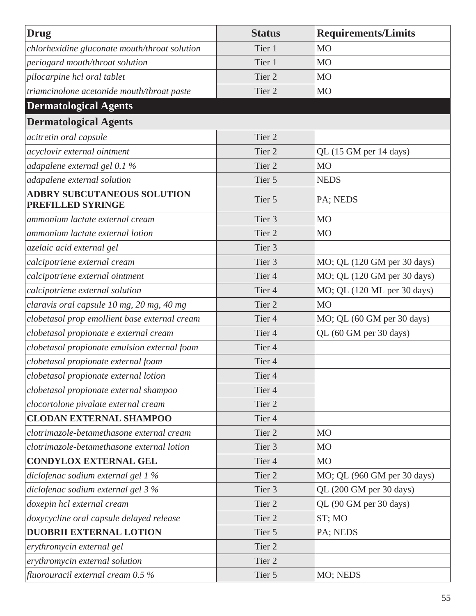| Drug                                                           | <b>Status</b>     | <b>Requirements/Limits</b>  |
|----------------------------------------------------------------|-------------------|-----------------------------|
| chlorhexidine gluconate mouth/throat solution                  | Tier 1            | M <sub>O</sub>              |
| periogard mouth/throat solution                                | Tier 1            | <b>MO</b>                   |
| pilocarpine hcl oral tablet                                    | Tier <sub>2</sub> | M <sub>O</sub>              |
| triamcinolone acetonide mouth/throat paste                     | Tier <sub>2</sub> | M <sub>O</sub>              |
| <b>Dermatological Agents</b>                                   |                   |                             |
| <b>Dermatological Agents</b>                                   |                   |                             |
| acitretin oral capsule                                         | Tier <sub>2</sub> |                             |
| acyclovir external ointment                                    | Tier <sub>2</sub> | QL (15 GM per 14 days)      |
| adapalene external gel 0.1 %                                   | Tier <sub>2</sub> | <b>MO</b>                   |
| adapalene external solution                                    | Tier 5            | <b>NEDS</b>                 |
| <b>ADBRY SUBCUTANEOUS SOLUTION</b><br><b>PREFILLED SYRINGE</b> | Tier 5            | PA; NEDS                    |
| ammonium lactate external cream                                | Tier <sub>3</sub> | <b>MO</b>                   |
| ammonium lactate external lotion                               | Tier <sub>2</sub> | M <sub>O</sub>              |
| azelaic acid external gel                                      | Tier <sub>3</sub> |                             |
| calcipotriene external cream                                   | Tier <sub>3</sub> | MO; QL (120 GM per 30 days) |
| calcipotriene external ointment                                | Tier <sub>4</sub> | MO; QL (120 GM per 30 days) |
| calcipotriene external solution                                | Tier <sub>4</sub> | MO; QL (120 ML per 30 days) |
| claravis oral capsule 10 mg, 20 mg, 40 mg                      | Tier <sub>2</sub> | <b>MO</b>                   |
| clobetasol prop emollient base external cream                  | Tier <sub>4</sub> | MO; QL (60 GM per 30 days)  |
| clobetasol propionate e external cream                         | Tier <sub>4</sub> | QL (60 GM per 30 days)      |
| clobetasol propionate emulsion external foam                   | Tier <sub>4</sub> |                             |
| clobetasol propionate external foam                            | Tier <sub>4</sub> |                             |
| clobetasol propionate external lotion                          | Tier 4            |                             |
| clobetasol propionate external shampoo                         | Tier <sub>4</sub> |                             |
| clocortolone pivalate external cream                           | Tier 2            |                             |
| <b>CLODAN EXTERNAL SHAMPOO</b>                                 | Tier <sub>4</sub> |                             |
| clotrimazole-betamethasone external cream                      | Tier 2            | M <sub>O</sub>              |
| clotrimazole-betamethasone external lotion                     | Tier <sub>3</sub> | M <sub>O</sub>              |
| <b>CONDYLOX EXTERNAL GEL</b>                                   | Tier <sub>4</sub> | M <sub>O</sub>              |
| diclofenac sodium external gel 1 %                             | Tier 2            | MO; QL (960 GM per 30 days) |
| diclofenac sodium external gel 3 %                             | Tier 3            | QL (200 GM per 30 days)     |
| doxepin hcl external cream                                     | Tier 2            | QL (90 GM per 30 days)      |
| doxycycline oral capsule delayed release                       | Tier 2            | ST; MO                      |
| <b>DUOBRII EXTERNAL LOTION</b>                                 | Tier 5            | PA; NEDS                    |
| erythromycin external gel                                      | Tier 2            |                             |
| erythromycin external solution                                 | Tier 2            |                             |
| fluorouracil external cream $0.5\,\%$                          | Tier 5            | MO; NEDS                    |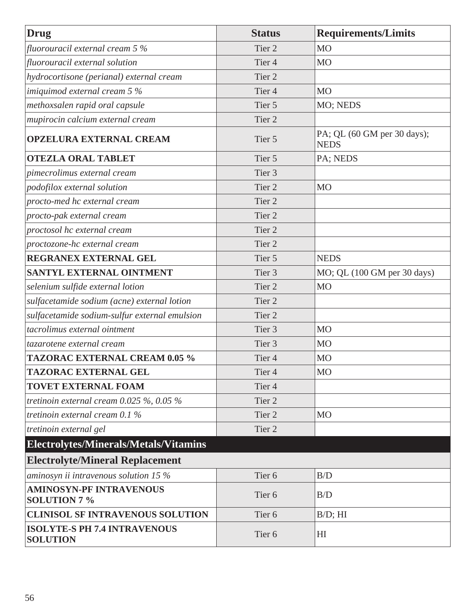| <b>Drug</b>                                            | <b>Status</b>     | <b>Requirements/Limits</b>                 |
|--------------------------------------------------------|-------------------|--------------------------------------------|
| fluorouracil external cream $5\%$                      | Tier <sub>2</sub> | <b>MO</b>                                  |
| fluorouracil external solution                         | Tier <sub>4</sub> | <b>MO</b>                                  |
| hydrocortisone (perianal) external cream               | Tier <sub>2</sub> |                                            |
| imiquimod external cream $5\%$                         | Tier <sub>4</sub> | M <sub>O</sub>                             |
| methoxsalen rapid oral capsule                         | Tier 5            | MO; NEDS                                   |
| mupirocin calcium external cream                       | Tier 2            |                                            |
| <b>OPZELURA EXTERNAL CREAM</b>                         | Tier 5            | PA; QL (60 GM per 30 days);<br><b>NEDS</b> |
| <b>OTEZLA ORAL TABLET</b>                              | Tier 5            | PA; NEDS                                   |
| pimecrolimus external cream                            | Tier <sub>3</sub> |                                            |
| podofilox external solution                            | Tier <sub>2</sub> | M <sub>O</sub>                             |
| procto-med hc external cream                           | Tier <sub>2</sub> |                                            |
| procto-pak external cream                              | Tier <sub>2</sub> |                                            |
| proctosol hc external cream                            | Tier <sub>2</sub> |                                            |
| proctozone-hc external cream                           | Tier <sub>2</sub> |                                            |
| REGRANEX EXTERNAL GEL                                  | Tier 5            | <b>NEDS</b>                                |
| SANTYL EXTERNAL OINTMENT                               | Tier 3            | MO; QL (100 GM per 30 days)                |
| selenium sulfide external lotion                       | Tier <sub>2</sub> | <b>MO</b>                                  |
| sulfacetamide sodium (acne) external lotion            | Tier 2            |                                            |
| sulfacetamide sodium-sulfur external emulsion          | Tier <sub>2</sub> |                                            |
| tacrolimus external ointment                           | Tier <sub>3</sub> | M <sub>O</sub>                             |
| tazarotene external cream                              | Tier <sub>3</sub> | M <sub>O</sub>                             |
| <b>TAZORAC EXTERNAL CREAM 0.05 %</b>                   | Tier <sub>4</sub> | M <sub>O</sub>                             |
| <b>TAZORAC EXTERNAL GEL</b>                            | Tier 4            | M <sub>O</sub>                             |
| <b>TOVET EXTERNAL FOAM</b>                             | Tier <sub>4</sub> |                                            |
| tretinoin external cream 0.025 %, 0.05 %               | Tier 2            |                                            |
| tretinoin external cream 0.1 %                         | Tier 2            | M <sub>O</sub>                             |
| tretinoin external gel                                 | Tier 2            |                                            |
| Electrolytes/Minerals/Metals/Vitamins                  |                   |                                            |
| <b>Electrolyte/Mineral Replacement</b>                 |                   |                                            |
| aminosyn ii intravenous solution 15 $%$                | Tier <sub>6</sub> | B/D                                        |
| <b>AMINOSYN-PF INTRAVENOUS</b><br><b>SOLUTION 7 %</b>  | Tier <sub>6</sub> | B/D                                        |
| <b>CLINISOL SF INTRAVENOUS SOLUTION</b>                | Tier <sub>6</sub> | $B/D$ ; HI                                 |
| <b>ISOLYTE-S PH 7.4 INTRAVENOUS</b><br><b>SOLUTION</b> | Tier <sub>6</sub> | H <sub>I</sub>                             |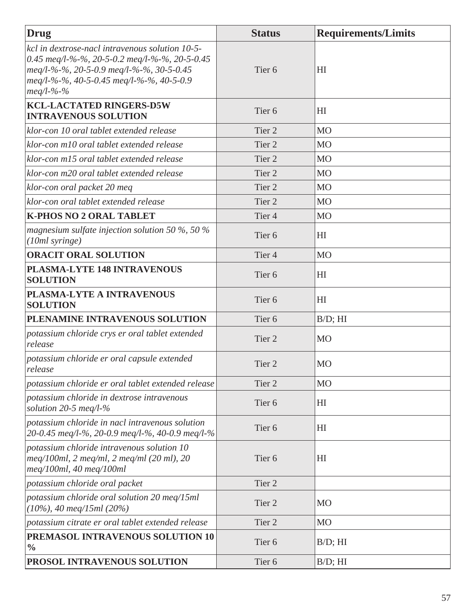| <b>Drug</b>                                                                                                                                                                                                   | <b>Status</b>     | <b>Requirements/Limits</b> |
|---------------------------------------------------------------------------------------------------------------------------------------------------------------------------------------------------------------|-------------------|----------------------------|
| kcl in dextrose-nacl intravenous solution 10-5-<br>0.45 meg/l-%-%, 20-5-0.2 meg/l-%-%, 20-5-0.45<br>meq/l-%-%, 20-5-0.9 meq/l-%-%, 30-5-0.45<br>meg/l-%-%, 40-5-0.45 meg/l-%-%, 40-5-0.9<br>$meq/l - % - % -$ | Tier <sub>6</sub> | HI                         |
| <b>KCL-LACTATED RINGERS-D5W</b><br><b>INTRAVENOUS SOLUTION</b>                                                                                                                                                | Tier <sub>6</sub> | H <sub>I</sub>             |
| klor-con 10 oral tablet extended release                                                                                                                                                                      | Tier 2            | <b>MO</b>                  |
| klor-con m10 oral tablet extended release                                                                                                                                                                     | Tier <sub>2</sub> | <b>MO</b>                  |
| klor-con m15 oral tablet extended release                                                                                                                                                                     | Tier <sub>2</sub> | <b>MO</b>                  |
| klor-con m20 oral tablet extended release                                                                                                                                                                     | Tier <sub>2</sub> | <b>MO</b>                  |
| klor-con oral packet 20 meq                                                                                                                                                                                   | Tier <sub>2</sub> | <b>MO</b>                  |
| klor-con oral tablet extended release                                                                                                                                                                         | Tier <sub>2</sub> | <b>MO</b>                  |
| <b>K-PHOS NO 2 ORAL TABLET</b>                                                                                                                                                                                | Tier <sub>4</sub> | <b>MO</b>                  |
| magnesium sulfate injection solution 50 %, 50 %<br>(10ml syringe)                                                                                                                                             | Tier <sub>6</sub> | H <sub>I</sub>             |
| <b>ORACIT ORAL SOLUTION</b>                                                                                                                                                                                   | Tier <sub>4</sub> | <b>MO</b>                  |
| PLASMA-LYTE 148 INTRAVENOUS<br><b>SOLUTION</b>                                                                                                                                                                | Tier <sub>6</sub> | H <sub>I</sub>             |
| PLASMA-LYTE A INTRAVENOUS<br><b>SOLUTION</b>                                                                                                                                                                  | Tier <sub>6</sub> | H <sub>I</sub>             |
| PLENAMINE INTRAVENOUS SOLUTION                                                                                                                                                                                | Tier <sub>6</sub> | $B/D$ ; HI                 |
| potassium chloride crys er oral tablet extended<br>release                                                                                                                                                    | Tier <sub>2</sub> | <b>MO</b>                  |
| potassium chloride er oral capsule extended<br>release                                                                                                                                                        | Tier <sub>2</sub> | <b>MO</b>                  |
| potassium chloride er oral tablet extended release                                                                                                                                                            | Tier <sub>2</sub> | <b>MO</b>                  |
| potassium chloride in dextrose intravenous<br>solution 20-5 meq/l- $\%$                                                                                                                                       | Tier <sub>6</sub> | H <sub>I</sub>             |
| potassium chloride in nacl intravenous solution<br>20-0.45 meg/l-%, 20-0.9 meg/l-%, 40-0.9 meg/l-%                                                                                                            | Tier <sub>6</sub> | H <sub>I</sub>             |
| potassium chloride intravenous solution 10<br>$\mu$ meq/100ml, 2 meq/ml, 2 meq/ml (20 ml), 20<br>meq/100ml, 40 meq/100ml                                                                                      | Tier <sub>6</sub> | HI                         |
| potassium chloride oral packet                                                                                                                                                                                | Tier 2            |                            |
| potassium chloride oral solution 20 meq/15ml<br>$(10\%)$ , 40 meq/15ml $(20\%)$                                                                                                                               | Tier <sub>2</sub> | <b>MO</b>                  |
| potassium citrate er oral tablet extended release                                                                                                                                                             | Tier <sub>2</sub> | M <sub>O</sub>             |
| PREMASOL INTRAVENOUS SOLUTION 10<br>$\frac{0}{0}$                                                                                                                                                             | Tier <sub>6</sub> | $B/D$ ; HI                 |
| PROSOL INTRAVENOUS SOLUTION                                                                                                                                                                                   | Tier <sub>6</sub> | $B/D$ ; $HI$               |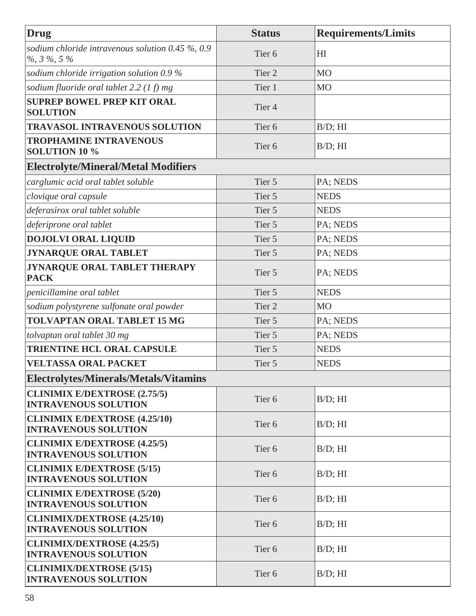| Drug                                                                    | <b>Status</b>     | <b>Requirements/Limits</b> |
|-------------------------------------------------------------------------|-------------------|----------------------------|
| sodium chloride intravenous solution 0.45 $\%$ , 0.9<br>$\%$ , 3 %, 5 % | Tier <sub>6</sub> | H <sub>I</sub>             |
| sodium chloride irrigation solution $0.9\%$                             | Tier <sub>2</sub> | M <sub>O</sub>             |
| sodium fluoride oral tablet 2.2 $(1 f)$ mg                              | Tier 1            | MO                         |
| <b>SUPREP BOWEL PREP KIT ORAL</b><br><b>SOLUTION</b>                    | Tier <sub>4</sub> |                            |
| <b>TRAVASOL INTRAVENOUS SOLUTION</b>                                    | Tier <sub>6</sub> | $B/D$ ; HI                 |
| <b>TROPHAMINE INTRAVENOUS</b><br><b>SOLUTION 10 %</b>                   | Tier <sub>6</sub> | $B/D$ ; HI                 |
| <b>Electrolyte/Mineral/Metal Modifiers</b>                              |                   |                            |
| carglumic acid oral tablet soluble                                      | Tier 5            | PA; NEDS                   |
| clovique oral capsule                                                   | Tier 5            | <b>NEDS</b>                |
| deferasirox oral tablet soluble                                         | Tier 5            | <b>NEDS</b>                |
| deferiprone oral tablet                                                 | Tier 5            | PA; NEDS                   |
| <b>DOJOLVI ORAL LIQUID</b>                                              | Tier 5            | PA; NEDS                   |
| <b>JYNARQUE ORAL TABLET</b>                                             | Tier 5            | PA; NEDS                   |
| JYNARQUE ORAL TABLET THERAPY<br><b>PACK</b>                             | Tier 5            | PA; NEDS                   |
| penicillamine oral tablet                                               | Tier 5            | <b>NEDS</b>                |
| sodium polystyrene sulfonate oral powder                                | Tier <sub>2</sub> | M <sub>O</sub>             |
| <b>TOLVAPTAN ORAL TABLET 15 MG</b>                                      | Tier 5            | PA; NEDS                   |
| tolvaptan oral tablet 30 mg                                             | Tier 5            | PA; NEDS                   |
| <b>TRIENTINE HCL ORAL CAPSULE</b>                                       | Tier 5            | <b>NEDS</b>                |
| <b>VELTASSA ORAL PACKET</b>                                             | Tier 5            | <b>NEDS</b>                |
| Electrolytes/Minerals/Metals/Vitamins                                   |                   |                            |
| <b>CLINIMIX E/DEXTROSE (2.75/5)</b><br><b>INTRAVENOUS SOLUTION</b>      | Tier <sub>6</sub> | $B/D$ ; HI                 |
| <b>CLINIMIX E/DEXTROSE (4.25/10)</b><br><b>INTRAVENOUS SOLUTION</b>     | Tier <sub>6</sub> | $B/D$ ; HI                 |
| <b>CLINIMIX E/DEXTROSE (4.25/5)</b><br><b>INTRAVENOUS SOLUTION</b>      | Tier <sub>6</sub> | $B/D$ ; HI                 |
| <b>CLINIMIX E/DEXTROSE (5/15)</b><br><b>INTRAVENOUS SOLUTION</b>        | Tier <sub>6</sub> | $B/D$ ; HI                 |
| <b>CLINIMIX E/DEXTROSE (5/20)</b><br><b>INTRAVENOUS SOLUTION</b>        | Tier <sub>6</sub> | $B/D$ ; HI                 |
| <b>CLINIMIX/DEXTROSE (4.25/10)</b><br><b>INTRAVENOUS SOLUTION</b>       | Tier <sub>6</sub> | $B/D$ ; HI                 |
| <b>CLINIMIX/DEXTROSE (4.25/5)</b><br><b>INTRAVENOUS SOLUTION</b>        | Tier <sub>6</sub> | $B/D$ ; HI                 |
| <b>CLINIMIX/DEXTROSE (5/15)</b><br><b>INTRAVENOUS SOLUTION</b>          | Tier <sub>6</sub> | $B/D$ ; HI                 |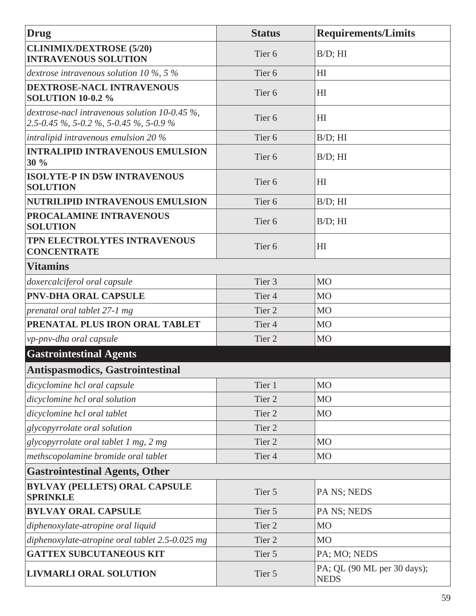| <b>Drug</b>                                                                                 | <b>Status</b>     | <b>Requirements/Limits</b>                 |
|---------------------------------------------------------------------------------------------|-------------------|--------------------------------------------|
| <b>CLINIMIX/DEXTROSE (5/20)</b><br><b>INTRAVENOUS SOLUTION</b>                              | Tier <sub>6</sub> | $B/D$ ; HI                                 |
| dextrose intravenous solution 10 $\%$ , 5 $\%$                                              | Tier <sub>6</sub> | H <sub>I</sub>                             |
| DEXTROSE-NACL INTRAVENOUS<br><b>SOLUTION 10-0.2 %</b>                                       | Tier <sub>6</sub> | H <sub>I</sub>                             |
| dextrose-nacl intravenous solution 10-0.45 $\%$ ,<br>2.5-0.45 %, 5-0.2 %, 5-0.45 %, 5-0.9 % | Tier <sub>6</sub> | HI                                         |
| intralipid intravenous emulsion $20\%$                                                      | Tier <sub>6</sub> | $B/D$ ; HI                                 |
| <b>INTRALIPID INTRAVENOUS EMULSION</b><br>30 %                                              | Tier <sub>6</sub> | $B/D$ ; HI                                 |
| <b>ISOLYTE-P IN D5W INTRAVENOUS</b><br><b>SOLUTION</b>                                      | Tier <sub>6</sub> | HI                                         |
| <b>NUTRILIPID INTRAVENOUS EMULSION</b>                                                      | Tier <sub>6</sub> | $B/D$ ; HI                                 |
| PROCALAMINE INTRAVENOUS<br><b>SOLUTION</b>                                                  | Tier <sub>6</sub> | $B/D$ ; HI                                 |
| TPN ELECTROLYTES INTRAVENOUS<br><b>CONCENTRATE</b>                                          | Tier <sub>6</sub> | HI                                         |
| <b>Vitamins</b>                                                                             |                   |                                            |
| doxercalciferol oral capsule                                                                | Tier <sub>3</sub> | <b>MO</b>                                  |
| <b>PNV-DHA ORAL CAPSULE</b>                                                                 | Tier <sub>4</sub> | <b>MO</b>                                  |
| prenatal oral tablet 27-1 mg                                                                | Tier <sub>2</sub> | MO                                         |
| PRENATAL PLUS IRON ORAL TABLET                                                              | Tier <sub>4</sub> | <b>MO</b>                                  |
| vp-pnv-dha oral capsule                                                                     | Tier <sub>2</sub> | <b>MO</b>                                  |
| <b>Gastrointestinal Agents</b>                                                              |                   |                                            |
| <b>Antispasmodics, Gastrointestinal</b>                                                     |                   |                                            |
| dicyclomine hcl oral capsule                                                                | Tier 1            | <b>MO</b>                                  |
| dicyclomine hcl oral solution                                                               | Tier <sub>2</sub> | M <sub>O</sub>                             |
| dicyclomine hcl oral tablet                                                                 | Tier <sub>2</sub> | M <sub>O</sub>                             |
| glycopyrrolate oral solution                                                                | Tier <sub>2</sub> |                                            |
| glycopyrrolate oral tablet 1 mg, 2 mg                                                       | Tier <sub>2</sub> | M <sub>O</sub>                             |
| methscopolamine bromide oral tablet                                                         | Tier 4            | M <sub>O</sub>                             |
| <b>Gastrointestinal Agents, Other</b>                                                       |                   |                                            |
| <b>BYLVAY (PELLETS) ORAL CAPSULE</b><br><b>SPRINKLE</b>                                     | Tier 5            | PA NS; NEDS                                |
| <b>BYLVAY ORAL CAPSULE</b>                                                                  | Tier 5            | PA NS; NEDS                                |
| diphenoxylate-atropine oral liquid                                                          | Tier <sub>2</sub> | M <sub>O</sub>                             |
| diphenoxylate-atropine oral tablet 2.5-0.025 mg                                             | Tier <sub>2</sub> | M <sub>O</sub>                             |
| <b>GATTEX SUBCUTANEOUS KIT</b>                                                              | Tier 5            | PA; MO; NEDS                               |
| <b>LIVMARLI ORAL SOLUTION</b>                                                               | Tier 5            | PA; QL (90 ML per 30 days);<br><b>NEDS</b> |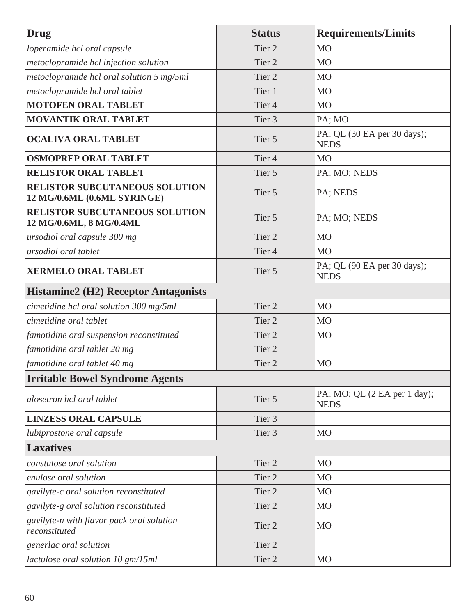| Drug                                                                 | <b>Status</b>     | <b>Requirements/Limits</b>                  |
|----------------------------------------------------------------------|-------------------|---------------------------------------------|
| loperamide hcl oral capsule                                          | Tier <sub>2</sub> | M <sub>O</sub>                              |
| metoclopramide hcl injection solution                                | Tier <sub>2</sub> | M <sub>O</sub>                              |
| metoclopramide hcl oral solution 5 mg/5ml                            | Tier <sub>2</sub> | M <sub>O</sub>                              |
| metoclopramide hcl oral tablet                                       | Tier 1            | M <sub>O</sub>                              |
| <b>MOTOFEN ORAL TABLET</b>                                           | Tier <sub>4</sub> | M <sub>O</sub>                              |
| <b>MOVANTIK ORAL TABLET</b>                                          | Tier <sub>3</sub> | $PA$ ; MO                                   |
| <b>OCALIVA ORAL TABLET</b>                                           | Tier 5            | PA; QL (30 EA per 30 days);<br><b>NEDS</b>  |
| <b>OSMOPREP ORAL TABLET</b>                                          | Tier <sub>4</sub> | <b>MO</b>                                   |
| <b>RELISTOR ORAL TABLET</b>                                          | Tier 5            | PA; MO; NEDS                                |
| <b>RELISTOR SUBCUTANEOUS SOLUTION</b><br>12 MG/0.6ML (0.6ML SYRINGE) | Tier 5            | PA; NEDS                                    |
| <b>RELISTOR SUBCUTANEOUS SOLUTION</b><br>12 MG/0.6ML, 8 MG/0.4ML     | Tier 5            | PA; MO; NEDS                                |
| ursodiol oral capsule 300 mg                                         | Tier <sub>2</sub> | <b>MO</b>                                   |
| ursodiol oral tablet                                                 | Tier <sub>4</sub> | M <sub>O</sub>                              |
| <b>XERMELO ORAL TABLET</b>                                           | Tier 5            | PA; QL (90 EA per 30 days);<br><b>NEDS</b>  |
| <b>Histamine2 (H2) Receptor Antagonists</b>                          |                   |                                             |
| cimetidine hcl oral solution 300 mg/5ml                              | Tier <sub>2</sub> | MO                                          |
| cimetidine oral tablet                                               | Tier <sub>2</sub> | MO                                          |
| famotidine oral suspension reconstituted                             | Tier <sub>2</sub> | <b>MO</b>                                   |
| famotidine oral tablet 20 mg                                         | Tier <sub>2</sub> |                                             |
| famotidine oral tablet 40 mg                                         | Tier <sub>2</sub> | <b>MO</b>                                   |
| <b>Irritable Bowel Syndrome Agents</b>                               |                   |                                             |
| alosetron hcl oral tablet                                            | Tier 5            | PA; MO; QL (2 EA per 1 day);<br><b>NEDS</b> |
| <b>LINZESS ORAL CAPSULE</b>                                          | Tier 3            |                                             |
| lubiprostone oral capsule                                            | Tier <sub>3</sub> | M <sub>O</sub>                              |
| <b>Laxatives</b>                                                     |                   |                                             |
| constulose oral solution                                             | Tier <sub>2</sub> | <b>MO</b>                                   |
| enulose oral solution                                                | Tier <sub>2</sub> | <b>MO</b>                                   |
| gavilyte-c oral solution reconstituted                               | Tier <sub>2</sub> | M <sub>O</sub>                              |
| gavilyte-g oral solution reconstituted                               | Tier 2            | M <sub>O</sub>                              |
| gavilyte-n with flavor pack oral solution<br>reconstituted           | Tier <sub>2</sub> | MO                                          |
| generlac oral solution                                               | Tier <sub>2</sub> |                                             |
| lactulose oral solution 10 gm/15ml                                   | Tier <sub>2</sub> | <b>MO</b>                                   |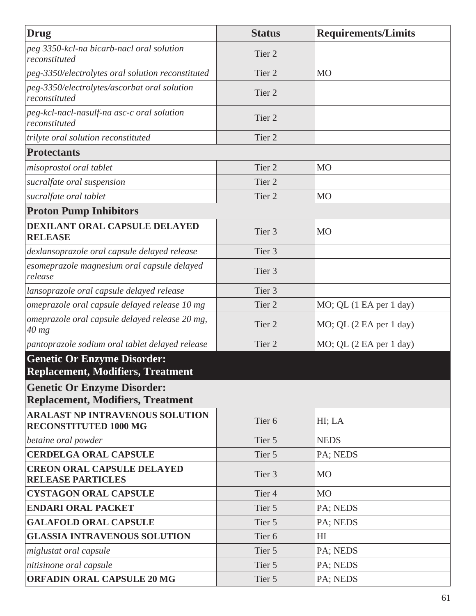| Drug                                                                           | <b>Status</b>     | <b>Requirements/Limits</b> |
|--------------------------------------------------------------------------------|-------------------|----------------------------|
| peg 3350-kcl-na bicarb-nacl oral solution<br>reconstituted                     | Tier <sub>2</sub> |                            |
| peg-3350/electrolytes oral solution reconstituted                              | Tier <sub>2</sub> | M <sub>O</sub>             |
| peg-3350/electrolytes/ascorbat oral solution<br>reconstituted                  | Tier <sub>2</sub> |                            |
| peg-kcl-nacl-nasulf-na asc-c oral solution<br>reconstituted                    | Tier <sub>2</sub> |                            |
| trilyte oral solution reconstituted                                            | Tier <sub>2</sub> |                            |
| <b>Protectants</b>                                                             |                   |                            |
| misoprostol oral tablet                                                        | Tier <sub>2</sub> | M <sub>O</sub>             |
| sucralfate oral suspension                                                     | Tier <sub>2</sub> |                            |
| sucralfate oral tablet                                                         | Tier <sub>2</sub> | M <sub>O</sub>             |
| <b>Proton Pump Inhibitors</b>                                                  |                   |                            |
| DEXILANT ORAL CAPSULE DELAYED<br><b>RELEASE</b>                                | Tier <sub>3</sub> | M <sub>O</sub>             |
| dexlansoprazole oral capsule delayed release                                   | Tier 3            |                            |
| esomeprazole magnesium oral capsule delayed<br>release                         | Tier 3            |                            |
| lansoprazole oral capsule delayed release                                      | Tier <sub>3</sub> |                            |
| omeprazole oral capsule delayed release 10 mg                                  | Tier 2            | MO; QL (1 EA per 1 day)    |
| omeprazole oral capsule delayed release 20 mg,<br>$40$ mg                      | Tier 2            | MO; QL (2 EA per 1 day)    |
| pantoprazole sodium oral tablet delayed release                                | Tier <sub>2</sub> | MO; QL (2 EA per 1 day)    |
| <b>Genetic Or Enzyme Disorder:</b><br><b>Replacement, Modifiers, Treatment</b> |                   |                            |
| <b>Genetic Or Enzyme Disorder:</b>                                             |                   |                            |
| <b>Replacement, Modifiers, Treatment</b>                                       |                   |                            |
| <b>ARALAST NP INTRAVENOUS SOLUTION</b><br><b>RECONSTITUTED 1000 MG</b>         | Tier <sub>6</sub> | HI; LA                     |
| betaine oral powder                                                            | Tier 5            | <b>NEDS</b>                |
| <b>CERDELGA ORAL CAPSULE</b>                                                   | Tier 5            | PA; NEDS                   |
| <b>CREON ORAL CAPSULE DELAYED</b><br><b>RELEASE PARTICLES</b>                  | Tier <sub>3</sub> | <b>MO</b>                  |
| <b>CYSTAGON ORAL CAPSULE</b>                                                   | Tier <sub>4</sub> | <b>MO</b>                  |
| <b>ENDARI ORAL PACKET</b>                                                      | Tier 5            | PA; NEDS                   |
| <b>GALAFOLD ORAL CAPSULE</b>                                                   | Tier 5            | PA; NEDS                   |
| <b>GLASSIA INTRAVENOUS SOLUTION</b>                                            | Tier <sub>6</sub> | H <sub>I</sub>             |
| miglustat oral capsule                                                         | Tier 5            | PA; NEDS                   |
| nitisinone oral capsule                                                        | Tier 5            | PA; NEDS                   |
| <b>ORFADIN ORAL CAPSULE 20 MG</b>                                              | Tier 5            | PA; NEDS                   |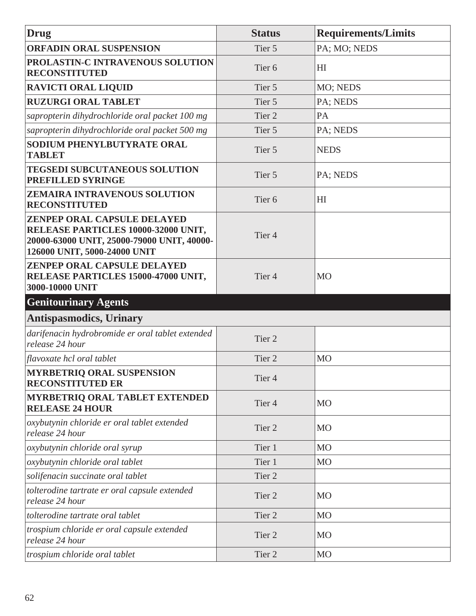| Drug                                                                                                                                                    | <b>Status</b>     | <b>Requirements/Limits</b> |
|---------------------------------------------------------------------------------------------------------------------------------------------------------|-------------------|----------------------------|
| <b>ORFADIN ORAL SUSPENSION</b>                                                                                                                          | Tier 5            | PA; MO; NEDS               |
| PROLASTIN-C INTRAVENOUS SOLUTION<br><b>RECONSTITUTED</b>                                                                                                | Tier <sub>6</sub> | H <sub>I</sub>             |
| <b>RAVICTI ORAL LIQUID</b>                                                                                                                              | Tier 5            | MO; NEDS                   |
| <b>RUZURGI ORAL TABLET</b>                                                                                                                              | Tier 5            | PA; NEDS                   |
| sapropterin dihydrochloride oral packet 100 mg                                                                                                          | Tier <sub>2</sub> | PA                         |
| sapropterin dihydrochloride oral packet 500 mg                                                                                                          | Tier 5            | PA; NEDS                   |
| <b>SODIUM PHENYLBUTYRATE ORAL</b><br><b>TABLET</b>                                                                                                      | Tier 5            | <b>NEDS</b>                |
| <b>TEGSEDI SUBCUTANEOUS SOLUTION</b><br>PREFILLED SYRINGE                                                                                               | Tier 5            | PA; NEDS                   |
| <b>ZEMAIRA INTRAVENOUS SOLUTION</b><br><b>RECONSTITUTED</b>                                                                                             | Tier <sub>6</sub> | H <sub>I</sub>             |
| <b>ZENPEP ORAL CAPSULE DELAYED</b><br>RELEASE PARTICLES 10000-32000 UNIT,<br>20000-63000 UNIT, 25000-79000 UNIT, 40000-<br>126000 UNIT, 5000-24000 UNIT | Tier <sub>4</sub> |                            |
| <b>ZENPEP ORAL CAPSULE DELAYED</b><br>RELEASE PARTICLES 15000-47000 UNIT,<br>3000-10000 UNIT                                                            | Tier <sub>4</sub> | <b>MO</b>                  |
| <b>Genitourinary Agents</b>                                                                                                                             |                   |                            |
| <b>Antispasmodics, Urinary</b>                                                                                                                          |                   |                            |
| darifenacin hydrobromide er oral tablet extended<br>release 24 hour                                                                                     | Tier <sub>2</sub> |                            |
| flavoxate hcl oral tablet                                                                                                                               | Tier <sub>2</sub> | <b>MO</b>                  |
| <b>MYRBETRIQ ORAL SUSPENSION</b><br><b>RECONSTITUTED ER</b>                                                                                             | Tier 4            |                            |
| <b>MYRBETRIQ ORAL TABLET EXTENDED</b><br><b>RELEASE 24 HOUR</b>                                                                                         | Tier <sub>4</sub> | <b>MO</b>                  |
| oxybutynin chloride er oral tablet extended<br>release 24 hour                                                                                          | Tier 2            | <b>MO</b>                  |
| oxybutynin chloride oral syrup                                                                                                                          | Tier 1            | M <sub>O</sub>             |
| oxybutynin chloride oral tablet                                                                                                                         | Tier 1            | <b>MO</b>                  |
| solifenacin succinate oral tablet                                                                                                                       | Tier 2            |                            |
| tolterodine tartrate er oral capsule extended<br>release 24 hour                                                                                        | Tier 2            | <b>MO</b>                  |
| tolterodine tartrate oral tablet                                                                                                                        | Tier 2            | <b>MO</b>                  |
| trospium chloride er oral capsule extended<br>release 24 hour                                                                                           | Tier 2            | <b>MO</b>                  |
| trospium chloride oral tablet                                                                                                                           | Tier 2            | M <sub>O</sub>             |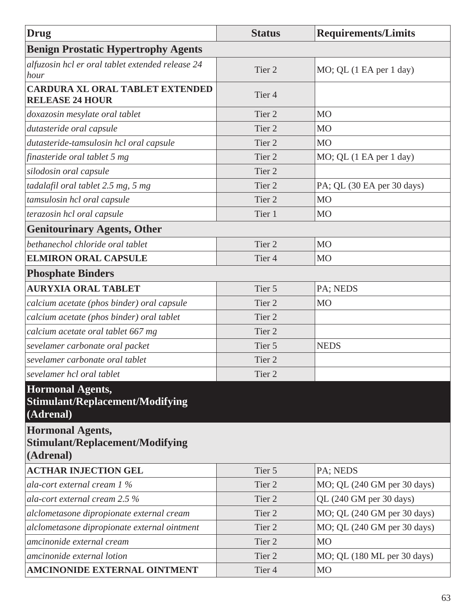| Drug                                                                           | <b>Status</b>     | <b>Requirements/Limits</b>  |
|--------------------------------------------------------------------------------|-------------------|-----------------------------|
| <b>Benign Prostatic Hypertrophy Agents</b>                                     |                   |                             |
| alfuzosin hcl er oral tablet extended release 24<br>hour                       | Tier <sub>2</sub> | MO; QL (1 EA per 1 day)     |
| CARDURA XL ORAL TABLET EXTENDED<br><b>RELEASE 24 HOUR</b>                      | Tier <sub>4</sub> |                             |
| doxazosin mesylate oral tablet                                                 | Tier <sub>2</sub> | M <sub>O</sub>              |
| dutasteride oral capsule                                                       | Tier <sub>2</sub> | M <sub>O</sub>              |
| dutasteride-tamsulosin hcl oral capsule                                        | Tier <sub>2</sub> | M <sub>O</sub>              |
| finasteride oral tablet 5 mg                                                   | Tier <sub>2</sub> | MO; QL (1 EA per 1 day)     |
| silodosin oral capsule                                                         | Tier <sub>2</sub> |                             |
| tadalafil oral tablet 2.5 mg, 5 mg                                             | Tier <sub>2</sub> | PA; QL (30 EA per 30 days)  |
| tamsulosin hcl oral capsule                                                    | Tier <sub>2</sub> | <b>MO</b>                   |
| terazosin hcl oral capsule                                                     | Tier 1            | M <sub>O</sub>              |
| <b>Genitourinary Agents, Other</b>                                             |                   |                             |
| bethanechol chloride oral tablet                                               | Tier <sub>2</sub> | <b>MO</b>                   |
| <b>ELMIRON ORAL CAPSULE</b>                                                    | Tier <sub>4</sub> | M <sub>O</sub>              |
| <b>Phosphate Binders</b>                                                       |                   |                             |
| <b>AURYXIA ORAL TABLET</b>                                                     | Tier 5            | PA; NEDS                    |
| calcium acetate (phos binder) oral capsule                                     | Tier <sub>2</sub> | <b>MO</b>                   |
| calcium acetate (phos binder) oral tablet                                      | Tier <sub>2</sub> |                             |
| calcium acetate oral tablet 667 mg                                             | Tier <sub>2</sub> |                             |
| sevelamer carbonate oral packet                                                | Tier 5            | <b>NEDS</b>                 |
| sevelamer carbonate oral tablet                                                | Tier 2            |                             |
| sevelamer hcl oral tablet                                                      | Tier 2            |                             |
| <b>Hormonal Agents,</b><br><b>Stimulant/Replacement/Modifying</b><br>(Adrenal) |                   |                             |
| <b>Hormonal Agents,</b><br><b>Stimulant/Replacement/Modifying</b><br>(Adrenal) |                   |                             |
| <b>ACTHAR INJECTION GEL</b>                                                    | Tier 5            | PA; NEDS                    |
| ala-cort external cream $1\%$                                                  | Tier 2            | MO; QL (240 GM per 30 days) |
| ala-cort external cream $2.5\%$                                                | Tier 2            | QL (240 GM per 30 days)     |
| alclometasone dipropionate external cream                                      | Tier 2            | MO; QL (240 GM per 30 days) |
| alclometasone dipropionate external ointment                                   | Tier 2            | MO; QL (240 GM per 30 days) |
| amcinonide external cream                                                      | Tier 2            | <b>MO</b>                   |
| amcinonide external lotion                                                     | Tier 2            | MO; QL (180 ML per 30 days) |
| <b>AMCINONIDE EXTERNAL OINTMENT</b>                                            | Tier 4            | M <sub>O</sub>              |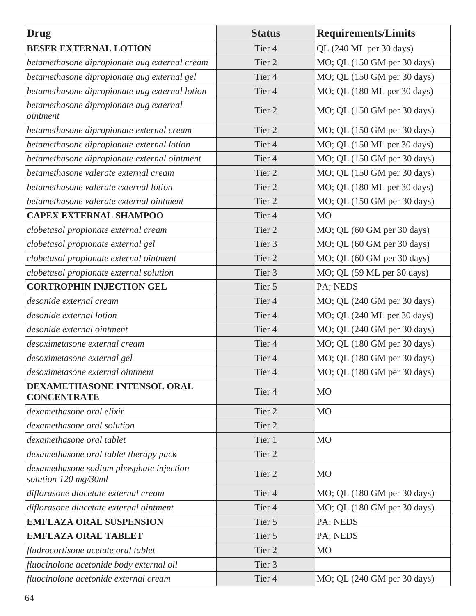| <b>Drug</b>                                                      | <b>Status</b>     | <b>Requirements/Limits</b>  |
|------------------------------------------------------------------|-------------------|-----------------------------|
| <b>BESER EXTERNAL LOTION</b>                                     | Tier 4            | QL (240 ML per 30 days)     |
| betamethasone dipropionate aug external cream                    | Tier 2            | MO; QL (150 GM per 30 days) |
| betamethasone dipropionate aug external gel                      | Tier <sub>4</sub> | MO; QL (150 GM per 30 days) |
| betamethasone dipropionate aug external lotion                   | Tier <sub>4</sub> | MO; QL (180 ML per 30 days) |
| betamethasone dipropionate aug external<br>ointment              | Tier 2            | MO; QL (150 GM per 30 days) |
| betamethasone dipropionate external cream                        | Tier 2            | MO; QL (150 GM per 30 days) |
| betamethasone dipropionate external lotion                       | Tier 4            | MO; QL (150 ML per 30 days) |
| betamethasone dipropionate external ointment                     | Tier <sub>4</sub> | MO; QL (150 GM per 30 days) |
| betamethasone valerate external cream                            | Tier 2            | MO; QL (150 GM per 30 days) |
| betamethasone valerate external lotion                           | Tier 2            | MO; QL (180 ML per 30 days) |
| betamethasone valerate external ointment                         | Tier 2            | MO; QL (150 GM per 30 days) |
| <b>CAPEX EXTERNAL SHAMPOO</b>                                    | Tier <sub>4</sub> | <b>MO</b>                   |
| clobetasol propionate external cream                             | Tier <sub>2</sub> | MO; QL (60 GM per 30 days)  |
| clobetasol propionate external gel                               | Tier 3            | MO; QL (60 GM per 30 days)  |
| clobetasol propionate external ointment                          | Tier <sub>2</sub> | MO; QL (60 GM per 30 days)  |
| clobetasol propionate external solution                          | Tier 3            | MO; QL (59 ML per 30 days)  |
| <b>CORTROPHIN INJECTION GEL</b>                                  | Tier 5            | PA; NEDS                    |
| desonide external cream                                          | Tier <sub>4</sub> | MO; QL (240 GM per 30 days) |
| desonide external lotion                                         | Tier <sub>4</sub> | MO; QL (240 ML per 30 days) |
| desonide external ointment                                       | Tier <sub>4</sub> | MO; QL (240 GM per 30 days) |
| desoximetasone external cream                                    | Tier <sub>4</sub> | MO; QL (180 GM per 30 days) |
| desoximetasone external gel                                      | Tier <sub>4</sub> | MO; QL (180 GM per 30 days) |
| desoximetasone external ointment                                 | Tier 4            | MO; QL (180 GM per 30 days) |
| <b>DEXAMETHASONE INTENSOL ORAL</b><br><b>CONCENTRATE</b>         | Tier 4            | <b>MO</b>                   |
| dexamethasone oral elixir                                        | Tier 2            | M <sub>O</sub>              |
| dexamethasone oral solution                                      | Tier <sub>2</sub> |                             |
| dexamethasone oral tablet                                        | Tier 1            | <b>MO</b>                   |
| dexamethasone oral tablet therapy pack                           | Tier <sub>2</sub> |                             |
| dexamethasone sodium phosphate injection<br>solution 120 mg/30ml | Tier 2            | <b>MO</b>                   |
| diflorasone diacetate external cream                             | Tier <sub>4</sub> | MO; QL (180 GM per 30 days) |
| diflorasone diacetate external ointment                          | Tier 4            | MO; QL (180 GM per 30 days) |
| <b>EMFLAZA ORAL SUSPENSION</b>                                   | Tier 5            | PA; NEDS                    |
| <b>EMFLAZA ORAL TABLET</b>                                       | Tier 5            | PA; NEDS                    |
| fludrocortisone acetate oral tablet                              | Tier <sub>2</sub> | M <sub>O</sub>              |
| fluocinolone acetonide body external oil                         | Tier 3            |                             |
| fluocinolone acetonide external cream                            | Tier 4            | MO; QL (240 GM per 30 days) |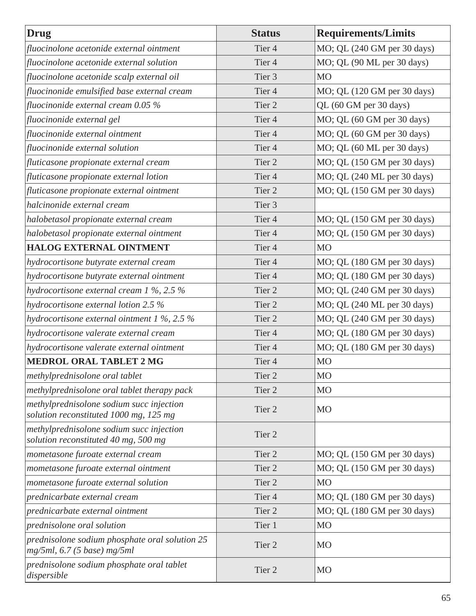| <b>Drug</b>                                                                        | <b>Status</b>     | <b>Requirements/Limits</b>  |
|------------------------------------------------------------------------------------|-------------------|-----------------------------|
| fluocinolone acetonide external ointment                                           | Tier <sub>4</sub> | MO; QL (240 GM per 30 days) |
| fluocinolone acetonide external solution                                           | Tier <sub>4</sub> | MO; QL (90 ML per 30 days)  |
| fluocinolone acetonide scalp external oil                                          | Tier 3            | <b>MO</b>                   |
| fluocinonide emulsified base external cream                                        | Tier <sub>4</sub> | MO; QL (120 GM per 30 days) |
| fluocinonide external cream $0.05\%$                                               | Tier <sub>2</sub> | QL (60 GM per 30 days)      |
| fluocinonide external gel                                                          | Tier <sub>4</sub> | MO; QL (60 GM per 30 days)  |
| fluocinonide external ointment                                                     | Tier <sub>4</sub> | MO; QL (60 GM per 30 days)  |
| fluocinonide external solution                                                     | Tier <sub>4</sub> | MO; QL (60 ML per 30 days)  |
| fluticasone propionate external cream                                              | Tier <sub>2</sub> | MO; QL (150 GM per 30 days) |
| fluticasone propionate external lotion                                             | Tier <sub>4</sub> | MO; QL (240 ML per 30 days) |
| fluticasone propionate external ointment                                           | Tier <sub>2</sub> | MO; QL (150 GM per 30 days) |
| halcinonide external cream                                                         | Tier <sub>3</sub> |                             |
| halobetasol propionate external cream                                              | Tier <sub>4</sub> | MO; QL (150 GM per 30 days) |
| halobetasol propionate external ointment                                           | Tier <sub>4</sub> | MO; QL (150 GM per 30 days) |
| <b>HALOG EXTERNAL OINTMENT</b>                                                     | Tier <sub>4</sub> | <b>MO</b>                   |
| hydrocortisone butyrate external cream                                             | Tier <sub>4</sub> | MO; QL (180 GM per 30 days) |
| hydrocortisone butyrate external ointment                                          | Tier <sub>4</sub> | MO; QL (180 GM per 30 days) |
| hydrocortisone external cream $1\%$ , 2.5 $\%$                                     | Tier 2            | MO; QL (240 GM per 30 days) |
| hydrocortisone external lotion 2.5 %                                               | Tier 2            | MO; QL (240 ML per 30 days) |
| hydrocortisone external ointment $1\%$ , 2.5 $\%$                                  | Tier <sub>2</sub> | MO; QL (240 GM per 30 days) |
| hydrocortisone valerate external cream                                             | Tier <sub>4</sub> | MO; QL (180 GM per 30 days) |
| hydrocortisone valerate external ointment                                          | Tier <sub>4</sub> | MO; QL (180 GM per 30 days) |
| <b>MEDROL ORAL TABLET 2 MG</b>                                                     | Tier <sub>4</sub> | <b>MO</b>                   |
| methylprednisolone oral tablet                                                     | Tier <sub>2</sub> | M <sub>O</sub>              |
| methylprednisolone oral tablet therapy pack                                        | Tier <sub>2</sub> | <b>MO</b>                   |
| methylprednisolone sodium succ injection<br>solution reconstituted 1000 mg, 125 mg | Tier 2            | <b>MO</b>                   |
| methylprednisolone sodium succ injection<br>solution reconstituted 40 mg, 500 mg   | Tier 2            |                             |
| mometasone furoate external cream                                                  | Tier 2            | MO; QL (150 GM per 30 days) |
| mometasone furoate external ointment                                               | Tier <sub>2</sub> | MO; QL (150 GM per 30 days) |
| mometasone furoate external solution                                               | Tier <sub>2</sub> | M <sub>O</sub>              |
| prednicarbate external cream                                                       | Tier <sub>4</sub> | MO; QL (180 GM per 30 days) |
| prednicarbate external ointment                                                    | Tier 2            | MO; QL (180 GM per 30 days) |
| prednisolone oral solution                                                         | Tier 1            | <b>MO</b>                   |
| prednisolone sodium phosphate oral solution 25<br>$mg/5ml$ , 6.7 (5 base) mg/5ml   | Tier 2            | <b>MO</b>                   |
| prednisolone sodium phosphate oral tablet<br>dispersible                           | Tier <sub>2</sub> | MO                          |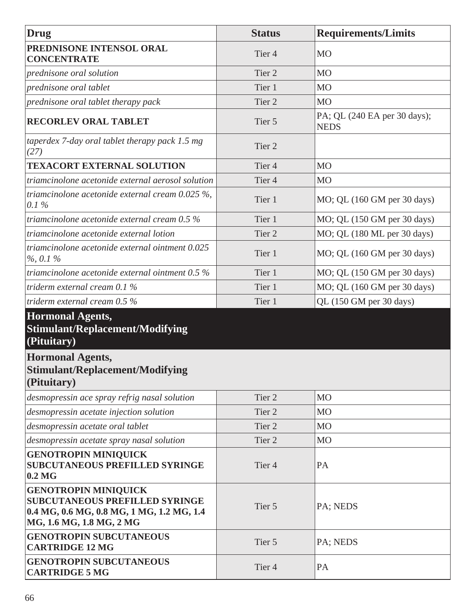| Drug                                                                                                                                          | <b>Status</b>     | <b>Requirements/Limits</b>                  |
|-----------------------------------------------------------------------------------------------------------------------------------------------|-------------------|---------------------------------------------|
| PREDNISONE INTENSOL ORAL<br><b>CONCENTRATE</b>                                                                                                | Tier <sub>4</sub> | <b>MO</b>                                   |
| prednisone oral solution                                                                                                                      | Tier <sub>2</sub> | M <sub>O</sub>                              |
| prednisone oral tablet                                                                                                                        | Tier 1            | M <sub>O</sub>                              |
| prednisone oral tablet therapy pack                                                                                                           | Tier <sub>2</sub> | M <sub>O</sub>                              |
| <b>RECORLEV ORAL TABLET</b>                                                                                                                   | Tier 5            | PA; QL (240 EA per 30 days);<br><b>NEDS</b> |
| taperdex 7-day oral tablet therapy pack $1.5$ mg<br>(27)                                                                                      | Tier <sub>2</sub> |                                             |
| <b>TEXACORT EXTERNAL SOLUTION</b>                                                                                                             | Tier <sub>4</sub> | M <sub>O</sub>                              |
| triamcinolone acetonide external aerosol solution                                                                                             | Tier <sub>4</sub> | M <sub>O</sub>                              |
| triamcinolone acetonide external cream $0.025\%$ ,<br>$0.1\%$                                                                                 | Tier 1            | MO; QL (160 GM per 30 days)                 |
| triamcinolone acetonide external cream $0.5\%$                                                                                                | Tier 1            | MO; QL (150 GM per 30 days)                 |
| triamcinolone acetonide external lotion                                                                                                       | Tier <sub>2</sub> | MO; QL (180 ML per 30 days)                 |
| triamcinolone acetonide external ointment 0.025<br>$\%$ , 0.1 %                                                                               | Tier 1            | MO; QL (160 GM per 30 days)                 |
| triamcinolone acetonide external ointment 0.5 %                                                                                               | Tier 1            | MO; QL (150 GM per 30 days)                 |
| triderm external cream $0.1\%$                                                                                                                | Tier 1            | MO; QL (160 GM per 30 days)                 |
| triderm external cream 0.5 %                                                                                                                  | Tier 1            | QL (150 GM per 30 days)                     |
| <b>Hormonal Agents,</b><br><b>Stimulant/Replacement/Modifying</b><br>(Pituitary)<br><b>Hormonal Agents,</b>                                   |                   |                                             |
| <b>Stimulant/Replacement/Modifying</b><br>(Pituitary)                                                                                         |                   |                                             |
| desmopressin ace spray refrig nasal solution                                                                                                  | Tier 2            | M <sub>O</sub>                              |
| desmopressin acetate injection solution                                                                                                       | Tier 2            | <b>MO</b>                                   |
| desmopressin acetate oral tablet                                                                                                              | Tier 2            | <b>MO</b>                                   |
| desmopressin acetate spray nasal solution                                                                                                     | Tier 2            | <b>MO</b>                                   |
| <b>GENOTROPIN MINIQUICK</b><br><b>SUBCUTANEOUS PREFILLED SYRINGE</b><br>$0.2\,\mathrm{MG}$                                                    | Tier <sub>4</sub> | PA                                          |
| <b>GENOTROPIN MINIQUICK</b><br><b>SUBCUTANEOUS PREFILLED SYRINGE</b><br>0.4 MG, 0.6 MG, 0.8 MG, 1 MG, 1.2 MG, 1.4<br>MG, 1.6 MG, 1.8 MG, 2 MG | Tier 5            | PA; NEDS                                    |
| <b>GENOTROPIN SUBCUTANEOUS</b><br><b>CARTRIDGE 12 MG</b>                                                                                      | Tier 5            | PA; NEDS                                    |
| <b>GENOTROPIN SUBCUTANEOUS</b><br><b>CARTRIDGE 5 MG</b>                                                                                       | Tier <sub>4</sub> | PA                                          |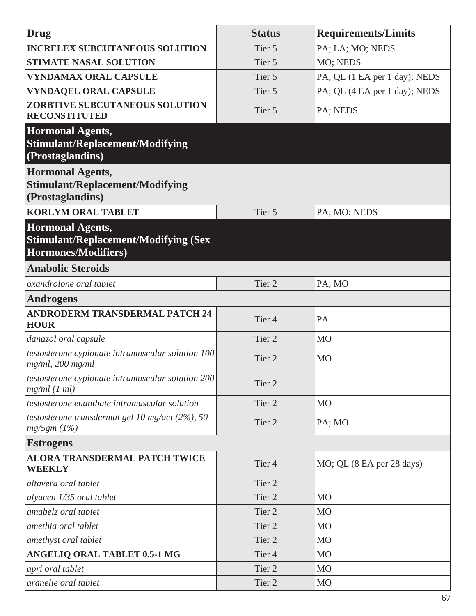| <b>Drug</b>                                                                                   | <b>Status</b>     | <b>Requirements/Limits</b>    |
|-----------------------------------------------------------------------------------------------|-------------------|-------------------------------|
| <b>INCRELEX SUBCUTANEOUS SOLUTION</b>                                                         | Tier 5            | PA; LA; MO; NEDS              |
| <b>STIMATE NASAL SOLUTION</b>                                                                 | Tier 5            | MO; NEDS                      |
| <b>VYNDAMAX ORAL CAPSULE</b>                                                                  | Tier 5            | PA; QL (1 EA per 1 day); NEDS |
| <b>VYNDAQEL ORAL CAPSULE</b>                                                                  | Tier 5            | PA; QL (4 EA per 1 day); NEDS |
| ZORBTIVE SUBCUTANEOUS SOLUTION<br><b>RECONSTITUTED</b>                                        | Tier 5            | PA; NEDS                      |
| <b>Hormonal Agents,</b><br><b>Stimulant/Replacement/Modifying</b><br>(Prostaglandins)         |                   |                               |
| <b>Hormonal Agents,</b><br><b>Stimulant/Replacement/Modifying</b><br>(Prostaglandins)         |                   |                               |
| <b>KORLYM ORAL TABLET</b>                                                                     | Tier 5            | PA; MO; NEDS                  |
| <b>Hormonal Agents,</b><br><b>Stimulant/Replacement/Modifying (Sex</b><br>Hormones/Modifiers) |                   |                               |
| <b>Anabolic Steroids</b>                                                                      |                   |                               |
| oxandrolone oral tablet                                                                       | Tier <sub>2</sub> | PA; MO                        |
| <b>Androgens</b>                                                                              |                   |                               |
| <b>ANDRODERM TRANSDERMAL PATCH 24</b><br><b>HOUR</b>                                          | Tier <sub>4</sub> | PA                            |
| danazol oral capsule                                                                          | Tier 2            | M <sub>O</sub>                |
| testosterone cypionate intramuscular solution 100<br>$mg/ml$ , 200 mg/ml                      | Tier <sub>2</sub> | <b>MO</b>                     |
| testosterone cypionate intramuscular solution 200<br>$mg/ml$ (1 ml)                           | Tier 2            |                               |
| testosterone enanthate intramuscular solution                                                 | Tier 2            | <b>MO</b>                     |
| testosterone transdermal gel 10 mg/act (2%), 50<br>mg/5gm (1%)                                | Tier 2            | PA;MO                         |
| <b>Estrogens</b>                                                                              |                   |                               |
| <b>ALORA TRANSDERMAL PATCH TWICE</b><br><b>WEEKLY</b>                                         | Tier <sub>4</sub> | MO; QL (8 EA per 28 days)     |
| altavera oral tablet                                                                          | Tier <sub>2</sub> |                               |
| alyacen 1/35 oral tablet                                                                      | Tier 2            | <b>MO</b>                     |
| amabelz oral tablet                                                                           | Tier 2            | M <sub>O</sub>                |
| amethia oral tablet                                                                           | Tier <sub>2</sub> | M <sub>O</sub>                |
| amethyst oral tablet                                                                          | Tier <sub>2</sub> | M <sub>O</sub>                |
| <b>ANGELIQ ORAL TABLET 0.5-1 MG</b>                                                           | Tier <sub>4</sub> | <b>MO</b>                     |
| apri oral tablet                                                                              | Tier <sub>2</sub> | M <sub>O</sub>                |
| aranelle oral tablet                                                                          | Tier 2            | <b>MO</b>                     |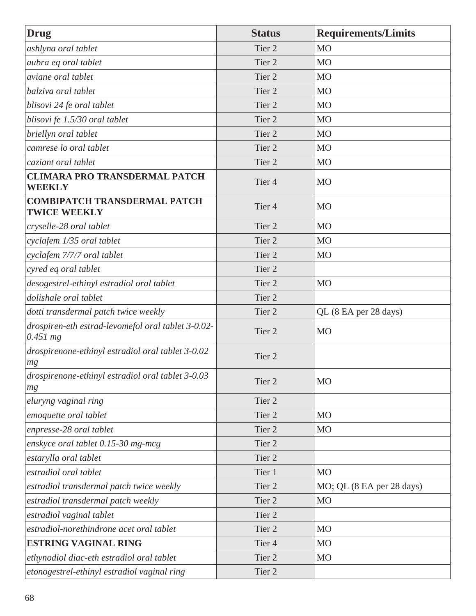| Drug                                                             | <b>Status</b>     | <b>Requirements/Limits</b> |
|------------------------------------------------------------------|-------------------|----------------------------|
| ashlyna oral tablet                                              | Tier <sub>2</sub> | M <sub>O</sub>             |
| aubra eq oral tablet                                             | Tier <sub>2</sub> | M <sub>O</sub>             |
| aviane oral tablet                                               | Tier <sub>2</sub> | M <sub>O</sub>             |
| balziva oral tablet                                              | Tier <sub>2</sub> | M <sub>O</sub>             |
| blisovi 24 fe oral tablet                                        | Tier <sub>2</sub> | M <sub>O</sub>             |
| blisovi fe 1.5/30 oral tablet                                    | Tier <sub>2</sub> | M <sub>O</sub>             |
| briellyn oral tablet                                             | Tier <sub>2</sub> | M <sub>O</sub>             |
| camrese lo oral tablet                                           | Tier <sub>2</sub> | MO                         |
| caziant oral tablet                                              | Tier <sub>2</sub> | MO                         |
| <b>CLIMARA PRO TRANSDERMAL PATCH</b><br><b>WEEKLY</b>            | Tier <sub>4</sub> | <b>MO</b>                  |
| <b>COMBIPATCH TRANSDERMAL PATCH</b><br><b>TWICE WEEKLY</b>       | Tier <sub>4</sub> | <b>MO</b>                  |
| cryselle-28 oral tablet                                          | Tier <sub>2</sub> | M <sub>O</sub>             |
| cyclafem 1/35 oral tablet                                        | Tier <sub>2</sub> | M <sub>O</sub>             |
| cyclafem 7/7/7 oral tablet                                       | Tier <sub>2</sub> | M <sub>O</sub>             |
| cyred eq oral tablet                                             | Tier <sub>2</sub> |                            |
| desogestrel-ethinyl estradiol oral tablet                        | Tier <sub>2</sub> | MO                         |
| dolishale oral tablet                                            | Tier 2            |                            |
| dotti transdermal patch twice weekly                             | Tier <sub>2</sub> | QL (8 EA per 28 days)      |
| drospiren-eth estrad-levomefol oral tablet 3-0.02-<br>$0.451$ mg | Tier <sub>2</sub> | <b>MO</b>                  |
| drospirenone-ethinyl estradiol oral tablet 3-0.02<br>mg          | Tier <sub>2</sub> |                            |
| drospirenone-ethinyl estradiol oral tablet 3-0.03<br>mg          | Tier 2            | M <sub>O</sub>             |
| eluryng vaginal ring                                             | Tier 2            |                            |
| emoquette oral tablet                                            | Tier 2            | M <sub>O</sub>             |
| enpresse-28 oral tablet                                          | Tier 2            | MO                         |
| enskyce oral tablet 0.15-30 mg-mcg                               | Tier 2            |                            |
| estarylla oral tablet                                            | Tier 2            |                            |
| estradiol oral tablet                                            | Tier 1            | M <sub>O</sub>             |
| estradiol transdermal patch twice weekly                         | Tier 2            | MO; QL (8 EA per 28 days)  |
| estradiol transdermal patch weekly                               | Tier <sub>2</sub> | MO                         |
| estradiol vaginal tablet                                         | Tier 2            |                            |
| estradiol-norethindrone acet oral tablet                         | Tier <sub>2</sub> | M <sub>O</sub>             |
| <b>ESTRING VAGINAL RING</b>                                      | Tier <sub>4</sub> | M <sub>O</sub>             |
| ethynodiol diac-eth estradiol oral tablet                        | Tier 2            | M <sub>O</sub>             |
| etonogestrel-ethinyl estradiol vaginal ring                      | Tier 2            |                            |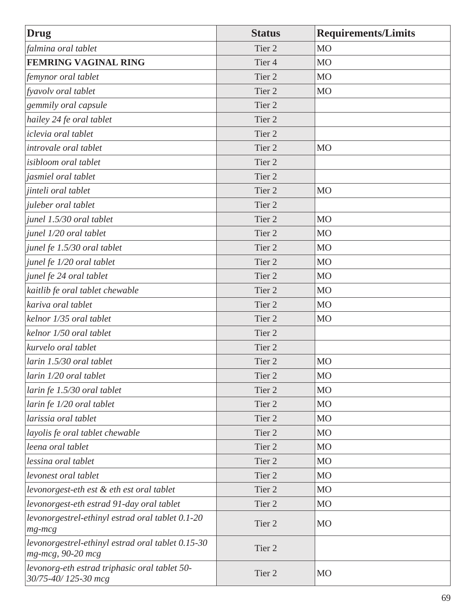| <b>Drug</b>                                                            | <b>Status</b>     | <b>Requirements/Limits</b> |
|------------------------------------------------------------------------|-------------------|----------------------------|
| falmina oral tablet                                                    | Tier <sub>2</sub> | M <sub>O</sub>             |
| <b>FEMRING VAGINAL RING</b>                                            | Tier <sub>4</sub> | <b>MO</b>                  |
| femynor oral tablet                                                    | Tier <sub>2</sub> | M <sub>O</sub>             |
| fyavolv oral tablet                                                    | Tier <sub>2</sub> | M <sub>O</sub>             |
| gemmily oral capsule                                                   | Tier <sub>2</sub> |                            |
| hailey 24 fe oral tablet                                               | Tier <sub>2</sub> |                            |
| iclevia oral tablet                                                    | Tier <sub>2</sub> |                            |
| introvale oral tablet                                                  | Tier <sub>2</sub> | M <sub>O</sub>             |
| isibloom oral tablet                                                   | Tier <sub>2</sub> |                            |
| jasmiel oral tablet                                                    | Tier 2            |                            |
| jinteli oral tablet                                                    | Tier 2            | <b>MO</b>                  |
| juleber oral tablet                                                    | Tier <sub>2</sub> |                            |
| junel 1.5/30 oral tablet                                               | Tier <sub>2</sub> | <b>MO</b>                  |
| junel 1/20 oral tablet                                                 | Tier <sub>2</sub> | M <sub>O</sub>             |
| junel fe 1.5/30 oral tablet                                            | Tier 2            | M <sub>O</sub>             |
| junel fe 1/20 oral tablet                                              | Tier <sub>2</sub> | M <sub>O</sub>             |
| junel fe 24 oral tablet                                                | Tier <sub>2</sub> | M <sub>O</sub>             |
| kaitlib fe oral tablet chewable                                        | Tier <sub>2</sub> | M <sub>O</sub>             |
| kariva oral tablet                                                     | Tier <sub>2</sub> | M <sub>O</sub>             |
| kelnor 1/35 oral tablet                                                | Tier <sub>2</sub> | M <sub>O</sub>             |
| kelnor 1/50 oral tablet                                                | Tier 2            |                            |
| kurvelo oral tablet                                                    | Tier <sub>2</sub> |                            |
| larin 1.5/30 oral tablet                                               | Tier <sub>2</sub> | M <sub>O</sub>             |
| larin 1/20 oral tablet                                                 | Tier 2            | M <sub>O</sub>             |
| larin fe 1.5/30 oral tablet                                            | Tier 2            | M <sub>O</sub>             |
| larin fe 1/20 oral tablet                                              | Tier 2            | MO                         |
| larissia oral tablet                                                   | Tier 2            | M <sub>O</sub>             |
| layolis fe oral tablet chewable                                        | Tier 2            | M <sub>O</sub>             |
| leena oral tablet                                                      | Tier <sub>2</sub> | M <sub>O</sub>             |
| lessina oral tablet                                                    | Tier 2            | M <sub>O</sub>             |
| levonest oral tablet                                                   | Tier 2            | M <sub>O</sub>             |
| levonorgest-eth est & eth est oral tablet                              | Tier 2            | M <sub>O</sub>             |
| levonorgest-eth estrad 91-day oral tablet                              | Tier 2            | M <sub>O</sub>             |
| levonorgestrel-ethinyl estrad oral tablet 0.1-20<br>$mg$ - $mcg$       | Tier 2            | <b>MO</b>                  |
| levonorgestrel-ethinyl estrad oral tablet 0.15-30<br>mg-mcg, 90-20 mcg | Tier 2            |                            |
| levonorg-eth estrad triphasic oral tablet 50-<br>30/75-40/125-30 mcg   | Tier 2            | M <sub>O</sub>             |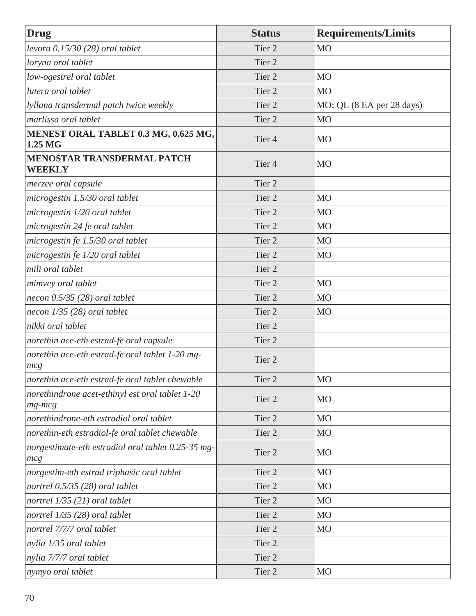| <b>Drug</b>                                                     | <b>Status</b>     | <b>Requirements/Limits</b> |
|-----------------------------------------------------------------|-------------------|----------------------------|
| levora $0.15/30$ (28) oral tablet                               | Tier <sub>2</sub> | M <sub>O</sub>             |
| loryna oral tablet                                              | Tier <sub>2</sub> |                            |
| low-ogestrel oral tablet                                        | Tier <sub>2</sub> | M <sub>O</sub>             |
| lutera oral tablet                                              | Tier <sub>2</sub> | M <sub>O</sub>             |
| lyllana transdermal patch twice weekly                          | Tier <sub>2</sub> | MO; QL (8 EA per 28 days)  |
| marlissa oral tablet                                            | Tier <sub>2</sub> | <b>MO</b>                  |
| MENEST ORAL TABLET 0.3 MG, 0.625 MG,<br>1.25 MG                 | Tier <sub>4</sub> | <b>MO</b>                  |
| <b>MENOSTAR TRANSDERMAL PATCH</b><br><b>WEEKLY</b>              | Tier <sub>4</sub> | <b>MO</b>                  |
| merzee oral capsule                                             | Tier <sub>2</sub> |                            |
| microgestin 1.5/30 oral tablet                                  | Tier <sub>2</sub> | M <sub>O</sub>             |
| microgestin 1/20 oral tablet                                    | Tier <sub>2</sub> | <b>MO</b>                  |
| microgestin 24 fe oral tablet                                   | Tier <sub>2</sub> | <b>MO</b>                  |
| microgestin fe 1.5/30 oral tablet                               | Tier <sub>2</sub> | M <sub>O</sub>             |
| microgestin fe 1/20 oral tablet                                 | Tier <sub>2</sub> | M <sub>O</sub>             |
| mili oral tablet                                                | Tier <sub>2</sub> |                            |
| mimvey oral tablet                                              | Tier <sub>2</sub> | <b>MO</b>                  |
| necon $0.5/35$ (28) oral tablet                                 | Tier <sub>2</sub> | <b>MO</b>                  |
| necon $1/35$ (28) oral tablet                                   | Tier <sub>2</sub> | M <sub>O</sub>             |
| nikki oral tablet                                               | Tier <sub>2</sub> |                            |
| norethin ace-eth estrad-fe oral capsule                         | Tier <sub>2</sub> |                            |
| norethin ace-eth estrad-fe oral tablet 1-20 mg-<br>mcg          | Tier <sub>2</sub> |                            |
| norethin ace-eth estrad-fe oral tablet chewable                 | Tier 2            | M <sub>O</sub>             |
| norethindrone acet-ethinyl est oral tablet 1-20<br>$mg$ - $mcg$ | Tier <sub>2</sub> | <b>MO</b>                  |
| norethindrone-eth estradiol oral tablet                         | Tier 2            | M <sub>O</sub>             |
| norethin-eth estradiol-fe oral tablet chewable                  | Tier <sub>2</sub> | M <sub>O</sub>             |
| norgestimate-eth estradiol oral tablet 0.25-35 mg-<br>mcg       | Tier <sub>2</sub> | <b>MO</b>                  |
| norgestim-eth estrad triphasic oral tablet                      | Tier 2            | MO                         |
| nortrel 0.5/35 (28) oral tablet                                 | Tier 2            | M <sub>O</sub>             |
| nortrel 1/35 (21) oral tablet                                   | Tier 2            | M <sub>O</sub>             |
| nortrel $1/35$ (28) oral tablet                                 | Tier <sub>2</sub> | <b>MO</b>                  |
| nortrel 7/7/7 oral tablet                                       | Tier <sub>2</sub> | M <sub>O</sub>             |
| nylia 1/35 oral tablet                                          | Tier 2            |                            |
| nylia 7/7/7 oral tablet                                         | Tier 2            |                            |
| nymyo oral tablet                                               | Tier 2            | M <sub>O</sub>             |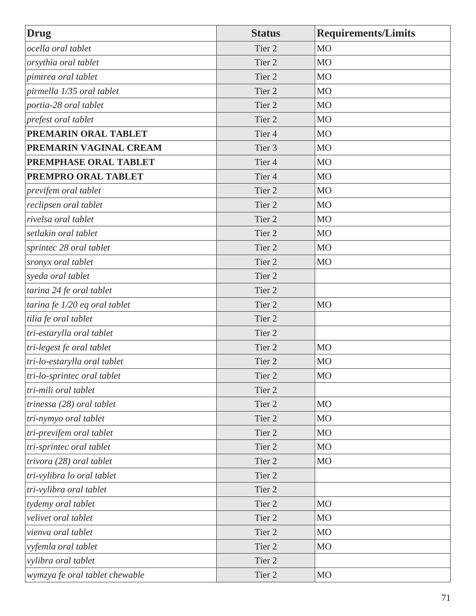| <b>Drug</b>                    | <b>Status</b>     | <b>Requirements/Limits</b> |
|--------------------------------|-------------------|----------------------------|
| ocella oral tablet             | Tier <sub>2</sub> | M <sub>O</sub>             |
| orsythia oral tablet           | Tier <sub>2</sub> | M <sub>O</sub>             |
| pimtrea oral tablet            | Tier <sub>2</sub> | M <sub>O</sub>             |
| pirmella 1/35 oral tablet      | Tier <sub>2</sub> | M <sub>O</sub>             |
| portia-28 oral tablet          | Tier <sub>2</sub> | M <sub>O</sub>             |
| prefest oral tablet            | Tier <sub>2</sub> | M <sub>O</sub>             |
| PREMARIN ORAL TABLET           | Tier <sub>4</sub> | M <sub>O</sub>             |
| PREMARIN VAGINAL CREAM         | Tier 3            | M <sub>O</sub>             |
| PREMPHASE ORAL TABLET          | Tier <sub>4</sub> | MO                         |
| PREMPRO ORAL TABLET            | Tier <sub>4</sub> | MO                         |
| previfem oral tablet           | Tier <sub>2</sub> | <b>MO</b>                  |
| reclipsen oral tablet          | Tier <sub>2</sub> | M <sub>O</sub>             |
| rivelsa oral tablet            | Tier <sub>2</sub> | MO                         |
| setlakin oral tablet           | Tier <sub>2</sub> | M <sub>O</sub>             |
| sprintec 28 oral tablet        | Tier <sub>2</sub> | M <sub>O</sub>             |
| sronyx oral tablet             | Tier <sub>2</sub> | M <sub>O</sub>             |
| syeda oral tablet              | Tier <sub>2</sub> |                            |
| tarina 24 fe oral tablet       | Tier <sub>2</sub> |                            |
| tarina fe 1/20 eq oral tablet  | Tier 2            | MO                         |
| tilia fe oral tablet           | Tier <sub>2</sub> |                            |
| tri-estarylla oral tablet      | Tier 2            |                            |
| tri-legest fe oral tablet      | Tier <sub>2</sub> | M <sub>O</sub>             |
| tri-lo-estarylla oral tablet   | Tier 2            | M <sub>O</sub>             |
| tri-lo-sprintec oral tablet    | Tier 2            | M <sub>O</sub>             |
| tri-mili oral tablet           | Tier 2            |                            |
| trinessa (28) oral tablet      | Tier 2            | MO                         |
| tri-nymyo oral tablet          | Tier 2            | M <sub>O</sub>             |
| tri-previfem oral tablet       | Tier 2            | M <sub>O</sub>             |
| tri-sprintec oral tablet       | Tier 2            | M <sub>O</sub>             |
| trivora (28) oral tablet       | Tier 2            | M <sub>O</sub>             |
| tri-vylibra lo oral tablet     | Tier 2            |                            |
| tri-vylibra oral tablet        | Tier 2            |                            |
| tydemy oral tablet             | Tier 2            | M <sub>O</sub>             |
| velivet oral tablet            | Tier 2            | M <sub>O</sub>             |
| vienva oral tablet             | Tier 2            | M <sub>O</sub>             |
| vyfemla oral tablet            | Tier <sub>2</sub> | MO                         |
| vylibra oral tablet            | Tier 2            |                            |
| wymzya fe oral tablet chewable | Tier 2            | M <sub>O</sub>             |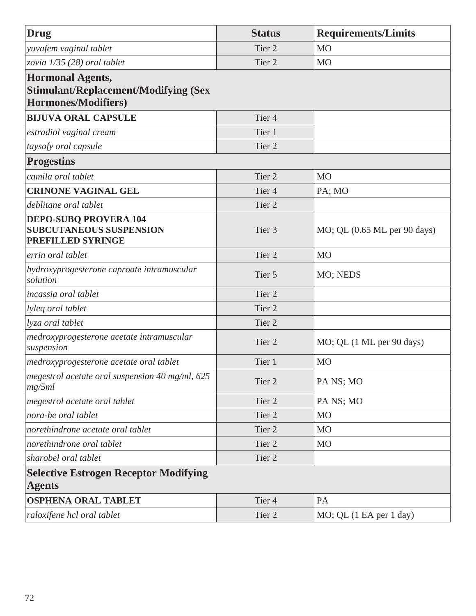| Drug                                                                                                 | <b>Status</b>     | <b>Requirements/Limits</b>   |
|------------------------------------------------------------------------------------------------------|-------------------|------------------------------|
| yuvafem vaginal tablet                                                                               | Tier 2            | <b>MO</b>                    |
| zovia 1/35 (28) oral tablet                                                                          | Tier 2            | <b>MO</b>                    |
| <b>Hormonal Agents,</b><br><b>Stimulant/Replacement/Modifying (Sex</b><br><b>Hormones/Modifiers)</b> |                   |                              |
| <b>BIJUVA ORAL CAPSULE</b>                                                                           | Tier <sub>4</sub> |                              |
| estradiol vaginal cream                                                                              | Tier 1            |                              |
| taysofy oral capsule                                                                                 | Tier 2            |                              |
| <b>Progestins</b>                                                                                    |                   |                              |
| camila oral tablet                                                                                   | Tier <sub>2</sub> | <b>MO</b>                    |
| <b>CRINONE VAGINAL GEL</b>                                                                           | Tier <sub>4</sub> | PA; MO                       |
| deblitane oral tablet                                                                                | Tier <sub>2</sub> |                              |
| <b>DEPO-SUBQ PROVERA 104</b><br><b>SUBCUTANEOUS SUSPENSION</b><br>PREFILLED SYRINGE                  | Tier <sub>3</sub> | MO; QL (0.65 ML per 90 days) |
| errin oral tablet                                                                                    | Tier 2            | <b>MO</b>                    |
| hydroxyprogesterone caproate intramuscular<br>solution                                               | Tier 5            | MO; NEDS                     |
| incassia oral tablet                                                                                 | Tier <sub>2</sub> |                              |
| lyleq oral tablet                                                                                    | Tier 2            |                              |
| lyza oral tablet                                                                                     | Tier <sub>2</sub> |                              |
| medroxyprogesterone acetate intramuscular<br>suspension                                              | Tier 2            | MO; QL (1 ML per 90 days)    |
| medroxyprogesterone acetate oral tablet                                                              | Tier 1            | <b>MO</b>                    |
| megestrol acetate oral suspension $40$ mg/ml, $625$<br>mg/5ml                                        | Tier 2            | PA NS; MO                    |
| megestrol acetate oral tablet                                                                        | Tier 2            | PA NS; MO                    |
| nora-be oral tablet                                                                                  | Tier <sub>2</sub> | <b>MO</b>                    |
| norethindrone acetate oral tablet                                                                    | Tier 2            | M <sub>O</sub>               |
| norethindrone oral tablet                                                                            | Tier 2            | M <sub>O</sub>               |
| sharobel oral tablet                                                                                 | Tier 2            |                              |
| <b>Selective Estrogen Receptor Modifying</b><br><b>Agents</b>                                        |                   |                              |
| <b>OSPHENA ORAL TABLET</b>                                                                           | Tier <sub>4</sub> | PA                           |
| raloxifene hcl oral tablet                                                                           | Tier 2            | MO; QL (1 EA per 1 day)      |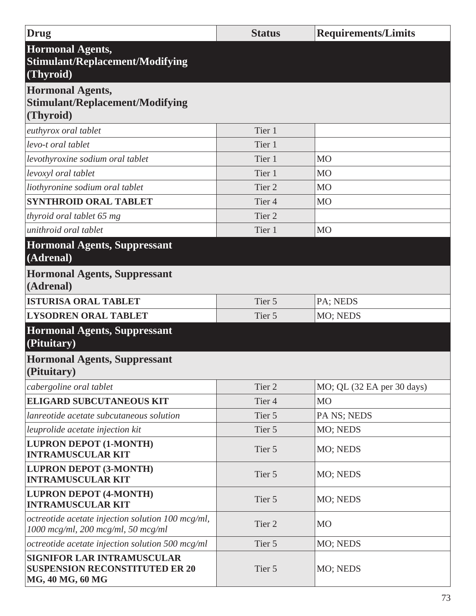| Drug                                                                                           | <b>Status</b>     | <b>Requirements/Limits</b> |
|------------------------------------------------------------------------------------------------|-------------------|----------------------------|
| <b>Hormonal Agents,</b><br><b>Stimulant/Replacement/Modifying</b><br>(Thyroid)                 |                   |                            |
| <b>Hormonal Agents,</b>                                                                        |                   |                            |
| <b>Stimulant/Replacement/Modifying</b>                                                         |                   |                            |
| (Thyroid)                                                                                      |                   |                            |
| euthyrox oral tablet                                                                           | Tier 1            |                            |
| levo-t oral tablet                                                                             | Tier 1            |                            |
| levothyroxine sodium oral tablet                                                               | Tier 1            | <b>MO</b>                  |
| levoxyl oral tablet                                                                            | Tier 1            | <b>MO</b>                  |
| liothyronine sodium oral tablet                                                                | Tier <sub>2</sub> | <b>MO</b>                  |
| <b>SYNTHROID ORAL TABLET</b>                                                                   | Tier <sub>4</sub> | <b>MO</b>                  |
| thyroid oral tablet 65 mg                                                                      | Tier <sub>2</sub> |                            |
| unithroid oral tablet                                                                          | Tier 1            | <b>MO</b>                  |
| <b>Hormonal Agents, Suppressant</b><br>(Adrenal)                                               |                   |                            |
| <b>Hormonal Agents, Suppressant</b><br>(Adrenal)                                               |                   |                            |
| <b>ISTURISA ORAL TABLET</b>                                                                    | Tier 5            | PA; NEDS                   |
| <b>LYSODREN ORAL TABLET</b>                                                                    | Tier 5            | MO; NEDS                   |
| <b>Hormonal Agents, Suppressant</b><br>(Pituitary)                                             |                   |                            |
| <b>Hormonal Agents, Suppressant</b><br>(Pituitary)                                             |                   |                            |
| cabergoline oral tablet                                                                        | Tier 2            | MO; QL (32 EA per 30 days) |
| <b>ELIGARD SUBCUTANEOUS KIT</b>                                                                | Tier <sub>4</sub> | <b>MO</b>                  |
| lanreotide acetate subcutaneous solution                                                       | Tier 5            | PA NS; NEDS                |
| leuprolide acetate injection kit                                                               | Tier 5            | MO; NEDS                   |
| <b>LUPRON DEPOT (1-MONTH)</b><br><b>INTRAMUSCULAR KIT</b>                                      | Tier 5            | MO; NEDS                   |
| <b>LUPRON DEPOT (3-MONTH)</b><br><b>INTRAMUSCULAR KIT</b>                                      | Tier 5            | MO; NEDS                   |
| <b>LUPRON DEPOT (4-MONTH)</b><br><b>INTRAMUSCULAR KIT</b>                                      | Tier 5            | MO; NEDS                   |
| octreotide acetate injection solution 100 mcg/ml,<br>$1000$ mcg/ml, 200 mcg/ml, 50 mcg/ml      | Tier <sub>2</sub> | <b>MO</b>                  |
| octreotide acetate injection solution 500 mcg/ml                                               | Tier 5            | MO; NEDS                   |
| <b>SIGNIFOR LAR INTRAMUSCULAR</b><br><b>SUSPENSION RECONSTITUTED ER 20</b><br>MG, 40 MG, 60 MG | Tier 5            | MO; NEDS                   |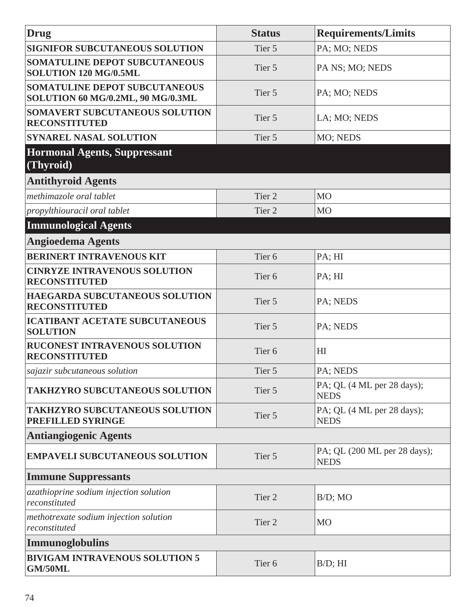| <b>Drug</b>                                                               | <b>Status</b>     | <b>Requirements/Limits</b>                  |
|---------------------------------------------------------------------------|-------------------|---------------------------------------------|
| <b>SIGNIFOR SUBCUTANEOUS SOLUTION</b>                                     | Tier 5            | PA; MO; NEDS                                |
| SOMATULINE DEPOT SUBCUTANEOUS<br>SOLUTION 120 MG/0.5ML                    | Tier 5            | PA NS; MO; NEDS                             |
| <b>SOMATULINE DEPOT SUBCUTANEOUS</b><br>SOLUTION 60 MG/0.2ML, 90 MG/0.3ML | Tier 5            | PA; MO; NEDS                                |
| SOMAVERT SUBCUTANEOUS SOLUTION<br><b>RECONSTITUTED</b>                    | Tier 5            | LA; MO; NEDS                                |
| <b>SYNAREL NASAL SOLUTION</b>                                             | Tier 5            | MO; NEDS                                    |
| <b>Hormonal Agents, Suppressant</b><br>(Thyroid)                          |                   |                                             |
| <b>Antithyroid Agents</b>                                                 |                   |                                             |
| methimazole oral tablet                                                   | Tier 2            | <b>MO</b>                                   |
| propylthiouracil oral tablet                                              | Tier <sub>2</sub> | <b>MO</b>                                   |
| <b>Immunological Agents</b>                                               |                   |                                             |
| <b>Angioedema Agents</b>                                                  |                   |                                             |
| <b>BERINERT INTRAVENOUS KIT</b>                                           | Tier <sub>6</sub> | PA; HI                                      |
| <b>CINRYZE INTRAVENOUS SOLUTION</b><br><b>RECONSTITUTED</b>               | Tier <sub>6</sub> | PA; HI                                      |
| HAEGARDA SUBCUTANEOUS SOLUTION<br><b>RECONSTITUTED</b>                    | Tier 5            | PA; NEDS                                    |
| <b>ICATIBANT ACETATE SUBCUTANEOUS</b><br><b>SOLUTION</b>                  | Tier 5            | PA; NEDS                                    |
| RUCONEST INTRAVENOUS SOLUTION<br><b>RECONSTITUTED</b>                     | Tier <sub>6</sub> | H <sub>I</sub>                              |
| sajazir subcutaneous solution                                             | Tier 5            | PA; NEDS                                    |
| <b>TAKHZYRO SUBCUTANEOUS SOLUTION</b>                                     | Tier 5            | PA; QL (4 ML per 28 days);<br><b>NEDS</b>   |
| <b>TAKHZYRO SUBCUTANEOUS SOLUTION</b><br><b>PREFILLED SYRINGE</b>         | Tier 5            | PA; QL (4 ML per 28 days);<br><b>NEDS</b>   |
| <b>Antiangiogenic Agents</b>                                              |                   |                                             |
| <b>EMPAVELI SUBCUTANEOUS SOLUTION</b>                                     | Tier 5            | PA; QL (200 ML per 28 days);<br><b>NEDS</b> |
| <b>Immune Suppressants</b>                                                |                   |                                             |
| azathioprine sodium injection solution<br>reconstituted                   | Tier 2            | $B/D$ ; MO                                  |
| methotrexate sodium injection solution<br>reconstituted                   | Tier 2            | <b>MO</b>                                   |
| Immunoglobulins                                                           |                   |                                             |
| <b>BIVIGAM INTRAVENOUS SOLUTION 5</b><br><b>GM/50ML</b>                   | Tier <sub>6</sub> | $B/D$ ; HI                                  |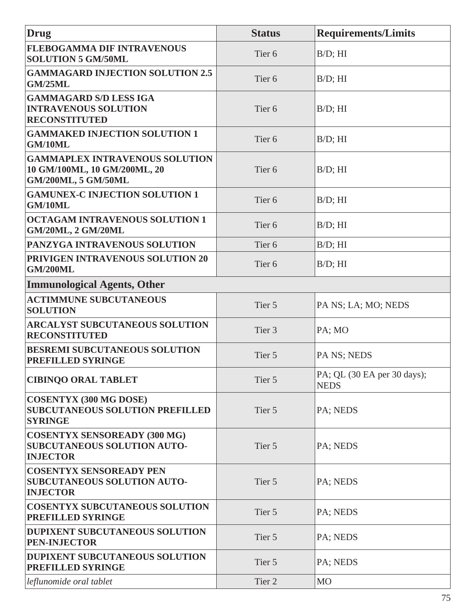| Drug                                                                                         | <b>Status</b>     | <b>Requirements/Limits</b>                 |
|----------------------------------------------------------------------------------------------|-------------------|--------------------------------------------|
| <b>FLEBOGAMMA DIF INTRAVENOUS</b><br><b>SOLUTION 5 GM/50ML</b>                               | Tier <sub>6</sub> | $B/D$ ; HI                                 |
| <b>GAMMAGARD INJECTION SOLUTION 2.5</b><br><b>GM/25ML</b>                                    | Tier <sub>6</sub> | $B/D$ ; HI                                 |
| <b>GAMMAGARD S/D LESS IGA</b><br><b>INTRAVENOUS SOLUTION</b><br><b>RECONSTITUTED</b>         | Tier <sub>6</sub> | $B/D$ ; HI                                 |
| <b>GAMMAKED INJECTION SOLUTION 1</b><br>GM/10ML                                              | Tier <sub>6</sub> | $B/D$ ; HI                                 |
| <b>GAMMAPLEX INTRAVENOUS SOLUTION</b><br>10 GM/100ML, 10 GM/200ML, 20<br>GM/200ML, 5 GM/50ML | Tier <sub>6</sub> | $B/D$ ; HI                                 |
| <b>GAMUNEX-C INJECTION SOLUTION 1</b><br>GM/10ML                                             | Tier <sub>6</sub> | $B/D$ ; HI                                 |
| <b>OCTAGAM INTRAVENOUS SOLUTION 1</b><br><b>GM/20ML, 2 GM/20ML</b>                           | Tier <sub>6</sub> | $B/D$ ; HI                                 |
| <b>PANZYGA INTRAVENOUS SOLUTION</b>                                                          | Tier <sub>6</sub> | $B/D$ ; $HI$                               |
| <b>PRIVIGEN INTRAVENOUS SOLUTION 20</b><br><b>GM/200ML</b>                                   | Tier <sub>6</sub> | $B/D$ ; HI                                 |
| <b>Immunological Agents, Other</b>                                                           |                   |                                            |
| <b>ACTIMMUNE SUBCUTANEOUS</b><br><b>SOLUTION</b>                                             | Tier 5            | PA NS; LA; MO; NEDS                        |
| ARCALYST SUBCUTANEOUS SOLUTION<br><b>RECONSTITUTED</b>                                       | Tier <sub>3</sub> | PA; MO                                     |
| <b>BESREMI SUBCUTANEOUS SOLUTION</b><br><b>PREFILLED SYRINGE</b>                             | Tier 5            | PA NS; NEDS                                |
| <b>CIBINQO ORAL TABLET</b>                                                                   | Tier 5            | PA; QL (30 EA per 30 days);<br><b>NEDS</b> |
| <b>COSENTYX (300 MG DOSE)</b><br><b>SUBCUTANEOUS SOLUTION PREFILLED</b><br><b>SYRINGE</b>    | Tier 5            | PA; NEDS                                   |
| <b>COSENTYX SENSOREADY (300 MG)</b><br><b>SUBCUTANEOUS SOLUTION AUTO-</b><br><b>INJECTOR</b> | Tier 5            | PA; NEDS                                   |
| <b>COSENTYX SENSOREADY PEN</b><br><b>SUBCUTANEOUS SOLUTION AUTO-</b><br><b>INJECTOR</b>      | Tier 5            | PA; NEDS                                   |
| <b>COSENTYX SUBCUTANEOUS SOLUTION</b><br><b>PREFILLED SYRINGE</b>                            | Tier 5            | PA; NEDS                                   |
| <b>DUPIXENT SUBCUTANEOUS SOLUTION</b><br><b>PEN-INJECTOR</b>                                 | Tier 5            | PA; NEDS                                   |
| DUPIXENT SUBCUTANEOUS SOLUTION<br><b>PREFILLED SYRINGE</b>                                   | Tier 5            | PA; NEDS                                   |
| leflunomide oral tablet                                                                      | Tier 2            | MO                                         |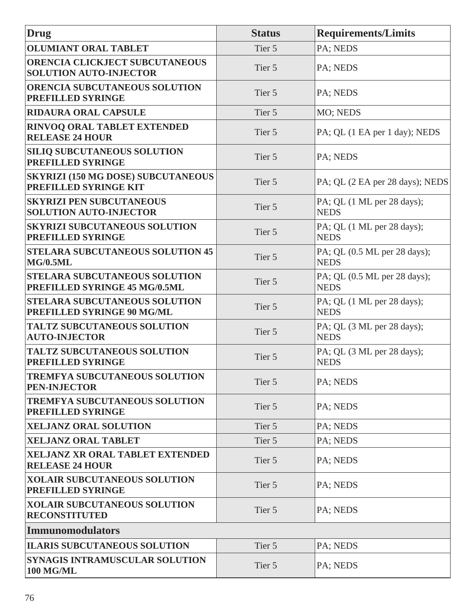| <b>Drug</b>                                                                  | <b>Status</b> | <b>Requirements/Limits</b>                  |
|------------------------------------------------------------------------------|---------------|---------------------------------------------|
| <b>OLUMIANT ORAL TABLET</b>                                                  | Tier 5        | PA; NEDS                                    |
| ORENCIA CLICKJECT SUBCUTANEOUS<br><b>SOLUTION AUTO-INJECTOR</b>              | Tier 5        | PA; NEDS                                    |
| <b>ORENCIA SUBCUTANEOUS SOLUTION</b><br>PREFILLED SYRINGE                    | Tier 5        | PA; NEDS                                    |
| <b>RIDAURA ORAL CAPSULE</b>                                                  | Tier 5        | MO; NEDS                                    |
| RINVOQ ORAL TABLET EXTENDED<br><b>RELEASE 24 HOUR</b>                        | Tier 5        | PA; QL (1 EA per 1 day); NEDS               |
| <b>SILIQ SUBCUTANEOUS SOLUTION</b><br>PREFILLED SYRINGE                      | Tier 5        | PA; NEDS                                    |
| <b>SKYRIZI (150 MG DOSE) SUBCUTANEOUS</b><br>PREFILLED SYRINGE KIT           | Tier 5        | PA; QL (2 EA per 28 days); NEDS             |
| <b>SKYRIZI PEN SUBCUTANEOUS</b><br><b>SOLUTION AUTO-INJECTOR</b>             | Tier 5        | PA; QL (1 ML per 28 days);<br><b>NEDS</b>   |
| <b>SKYRIZI SUBCUTANEOUS SOLUTION</b><br>PREFILLED SYRINGE                    | Tier 5        | PA; QL (1 ML per 28 days);<br><b>NEDS</b>   |
| <b>STELARA SUBCUTANEOUS SOLUTION 45</b><br><b>MG/0.5ML</b>                   | Tier 5        | PA; QL (0.5 ML per 28 days);<br><b>NEDS</b> |
| <b>STELARA SUBCUTANEOUS SOLUTION</b><br><b>PREFILLED SYRINGE 45 MG/0.5ML</b> | Tier 5        | PA; QL (0.5 ML per 28 days);<br><b>NEDS</b> |
| <b>STELARA SUBCUTANEOUS SOLUTION</b><br><b>PREFILLED SYRINGE 90 MG/ML</b>    | Tier 5        | PA; QL (1 ML per 28 days);<br><b>NEDS</b>   |
| <b>TALTZ SUBCUTANEOUS SOLUTION</b><br><b>AUTO-INJECTOR</b>                   | Tier 5        | PA; QL (3 ML per 28 days);<br><b>NEDS</b>   |
| <b>TALTZ SUBCUTANEOUS SOLUTION</b><br>PREFILLED SYRINGE                      | Tier 5        | PA; QL (3 ML per 28 days);<br><b>NEDS</b>   |
| <b>TREMFYA SUBCUTANEOUS SOLUTION</b><br><b>PEN-INJECTOR</b>                  | Tier 5        | PA; NEDS                                    |
| <b>TREMFYA SUBCUTANEOUS SOLUTION</b><br>PREFILLED SYRINGE                    | Tier 5        | PA; NEDS                                    |
| <b>XELJANZ ORAL SOLUTION</b>                                                 | Tier 5        | PA; NEDS                                    |
| <b>XELJANZ ORAL TABLET</b>                                                   | Tier 5        | PA; NEDS                                    |
| <b>XELJANZ XR ORAL TABLET EXTENDED</b><br><b>RELEASE 24 HOUR</b>             | Tier 5        | PA; NEDS                                    |
| <b>XOLAIR SUBCUTANEOUS SOLUTION</b><br>PREFILLED SYRINGE                     | Tier 5        | PA; NEDS                                    |
| <b>XOLAIR SUBCUTANEOUS SOLUTION</b><br><b>RECONSTITUTED</b>                  | Tier 5        | PA; NEDS                                    |
| Immunomodulators                                                             |               |                                             |
| <b>ILARIS SUBCUTANEOUS SOLUTION</b>                                          | Tier 5        | PA; NEDS                                    |
| SYNAGIS INTRAMUSCULAR SOLUTION<br><b>100 MG/ML</b>                           | Tier 5        | PA; NEDS                                    |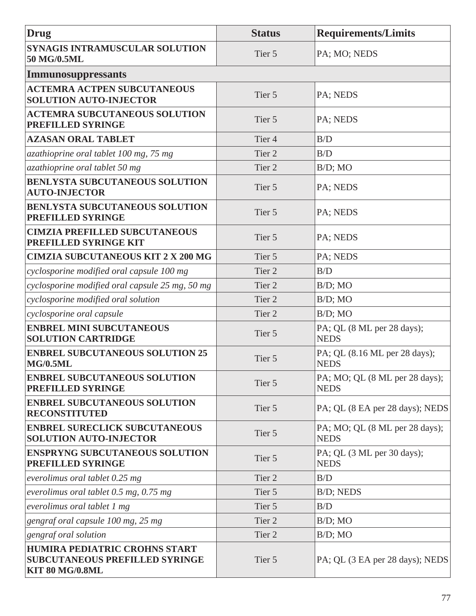| Drug                                                                                             | <b>Status</b>     | <b>Requirements/Limits</b>                    |
|--------------------------------------------------------------------------------------------------|-------------------|-----------------------------------------------|
| <b>SYNAGIS INTRAMUSCULAR SOLUTION</b><br>50 MG/0.5ML                                             | Tier 5            | PA; MO; NEDS                                  |
| <b>Immunosuppressants</b>                                                                        |                   |                                               |
| <b>ACTEMRA ACTPEN SUBCUTANEOUS</b><br><b>SOLUTION AUTO-INJECTOR</b>                              | Tier 5            | PA; NEDS                                      |
| <b>ACTEMRA SUBCUTANEOUS SOLUTION</b><br><b>PREFILLED SYRINGE</b>                                 | Tier 5            | PA; NEDS                                      |
| <b>AZASAN ORAL TABLET</b>                                                                        | Tier <sub>4</sub> | B/D                                           |
| azathioprine oral tablet 100 mg, 75 mg                                                           | Tier <sub>2</sub> | B/D                                           |
| azathioprine oral tablet 50 mg                                                                   | Tier <sub>2</sub> | $B/D$ ; MO                                    |
| BENLYSTA SUBCUTANEOUS SOLUTION<br><b>AUTO-INJECTOR</b>                                           | Tier 5            | PA; NEDS                                      |
| <b>BENLYSTA SUBCUTANEOUS SOLUTION</b><br>PREFILLED SYRINGE                                       | Tier 5            | PA; NEDS                                      |
| <b>CIMZIA PREFILLED SUBCUTANEOUS</b><br><b>PREFILLED SYRINGE KIT</b>                             | Tier 5            | PA; NEDS                                      |
| <b>CIMZIA SUBCUTANEOUS KIT 2 X 200 MG</b>                                                        | Tier 5            | PA; NEDS                                      |
| cyclosporine modified oral capsule 100 mg                                                        | Tier 2            | B/D                                           |
| cyclosporine modified oral capsule 25 mg, 50 mg                                                  | Tier <sub>2</sub> | $B/D$ ; MO                                    |
| cyclosporine modified oral solution                                                              | Tier <sub>2</sub> | $B/D$ ; MO                                    |
| cyclosporine oral capsule                                                                        | Tier 2            | $B/D$ ; MO                                    |
| <b>ENBREL MINI SUBCUTANEOUS</b><br><b>SOLUTION CARTRIDGE</b>                                     | Tier 5            | PA; QL (8 ML per 28 days);<br><b>NEDS</b>     |
| <b>ENBREL SUBCUTANEOUS SOLUTION 25</b><br><b>MG/0.5ML</b>                                        | Tier 5            | PA; QL (8.16 ML per 28 days);<br><b>NEDS</b>  |
| <b>ENBREL SUBCUTANEOUS SOLUTION</b><br><b>PREFILLED SYRINGE</b>                                  | Tier 5            | PA; MO; QL (8 ML per 28 days);<br><b>NEDS</b> |
| <b>ENBREL SUBCUTANEOUS SOLUTION</b><br><b>RECONSTITUTED</b>                                      | Tier 5            | PA; QL (8 EA per 28 days); NEDS               |
| <b>ENBREL SURECLICK SUBCUTANEOUS</b><br><b>SOLUTION AUTO-INJECTOR</b>                            | Tier 5            | PA; MO; QL (8 ML per 28 days);<br><b>NEDS</b> |
| <b>ENSPRYNG SUBCUTANEOUS SOLUTION</b><br>PREFILLED SYRINGE                                       | Tier 5            | PA; QL (3 ML per 30 days);<br><b>NEDS</b>     |
| everolimus oral tablet $0.25$ mg                                                                 | Tier 2            | B/D                                           |
| everolimus oral tablet $0.5$ mg, $0.75$ mg                                                       | Tier 5            | B/D; NEDS                                     |
| everolimus oral tablet 1 mg                                                                      | Tier 5            | B/D                                           |
| gengraf oral capsule 100 mg, 25 mg                                                               | Tier 2            | $B/D$ ; MO                                    |
| gengraf oral solution                                                                            | Tier 2            | $B/D$ ; MO                                    |
| HUMIRA PEDIATRIC CROHNS START<br><b>SUBCUTANEOUS PREFILLED SYRINGE</b><br><b>KIT 80 MG/0.8ML</b> | Tier 5            | PA; QL (3 EA per 28 days); NEDS               |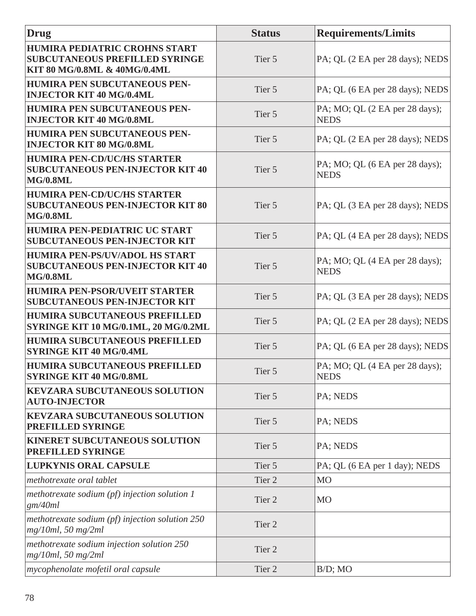| Drug                                                                                                   | <b>Status</b> | <b>Requirements/Limits</b>                    |
|--------------------------------------------------------------------------------------------------------|---------------|-----------------------------------------------|
| HUMIRA PEDIATRIC CROHNS START<br><b>SUBCUTANEOUS PREFILLED SYRINGE</b><br>KIT 80 MG/0.8ML & 40MG/0.4ML | Tier 5        | PA; QL (2 EA per 28 days); NEDS               |
| HUMIRA PEN SUBCUTANEOUS PEN-<br><b>INJECTOR KIT 40 MG/0.4ML</b>                                        | Tier 5        | PA; QL (6 EA per 28 days); NEDS               |
| HUMIRA PEN SUBCUTANEOUS PEN-<br><b>INJECTOR KIT 40 MG/0.8ML</b>                                        | Tier 5        | PA; MO; QL (2 EA per 28 days);<br><b>NEDS</b> |
| HUMIRA PEN SUBCUTANEOUS PEN-<br><b>INJECTOR KIT 80 MG/0.8ML</b>                                        | Tier 5        | PA; QL (2 EA per 28 days); NEDS               |
| <b>HUMIRA PEN-CD/UC/HS STARTER</b><br><b>SUBCUTANEOUS PEN-INJECTOR KIT 40</b><br><b>MG/0.8ML</b>       | Tier 5        | PA; MO; QL (6 EA per 28 days);<br><b>NEDS</b> |
| <b>HUMIRA PEN-CD/UC/HS STARTER</b><br><b>SUBCUTANEOUS PEN-INJECTOR KIT 80</b><br><b>MG/0.8ML</b>       | Tier 5        | PA; QL (3 EA per 28 days); NEDS               |
| HUMIRA PEN-PEDIATRIC UC START<br><b>SUBCUTANEOUS PEN-INJECTOR KIT</b>                                  | Tier 5        | PA; QL (4 EA per 28 days); NEDS               |
| HUMIRA PEN-PS/UV/ADOL HS START<br><b>SUBCUTANEOUS PEN-INJECTOR KIT 40</b><br><b>MG/0.8ML</b>           | Tier 5        | PA; MO; QL (4 EA per 28 days);<br><b>NEDS</b> |
| <b>HUMIRA PEN-PSOR/UVEIT STARTER</b><br><b>SUBCUTANEOUS PEN-INJECTOR KIT</b>                           | Tier 5        | PA; QL (3 EA per 28 days); NEDS               |
| <b>HUMIRA SUBCUTANEOUS PREFILLED</b><br><b>SYRINGE KIT 10 MG/0.1ML, 20 MG/0.2ML</b>                    | Tier 5        | PA; QL (2 EA per 28 days); NEDS               |
| <b>HUMIRA SUBCUTANEOUS PREFILLED</b><br><b>SYRINGE KIT 40 MG/0.4ML</b>                                 | Tier 5        | PA; QL (6 EA per 28 days); NEDS               |
| <b>HUMIRA SUBCUTANEOUS PREFILLED</b><br><b>SYRINGE KIT 40 MG/0.8ML</b>                                 | Tier 5        | PA; MO; QL (4 EA per 28 days);<br><b>NEDS</b> |
| <b>KEVZARA SUBCUTANEOUS SOLUTION</b><br><b>AUTO-INJECTOR</b>                                           | Tier 5        | PA; NEDS                                      |
| <b>KEVZARA SUBCUTANEOUS SOLUTION</b><br>PREFILLED SYRINGE                                              | Tier 5        | PA; NEDS                                      |
| <b>KINERET SUBCUTANEOUS SOLUTION</b><br><b>PREFILLED SYRINGE</b>                                       | Tier 5        | PA; NEDS                                      |
| <b>LUPKYNIS ORAL CAPSULE</b>                                                                           | Tier 5        | PA; QL (6 EA per 1 day); NEDS                 |
| methotrexate oral tablet                                                                               | Tier 2        | M <sub>O</sub>                                |
| methotrexate sodium $(pf)$ injection solution 1<br>gm/40ml                                             | Tier 2        | <b>MO</b>                                     |
| methotrexate sodium (pf) injection solution $250$<br>$mg/10ml$ , 50 mg/2ml                             | Tier 2        |                                               |
| methotrexate sodium injection solution 250<br>$mg/10ml$ , 50 mg/2ml                                    | Tier 2        |                                               |
| <i>mycophenolate mofetil oral capsule</i>                                                              | Tier 2        | $B/D$ ; MO                                    |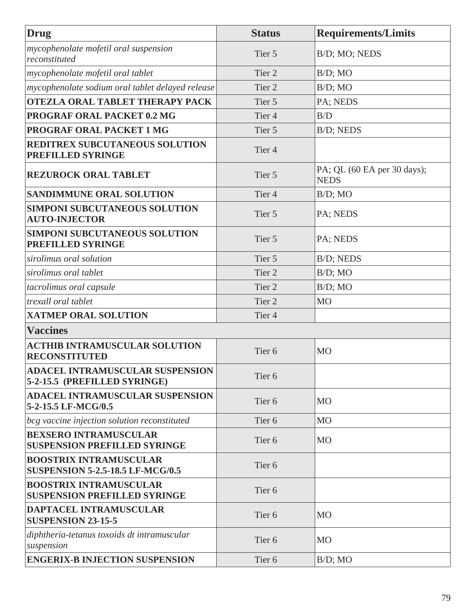| Drug                                                                     | <b>Status</b>     | <b>Requirements/Limits</b>                 |
|--------------------------------------------------------------------------|-------------------|--------------------------------------------|
| mycophenolate mofetil oral suspension<br>reconstituted                   | Tier 5            | B/D; MO; NEDS                              |
| mycophenolate mofetil oral tablet                                        | Tier <sub>2</sub> | $B/D$ ; MO                                 |
| mycophenolate sodium oral tablet delayed release                         | Tier <sub>2</sub> | $B/D$ ; MO                                 |
| <b>OTEZLA ORAL TABLET THERAPY PACK</b>                                   | Tier 5            | PA; NEDS                                   |
| <b>PROGRAF ORAL PACKET 0.2 MG</b>                                        | Tier <sub>4</sub> | B/D                                        |
| <b>PROGRAF ORAL PACKET 1 MG</b>                                          | Tier 5            | B/D; NEDS                                  |
| REDITREX SUBCUTANEOUS SOLUTION<br>PREFILLED SYRINGE                      | Tier <sub>4</sub> |                                            |
| <b>REZUROCK ORAL TABLET</b>                                              | Tier 5            | PA; QL (60 EA per 30 days);<br><b>NEDS</b> |
| SANDIMMUNE ORAL SOLUTION                                                 | Tier <sub>4</sub> | $B/D$ ; MO                                 |
| <b>SIMPONI SUBCUTANEOUS SOLUTION</b><br><b>AUTO-INJECTOR</b>             | Tier 5            | PA; NEDS                                   |
| <b>SIMPONI SUBCUTANEOUS SOLUTION</b><br><b>PREFILLED SYRINGE</b>         | Tier 5            | PA; NEDS                                   |
| sirolimus oral solution                                                  | Tier 5            | B/D; NEDS                                  |
| sirolimus oral tablet                                                    | Tier <sub>2</sub> | $B/D$ ; MO                                 |
| tacrolimus oral capsule                                                  | Tier <sub>2</sub> | $B/D$ ; MO                                 |
| trexall oral tablet                                                      | Tier <sub>2</sub> | <b>MO</b>                                  |
| <b>XATMEP ORAL SOLUTION</b>                                              | Tier <sub>4</sub> |                                            |
| <b>Vaccines</b>                                                          |                   |                                            |
| <b>ACTHIB INTRAMUSCULAR SOLUTION</b><br><b>RECONSTITUTED</b>             | Tier <sub>6</sub> | <b>MO</b>                                  |
| <b>ADACEL INTRAMUSCULAR SUSPENSION</b><br>5-2-15.5 (PREFILLED SYRINGE)   | Tier <sub>6</sub> |                                            |
| <b>ADACEL INTRAMUSCULAR SUSPENSION</b><br>5-2-15.5 LF-MCG/0.5            | Tier <sub>6</sub> | <b>MO</b>                                  |
| bcg vaccine injection solution reconstituted                             | Tier <sub>6</sub> | <b>MO</b>                                  |
| <b>BEXSERO INTRAMUSCULAR</b><br><b>SUSPENSION PREFILLED SYRINGE</b>      | Tier <sub>6</sub> | <b>MO</b>                                  |
| <b>BOOSTRIX INTRAMUSCULAR</b><br><b>SUSPENSION 5-2.5-18.5 LF-MCG/0.5</b> | Tier <sub>6</sub> |                                            |
| <b>BOOSTRIX INTRAMUSCULAR</b><br><b>SUSPENSION PREFILLED SYRINGE</b>     | Tier <sub>6</sub> |                                            |
| DAPTACEL INTRAMUSCULAR<br><b>SUSPENSION 23-15-5</b>                      | Tier <sub>6</sub> | <b>MO</b>                                  |
| diphtheria-tetanus toxoids dt intramuscular<br>suspension                | Tier <sub>6</sub> | <b>MO</b>                                  |
| <b>ENGERIX-B INJECTION SUSPENSION</b>                                    | Tier <sub>6</sub> | $B/D$ ; MO                                 |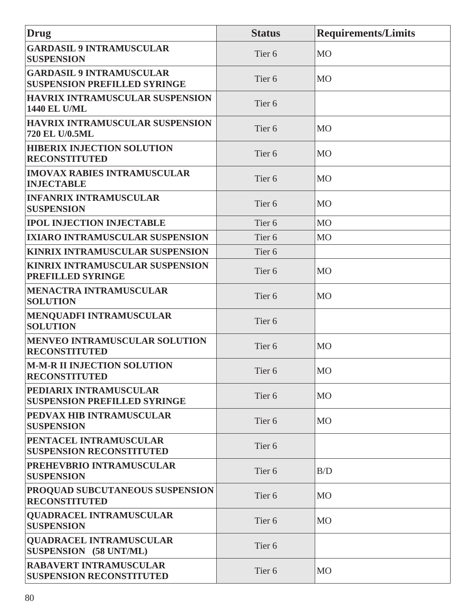| Drug                                                                   | <b>Status</b>     | <b>Requirements/Limits</b> |
|------------------------------------------------------------------------|-------------------|----------------------------|
| <b>GARDASIL 9 INTRAMUSCULAR</b><br><b>SUSPENSION</b>                   | Tier <sub>6</sub> | MO                         |
| <b>GARDASIL 9 INTRAMUSCULAR</b><br><b>SUSPENSION PREFILLED SYRINGE</b> | Tier <sub>6</sub> | <b>MO</b>                  |
| <b>HAVRIX INTRAMUSCULAR SUSPENSION</b><br><b>1440 EL U/ML</b>          | Tier <sub>6</sub> |                            |
| <b>HAVRIX INTRAMUSCULAR SUSPENSION</b><br>720 EL U/0.5ML               | Tier <sub>6</sub> | MO                         |
| <b>HIBERIX INJECTION SOLUTION</b><br><b>RECONSTITUTED</b>              | Tier <sub>6</sub> | <b>MO</b>                  |
| <b>IMOVAX RABIES INTRAMUSCULAR</b><br><b>INJECTABLE</b>                | Tier <sub>6</sub> | <b>MO</b>                  |
| <b>INFANRIX INTRAMUSCULAR</b><br><b>SUSPENSION</b>                     | Tier <sub>6</sub> | <b>MO</b>                  |
| <b>IPOL INJECTION INJECTABLE</b>                                       | Tier <sub>6</sub> | <b>MO</b>                  |
| <b>IXIARO INTRAMUSCULAR SUSPENSION</b>                                 | Tier <sub>6</sub> | M <sub>O</sub>             |
| <b>KINRIX INTRAMUSCULAR SUSPENSION</b>                                 | Tier <sub>6</sub> |                            |
| KINRIX INTRAMUSCULAR SUSPENSION<br>PREFILLED SYRINGE                   | Tier <sub>6</sub> | M <sub>O</sub>             |
| <b>MENACTRA INTRAMUSCULAR</b><br><b>SOLUTION</b>                       | Tier <sub>6</sub> | <b>MO</b>                  |
| <b>MENQUADFI INTRAMUSCULAR</b><br><b>SOLUTION</b>                      | Tier <sub>6</sub> |                            |
| <b>MENVEO INTRAMUSCULAR SOLUTION</b><br><b>RECONSTITUTED</b>           | Tier <sub>6</sub> | M <sub>O</sub>             |
| <b>M-M-R II INJECTION SOLUTION</b><br><b>RECONSTITUTED</b>             | Tier 6            | MO                         |
| <b>PEDIARIX INTRAMUSCULAR</b><br><b>SUSPENSION PREFILLED SYRINGE</b>   | Tier <sub>6</sub> | <b>MO</b>                  |
| PEDVAX HIB INTRAMUSCULAR<br><b>SUSPENSION</b>                          | Tier <sub>6</sub> | <b>MO</b>                  |
| PENTACEL INTRAMUSCULAR<br><b>SUSPENSION RECONSTITUTED</b>              | Tier <sub>6</sub> |                            |
| <b>PREHEVBRIO INTRAMUSCULAR</b><br><b>SUSPENSION</b>                   | Tier <sub>6</sub> | B/D                        |
| <b>PROQUAD SUBCUTANEOUS SUSPENSION</b><br><b>RECONSTITUTED</b>         | Tier <sub>6</sub> | <b>MO</b>                  |
| <b>QUADRACEL INTRAMUSCULAR</b><br><b>SUSPENSION</b>                    | Tier <sub>6</sub> | <b>MO</b>                  |
| <b>QUADRACEL INTRAMUSCULAR</b><br>SUSPENSION (58 UNT/ML)               | Tier <sub>6</sub> |                            |
| <b>RABAVERT INTRAMUSCULAR</b><br><b>SUSPENSION RECONSTITUTED</b>       | Tier <sub>6</sub> | <b>MO</b>                  |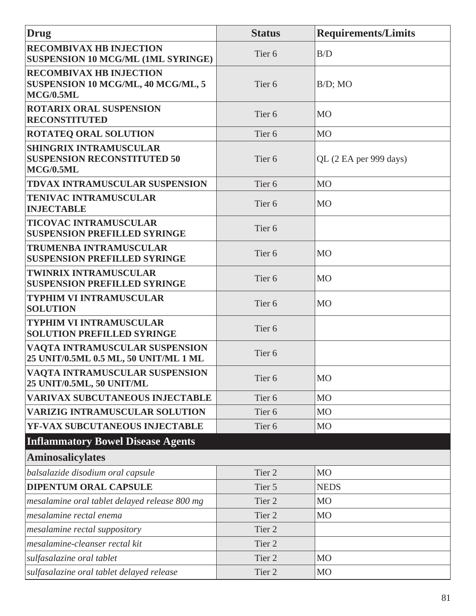| Drug                                                                              | <b>Status</b>     | <b>Requirements/Limits</b> |
|-----------------------------------------------------------------------------------|-------------------|----------------------------|
| <b>RECOMBIVAX HB INJECTION</b><br>SUSPENSION 10 MCG/ML (1ML SYRINGE)              | Tier <sub>6</sub> | B/D                        |
| <b>RECOMBIVAX HB INJECTION</b><br>SUSPENSION 10 MCG/ML, 40 MCG/ML, 5<br>MCG/0.5ML | Tier <sub>6</sub> | $B/D$ ; MO                 |
| <b>ROTARIX ORAL SUSPENSION</b><br><b>RECONSTITUTED</b>                            | Tier <sub>6</sub> | <b>MO</b>                  |
| <b>ROTATEQ ORAL SOLUTION</b>                                                      | Tier <sub>6</sub> | <b>MO</b>                  |
| <b>SHINGRIX INTRAMUSCULAR</b><br><b>SUSPENSION RECONSTITUTED 50</b><br>MCG/0.5ML  | Tier <sub>6</sub> | QL (2 EA per 999 days)     |
| TDVAX INTRAMUSCULAR SUSPENSION                                                    | Tier <sub>6</sub> | <b>MO</b>                  |
| <b>TENIVAC INTRAMUSCULAR</b><br><b>INJECTABLE</b>                                 | Tier <sub>6</sub> | <b>MO</b>                  |
| <b>TICOVAC INTRAMUSCULAR</b><br><b>SUSPENSION PREFILLED SYRINGE</b>               | Tier <sub>6</sub> |                            |
| <b>TRUMENBA INTRAMUSCULAR</b><br><b>SUSPENSION PREFILLED SYRINGE</b>              | Tier <sub>6</sub> | <b>MO</b>                  |
| <b>TWINRIX INTRAMUSCULAR</b><br><b>SUSPENSION PREFILLED SYRINGE</b>               | Tier <sub>6</sub> | <b>MO</b>                  |
| <b>TYPHIM VI INTRAMUSCULAR</b><br><b>SOLUTION</b>                                 | Tier <sub>6</sub> | <b>MO</b>                  |
| <b>TYPHIM VI INTRAMUSCULAR</b><br><b>SOLUTION PREFILLED SYRINGE</b>               | Tier <sub>6</sub> |                            |
| <b>VAOTA INTRAMUSCULAR SUSPENSION</b><br>25 UNIT/0.5ML 0.5 ML, 50 UNIT/ML 1 ML    | Tier <sub>6</sub> |                            |
| VAQTA INTRAMUSCULAR SUSPENSION<br>25 UNIT/0.5ML, 50 UNIT/ML                       | Tier <sub>6</sub> | <b>MO</b>                  |
| <b>VARIVAX SUBCUTANEOUS INJECTABLE</b>                                            | Tier <sub>6</sub> | <b>MO</b>                  |
| <b>VARIZIG INTRAMUSCULAR SOLUTION</b>                                             | Tier <sub>6</sub> | <b>MO</b>                  |
| YF-VAX SUBCUTANEOUS INJECTABLE                                                    | Tier <sub>6</sub> | M <sub>O</sub>             |
| <b>Inflammatory Bowel Disease Agents</b>                                          |                   |                            |
| <b>Aminosalicylates</b>                                                           |                   |                            |
| balsalazide disodium oral capsule                                                 | Tier 2            | <b>MO</b>                  |
| <b>DIPENTUM ORAL CAPSULE</b>                                                      | Tier 5            | <b>NEDS</b>                |
| mesalamine oral tablet delayed release 800 mg                                     | Tier 2            | <b>MO</b>                  |
| mesalamine rectal enema                                                           | Tier 2            | <b>MO</b>                  |
| mesalamine rectal suppository                                                     | Tier <sub>2</sub> |                            |
| mesalamine-cleanser rectal kit                                                    | Tier <sub>2</sub> |                            |
| sulfasalazine oral tablet                                                         | Tier 2            | M <sub>O</sub>             |
| sulfasalazine oral tablet delayed release                                         | Tier 2            | M <sub>O</sub>             |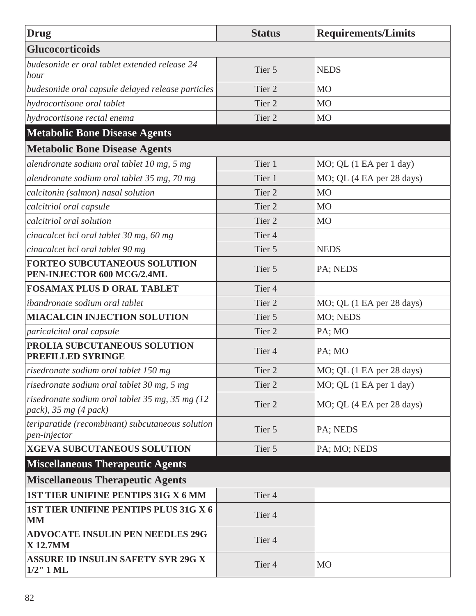| <b>Drug</b>                                                              | <b>Status</b>     | <b>Requirements/Limits</b> |
|--------------------------------------------------------------------------|-------------------|----------------------------|
| <b>Glucocorticoids</b>                                                   |                   |                            |
| budesonide er oral tablet extended release 24<br>hour                    | Tier 5            | <b>NEDS</b>                |
| budesonide oral capsule delayed release particles                        | Tier <sub>2</sub> | <b>MO</b>                  |
| hydrocortisone oral tablet                                               | Tier <sub>2</sub> | M <sub>O</sub>             |
| hydrocortisone rectal enema                                              | Tier <sub>2</sub> | M <sub>O</sub>             |
| <b>Metabolic Bone Disease Agents</b>                                     |                   |                            |
| <b>Metabolic Bone Disease Agents</b>                                     |                   |                            |
| alendronate sodium oral tablet 10 mg, 5 mg                               | Tier 1            | MO; QL (1 EA per 1 day)    |
| alendronate sodium oral tablet 35 mg, 70 mg                              | Tier 1            | MO; QL (4 EA per 28 days)  |
| calcitonin (salmon) nasal solution                                       | Tier <sub>2</sub> | M <sub>O</sub>             |
| calcitriol oral capsule                                                  | Tier <sub>2</sub> | M <sub>O</sub>             |
| calcitriol oral solution                                                 | Tier <sub>2</sub> | M <sub>O</sub>             |
| cinacalcet hcl oral tablet 30 mg, 60 mg                                  | Tier <sub>4</sub> |                            |
| cinacalcet hcl oral tablet 90 mg                                         | Tier 5            | <b>NEDS</b>                |
| <b>FORTEO SUBCUTANEOUS SOLUTION</b><br>PEN-INJECTOR 600 MCG/2.4ML        | Tier 5            | PA; NEDS                   |
| <b>FOSAMAX PLUS D ORAL TABLET</b>                                        | Tier <sub>4</sub> |                            |
| ibandronate sodium oral tablet                                           | Tier <sub>2</sub> | MO; QL (1 EA per 28 days)  |
| <b>MIACALCIN INJECTION SOLUTION</b>                                      | Tier 5            | MO; NEDS                   |
| paricalcitol oral capsule                                                | Tier <sub>2</sub> | PA; MO                     |
| PROLIA SUBCUTANEOUS SOLUTION<br>PREFILLED SYRINGE                        | Tier <sub>4</sub> | PA; MO                     |
| risedronate sodium oral tablet 150 mg                                    | Tier 2            | MO; QL (1 EA per 28 days)  |
| risedronate sodium oral tablet 30 mg, 5 mg                               | Tier 2            | MO; QL (1 EA per 1 day)    |
| risedronate sodium oral tablet 35 mg, 35 mg (12<br>pack), 35 mg (4 pack) | Tier 2            | MO; QL (4 EA per 28 days)  |
| teriparatide (recombinant) subcutaneous solution<br>pen-injector         | Tier 5            | PA; NEDS                   |
| <b>XGEVA SUBCUTANEOUS SOLUTION</b>                                       | Tier 5            | PA; MO; NEDS               |
| <b>Miscellaneous Therapeutic Agents</b>                                  |                   |                            |
| <b>Miscellaneous Therapeutic Agents</b>                                  |                   |                            |
| 1ST TIER UNIFINE PENTIPS 31G X 6 MM                                      | Tier <sub>4</sub> |                            |
| 1ST TIER UNIFINE PENTIPS PLUS 31G X 6<br>MM                              | Tier <sub>4</sub> |                            |
| <b>ADVOCATE INSULIN PEN NEEDLES 29G</b><br><b>X12.7MM</b>                | Tier <sub>4</sub> |                            |
| <b>ASSURE ID INSULIN SAFETY SYR 29G X</b><br>$1/2$ " $1$ ML              | Tier <sub>4</sub> | <b>MO</b>                  |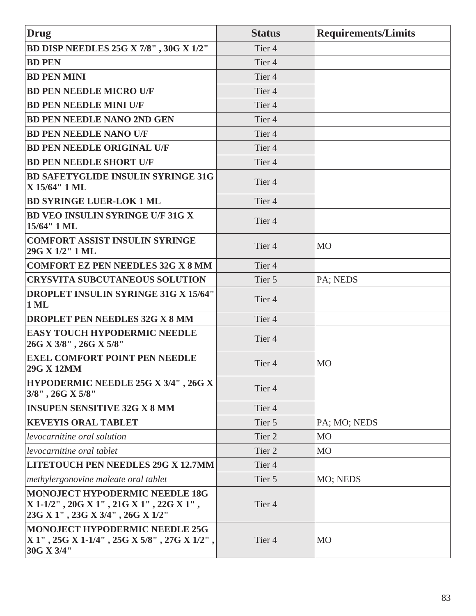| <b>Drug</b>                                                                                                          | <b>Status</b>     | <b>Requirements/Limits</b> |
|----------------------------------------------------------------------------------------------------------------------|-------------------|----------------------------|
| BD DISP NEEDLES 25G X 7/8", 30G X 1/2"                                                                               | Tier <sub>4</sub> |                            |
| <b>BD PEN</b>                                                                                                        | Tier <sub>4</sub> |                            |
| <b>BD PEN MINI</b>                                                                                                   | Tier <sub>4</sub> |                            |
| <b>BD PEN NEEDLE MICRO U/F</b>                                                                                       | Tier <sub>4</sub> |                            |
| <b>BD PEN NEEDLE MINI U/F</b>                                                                                        | Tier <sub>4</sub> |                            |
| <b>BD PEN NEEDLE NANO 2ND GEN</b>                                                                                    | Tier <sub>4</sub> |                            |
| <b>BD PEN NEEDLE NANO U/F</b>                                                                                        | Tier <sub>4</sub> |                            |
| <b>BD PEN NEEDLE ORIGINAL U/F</b>                                                                                    | Tier <sub>4</sub> |                            |
| <b>BD PEN NEEDLE SHORT U/F</b>                                                                                       | Tier <sub>4</sub> |                            |
| <b>BD SAFETYGLIDE INSULIN SYRINGE 31G</b><br>X 15/64" 1 ML                                                           | Tier <sub>4</sub> |                            |
| <b>BD SYRINGE LUER-LOK 1 ML</b>                                                                                      | Tier <sub>4</sub> |                            |
| <b>BD VEO INSULIN SYRINGE U/F 31G X</b><br>15/64" 1 ML                                                               | Tier <sub>4</sub> |                            |
| <b>COMFORT ASSIST INSULIN SYRINGE</b><br>29G X 1/2" 1 ML                                                             | Tier <sub>4</sub> | M <sub>O</sub>             |
| <b>COMFORT EZ PEN NEEDLES 32G X 8 MM</b>                                                                             | Tier <sub>4</sub> |                            |
| <b>CRYSVITA SUBCUTANEOUS SOLUTION</b>                                                                                | Tier 5            | PA; NEDS                   |
| <b>DROPLET INSULIN SYRINGE 31G X 15/64"</b><br>$1$ ML                                                                | Tier <sub>4</sub> |                            |
| DROPLET PEN NEEDLES 32G X 8 MM                                                                                       | Tier <sub>4</sub> |                            |
| <b>EASY TOUCH HYPODERMIC NEEDLE</b><br>26G X 3/8", 26G X 5/8"                                                        | Tier <sub>4</sub> |                            |
| <b>EXEL COMFORT POINT PEN NEEDLE</b><br>29G X 12MM                                                                   | Tier <sub>4</sub> | M <sub>O</sub>             |
| HYPODERMIC NEEDLE 25G X 3/4", 26G X<br>3/8", 26G X 5/8"                                                              | Tier <sub>4</sub> |                            |
| <b>INSUPEN SENSITIVE 32G X 8 MM</b>                                                                                  | Tier <sub>4</sub> |                            |
| <b>KEVEYIS ORAL TABLET</b>                                                                                           | Tier 5            | PA; MO; NEDS               |
| levocarnitine oral solution                                                                                          | Tier <sub>2</sub> | M <sub>O</sub>             |
| levocarnitine oral tablet                                                                                            | Tier 2            | M <sub>O</sub>             |
| <b>LITETOUCH PEN NEEDLES 29G X 12.7MM</b>                                                                            | Tier <sub>4</sub> |                            |
| methylergonovine maleate oral tablet                                                                                 | Tier 5            | MO; NEDS                   |
| <b>MONOJECT HYPODERMIC NEEDLE 18G</b><br>X 1-1/2", 20G X 1", 21G X 1", 22G X 1",<br>23G X 1", 23G X 3/4", 26G X 1/2" | Tier <sub>4</sub> |                            |
| <b>MONOJECT HYPODERMIC NEEDLE 25G</b><br>$X 1''$ , 25G $X 1$ -1/4", 25G $X 5/8''$ , 27G $X 1/2''$ ,<br>30G X 3/4"    | Tier <sub>4</sub> | <b>MO</b>                  |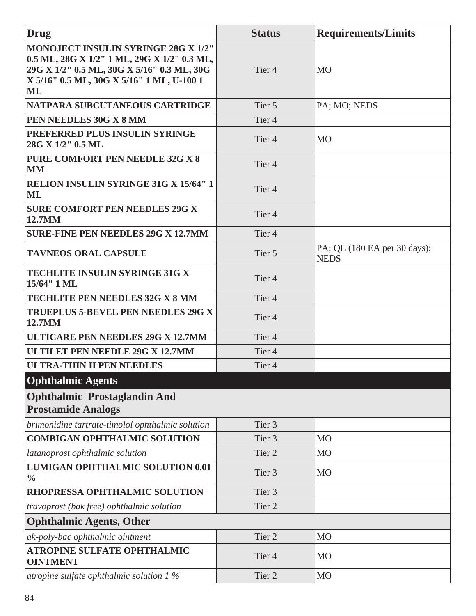| Drug                                                                                                                                                                                 | <b>Status</b>     | <b>Requirements/Limits</b>                  |
|--------------------------------------------------------------------------------------------------------------------------------------------------------------------------------------|-------------------|---------------------------------------------|
| MONOJECT INSULIN SYRINGE 28G X 1/2"<br>0.5 ML, 28G X 1/2" 1 ML, 29G X 1/2" 0.3 ML,<br>29G X 1/2" 0.5 ML, 30G X 5/16" 0.3 ML, 30G<br> X 5/16" 0.5 ML, 30G X 5/16" 1 ML, U-100 1<br>ML | Tier <sub>4</sub> | <b>MO</b>                                   |
| NATPARA SUBCUTANEOUS CARTRIDGE                                                                                                                                                       | Tier 5            | PA; MO; NEDS                                |
| <b>PEN NEEDLES 30G X 8 MM</b>                                                                                                                                                        | Tier <sub>4</sub> |                                             |
| <b>PREFERRED PLUS INSULIN SYRINGE</b><br>28G X 1/2" 0.5 ML                                                                                                                           | Tier <sub>4</sub> | <b>MO</b>                                   |
| <b>PURE COMFORT PEN NEEDLE 32G X 8</b><br><b>MM</b>                                                                                                                                  | Tier <sub>4</sub> |                                             |
| <b>RELION INSULIN SYRINGE 31G X 15/64" 1</b><br>ML                                                                                                                                   | Tier <sub>4</sub> |                                             |
| <b>SURE COMFORT PEN NEEDLES 29G X</b><br>12.7MM                                                                                                                                      | Tier <sub>4</sub> |                                             |
| <b>SURE-FINE PEN NEEDLES 29G X 12.7MM</b>                                                                                                                                            | Tier <sub>4</sub> |                                             |
| <b>TAVNEOS ORAL CAPSULE</b>                                                                                                                                                          | Tier 5            | PA; QL (180 EA per 30 days);<br><b>NEDS</b> |
| <b>TECHLITE INSULIN SYRINGE 31G X</b><br>15/64" 1 ML                                                                                                                                 | Tier <sub>4</sub> |                                             |
| <b>TECHLITE PEN NEEDLES 32G X 8 MM</b>                                                                                                                                               | Tier <sub>4</sub> |                                             |
| <b>TRUEPLUS 5-BEVEL PEN NEEDLES 29G X</b><br>12.7MM                                                                                                                                  | Tier <sub>4</sub> |                                             |
| <b>ULTICARE PEN NEEDLES 29G X 12.7MM</b>                                                                                                                                             | Tier <sub>4</sub> |                                             |
| <b>ULTILET PEN NEEDLE 29G X 12.7MM</b>                                                                                                                                               | Tier <sub>4</sub> |                                             |
| <b>ULTRA-THIN II PEN NEEDLES</b>                                                                                                                                                     | Tier <sub>4</sub> |                                             |
| <b>Ophthalmic Agents</b>                                                                                                                                                             |                   |                                             |
| <b>Ophthalmic Prostaglandin And</b><br><b>Prostamide Analogs</b>                                                                                                                     |                   |                                             |
| brimonidine tartrate-timolol ophthalmic solution                                                                                                                                     | Tier <sub>3</sub> |                                             |
| <b>COMBIGAN OPHTHALMIC SOLUTION</b>                                                                                                                                                  | Tier <sub>3</sub> | <b>MO</b>                                   |
| latanoprost ophthalmic solution                                                                                                                                                      | Tier <sub>2</sub> | M <sub>O</sub>                              |
| LUMIGAN OPHTHALMIC SOLUTION 0.01<br>$\frac{0}{0}$                                                                                                                                    | Tier <sub>3</sub> | MO                                          |
| RHOPRESSA OPHTHALMIC SOLUTION                                                                                                                                                        | Tier <sub>3</sub> |                                             |
| travoprost (bak free) ophthalmic solution                                                                                                                                            | Tier <sub>2</sub> |                                             |
| <b>Ophthalmic Agents, Other</b>                                                                                                                                                      |                   |                                             |
| ak-poly-bac ophthalmic ointment                                                                                                                                                      | Tier 2            | M <sub>O</sub>                              |
| <b>ATROPINE SULFATE OPHTHALMIC</b><br><b>OINTMENT</b>                                                                                                                                | Tier <sub>4</sub> | <b>MO</b>                                   |
| atropine sulfate ophthalmic solution 1 %                                                                                                                                             | Tier <sub>2</sub> | <b>MO</b>                                   |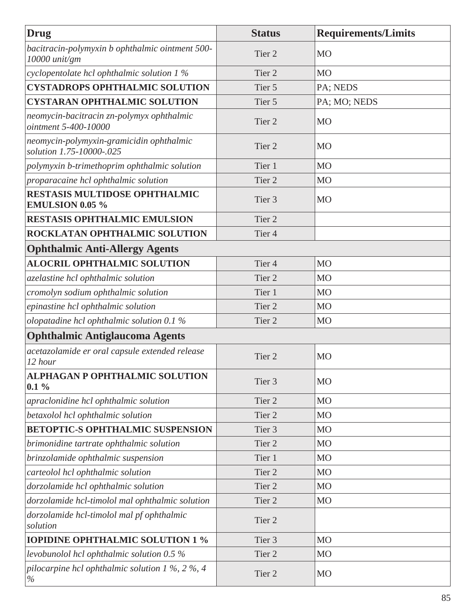| <b>Drug</b>                                                              | <b>Status</b>     | <b>Requirements/Limits</b> |
|--------------------------------------------------------------------------|-------------------|----------------------------|
| bacitracin-polymyxin b ophthalmic ointment 500-<br>10000 unit/gm         | Tier <sub>2</sub> | <b>MO</b>                  |
| cyclopentolate hcl ophthalmic solution 1 %                               | Tier <sub>2</sub> | <b>MO</b>                  |
| <b>CYSTADROPS OPHTHALMIC SOLUTION</b>                                    | Tier 5            | PA; NEDS                   |
| <b>CYSTARAN OPHTHALMIC SOLUTION</b>                                      | Tier 5            | PA; MO; NEDS               |
| neomycin-bacitracin zn-polymyx ophthalmic<br>ointment 5-400-10000        | Tier <sub>2</sub> | <b>MO</b>                  |
| neomycin-polymyxin-gramicidin ophthalmic<br>solution 1.75-10000-.025     | Tier <sub>2</sub> | <b>MO</b>                  |
| polymyxin b-trimethoprim ophthalmic solution                             | Tier 1            | <b>MO</b>                  |
| proparacaine hcl ophthalmic solution                                     | Tier <sub>2</sub> | <b>MO</b>                  |
| <b>RESTASIS MULTIDOSE OPHTHALMIC</b><br><b>EMULSION 0.05 %</b>           | Tier <sub>3</sub> | <b>MO</b>                  |
| <b>RESTASIS OPHTHALMIC EMULSION</b>                                      | Tier <sub>2</sub> |                            |
| ROCKLATAN OPHTHALMIC SOLUTION                                            | Tier <sub>4</sub> |                            |
| <b>Ophthalmic Anti-Allergy Agents</b>                                    |                   |                            |
| <b>ALOCRIL OPHTHALMIC SOLUTION</b>                                       | Tier <sub>4</sub> | <b>MO</b>                  |
| azelastine hcl ophthalmic solution                                       | Tier <sub>2</sub> | M <sub>O</sub>             |
| cromolyn sodium ophthalmic solution                                      | Tier 1            | <b>MO</b>                  |
| epinastine hcl ophthalmic solution                                       | Tier <sub>2</sub> | M <sub>O</sub>             |
| olopatadine hcl ophthalmic solution $0.1\%$                              | Tier <sub>2</sub> | <b>MO</b>                  |
| <b>Ophthalmic Antiglaucoma Agents</b>                                    |                   |                            |
| acetazolamide er oral capsule extended release<br>12 hour                | Tier <sub>2</sub> | <b>MO</b>                  |
| <b>ALPHAGAN P OPHTHALMIC SOLUTION</b><br>$0.1\%$                         | Tier 3            | <b>MO</b>                  |
| apraclonidine hcl ophthalmic solution                                    | Tier <sub>2</sub> | <b>MO</b>                  |
| betaxolol hcl ophthalmic solution                                        | Tier 2            | M <sub>O</sub>             |
| <b>BETOPTIC-S OPHTHALMIC SUSPENSION</b>                                  | Tier <sub>3</sub> | M <sub>O</sub>             |
| brimonidine tartrate ophthalmic solution                                 | Tier <sub>2</sub> | M <sub>O</sub>             |
| brinzolamide ophthalmic suspension                                       | Tier 1            | <b>MO</b>                  |
| carteolol hcl ophthalmic solution                                        | Tier 2            | M <sub>O</sub>             |
| dorzolamide hcl ophthalmic solution                                      | Tier 2            | <b>MO</b>                  |
| dorzolamide hcl-timolol mal ophthalmic solution                          | Tier <sub>2</sub> | <b>MO</b>                  |
| dorzolamide hcl-timolol mal pf ophthalmic<br>solution                    | Tier 2            |                            |
| <b>IOPIDINE OPHTHALMIC SOLUTION 1 %</b>                                  | Tier 3            | MO                         |
| levobunolol hcl ophthalmic solution 0.5 %                                | Tier 2            | M <sub>O</sub>             |
| pilocarpine hcl ophthalmic solution $1\%$ , $2\%$ , $4$<br>$\frac{0}{0}$ | Tier 2            | <b>MO</b>                  |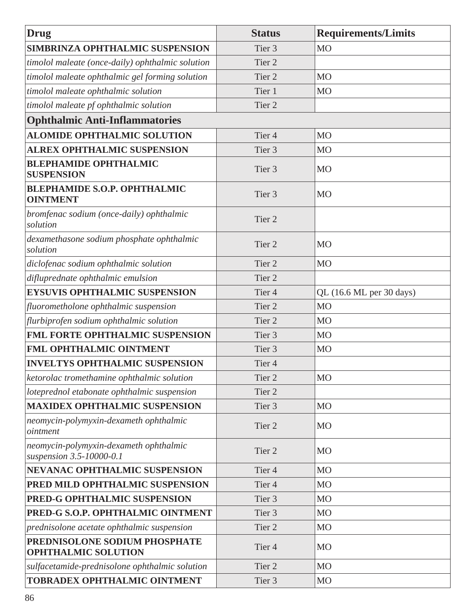| Drug                                                               | <b>Status</b>     | <b>Requirements/Limits</b> |
|--------------------------------------------------------------------|-------------------|----------------------------|
| SIMBRINZA OPHTHALMIC SUSPENSION                                    | Tier <sub>3</sub> | M <sub>O</sub>             |
| timolol maleate (once-daily) ophthalmic solution                   | Tier <sub>2</sub> |                            |
| timolol maleate ophthalmic gel forming solution                    | Tier <sub>2</sub> | <b>MO</b>                  |
| timolol maleate ophthalmic solution                                | Tier 1            | MO                         |
| timolol maleate pf ophthalmic solution                             | Tier <sub>2</sub> |                            |
| <b>Ophthalmic Anti-Inflammatories</b>                              |                   |                            |
| <b>ALOMIDE OPHTHALMIC SOLUTION</b>                                 | Tier <sub>4</sub> | <b>MO</b>                  |
| <b>ALREX OPHTHALMIC SUSPENSION</b>                                 | Tier <sub>3</sub> | M <sub>O</sub>             |
| <b>BLEPHAMIDE OPHTHALMIC</b><br><b>SUSPENSION</b>                  | Tier <sub>3</sub> | <b>MO</b>                  |
| <b>BLEPHAMIDE S.O.P. OPHTHALMIC</b><br><b>OINTMENT</b>             | Tier <sub>3</sub> | <b>MO</b>                  |
| bromfenac sodium (once-daily) ophthalmic<br>solution               | Tier <sub>2</sub> |                            |
| dexamethasone sodium phosphate ophthalmic<br>solution              | Tier <sub>2</sub> | <b>MO</b>                  |
| diclofenac sodium ophthalmic solution                              | Tier <sub>2</sub> | MO                         |
| difluprednate ophthalmic emulsion                                  | Tier <sub>2</sub> |                            |
| <b>EYSUVIS OPHTHALMIC SUSPENSION</b>                               | Tier <sub>4</sub> | QL (16.6 ML per 30 days)   |
| fluorometholone ophthalmic suspension                              | Tier <sub>2</sub> | M <sub>O</sub>             |
| flurbiprofen sodium ophthalmic solution                            | Tier <sub>2</sub> | M <sub>O</sub>             |
| <b>FML FORTE OPHTHALMIC SUSPENSION</b>                             | Tier <sub>3</sub> | M <sub>O</sub>             |
| <b>FML OPHTHALMIC OINTMENT</b>                                     | Tier <sub>3</sub> | <b>MO</b>                  |
| <b>INVELTYS OPHTHALMIC SUSPENSION</b>                              | Tier <sub>4</sub> |                            |
| ketorolac tromethamine ophthalmic solution                         | Tier <sub>2</sub> | M <sub>O</sub>             |
| loteprednol etabonate ophthalmic suspension                        | Tier <sub>2</sub> |                            |
| <b>MAXIDEX OPHTHALMIC SUSPENSION</b>                               | Tier <sub>3</sub> | <b>MO</b>                  |
| neomycin-polymyxin-dexameth ophthalmic<br>ointment                 | Tier <sub>2</sub> | <b>MO</b>                  |
| neomycin-polymyxin-dexameth ophthalmic<br>suspension 3.5-10000-0.1 | Tier <sub>2</sub> | MO                         |
| NEVANAC OPHTHALMIC SUSPENSION                                      | Tier <sub>4</sub> | <b>MO</b>                  |
| PRED MILD OPHTHALMIC SUSPENSION                                    | Tier <sub>4</sub> | M <sub>O</sub>             |
| PRED-G OPHTHALMIC SUSPENSION                                       | Tier <sub>3</sub> | M <sub>O</sub>             |
| PRED-G S.O.P. OPHTHALMIC OINTMENT                                  | Tier <sub>3</sub> | MO                         |
| prednisolone acetate ophthalmic suspension                         | Tier <sub>2</sub> | MO                         |
| PREDNISOLONE SODIUM PHOSPHATE<br><b>OPHTHALMIC SOLUTION</b>        | Tier <sub>4</sub> | <b>MO</b>                  |
| sulfacetamide-prednisolone ophthalmic solution                     | Tier 2            | <b>MO</b>                  |
| TOBRADEX OPHTHALMIC OINTMENT                                       | Tier 3            | <b>MO</b>                  |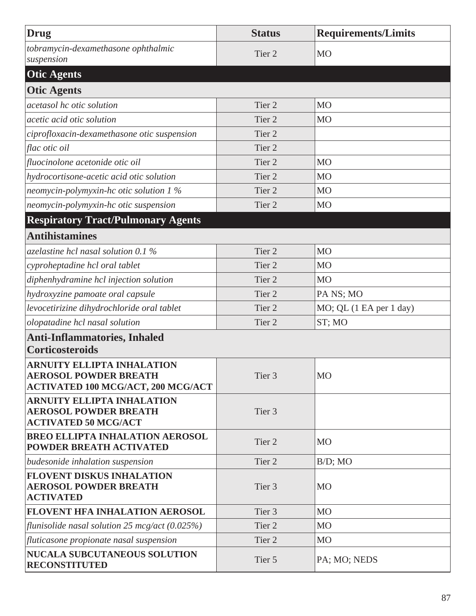| Drug                                                                                                           | <b>Status</b>     | <b>Requirements/Limits</b> |
|----------------------------------------------------------------------------------------------------------------|-------------------|----------------------------|
| tobramycin-dexamethasone ophthalmic<br>suspension                                                              | Tier 2            | <b>MO</b>                  |
| <b>Otic Agents</b>                                                                                             |                   |                            |
| <b>Otic Agents</b>                                                                                             |                   |                            |
| acetasol hc otic solution                                                                                      | Tier <sub>2</sub> | M <sub>O</sub>             |
| acetic acid otic solution                                                                                      | Tier <sub>2</sub> | M <sub>O</sub>             |
| ciprofloxacin-dexamethasone otic suspension                                                                    | Tier <sub>2</sub> |                            |
| flac otic oil                                                                                                  | Tier <sub>2</sub> |                            |
| fluocinolone acetonide otic oil                                                                                | Tier <sub>2</sub> | M <sub>O</sub>             |
| hydrocortisone-acetic acid otic solution                                                                       | Tier 2            | M <sub>O</sub>             |
| neomycin-polymyxin-hc otic solution $1\%$                                                                      | Tier <sub>2</sub> | M <sub>O</sub>             |
| neomycin-polymyxin-hc otic suspension                                                                          | Tier <sub>2</sub> | M <sub>O</sub>             |
| <b>Respiratory Tract/Pulmonary Agents</b>                                                                      |                   |                            |
| <b>Antihistamines</b>                                                                                          |                   |                            |
| azelastine hcl nasal solution 0.1 $\%$                                                                         | Tier <sub>2</sub> | M <sub>O</sub>             |
| cyproheptadine hcl oral tablet                                                                                 | Tier <sub>2</sub> | <b>MO</b>                  |
| diphenhydramine hcl injection solution                                                                         | Tier 2            | M <sub>O</sub>             |
| hydroxyzine pamoate oral capsule                                                                               | Tier <sub>2</sub> | PA NS; MO                  |
| levocetirizine dihydrochloride oral tablet                                                                     | Tier <sub>2</sub> | MO; QL (1 EA per 1 day)    |
| olopatadine hcl nasal solution                                                                                 | Tier <sub>2</sub> | ST; MO                     |
| <b>Anti-Inflammatories, Inhaled</b><br><b>Corticosteroids</b>                                                  |                   |                            |
| <b>ARNUITY ELLIPTA INHALATION</b><br><b>AEROSOL POWDER BREATH</b><br><b>ACTIVATED 100 MCG/ACT, 200 MCG/ACT</b> | Tier <sub>3</sub> | M <sub>O</sub>             |
| <b>ARNUITY ELLIPTA INHALATION</b><br><b>AEROSOL POWDER BREATH</b><br><b>ACTIVATED 50 MCG/ACT</b>               | Tier <sub>3</sub> |                            |
| <b>BREO ELLIPTA INHALATION AEROSOL</b><br>POWDER BREATH ACTIVATED                                              | Tier <sub>2</sub> | <b>MO</b>                  |
| budesonide inhalation suspension                                                                               | Tier <sub>2</sub> | $B/D$ ; MO                 |
| <b>FLOVENT DISKUS INHALATION</b><br><b>AEROSOL POWDER BREATH</b><br><b>ACTIVATED</b>                           | Tier 3            | <b>MO</b>                  |
| FLOVENT HFA INHALATION AEROSOL                                                                                 | Tier 3            | M <sub>O</sub>             |
| flunisolide nasal solution 25 mcg/act $(0.025\%)$                                                              | Tier 2            | M <sub>O</sub>             |
| fluticasone propionate nasal suspension                                                                        | Tier <sub>2</sub> | <b>MO</b>                  |
| <b>NUCALA SUBCUTANEOUS SOLUTION</b><br><b>RECONSTITUTED</b>                                                    | Tier 5            | PA; MO; NEDS               |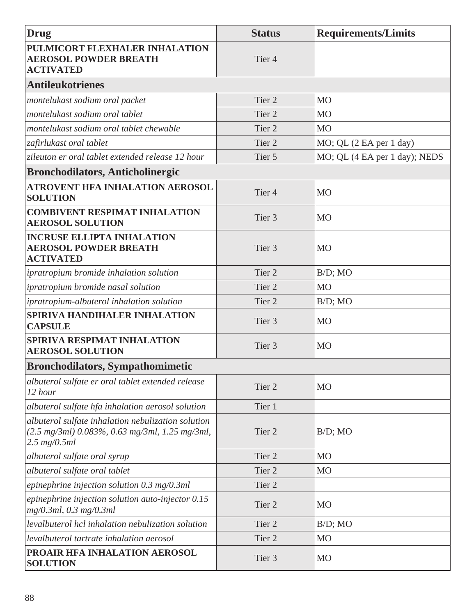| <b>Drug</b>                                                                                                                         | <b>Status</b>     | <b>Requirements/Limits</b>    |
|-------------------------------------------------------------------------------------------------------------------------------------|-------------------|-------------------------------|
| PULMICORT FLEXHALER INHALATION<br><b>AEROSOL POWDER BREATH</b><br><b>ACTIVATED</b>                                                  | Tier <sub>4</sub> |                               |
| <b>Antileukotrienes</b>                                                                                                             |                   |                               |
| montelukast sodium oral packet                                                                                                      | Tier <sub>2</sub> | <b>MO</b>                     |
| montelukast sodium oral tablet                                                                                                      | Tier 2            | M <sub>O</sub>                |
| montelukast sodium oral tablet chewable                                                                                             | Tier <sub>2</sub> | MO                            |
| zafirlukast oral tablet                                                                                                             | Tier <sub>2</sub> | MO; QL (2 EA per 1 day)       |
| zileuton er oral tablet extended release 12 hour                                                                                    | Tier 5            | MO; QL (4 EA per 1 day); NEDS |
| <b>Bronchodilators, Anticholinergic</b>                                                                                             |                   |                               |
| <b>ATROVENT HFA INHALATION AEROSOL</b><br><b>SOLUTION</b>                                                                           | Tier <sub>4</sub> | <b>MO</b>                     |
| <b>COMBIVENT RESPIMAT INHALATION</b><br><b>AEROSOL SOLUTION</b>                                                                     | Tier <sub>3</sub> | MO                            |
| <b>INCRUSE ELLIPTA INHALATION</b><br><b>AEROSOL POWDER BREATH</b><br><b>ACTIVATED</b>                                               | Tier <sub>3</sub> | MO                            |
| ipratropium bromide inhalation solution                                                                                             | Tier <sub>2</sub> | $B/D$ ; MO                    |
| ipratropium bromide nasal solution                                                                                                  | Tier <sub>2</sub> | M <sub>O</sub>                |
| ipratropium-albuterol inhalation solution                                                                                           | Tier <sub>2</sub> | $B/D$ ; MO                    |
| SPIRIVA HANDIHALER INHALATION<br><b>CAPSULE</b>                                                                                     | Tier 3            | MO                            |
| SPIRIVA RESPIMAT INHALATION<br><b>AEROSOL SOLUTION</b>                                                                              | Tier <sub>3</sub> | MO                            |
| <b>Bronchodilators, Sympathomimetic</b>                                                                                             |                   |                               |
| albuterol sulfate er oral tablet extended release<br>12 hour                                                                        | Tier <sub>2</sub> | <b>MO</b>                     |
| albuterol sulfate hfa inhalation aerosol solution                                                                                   | Tier 1            |                               |
| albuterol sulfate inhalation nebulization solution<br>$(2.5 \text{ mg/3ml})$ 0.083%, 0.63 mg/3ml, 1.25 mg/3ml,<br>$2.5 \, mg/0.5ml$ | Tier <sub>2</sub> | $B/D$ ; MO                    |
| albuterol sulfate oral syrup                                                                                                        | Tier <sub>2</sub> | <b>MO</b>                     |
| albuterol sulfate oral tablet                                                                                                       | Tier <sub>2</sub> | MO                            |
| epinephrine injection solution $0.3 \ mg/0.3ml$                                                                                     | Tier <sub>2</sub> |                               |
| epinephrine injection solution auto-injector $0.15$<br>$mg/0.3ml$ , 0.3 mg/0.3ml                                                    | Tier <sub>2</sub> | MO                            |
| levalbuterol hcl inhalation nebulization solution                                                                                   | Tier 2            | $B/D$ ; MO                    |
| levalbuterol tartrate inhalation aerosol                                                                                            | Tier <sub>2</sub> | M <sub>O</sub>                |
| PROAIR HFA INHALATION AEROSOL<br><b>SOLUTION</b>                                                                                    | Tier 3            | MO                            |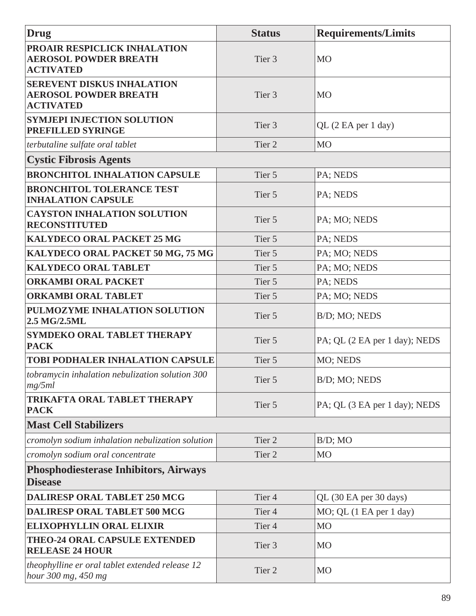| Drug                                                                                  | <b>Status</b>     | <b>Requirements/Limits</b>    |
|---------------------------------------------------------------------------------------|-------------------|-------------------------------|
| PROAIR RESPICLICK INHALATION<br><b>AEROSOL POWDER BREATH</b><br><b>ACTIVATED</b>      | Tier 3            | <b>MO</b>                     |
| <b>SEREVENT DISKUS INHALATION</b><br><b>AEROSOL POWDER BREATH</b><br><b>ACTIVATED</b> | Tier 3            | <b>MO</b>                     |
| <b>SYMJEPI INJECTION SOLUTION</b><br>PREFILLED SYRINGE                                | Tier <sub>3</sub> | QL (2 EA per 1 day)           |
| terbutaline sulfate oral tablet                                                       | Tier <sub>2</sub> | M <sub>O</sub>                |
| <b>Cystic Fibrosis Agents</b>                                                         |                   |                               |
| <b>BRONCHITOL INHALATION CAPSULE</b>                                                  | Tier 5            | PA; NEDS                      |
| <b>BRONCHITOL TOLERANCE TEST</b><br><b>INHALATION CAPSULE</b>                         | Tier 5            | PA; NEDS                      |
| <b>CAYSTON INHALATION SOLUTION</b><br><b>RECONSTITUTED</b>                            | Tier 5            | PA; MO; NEDS                  |
| <b>KALYDECO ORAL PACKET 25 MG</b>                                                     | Tier 5            | PA; NEDS                      |
| KALYDECO ORAL PACKET 50 MG, 75 MG                                                     | Tier 5            | PA; MO; NEDS                  |
| <b>KALYDECO ORAL TABLET</b>                                                           | Tier 5            | PA; MO; NEDS                  |
| <b>ORKAMBI ORAL PACKET</b>                                                            | Tier 5            | PA; NEDS                      |
| <b>ORKAMBI ORAL TABLET</b>                                                            | Tier 5            | PA; MO; NEDS                  |
| PULMOZYME INHALATION SOLUTION<br>2.5 MG/2.5ML                                         | Tier 5            | B/D; MO; NEDS                 |
| <b>SYMDEKO ORAL TABLET THERAPY</b><br><b>PACK</b>                                     | Tier 5            | PA; QL (2 EA per 1 day); NEDS |
| TOBI PODHALER INHALATION CAPSULE                                                      | Tier 5            | MO; NEDS                      |
| tobramycin inhalation nebulization solution 300<br>mg/5ml                             | Tier 5            | B/D; MO; NEDS                 |
| <b>TRIKAFTA ORAL TABLET THERAPY</b><br><b>PACK</b>                                    | Tier 5            | PA; QL (3 EA per 1 day); NEDS |
| <b>Mast Cell Stabilizers</b>                                                          |                   |                               |
| cromolyn sodium inhalation nebulization solution                                      | Tier <sub>2</sub> | $B/D$ ; MO                    |
| cromolyn sodium oral concentrate                                                      | Tier <sub>2</sub> | M <sub>O</sub>                |
| <b>Phosphodiesterase Inhibitors, Airways</b><br><b>Disease</b>                        |                   |                               |
| <b>DALIRESP ORAL TABLET 250 MCG</b>                                                   | Tier <sub>4</sub> | QL (30 EA per 30 days)        |
| <b>DALIRESP ORAL TABLET 500 MCG</b>                                                   | Tier <sub>4</sub> | MO; QL (1 EA per 1 day)       |
| <b>ELIXOPHYLLIN ORAL ELIXIR</b>                                                       | Tier <sub>4</sub> | M <sub>O</sub>                |
| <b>THEO-24 ORAL CAPSULE EXTENDED</b><br><b>RELEASE 24 HOUR</b>                        | Tier 3            | <b>MO</b>                     |
| theophylline er oral tablet extended release 12<br>hour 300 mg, 450 mg                | Tier 2            | <b>MO</b>                     |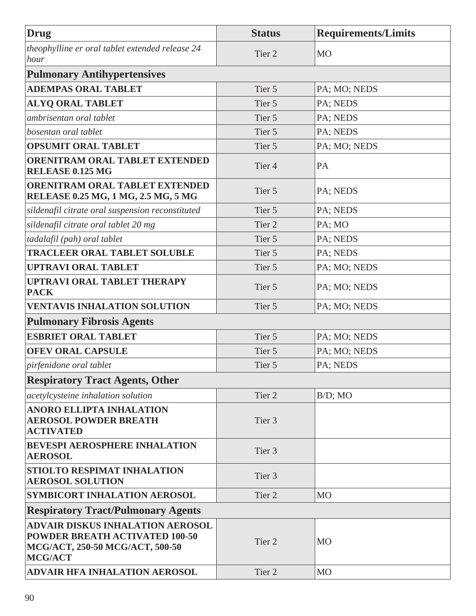| <b>Drug</b>                                                                                                                           | <b>Status</b>     | <b>Requirements/Limits</b> |
|---------------------------------------------------------------------------------------------------------------------------------------|-------------------|----------------------------|
| theophylline er oral tablet extended release 24<br>hour                                                                               | Tier <sub>2</sub> | MO                         |
| <b>Pulmonary Antihypertensives</b>                                                                                                    |                   |                            |
| <b>ADEMPAS ORAL TABLET</b>                                                                                                            | Tier 5            | PA; MO; NEDS               |
| <b>ALYQ ORAL TABLET</b>                                                                                                               | Tier 5            | PA; NEDS                   |
| ambrisentan oral tablet                                                                                                               | Tier 5            | PA; NEDS                   |
| bosentan oral tablet                                                                                                                  | Tier 5            | PA; NEDS                   |
| <b>OPSUMIT ORAL TABLET</b>                                                                                                            | Tier 5            | PA; MO; NEDS               |
| <b>ORENITRAM ORAL TABLET EXTENDED</b><br>RELEASE 0.125 MG                                                                             | Tier <sub>4</sub> | PA                         |
| ORENITRAM ORAL TABLET EXTENDED<br>RELEASE 0.25 MG, 1 MG, 2.5 MG, 5 MG                                                                 | Tier 5            | PA; NEDS                   |
| sildenafil citrate oral suspension reconstituted                                                                                      | Tier 5            | PA; NEDS                   |
| sildenafil citrate oral tablet 20 mg                                                                                                  | Tier <sub>2</sub> | PA; MO                     |
| tadalafil (pah) oral tablet                                                                                                           | Tier 5            | PA; NEDS                   |
| <b>TRACLEER ORAL TABLET SOLUBLE</b>                                                                                                   | Tier 5            | PA; NEDS                   |
| <b>UPTRAVI ORAL TABLET</b>                                                                                                            | Tier 5            | PA; MO; NEDS               |
| <b>UPTRAVI ORAL TABLET THERAPY</b><br><b>PACK</b>                                                                                     | Tier 5            | PA; MO; NEDS               |
| <b>VENTAVIS INHALATION SOLUTION</b>                                                                                                   | Tier 5            | PA; MO; NEDS               |
| <b>Pulmonary Fibrosis Agents</b>                                                                                                      |                   |                            |
| <b>ESBRIET ORAL TABLET</b>                                                                                                            | Tier 5            | PA; MO; NEDS               |
| <b>OFEV ORAL CAPSULE</b>                                                                                                              | Tier 5            | PA; MO; NEDS               |
| pirfenidone oral tablet                                                                                                               | Tier 5            | PA; NEDS                   |
| <b>Respiratory Tract Agents, Other</b>                                                                                                |                   |                            |
| acetylcysteine inhalation solution                                                                                                    | Tier 2            | $B/D$ ; MO                 |
| <b>ANORO ELLIPTA INHALATION</b><br><b>AEROSOL POWDER BREATH</b><br><b>ACTIVATED</b>                                                   | Tier 3            |                            |
| <b>BEVESPI AEROSPHERE INHALATION</b><br><b>AEROSOL</b>                                                                                | Tier <sub>3</sub> |                            |
| STIOLTO RESPIMAT INHALATION<br><b>AEROSOL SOLUTION</b>                                                                                | Tier 3            |                            |
| SYMBICORT INHALATION AEROSOL                                                                                                          | Tier 2            | M <sub>O</sub>             |
| <b>Respiratory Tract/Pulmonary Agents</b>                                                                                             |                   |                            |
| <b>ADVAIR DISKUS INHALATION AEROSOL</b><br><b>POWDER BREATH ACTIVATED 100-50</b><br>MCG/ACT, 250-50 MCG/ACT, 500-50<br><b>MCG/ACT</b> | Tier <sub>2</sub> | <b>MO</b>                  |
| <b>ADVAIR HFA INHALATION AEROSOL</b>                                                                                                  | Tier <sub>2</sub> | M <sub>O</sub>             |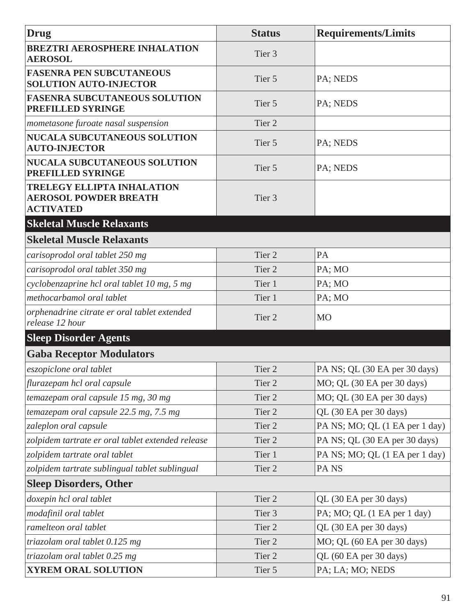| Drug                                                                                  | <b>Status</b>     | <b>Requirements/Limits</b>     |
|---------------------------------------------------------------------------------------|-------------------|--------------------------------|
| <b>BREZTRI AEROSPHERE INHALATION</b>                                                  |                   |                                |
| <b>AEROSOL</b>                                                                        | Tier 3            |                                |
| <b>FASENRA PEN SUBCUTANEOUS</b><br><b>SOLUTION AUTO-INJECTOR</b>                      | Tier 5            | PA; NEDS                       |
| <b>FASENRA SUBCUTANEOUS SOLUTION</b><br>PREFILLED SYRINGE                             | Tier 5            | PA; NEDS                       |
| mometasone furoate nasal suspension                                                   | Tier 2            |                                |
| NUCALA SUBCUTANEOUS SOLUTION<br><b>AUTO-INJECTOR</b>                                  | Tier 5            | PA; NEDS                       |
| <b>NUCALA SUBCUTANEOUS SOLUTION</b><br>PREFILLED SYRINGE                              | Tier 5            | PA; NEDS                       |
| <b>TRELEGY ELLIPTA INHALATION</b><br><b>AEROSOL POWDER BREATH</b><br><b>ACTIVATED</b> | Tier <sub>3</sub> |                                |
| <b>Skeletal Muscle Relaxants</b>                                                      |                   |                                |
| <b>Skeletal Muscle Relaxants</b>                                                      |                   |                                |
| carisoprodol oral tablet 250 mg                                                       | Tier 2            | PA                             |
| carisoprodol oral tablet 350 mg                                                       | Tier 2            | PA; MO                         |
| cyclobenzaprine hcl oral tablet 10 mg, 5 mg                                           | Tier 1            | PA; MO                         |
| methocarbamol oral tablet                                                             | Tier 1            | PA; MO                         |
| orphenadrine citrate er oral tablet extended<br>release 12 hour                       | Tier 2            | <b>MO</b>                      |
| <b>Sleep Disorder Agents</b>                                                          |                   |                                |
| <b>Gaba Receptor Modulators</b>                                                       |                   |                                |
| eszopiclone oral tablet                                                               | Tier 2            | PA NS; QL (30 EA per 30 days)  |
| flurazepam hcl oral capsule                                                           | Tier 2            | MO; QL (30 EA per 30 days)     |
| temazepam oral capsule 15 mg, 30 mg                                                   | Tier 2            | MO; QL (30 EA per 30 days)     |
| temazepam oral capsule 22.5 mg, 7.5 mg                                                | Tier 2            | QL (30 EA per 30 days)         |
| zaleplon oral capsule                                                                 | Tier 2            | PA NS; MO; QL (1 EA per 1 day) |
| zolpidem tartrate er oral tablet extended release                                     | Tier 2            | PA NS; QL (30 EA per 30 days)  |
| zolpidem tartrate oral tablet                                                         | Tier 1            | PA NS; MO; QL (1 EA per 1 day) |
| zolpidem tartrate sublingual tablet sublingual                                        | Tier <sub>2</sub> | PA <sub>NS</sub>               |
| <b>Sleep Disorders, Other</b>                                                         |                   |                                |
| doxepin hcl oral tablet                                                               | Tier 2            | QL (30 EA per 30 days)         |
| modafinil oral tablet                                                                 | Tier 3            | PA; MO; QL (1 EA per 1 day)    |
| ramelteon oral tablet                                                                 | Tier 2            | QL (30 EA per 30 days)         |
| triazolam oral tablet 0.125 mg                                                        | Tier 2            | MO; QL (60 EA per 30 days)     |
| triazolam oral tablet 0.25 mg                                                         | Tier 2            | QL (60 EA per 30 days)         |
| XYREM ORAL SOLUTION                                                                   | Tier 5            | PA; LA; MO; NEDS               |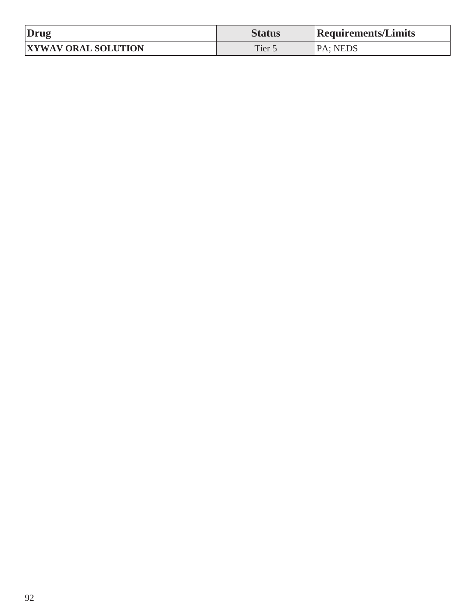| Drug                       | <b>Status</b> | <b>Requirements/Limits</b> |
|----------------------------|---------------|----------------------------|
| <b>XYWAV ORAL SOLUTION</b> | Tier :        | <b>PA</b> : NEDS           |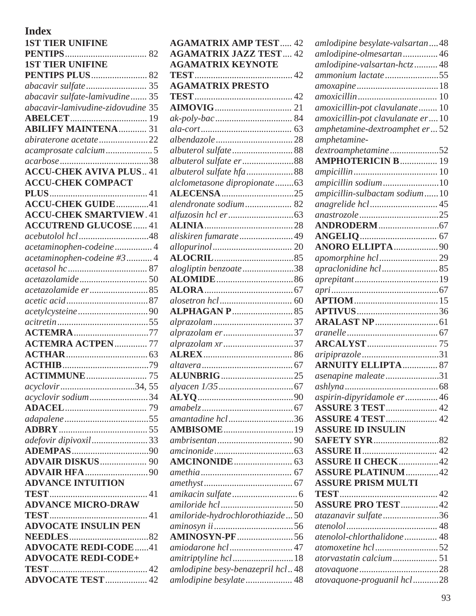## **Index**

| <b>1ST TIER UNIFINE</b>                       |  |
|-----------------------------------------------|--|
|                                               |  |
| <b>1ST TIER UNIFINE</b>                       |  |
| <b>PENTIPS PLUS 82</b>                        |  |
|                                               |  |
| abacavir sulfate-lamivudine 35                |  |
| abacavir-lamivudine-zidovudine 35             |  |
|                                               |  |
| <b>ABILIFY MAINTENA</b> 31                    |  |
| abiraterone acetate 22                        |  |
|                                               |  |
|                                               |  |
| <b>ACCU-CHEK AVIVA PLUS 41</b>                |  |
| <b>ACCU-CHEK COMPACT</b>                      |  |
|                                               |  |
| <b>ACCU-CHEK GUIDE</b> 41                     |  |
| <b>ACCU-CHEK SMARTVIEW. 41</b>                |  |
| <b>ACCUTREND GLUCOSE 41</b>                   |  |
|                                               |  |
|                                               |  |
| acetaminophen-codeine4                        |  |
| acetaminophen-codeine #3  4                   |  |
|                                               |  |
|                                               |  |
| acetazolamide er85                            |  |
|                                               |  |
|                                               |  |
|                                               |  |
| <b>ACTEMRA</b> 77<br><b>ACTEMRA ACTPEN 77</b> |  |
|                                               |  |
|                                               |  |
|                                               |  |
|                                               |  |
| acyclovir34, 55                               |  |
| acyclovir sodium34                            |  |
|                                               |  |
|                                               |  |
|                                               |  |
| adefovir dipivoxil33                          |  |
|                                               |  |
|                                               |  |
|                                               |  |
| <b>ADVANCE INTUITION</b>                      |  |
|                                               |  |
| <b>ADVANCE MICRO-DRAW</b>                     |  |
|                                               |  |
| <b>ADVOCATE INSULIN PEN</b>                   |  |
|                                               |  |
| <b>ADVOCATE REDI-CODE41</b>                   |  |
| <b>ADVOCATE REDI-CODE+</b>                    |  |
|                                               |  |
| <b>ADVOCATE TEST  42</b>                      |  |

| <b>AGAMATRIX AMP TEST 42</b>     |  |
|----------------------------------|--|
| <b>AGAMATRIX JAZZ TEST 42</b>    |  |
| <b>AGAMATRIX KEYNOTE</b>         |  |
|                                  |  |
| <b>AGAMATRIX PRESTO</b>          |  |
|                                  |  |
|                                  |  |
|                                  |  |
|                                  |  |
|                                  |  |
|                                  |  |
| albuterol sulfate er 88          |  |
| albuterol sulfate hfa88          |  |
| alclometasone dipropionate63     |  |
| <b>ALECENSA</b> 25               |  |
| alendronate sodium 82            |  |
|                                  |  |
|                                  |  |
| aliskiren fumarate 49            |  |
|                                  |  |
|                                  |  |
| alogliptin benzoate 38           |  |
|                                  |  |
|                                  |  |
|                                  |  |
|                                  |  |
|                                  |  |
| alprazolam er37                  |  |
| alprazolam xr37                  |  |
|                                  |  |
|                                  |  |
| <b>ALUNBRIG</b> 25               |  |
|                                  |  |
|                                  |  |
|                                  |  |
| amantadine hcl36                 |  |
| <b>AMBISOME</b> 19               |  |
|                                  |  |
|                                  |  |
|                                  |  |
|                                  |  |
|                                  |  |
|                                  |  |
| amiloride hcl50                  |  |
| amiloride-hydrochlorothiazide50  |  |
|                                  |  |
| <b>AMINOSYN-PF</b> 56            |  |
| amiodarone hcl 47                |  |
| amitriptyline hcl18              |  |
| amlodipine besy-benazepril hcl48 |  |
| amlodipine besylate 48           |  |

| amlodipine besylate-valsartan48  |  |
|----------------------------------|--|
| amlodipine-olmesartan 46         |  |
| amlodipine-valsartan-hctz 48     |  |
| ammonium lactate55               |  |
|                                  |  |
|                                  |  |
| amoxicillin-pot clavulanate 10   |  |
| amoxicillin-pot clavulanate er10 |  |
| amphetamine-dextroamphet er52    |  |
| amphetamine-                     |  |
| dextroamphetamine52              |  |
| <b>AMPHOTERICIN B  19</b>        |  |
|                                  |  |
| ampicillin sodium10              |  |
| ampicillin-sulbactam sodium10    |  |
|                                  |  |
|                                  |  |
|                                  |  |
|                                  |  |
| <b>ANORO ELLIPTA90</b>           |  |
| apomorphine hcl29                |  |
| apraclonidine hcl 85             |  |
|                                  |  |
|                                  |  |
|                                  |  |
|                                  |  |
|                                  |  |
|                                  |  |
|                                  |  |
|                                  |  |
| <b>ARNUITY ELLIPTA  87</b>       |  |
| asenapine maleate31              |  |
| . 68                             |  |
| aspirin-dipyridamole er 46       |  |
| <b>ASSURE 3 TEST</b> 42          |  |
| <b>ASSURE 4 TEST 42</b>          |  |
| <b>ASSURE ID INSULIN</b>         |  |
|                                  |  |
|                                  |  |
| <b>ASSURE II CHECK</b> 42        |  |
| <b>ASSURE PLATINUM42</b>         |  |
| <b>ASSURE PRISM MULTI</b>        |  |
|                                  |  |
| <b>ASSURE PRO TEST42</b>         |  |
| atazanavir sulfate36             |  |
|                                  |  |
| atenolol-chlorthalidone 48       |  |
| atomoxetine hcl52                |  |
| atorvastatin calcium 51          |  |
|                                  |  |
| atovaquone-proguanil hcl28       |  |
|                                  |  |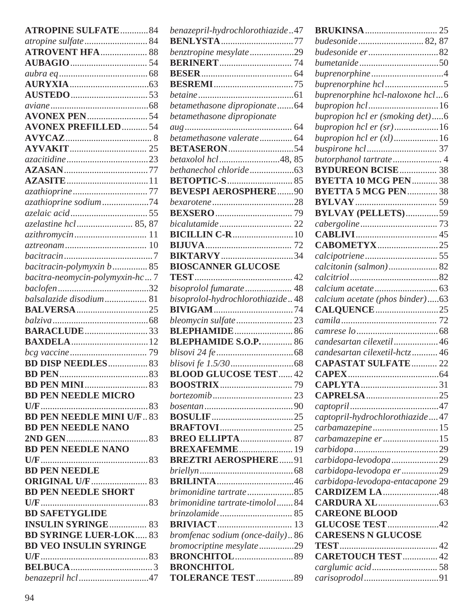| <b>ATROPINE SULFATE  84</b>      |  |
|----------------------------------|--|
|                                  |  |
| <b>ATROVENT HFA  88</b>          |  |
|                                  |  |
|                                  |  |
|                                  |  |
|                                  |  |
|                                  |  |
|                                  |  |
| <b>AVONEX PREFILLED 54</b>       |  |
|                                  |  |
|                                  |  |
|                                  |  |
|                                  |  |
|                                  |  |
|                                  |  |
| azathioprine sodium74            |  |
|                                  |  |
| azelastine hcl 85, 87            |  |
|                                  |  |
|                                  |  |
|                                  |  |
| bacitracin-polymyxin b 85        |  |
| bacitra-neomycin-polymyxin-hc7   |  |
|                                  |  |
| balsalazide disodium 81          |  |
| <b>BALVERSA</b> 25               |  |
|                                  |  |
| <b>BARACLUDE</b> 33              |  |
|                                  |  |
|                                  |  |
| <b>BD DISP NEEDLES 83</b>        |  |
|                                  |  |
|                                  |  |
| <b>BD PEN NEEDLE MICRO</b>       |  |
|                                  |  |
| <b>BD PEN NEEDLE MINI U/F.83</b> |  |
| <b>BD PEN NEEDLE NANO</b>        |  |
|                                  |  |
| <b>BD PEN NEEDLE NANO</b>        |  |
|                                  |  |
|                                  |  |
|                                  |  |
| <b>BD PEN NEEDLE SHORT</b>       |  |
| <b>BD SAFETYGLIDE</b>            |  |
| <b>INSULIN SYRINGE 83</b>        |  |
| <b>BD SYRINGE LUER-LOK 83</b>    |  |
| <b>BD VEO INSULIN SYRINGE</b>    |  |
|                                  |  |
|                                  |  |
| benazepril hcl47                 |  |
|                                  |  |

| benazepril-hydrochlorothiazide47 |  |
|----------------------------------|--|
| <b>BENLYSTA</b> 77               |  |
| benztropine mesylate29           |  |
|                                  |  |
|                                  |  |
|                                  |  |
|                                  |  |
| betamethasone dipropionate64     |  |
| betamethasone dipropionate       |  |
|                                  |  |
| betamethasone valerate 64        |  |
| <b>BETASERON54</b>               |  |
| betaxolol hcl48, 85              |  |
|                                  |  |
|                                  |  |
| <b>BEVESPI AEROSPHERE90</b>      |  |
|                                  |  |
|                                  |  |
|                                  |  |
|                                  |  |
|                                  |  |
| <b>BIKTARVY</b> 34               |  |
| <b>BIOSCANNER GLUCOSE</b>        |  |
|                                  |  |
| bisoprolol fumarate  48          |  |
| bisoprolol-hydrochlorothiazide48 |  |
|                                  |  |
|                                  |  |
| <b>BLEPHAMIDE</b> 86             |  |
| <b>BLEPHAMIDE S.O.P 86</b>       |  |
|                                  |  |
|                                  |  |
| <b>BLOOD GLUCOSE TEST 42</b>     |  |
|                                  |  |
|                                  |  |
|                                  |  |
|                                  |  |
|                                  |  |
| <b>BREO ELLIPTA</b> 87           |  |
| <b>BREXAFEMME</b> 19             |  |
| <b>BREZTRI AEROSPHERE91</b>      |  |
|                                  |  |
| <b>BRILINTA</b> 46               |  |
| brimonidine tartrate85           |  |
| brimonidine tartrate-timolol84   |  |
|                                  |  |
|                                  |  |
| bromfenac sodium (once-daily) 86 |  |
| bromocriptine mesylate29         |  |
|                                  |  |
| <b>BRONCHITOL</b>                |  |
| <b>TOLERANCE TEST 89</b>         |  |

| budesonide 82, 87                |  |
|----------------------------------|--|
| budesonide er82                  |  |
| bumetanide50                     |  |
|                                  |  |
| buprenorphine hcl5               |  |
| buprenorphine hcl-naloxone hcl6  |  |
| bupropion hcl16                  |  |
| bupropion hcl er (smoking det)6  |  |
| bupropion hcl er $(sr)$ 16       |  |
| bupropion hcl er (xl)16          |  |
|                                  |  |
| butorphanol tartrate4            |  |
| <b>BYDUREON BCISE 38</b>         |  |
| <b>BYETTA 10 MCG PEN 38</b>      |  |
| <b>BYETTA 5 MCG PEN38</b>        |  |
|                                  |  |
| <b>BYLVAY (PELLETS)59</b>        |  |
|                                  |  |
|                                  |  |
| <b>CABOMETYX</b> 25              |  |
|                                  |  |
|                                  |  |
|                                  |  |
|                                  |  |
|                                  |  |
| calcium acetate (phos binder)63  |  |
| <b>CALQUENCE</b> 25              |  |
|                                  |  |
|                                  |  |
| candesartan cilexetil46          |  |
| candesartan cilexetil-hctz46     |  |
| <b>CAPASTAT SULFATE  22</b>      |  |
|                                  |  |
|                                  |  |
|                                  |  |
|                                  |  |
| captopril-hydrochlorothiazide47  |  |
| carbamazepine 15                 |  |
| carbamazepine er15               |  |
|                                  |  |
| carbidopa-levodopa29             |  |
| carbidopa-levodopa er29          |  |
| carbidopa-levodopa-entacapone 29 |  |
| <b>CARDIZEM LA48</b>             |  |
|                                  |  |
| <b>CAREONE BLOOD</b>             |  |
| <b>GLUCOSE TEST</b> 42           |  |
| <b>CARESENS N GLUCOSE</b>        |  |
|                                  |  |
| <b>CARETOUCH TEST 42</b>         |  |
|                                  |  |
|                                  |  |
|                                  |  |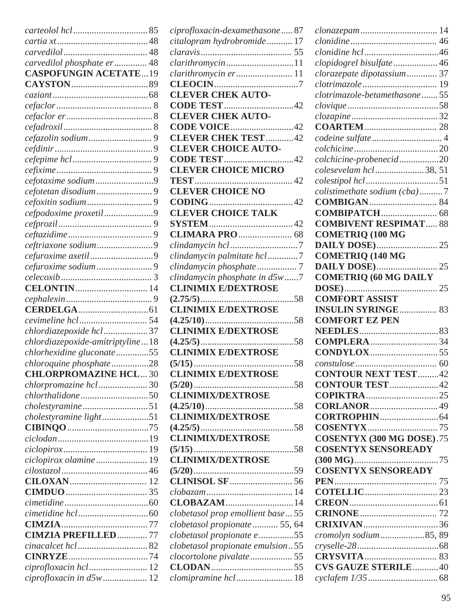|                                  | ciprofloxacin-dexamethasone87      |
|----------------------------------|------------------------------------|
|                                  | citalopram hydrobromide 17         |
|                                  |                                    |
| carvedilol phosphate er 48       | clarithromycin11                   |
| <b>CASPOFUNGIN ACETATE19</b>     | clarithromycin er 11               |
|                                  |                                    |
|                                  | <b>CLEVER CHEK AUTO-</b>           |
|                                  | <b>CODE TEST</b> 42                |
|                                  | <b>CLEVER CHEK AUTO-</b>           |
|                                  | CODE VOICE42                       |
|                                  | <b>CLEVER CHEK TEST</b> 42         |
|                                  | <b>CLEVER CHOICE AUTO-</b>         |
|                                  |                                    |
|                                  | <b>CLEVER CHOICE MICRO</b>         |
| cefotaxime sodium9               |                                    |
|                                  | <b>CLEVER CHOICE NO</b>            |
|                                  |                                    |
| cefpodoxime proxetil9            | <b>CLEVER CHOICE TALK</b>          |
|                                  |                                    |
|                                  |                                    |
|                                  |                                    |
|                                  |                                    |
|                                  | clindamycin palmitate hcl7         |
|                                  |                                    |
|                                  | clindamycin phosphate in d5w7      |
|                                  | <b>CLINIMIX E/DEXTROSE</b>         |
|                                  |                                    |
|                                  | <b>CLINIMIX E/DEXTROSE</b>         |
|                                  |                                    |
| chlordiazepoxide hcl 37          | <b>CLINIMIX E/DEXTROSE</b>         |
| chlordiazepoxide-amitriptyline18 |                                    |
| chlorhexidine gluconate55        | <b>CLINIMIX E/DEXTROSE</b>         |
| chloroquine phosphate28          |                                    |
| <b>CHLORPROMAZINE HCL30</b>      | <b>CLINIMIX E/DEXTROSE</b>         |
| chlorpromazine hcl  30           |                                    |
|                                  | <b>CLINIMIX/DEXTROSE</b>           |
| cholestyramine51                 |                                    |
| cholestyramine light51           | <b>CLINIMIX/DEXTROSE</b>           |
|                                  |                                    |
|                                  | <b>CLINIMIX/DEXTROSE</b>           |
|                                  |                                    |
| ciclopirox olamine 19            | <b>CLINIMIX/DEXTROSE</b>           |
|                                  |                                    |
|                                  |                                    |
|                                  |                                    |
|                                  | <b>CLOBAZAM</b> 14                 |
|                                  | clobetasol prop emollient base  55 |
|                                  | clobetasol propionate 55, 64       |
| <b>CIMZIA PREFILLED 77</b>       | clobetasol propionate e 55         |
| <i>cinacalcet hcl</i> 82         | clobetasol propionate emulsion55   |
|                                  |                                    |
| ciprofloxacin hcl  12            |                                    |
| ciprofloxacin in d5w 12          | clomipramine hcl 18                |

| clopidogrel bisulfate  46        |  |
|----------------------------------|--|
| clorazepate dipotassium 37       |  |
|                                  |  |
| clotrimazole-betamethasone  55   |  |
|                                  |  |
|                                  |  |
|                                  |  |
|                                  |  |
|                                  |  |
| colchicine-probenecid20          |  |
| colesevelam hcl38, 51            |  |
|                                  |  |
|                                  |  |
| colistimethate sodium (cba)7     |  |
|                                  |  |
|                                  |  |
| <b>COMBIVENT RESPIMAT 88</b>     |  |
| <b>COMETRIQ (100 MG</b>          |  |
|                                  |  |
| <b>COMETRIQ (140 MG</b>          |  |
|                                  |  |
| <b>COMETRIQ (60 MG DAILY</b>     |  |
|                                  |  |
| <b>COMFORT ASSIST</b>            |  |
| <b>INSULIN SYRINGE 83</b>        |  |
| <b>COMFORT EZ PEN</b>            |  |
|                                  |  |
| <b>COMPLERA</b> 34               |  |
|                                  |  |
|                                  |  |
| <b>CONTOUR NEXT TEST42</b>       |  |
|                                  |  |
|                                  |  |
| <b>CONTOUR TEST 42</b>           |  |
|                                  |  |
|                                  |  |
|                                  |  |
|                                  |  |
| <b>COSENTYX (300 MG DOSE).75</b> |  |
| <b>COSENTYX SENSOREADY</b>       |  |
|                                  |  |
| <b>COSENTYX SENSOREADY</b>       |  |
|                                  |  |
|                                  |  |
|                                  |  |
|                                  |  |
|                                  |  |
| CRIXIVAN36                       |  |
| cromolyn sodium85, 89            |  |
|                                  |  |
|                                  |  |
| <b>CVS GAUZE STERILE40</b>       |  |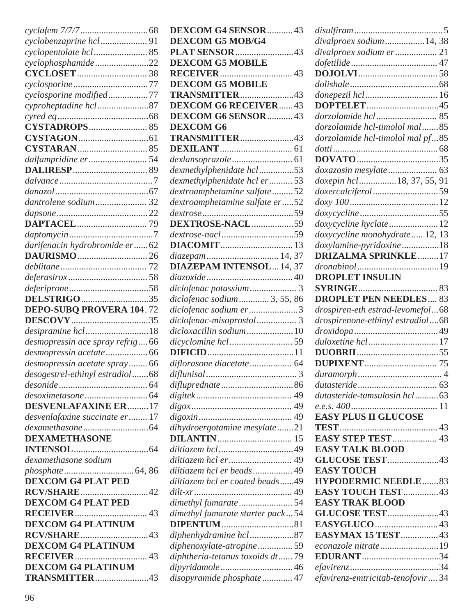| cyclopentolate hcl 85                                       |  |
|-------------------------------------------------------------|--|
| cyclophosphamide22                                          |  |
|                                                             |  |
|                                                             |  |
| cyclosporine modified77                                     |  |
| cyproheptadine hcl87                                        |  |
|                                                             |  |
|                                                             |  |
|                                                             |  |
|                                                             |  |
|                                                             |  |
|                                                             |  |
|                                                             |  |
|                                                             |  |
| dantrolene sodium 32                                        |  |
|                                                             |  |
|                                                             |  |
|                                                             |  |
| darifenacin hydrobromide er62                               |  |
|                                                             |  |
|                                                             |  |
|                                                             |  |
|                                                             |  |
| DELSTRIGO35                                                 |  |
| <b>DEPO-SUBQ PROVERA 104.72</b>                             |  |
|                                                             |  |
|                                                             |  |
| desipramine hcl18                                           |  |
|                                                             |  |
| desmopressin ace spray refrig 66<br>desmopressin acetate 66 |  |
| desmopressin acetate spray 66                               |  |
|                                                             |  |
| desogestrel-ethinyl estradiol68                             |  |
|                                                             |  |
| <b>DESVENLAFAXINE ER17</b>                                  |  |
| desvenlafaxine succinate er 17                              |  |
|                                                             |  |
| <b>DEXAMETHASONE</b>                                        |  |
|                                                             |  |
| dexamethasone sodium                                        |  |
|                                                             |  |
| <b>DEXCOM G4 PLAT PED</b>                                   |  |
| <b>RCV/SHARE</b> 42                                         |  |
| <b>DEXCOM G4 PLAT PED</b>                                   |  |
|                                                             |  |
| <b>DEXCOM G4 PLATINUM</b>                                   |  |
| <b>RCV/SHARE</b> 43                                         |  |
| <b>DEXCOM G4 PLATINUM</b>                                   |  |
|                                                             |  |
| <b>DEXCOM G4 PLATINUM</b>                                   |  |

|                                                                                   | <b>DEXCOM G4 SENSOR</b> 43 |
|-----------------------------------------------------------------------------------|----------------------------|
| <b>DEXCOM G5 MOB/G4</b>                                                           |                            |
| <b>PLAT SENSOR</b> 43                                                             |                            |
| <b>DEXCOM G5 MOBILE</b>                                                           |                            |
|                                                                                   |                            |
| <b>DEXCOM G5 MOBILE</b>                                                           |                            |
| TRANSMITTER43                                                                     |                            |
| <b>DEXCOM G6 RECEIVER43</b>                                                       |                            |
| <b>DEXCOM G6 SENSOR</b> 43                                                        |                            |
| <b>DEXCOM G6</b>                                                                  |                            |
| TRANSMITTER43                                                                     |                            |
|                                                                                   |                            |
|                                                                                   |                            |
| dexmethylphenidate hcl53                                                          |                            |
| dexmethylphenidate hcl er53                                                       |                            |
| dextroamphetamine sulfate52                                                       |                            |
| dextroamphetamine sulfate er52                                                    |                            |
|                                                                                   |                            |
| DEXTROSE-NACL59                                                                   |                            |
| dextrose-nacl59                                                                   |                            |
|                                                                                   |                            |
|                                                                                   |                            |
| <b>DIAZEPAM INTENSOL14, 37</b>                                                    |                            |
|                                                                                   |                            |
| diclofenac potassium 3                                                            |                            |
| diclofenac sodium 3, 55, 86                                                       |                            |
| diclofenac sodium er3                                                             |                            |
| diclofenac-misoprostol 3                                                          |                            |
| dicloxacillin sodium10                                                            |                            |
|                                                                                   |                            |
|                                                                                   |                            |
| diflorasone diacetate 64                                                          |                            |
|                                                                                   |                            |
| difluprednate 86                                                                  |                            |
|                                                                                   |                            |
|                                                                                   |                            |
|                                                                                   |                            |
|                                                                                   |                            |
| dihydroergotamine mesylate21                                                      |                            |
|                                                                                   |                            |
| diltiazem hcl49                                                                   |                            |
| diltiazem hcl er 49                                                               |                            |
| diltiazem hcl er beads 49                                                         |                            |
| diltiazem hcl er coated beads49                                                   |                            |
|                                                                                   |                            |
|                                                                                   |                            |
|                                                                                   |                            |
|                                                                                   |                            |
| dimethyl fumarate 54<br>dimethyl fumarate starter pack54<br>diphenhydramine hcl87 |                            |
| diphenoxylate-atropine59                                                          |                            |
| diphtheria-tetanus toxoids dt79                                                   |                            |

| $disulfiram \dots 5$             |             |
|----------------------------------|-------------|
| divalproex sodium14, 38          |             |
| divalproex sodium er 21          |             |
|                                  |             |
|                                  |             |
|                                  |             |
|                                  |             |
|                                  |             |
|                                  |             |
| dorzolamide hcl-timolol mal85    |             |
| dorzolamide hcl-timolol mal pf85 |             |
|                                  |             |
|                                  |             |
| doxazosin mesylate 63            |             |
| doxepin hcl 18, 37, 55, 91       |             |
| doxercalciferol59                |             |
|                                  |             |
|                                  |             |
| doxycycline hyclate12            |             |
| doxycycline monohydrate 12, 13   |             |
| doxylamine-pyridoxine18          |             |
| <b>DRIZALMA SPRINKLE17</b>       |             |
|                                  |             |
| <b>DROPLET INSULIN</b>           |             |
|                                  |             |
| <b>DROPLET PEN NEEDLES 83</b>    |             |
|                                  |             |
|                                  |             |
| drospiren-eth estrad-levomefol68 |             |
| drospirenone-ethinyl estradiol68 |             |
|                                  |             |
| duloxetine hcl17                 |             |
|                                  |             |
|                                  |             |
|                                  | $\cdot$ . 4 |
|                                  |             |
| dutasteride-tamsulosin hcl63     |             |
|                                  |             |
| <b>EASY PLUS II GLUCOSE</b>      |             |
|                                  |             |
| <b>EASY STEP TEST  43</b>        |             |
| <b>EASY TALK BLOOD</b>           |             |
| GLUCOSE TEST43                   |             |
| <b>EASY TOUCH</b>                |             |
| <b>HYPODERMIC NEEDLE83</b>       |             |
| <b>EASY TOUCH TEST 43</b>        |             |
| <b>EASY TRAK BLOOD</b>           |             |
| GLUCOSE TEST43                   |             |
|                                  |             |
| <b>EASYMAX 15 TEST</b> 43        |             |
| econazole nitrate19              |             |
| <b>EDURANT</b> 34                |             |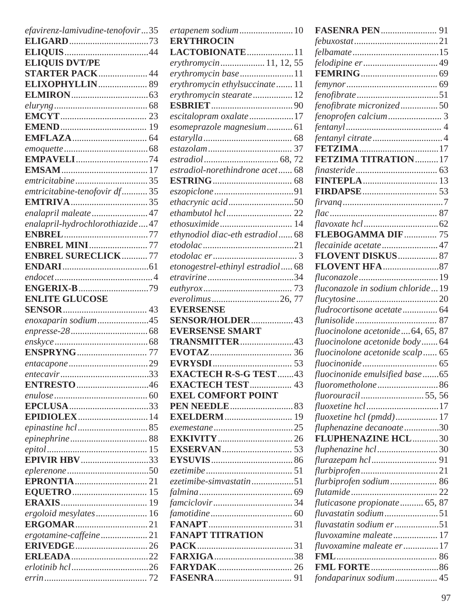| efavirenz-lamivudine-tenofovir35 |  |
|----------------------------------|--|
|                                  |  |
|                                  |  |
| <b>ELIQUIS DVT/PE</b>            |  |
| <b>STARTER PACK 44</b>           |  |
|                                  |  |
|                                  |  |
|                                  |  |
|                                  |  |
|                                  |  |
|                                  |  |
|                                  |  |
|                                  |  |
| <b>EMPAVELI</b> 74               |  |
|                                  |  |
|                                  |  |
| emtricitabine-tenofovir df 35    |  |
|                                  |  |
| enalapril maleate 47             |  |
| enalapril-hydrochlorothiazide47  |  |
|                                  |  |
| <b>ENBREL MINI 77</b>            |  |
| <b>ENBREL SURECLICK77</b>        |  |
|                                  |  |
|                                  |  |
|                                  |  |
|                                  |  |
| <b>ENLITE GLUCOSE</b>            |  |
|                                  |  |
|                                  |  |
| enoxaparin sodium45              |  |
|                                  |  |
|                                  |  |
|                                  |  |
|                                  |  |
|                                  |  |
| ENTRESTO46                       |  |
|                                  |  |
|                                  |  |
|                                  |  |
|                                  |  |
|                                  |  |
|                                  |  |
|                                  |  |
| <b>EPIVIR HBV</b> 33             |  |
|                                  |  |
|                                  |  |
|                                  |  |
|                                  |  |
| ergoloid mesylates 16            |  |
|                                  |  |
| ergotamine-caffeine21            |  |
|                                  |  |
|                                  |  |
|                                  |  |

| ertapenem sodium10               |  |
|----------------------------------|--|
| <b>ERYTHROCIN</b>                |  |
| LACTOBIONATE11                   |  |
| erythromycin11, 12, 55           |  |
| erythromycin base11              |  |
| erythromycin ethylsuccinate 11   |  |
| erythromycin stearate 12         |  |
|                                  |  |
| escitalopram oxalate17           |  |
| esomeprazole magnesium 61        |  |
|                                  |  |
|                                  |  |
|                                  |  |
| estradiol-norethindrone acet 68  |  |
|                                  |  |
|                                  |  |
| ethacrynic acid50                |  |
|                                  |  |
|                                  |  |
| ethynodiol diac-eth estradiol 68 |  |
|                                  |  |
|                                  |  |
| etonogestrel-ethinyl estradiol68 |  |
|                                  |  |
|                                  |  |
| everolimus26, 77                 |  |
| <b>EVERSENSE</b>                 |  |
| SENSOR/HOLDER43                  |  |
| <b>EVERSENSE SMART</b>           |  |
| TRANSMITTER43                    |  |
|                                  |  |
|                                  |  |
| <b>EXACTECH R-S-G TEST43</b>     |  |
| <b>EXACTECH TEST  43</b>         |  |
| <b>EXEL COMFORT POINT</b>        |  |
|                                  |  |
|                                  |  |
|                                  |  |
|                                  |  |
|                                  |  |
|                                  |  |
|                                  |  |
| ezetimibe-simvastatin51          |  |
|                                  |  |
|                                  |  |
|                                  |  |
|                                  |  |
| <b>FANAPT TITRATION</b>          |  |
|                                  |  |
|                                  |  |
|                                  |  |
|                                  |  |
|                                  |  |

| <b>FASENRA PEN 91</b>            |    |
|----------------------------------|----|
|                                  |    |
|                                  |    |
|                                  |    |
|                                  |    |
|                                  |    |
|                                  |    |
| fenofibrate micronized50         |    |
|                                  |    |
|                                  |    |
|                                  |    |
|                                  |    |
| <b>FETZIMA TITRATION17</b>       |    |
|                                  |    |
|                                  |    |
|                                  |    |
|                                  |    |
|                                  |    |
|                                  |    |
| FLEBOGAMMA DIF 75                |    |
| flecainide acetate  47           |    |
| FLOVENT DISKUS 87                |    |
|                                  |    |
|                                  |    |
| fluconazole in sodium chloride19 |    |
|                                  |    |
| fludrocortisone acetate 64       |    |
|                                  | 87 |
| fluocinolone acetonide64, 65, 87 |    |
| fluocinolone acetonide body64    |    |
| fluocinolone acetonide scalp 65  |    |
|                                  |    |
| fluocinonide emulsified base65   |    |
| fluorometholone86                |    |
| fluorouracil55,56                |    |
| fluoxetine hcl17                 |    |
| fluoxetine hcl (pmdd) 17         |    |
| fluphenazine decanoate30         |    |
| FLUPHENAZINE HCL30               |    |
| fluphenazine hcl30               |    |
|                                  |    |
|                                  |    |
|                                  |    |
|                                  |    |
| fluticasone propionate 65, 87    |    |
|                                  |    |
| fluvastatin sodium er51          |    |
| fluvoxamine maleate 17           |    |
| fluvoxamine maleate er17         |    |
|                                  |    |
|                                  |    |
| fondaparinux sodium 45           |    |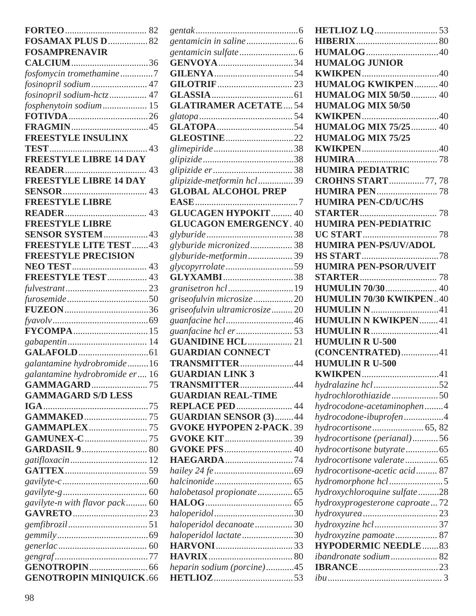| FOSAMAX PLUS D 82              |  |
|--------------------------------|--|
| <b>FOSAMPRENAVIR</b>           |  |
|                                |  |
| fosfomycin tromethamine7       |  |
| fosinopril sodium 47           |  |
| fosinopril sodium-hctz 47      |  |
| fosphenytoin sodium 15         |  |
|                                |  |
|                                |  |
| FREESTYLE INSULINX             |  |
|                                |  |
| <b>FREESTYLE LIBRE 14 DAY</b>  |  |
|                                |  |
| <b>FREESTYLE LIBRE 14 DAY</b>  |  |
|                                |  |
| <b>FREESTYLE LIBRE</b>         |  |
|                                |  |
| <b>FREESTYLE LIBRE</b>         |  |
| SENSOR SYSTEM43                |  |
| <b>FREESTYLE LITE TEST  43</b> |  |
| <b>FREESTYLE PRECISION</b>     |  |
|                                |  |
| FREESTYLE TEST 43              |  |
|                                |  |
|                                |  |
|                                |  |
|                                |  |
|                                |  |
|                                |  |
|                                |  |
| galantamine hydrobromide16     |  |
| galantamine hydrobromide er 16 |  |
| <b>GAMMAGARD</b> 75            |  |
| <b>GAMMAGARD S/D LESS</b>      |  |
| $IGA$                          |  |
|                                |  |
| <b>GAMMAPLEX 75</b>            |  |
| <b>GAMUNEX-C</b> 75            |  |
|                                |  |
|                                |  |
|                                |  |
|                                |  |
|                                |  |
| gavilyte-n with flavor pack 60 |  |
|                                |  |
|                                |  |
|                                |  |
|                                |  |
|                                |  |
|                                |  |
| <b>GENOTROPIN MINIQUICK.66</b> |  |
|                                |  |

| <b>GLATIRAMER ACETATE54</b>     |  |
|---------------------------------|--|
|                                 |  |
|                                 |  |
| <b>GLEOSTINE</b> 22             |  |
|                                 |  |
|                                 |  |
|                                 |  |
| glipizide-metformin hcl39       |  |
| <b>GLOBAL ALCOHOL PREP</b>      |  |
|                                 |  |
| <b>GLUCAGEN HYPOKIT 40</b>      |  |
| <b>GLUCAGON EMERGENCY. 40</b>   |  |
|                                 |  |
| glyburide micronized 38         |  |
| glyburide-metformin39           |  |
| glycopyrrolate59                |  |
| <b>GLYXAMBI</b> 38              |  |
| granisetron hcl 19              |  |
| griseofulvin microsize 20       |  |
| griseofulvin ultramicrosize 20  |  |
|                                 |  |
| guanfacine hcl er53             |  |
| <b>GUANIDINE HCL 21</b>         |  |
| <b>GUARDIAN CONNECT</b>         |  |
| TRANSMITTER44                   |  |
| <b>GUARDIAN LINK 3</b>          |  |
| TRANSMITTER44                   |  |
| <b>GUARDIAN REAL-TIME</b>       |  |
| <b>REPLACE PED  44</b>          |  |
| <b>GUARDIAN SENSOR (3)44</b>    |  |
| <b>GVOKE HYPOPEN 2-PACK. 39</b> |  |
|                                 |  |
|                                 |  |
| <b>HAEGARDA</b> 74              |  |
|                                 |  |
|                                 |  |
| halobetasol propionate 65       |  |
|                                 |  |
|                                 |  |
| haloperidol decanoate 30        |  |
| haloperidol lactate30           |  |
|                                 |  |
|                                 |  |
| heparin sodium (porcine)45      |  |
|                                 |  |

| <b>HUMALOG JUNIOR</b><br><b>HUMALOG KWIKPEN 40</b><br><b>HUMALOG MIX 50/50  40</b><br><b>HUMALOG MIX 50/50</b> |  |
|----------------------------------------------------------------------------------------------------------------|--|
|                                                                                                                |  |
|                                                                                                                |  |
|                                                                                                                |  |
|                                                                                                                |  |
|                                                                                                                |  |
|                                                                                                                |  |
|                                                                                                                |  |
|                                                                                                                |  |
| <b>HUMALOG MIX 75/25  40</b>                                                                                   |  |
|                                                                                                                |  |
| <b>HUMALOG MIX 75/25</b>                                                                                       |  |
|                                                                                                                |  |
|                                                                                                                |  |
| <b>HUMIRA PEDIATRIC</b>                                                                                        |  |
| <b>CROHNS START</b> 77,78                                                                                      |  |
|                                                                                                                |  |
| <b>HUMIRA PEN-CD/UC/HS</b>                                                                                     |  |
|                                                                                                                |  |
| <b>HUMIRA PEN-PEDIATRIC</b>                                                                                    |  |
|                                                                                                                |  |
| <b>HUMIRA PEN-PS/UV/ADOL</b>                                                                                   |  |
|                                                                                                                |  |
| <b>HUMIRA PEN-PSOR/UVEIT</b>                                                                                   |  |
|                                                                                                                |  |
|                                                                                                                |  |
| HUMULIN 70/30 KWIKPEN40                                                                                        |  |
| <b>HUMULIN N41</b>                                                                                             |  |
| <b>HUMULIN N KWIKPEN41</b>                                                                                     |  |
| <b>HUMULIN R</b> 41                                                                                            |  |
|                                                                                                                |  |
|                                                                                                                |  |
| <b>HUMULIN R U-500</b>                                                                                         |  |
| (CONCENTRATED)41                                                                                               |  |
| <b>HUMULIN R U-500</b>                                                                                         |  |
|                                                                                                                |  |
| hydralazine hcl52                                                                                              |  |
| hydrochlorothiazide50                                                                                          |  |
| hydrocodone-acetaminophen4                                                                                     |  |
| hydrocodone-ibuprofen4                                                                                         |  |
|                                                                                                                |  |
| hydrocortisone (perianal)56                                                                                    |  |
| hydrocortisone butyrate65                                                                                      |  |
|                                                                                                                |  |
| hydrocortisone-acetic acid 87                                                                                  |  |
|                                                                                                                |  |
| hydroxychloroquine sulfate28                                                                                   |  |
| hydroxyprogesterone caproate72                                                                                 |  |
|                                                                                                                |  |
| hydroxyzine hcl37                                                                                              |  |
| hydroxyzine pamoate 87                                                                                         |  |
| <b>HYPODERMIC NEEDLE83</b>                                                                                     |  |
|                                                                                                                |  |
| ibandronate sodium 82                                                                                          |  |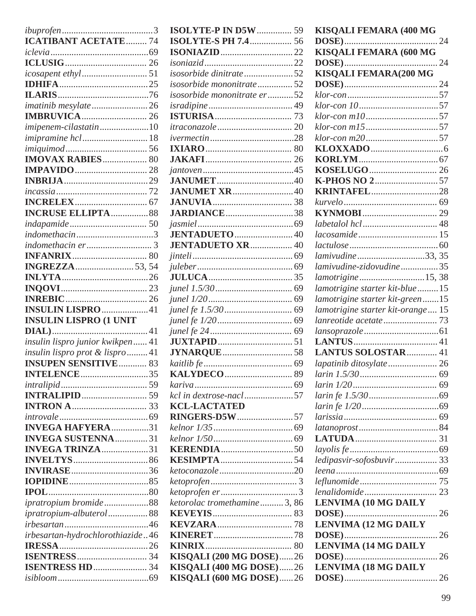| <b>ICATIBANT ACETATE  74</b>     |  |
|----------------------------------|--|
|                                  |  |
|                                  |  |
|                                  |  |
|                                  |  |
|                                  |  |
|                                  |  |
| <i>imatinib mesylate</i> 26      |  |
|                                  |  |
| imipenem-cilastatin10            |  |
| <i>imipramine hcl</i> 18         |  |
|                                  |  |
| <b>IMOVAX RABIES</b> 80          |  |
|                                  |  |
|                                  |  |
|                                  |  |
|                                  |  |
|                                  |  |
| <b>INCRUSE ELLIPTA  88</b>       |  |
|                                  |  |
| indomethacin3                    |  |
|                                  |  |
|                                  |  |
|                                  |  |
|                                  |  |
|                                  |  |
|                                  |  |
|                                  |  |
|                                  |  |
| <b>INSULIN LISPRO</b> 41         |  |
| <b>INSULIN LISPRO (1 UNIT</b>    |  |
|                                  |  |
| insulin lispro junior kwikpen 41 |  |
| insulin lispro prot & lispro 41  |  |
| <b>INSUPEN SENSITIVE  83</b>     |  |
| <b>INTELENCE</b> 35              |  |
|                                  |  |
|                                  |  |
|                                  |  |
|                                  |  |
|                                  |  |
| <b>INVEGA HAFYERA</b> 31         |  |
| <b>INVEGA SUSTENNA</b> 31        |  |
| <b>INVEGA TRINZA</b> 31          |  |
|                                  |  |
| <b>INVIRASE</b> 36               |  |
|                                  |  |
|                                  |  |
| ipratropium bromide88            |  |
| ipratropium-albuterol 88         |  |
|                                  |  |
| irbesartan-hydrochlorothiazide46 |  |
|                                  |  |
|                                  |  |
|                                  |  |

| <b>ISOLYTE-P IN D5W</b> 59     |  |
|--------------------------------|--|
| <b>ISOLYTE-S PH 7.4</b> 56     |  |
|                                |  |
|                                |  |
| isosorbide dinitrate 52        |  |
| isosorbide mononitrate52       |  |
|                                |  |
| isosorbide mononitrate er 52   |  |
|                                |  |
|                                |  |
|                                |  |
|                                |  |
|                                |  |
|                                |  |
|                                |  |
|                                |  |
| <b>JANUMET XR40</b>            |  |
|                                |  |
| <b>JARDIANCE</b> 38            |  |
|                                |  |
| JENTADUETO  40                 |  |
| <b>JENTADUETO XR 40</b>        |  |
|                                |  |
|                                |  |
|                                |  |
|                                |  |
|                                |  |
|                                |  |
|                                |  |
|                                |  |
|                                |  |
|                                |  |
|                                |  |
|                                |  |
|                                |  |
|                                |  |
| kcl in dextrose-nacl57         |  |
| <b>KCL-LACTATED</b>            |  |
| <b>RINGERS-D5W</b> 57          |  |
|                                |  |
|                                |  |
|                                |  |
|                                |  |
| ketoconazole 20                |  |
|                                |  |
|                                |  |
| ketorolac tromethamine3, 86    |  |
|                                |  |
|                                |  |
|                                |  |
|                                |  |
|                                |  |
| <b>KISQALI (200 MG DOSE)26</b> |  |
| KISQALI (400 MG DOSE)26        |  |
| <b>KISQALI (600 MG DOSE)26</b> |  |

| KISQALI FEMARA (400 MG            |  |
|-----------------------------------|--|
|                                   |  |
| KISQALI FEMARA (600 MG            |  |
|                                   |  |
| <b>KISQALI FEMARA(200 MG</b>      |  |
|                                   |  |
|                                   |  |
|                                   |  |
| klor-con m1057                    |  |
| klor-con m1557                    |  |
| klor-con m2057                    |  |
|                                   |  |
|                                   |  |
|                                   |  |
|                                   |  |
| <b>KRINTAFEL28</b>                |  |
|                                   |  |
|                                   |  |
|                                   |  |
|                                   |  |
|                                   |  |
| lamivudine 33, 35                 |  |
| lamivudine-zidovudine35           |  |
| lamotrigine15,38                  |  |
| lamotrigine starter kit-blue15    |  |
| lamotrigine starter kit-green15   |  |
| lamotrigine starter kit-orange 15 |  |
|                                   |  |
|                                   |  |
|                                   |  |
| <b>LANTUS SOLOSTAR 41</b>         |  |
|                                   |  |
| lapatinib ditosylate 26           |  |
|                                   |  |
|                                   |  |
|                                   |  |
|                                   |  |
|                                   |  |
|                                   |  |
|                                   |  |
|                                   |  |
| ledipasvir-sofosbuvir 33          |  |
|                                   |  |
|                                   |  |
|                                   |  |
| <b>LENVIMA (10 MG DAILY</b>       |  |
|                                   |  |
| <b>LENVIMA (12 MG DAILY</b>       |  |
|                                   |  |
| <b>LENVIMA (14 MG DAILY</b>       |  |
|                                   |  |
| <b>LENVIMA (18 MG DAILY</b>       |  |
|                                   |  |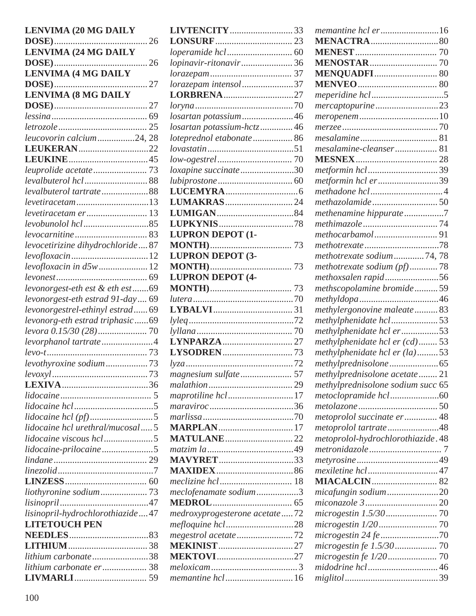| <b>LENVIMA (20 MG DAILY</b>      | I       |
|----------------------------------|---------|
|                                  | I       |
| <b>LENVIMA (24 MG DAILY</b>      | l       |
|                                  | l       |
| <b>LENVIMA (4 MG DAILY</b>       | l       |
|                                  | l       |
| <b>LENVIMA (8 MG DAILY</b>       | I       |
|                                  | l       |
|                                  | l       |
|                                  | l       |
| leucovorin calcium24, 28         | l       |
| LEUKERAN22                       | l       |
|                                  | l       |
|                                  | l       |
| levalbuterol hcl 88              | $\iota$ |
| levalbuterol tartrate88          | I       |
| <i>levetiracetam</i> 13          | L       |
|                                  | I       |
|                                  | I       |
|                                  | L       |
| levocetirizine dihydrochloride87 | N       |
|                                  | I       |
| levofloxacin in d5w 12           | N       |
|                                  | I       |
| levonorgest-eth est & eth est69  | N       |
| levonorgest-eth estrad 91-day 69 | lı      |
| levonorgestrel-ethinyl estrad 69 | L       |
| levonorg-eth estrad triphasic69  | l       |
|                                  | ly      |
| levorphanol tartrate4            | L       |
|                                  | L       |
| levothyroxine sodium73           | ly      |
|                                  | n       |
|                                  | $\eta$  |
|                                  | $\eta$  |
|                                  | $\eta$  |
|                                  | $\eta$  |
| lidocaine hcl urethral/mucosal5  | N       |
|                                  | N       |
| lidocaine-prilocaine5            | $\eta$  |
|                                  | N       |
|                                  | N       |
|                                  | $\eta$  |
|                                  | $\eta$  |
|                                  | N       |
| lisinopril-hydrochlorothiazide47 | $\eta$  |
| <b>LITETOUCH PEN</b>             | $\eta$  |
|                                  | $\eta$  |
|                                  | N       |
| lithium carbonate38              | N       |
| lithium carbonate er 38          | $\eta$  |
|                                  | $\eta$  |

| LIVTENCITY33                  |  |
|-------------------------------|--|
|                               |  |
|                               |  |
| lopinavir-ritonavir36         |  |
|                               |  |
| lorazepam intensol 37         |  |
| LORBRENA27                    |  |
|                               |  |
| losartan potassium46          |  |
| losartan potassium-hctz46     |  |
| loteprednol etabonate 86      |  |
|                               |  |
|                               |  |
| loxapine succinate30          |  |
|                               |  |
|                               |  |
|                               |  |
|                               |  |
|                               |  |
| <b>LUPRON DEPOT (1-</b>       |  |
|                               |  |
| <b>LUPRON DEPOT (3-</b>       |  |
|                               |  |
| <b>LUPRON DEPOT (4-</b>       |  |
|                               |  |
|                               |  |
|                               |  |
|                               |  |
|                               |  |
|                               |  |
|                               |  |
|                               |  |
| magnesium sulfate  57         |  |
|                               |  |
| maprotiline hcl17             |  |
|                               |  |
|                               |  |
| <b>MARPLAN</b> 17             |  |
| <b>MATULANE</b> 22            |  |
|                               |  |
| <b>MAVYRET</b> 33             |  |
|                               |  |
|                               |  |
| meclofenamate sodium3         |  |
|                               |  |
| medroxyprogesterone acetate72 |  |
| mefloquine hcl28              |  |
| megestrol acetate 72          |  |
| <b>MEKINIST</b> 27            |  |
| <b>MEKTOVI</b> 27             |  |
|                               |  |
|                               |  |

| memantine hcl er16                |  |
|-----------------------------------|--|
|                                   |  |
|                                   |  |
|                                   |  |
| <b>MENQUADFI</b> 80               |  |
|                                   |  |
|                                   |  |
| mercaptopurine23                  |  |
|                                   |  |
|                                   |  |
|                                   |  |
| mesalamine-cleanser 81            |  |
|                                   |  |
| metformin hcl39                   |  |
| metformin hcl er39                |  |
|                                   |  |
|                                   |  |
| methenamine hippurate7            |  |
|                                   |  |
| methocarbamol91                   |  |
|                                   |  |
| methotrexate sodium74,78          |  |
| methotrexate sodium (pf)78        |  |
| methoxsalen rapid56               |  |
| methscopolamine bromide59         |  |
|                                   |  |
| methylergonovine maleate83        |  |
| methylphenidate hcl53             |  |
| methylphenidate hcl er53          |  |
| methylphenidate hcl er (cd) 53    |  |
| methylphenidate hcl er (la)53     |  |
|                                   |  |
| methylprednisolone acetate21      |  |
| methylprednisolone sodium succ 65 |  |
|                                   |  |
|                                   |  |
| metoprolol succinate er 48        |  |
| metoprolol tartrate48             |  |
| metoprolol-hydrochlorothiazide.48 |  |
|                                   |  |
|                                   |  |
|                                   |  |
|                                   |  |
| micafungin sodium20               |  |
|                                   |  |
|                                   |  |
|                                   |  |
| microgestin 24 fe 70              |  |
| microgestin fe 1.5/30 70          |  |
|                                   |  |
| midodrine hcl46                   |  |
|                                   |  |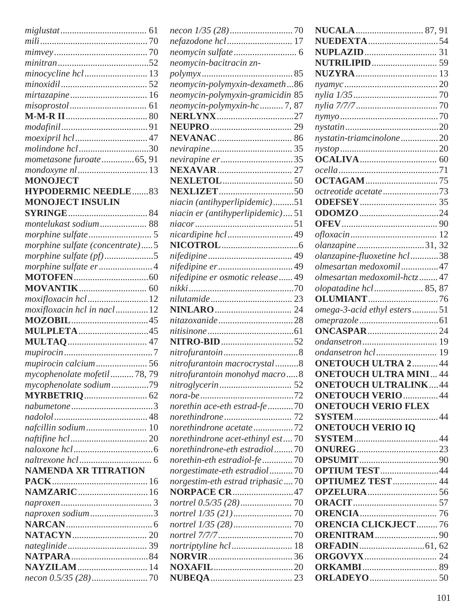| minocycline hcl  13             |  |
|---------------------------------|--|
|                                 |  |
| mirtazapine  16                 |  |
|                                 |  |
|                                 |  |
|                                 |  |
|                                 |  |
|                                 |  |
| molindone hcl30                 |  |
| mometasone furoate  65, 91      |  |
| mondoxyne nl  13                |  |
| <b>MONOJECT</b>                 |  |
| <b>HYPODERMIC NEEDLE83</b>      |  |
| <b>MONOJECT INSULIN</b>         |  |
|                                 |  |
| montelukast sodium 88           |  |
|                                 |  |
| morphine sulfate (concentrate)5 |  |
| morphine sulfate $(pt)$ 5       |  |
| morphine sulfate er4            |  |
|                                 |  |
|                                 |  |
|                                 |  |
| moxifloxacin hcl12              |  |
| moxifloxacin hcl in nacl12      |  |
|                                 |  |
| MULPLETA45                      |  |
|                                 |  |
|                                 |  |
|                                 |  |
| mycophenolate mofetil78,79      |  |
| mycophenolate sodium79          |  |
|                                 |  |
|                                 |  |
|                                 |  |
| nafcillin sodium 10             |  |
|                                 |  |
|                                 |  |
|                                 |  |
| <b>NAMENDA XR TITRATION</b>     |  |
|                                 |  |
|                                 |  |
|                                 |  |
|                                 |  |
| naproxen sodium3                |  |
|                                 |  |
|                                 |  |
|                                 |  |
|                                 |  |
|                                 |  |
| <b>NAYZILAM</b> 14              |  |

| nefazodone hcl 17                 |  |
|-----------------------------------|--|
|                                   |  |
| neomycin-bacitracin zn-           |  |
| polymyx                           |  |
| neomycin-polymyxin-dexameth86     |  |
| neomycin-polymyxin-gramicidin 85  |  |
| neomycin-polymyxin-hc7, 87        |  |
| <b>NERLYNX</b> 27                 |  |
|                                   |  |
|                                   |  |
|                                   |  |
| nevirapine er35                   |  |
|                                   |  |
|                                   |  |
|                                   |  |
| niacin (antihyperlipidemic)51     |  |
| niacin er (antihyperlipidemic) 51 |  |
|                                   |  |
| nicardipine hcl49                 |  |
|                                   |  |
|                                   |  |
|                                   |  |
| nifedipine er osmotic release49   |  |
|                                   |  |
|                                   |  |
|                                   |  |
|                                   |  |
|                                   |  |
|                                   |  |
|                                   |  |
| nitrofurantoin macrocrystal8      |  |
| nitrofurantoin monohyd macro8     |  |
|                                   |  |
|                                   |  |
| norethin ace-eth estrad-fe 70     |  |
|                                   |  |
| norethindrone acetate72           |  |
| norethindrone acet-ethinyl est70  |  |
| norethindrone-eth estradiol70     |  |
| norethin-eth estradiol-fe 70      |  |
| norgestimate-eth estradiol70      |  |
| norgestim-eth estrad triphasic70  |  |
| NORPACE CR47                      |  |
|                                   |  |
|                                   |  |
|                                   |  |
|                                   |  |
|                                   |  |
|                                   |  |
|                                   |  |
|                                   |  |
|                                   |  |

| <b>NUEDEXTA</b> 54            |  |
|-------------------------------|--|
|                               |  |
|                               |  |
|                               |  |
|                               |  |
|                               |  |
|                               |  |
|                               |  |
|                               |  |
| nystatin-triamcinolone 20     |  |
|                               |  |
|                               |  |
|                               |  |
|                               |  |
| octreotide acetate 73         |  |
|                               |  |
|                               |  |
|                               |  |
|                               |  |
| olanzapine 31, 32             |  |
| olanzapine-fluoxetine hcl38   |  |
| olmesartan medoxomil47        |  |
| olmesartan medoxomil-hctz47   |  |
| olopatadine hcl 85, 87        |  |
|                               |  |
| omega-3-acid ethyl esters51   |  |
|                               |  |
|                               |  |
|                               |  |
|                               |  |
| <b>ONETOUCH ULTRA 2 44</b>    |  |
| <b>ONETOUCH ULTRA MINI 44</b> |  |
| <b>ONETOUCH ULTRALINK44</b>   |  |
| <b>ONETOUCH VERIO  44</b>     |  |
| <b>ONETOUCH VERIO FLEX</b>    |  |
|                               |  |
| <b>ONETOUCH VERIO IO</b>      |  |
|                               |  |
|                               |  |
|                               |  |
| <b>OPTIUM TEST44</b>          |  |
| <b>OPTIUMEZ TEST  44</b>      |  |
|                               |  |
|                               |  |
|                               |  |
| <b>ORENCIA CLICKJECT  76</b>  |  |
| <b>ORENITRAM</b> 90           |  |
|                               |  |
|                               |  |
|                               |  |
|                               |  |
|                               |  |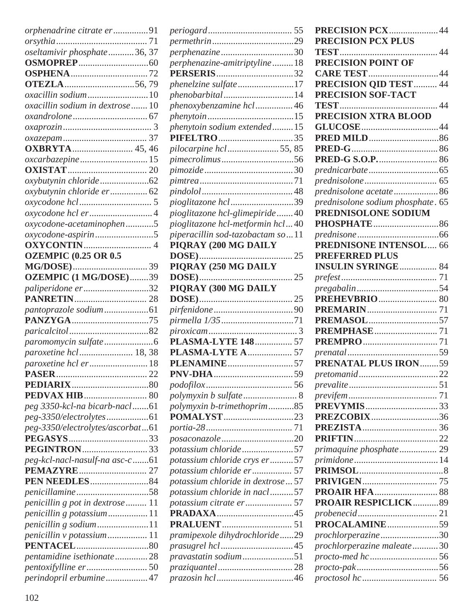| orphenadrine citrate er91                                                                                  |  |
|------------------------------------------------------------------------------------------------------------|--|
|                                                                                                            |  |
| oseltamivir phosphate36, 37                                                                                |  |
|                                                                                                            |  |
|                                                                                                            |  |
|                                                                                                            |  |
| oxacillin sodium10                                                                                         |  |
| oxacillin sodium in dextrose  10                                                                           |  |
|                                                                                                            |  |
|                                                                                                            |  |
|                                                                                                            |  |
|                                                                                                            |  |
|                                                                                                            |  |
|                                                                                                            |  |
|                                                                                                            |  |
|                                                                                                            |  |
| oxybutynin chloride er 62                                                                                  |  |
|                                                                                                            |  |
|                                                                                                            |  |
| oxycodone-acetaminophen5                                                                                   |  |
| oxycodone-aspirin5                                                                                         |  |
|                                                                                                            |  |
| <b>OZEMPIC (0.25 OR 0.5</b>                                                                                |  |
|                                                                                                            |  |
| OZEMPIC (1 MG/DOSE)39                                                                                      |  |
| paliperidone er32                                                                                          |  |
|                                                                                                            |  |
|                                                                                                            |  |
|                                                                                                            |  |
|                                                                                                            |  |
|                                                                                                            |  |
| paroxetine hcl 18, 38                                                                                      |  |
|                                                                                                            |  |
| <b>PASER</b>                                                                                               |  |
|                                                                                                            |  |
|                                                                                                            |  |
|                                                                                                            |  |
| peg 3350-kcl-na bicarb-nacl61                                                                              |  |
|                                                                                                            |  |
| peg-3350/electrolytes/ascorbat61                                                                           |  |
|                                                                                                            |  |
|                                                                                                            |  |
|                                                                                                            |  |
| peg-kcl-nacl-nasulf-na asc-c61                                                                             |  |
|                                                                                                            |  |
|                                                                                                            |  |
|                                                                                                            |  |
|                                                                                                            |  |
| penicillin g pot in dextrose  11                                                                           |  |
| penicillin g potassium11                                                                                   |  |
|                                                                                                            |  |
|                                                                                                            |  |
|                                                                                                            |  |
|                                                                                                            |  |
| penicillin g sodium11<br>penicillin v potassium 11<br>pentamidine isethionate28<br>perindopril erbumine 47 |  |

|                                    | P              |
|------------------------------------|----------------|
|                                    | P              |
|                                    | Ί              |
| perphenazine-amitriptyline18       | P              |
|                                    | C              |
| phenelzine sulfate17               | P              |
| phenobarbital14                    | P              |
| phenoxybenzamine hcl46             | Ί              |
|                                    | P              |
| phenytoin sodium extended15        | C              |
|                                    | P              |
| pilocarpine hcl 55, 85             | P              |
|                                    | P              |
|                                    | $\overline{p}$ |
|                                    | $\overline{p}$ |
|                                    | $\overline{p}$ |
| pioglitazone hcl 39                | $\overline{p}$ |
| pioglitazone hcl-glimepiride40     | P              |
| pioglitazone hcl-metformin hcl40   | P              |
| piperacillin sod-tazobactam so11   | $\overline{p}$ |
| PIQRAY (200 MG DAILY               | P              |
|                                    | P              |
| PIQRAY (250 MG DAILY               | I              |
|                                    | $\overline{p}$ |
| PIQRAY (300 MG DAILY               | $\overline{p}$ |
|                                    | P              |
|                                    | P              |
|                                    | $\mathbf P$    |
|                                    | P              |
| PLASMA-LYTE 148  57                | P              |
| PLASMA-LYTE A  57                  | $\overline{p}$ |
|                                    | P              |
|                                    | $\overline{p}$ |
|                                    | $\overline{p}$ |
|                                    | $\overline{p}$ |
| polymyxin b-trimethoprim85         | P              |
| <b>POMALYST</b> 23                 | P              |
|                                    | P              |
|                                    | P              |
| potassium chloride57               | $\overline{p}$ |
| potassium chloride crys er57       | $\overline{p}$ |
| potassium chloride er 57           | P              |
| potassium chloride in dextrose  57 | P              |
| potassium chloride in nacl57       | P              |
|                                    | P              |
|                                    | $\overline{p}$ |
|                                    | P              |
| pramipexole dihydrochloride29      | $\overline{p}$ |
|                                    | $\overline{p}$ |
| pravastatin sodium51               | $\overline{p}$ |
|                                    | $\overline{p}$ |
|                                    | $\overline{p}$ |
|                                    |                |

| PRECISION PCX44                   |  |
|-----------------------------------|--|
| <b>PRECISION PCX PLUS</b>         |  |
|                                   |  |
| <b>PRECISION POINT OF</b>         |  |
|                                   |  |
|                                   |  |
| PRECISION SOF-TACT                |  |
|                                   |  |
|                                   |  |
| PRECISION XTRA BLOOD              |  |
|                                   |  |
|                                   |  |
|                                   |  |
|                                   |  |
|                                   |  |
|                                   |  |
| prednisolone acetate86            |  |
| prednisolone sodium phosphate. 65 |  |
| PREDNISOLONE SODIUM               |  |
| <b>PHOSPHATE</b> 86               |  |
|                                   |  |
| <b>PREDNISONE INTENSOL 66</b>     |  |
|                                   |  |
| <b>PREFERRED PLUS</b>             |  |
| <b>INSULIN SYRINGE 84</b>         |  |
|                                   |  |
|                                   |  |
|                                   |  |
|                                   |  |
| PREMASOL57                        |  |
|                                   |  |
|                                   |  |
|                                   |  |
| PRENATAL PLUS IRON59              |  |
|                                   |  |
|                                   |  |
|                                   |  |
|                                   |  |
|                                   |  |
| PREZCOBIX36                       |  |
|                                   |  |
|                                   |  |
|                                   |  |
|                                   |  |
|                                   |  |
|                                   |  |
|                                   |  |
| <b>PROAIR RESPICLICK89</b>        |  |
|                                   |  |
| <b>PROCALAMINE59</b>              |  |
| prochlorperazine30                |  |
| prochlorperazine maleate30        |  |
|                                   |  |
|                                   |  |
|                                   |  |
|                                   |  |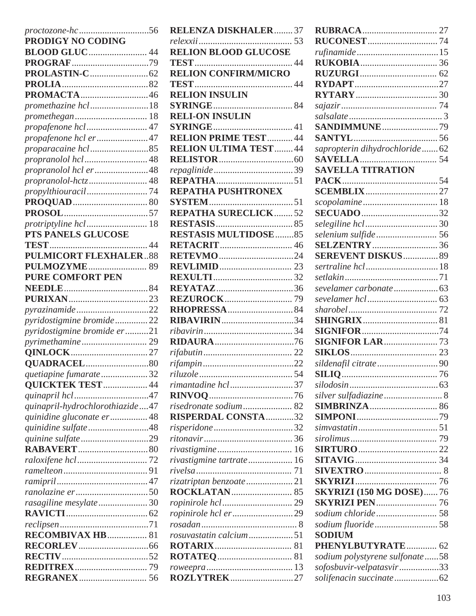| proctozone-hc56                 |             |
|---------------------------------|-------------|
| <b>PRODIGY NO CODING</b>        |             |
|                                 |             |
|                                 |             |
|                                 |             |
|                                 |             |
| <b>PROMACTA</b> 46              |             |
| promethazine hcl18              |             |
| promethegan 18                  |             |
| propafenone hcl 47              |             |
| propafenone hcl er47            |             |
|                                 |             |
| propranolol hcl 48              |             |
| propranolol hcl er48            |             |
| propranolol-hctz 48             |             |
|                                 |             |
|                                 |             |
|                                 |             |
|                                 |             |
| PTS PANELS GLUCOSE              |             |
|                                 | $\ldots$ 44 |
| <b>PULMICORT FLEXHALER88</b>    |             |
|                                 |             |
| <b>PURE COMFORT PEN</b>         |             |
|                                 |             |
|                                 |             |
|                                 |             |
| pyrazinamide22                  |             |
| pyridostigmine bromide22        |             |
| pyridostigmine bromide er21     |             |
|                                 |             |
|                                 |             |
|                                 |             |
| quetiapine fumarate32           |             |
| <b>QUICKTEK TEST  44</b>        |             |
|                                 |             |
| quinapril-hydrochlorothiazide47 |             |
| quinidine gluconate er 48       |             |
| quinidine sulfate48             |             |
|                                 |             |
|                                 |             |
|                                 |             |
|                                 |             |
|                                 |             |
|                                 |             |
| rasagiline mesylate30           |             |
|                                 |             |
|                                 |             |
| RECOMBIVAX HB 81                |             |
|                                 |             |
|                                 |             |
|                                 |             |
|                                 |             |

| <b>RELENZA DISKHALER37</b>   |  |
|------------------------------|--|
|                              |  |
| <b>RELION BLOOD GLUCOSE</b>  |  |
|                              |  |
| <b>RELION CONFIRM/MICRO</b>  |  |
|                              |  |
| <b>RELION INSULIN</b>        |  |
|                              |  |
| <b>RELI-ON INSULIN</b>       |  |
|                              |  |
|                              |  |
| <b>RELION PRIME TEST 44</b>  |  |
| <b>RELION ULTIMA TEST44</b>  |  |
|                              |  |
|                              |  |
|                              |  |
| <b>REPATHA PUSHTRONEX</b>    |  |
|                              |  |
| <b>REPATHA SURECLICK52</b>   |  |
|                              |  |
| <b>RESTASIS MULTIDOSE 85</b> |  |
| <b>RETACRIT</b> 46           |  |
|                              |  |
| <b>RETEVMO</b> 24            |  |
|                              |  |
|                              |  |
| <b>REYATAZ</b> 36            |  |
|                              |  |
|                              |  |
| <b>RIBAVIRIN34</b>           |  |
|                              |  |
|                              |  |
|                              |  |
|                              |  |
|                              |  |
| rimantadine hcl37            |  |
|                              |  |
|                              |  |
| risedronate sodium 82        |  |
| <b>RISPERDAL CONSTA32</b>    |  |
| risperidone32                |  |
|                              |  |
|                              |  |
| rivastigmine tartrate 16     |  |
|                              |  |
| rizatriptan benzoate 21      |  |
|                              |  |
|                              |  |
| ropinirole hcl er29          |  |
|                              |  |
| rosuvastatin calcium51       |  |
|                              |  |
|                              |  |
|                              |  |
|                              |  |
| <b>ROZLYTREK27</b>           |  |

| sapropterin dihydrochloride62  |  |
|--------------------------------|--|
|                                |  |
| <b>SAVELLA TITRATION</b>       |  |
|                                |  |
|                                |  |
|                                |  |
| <b>SECUADO</b> 32              |  |
|                                |  |
| selenium sulfide 56            |  |
| <b>SEREVENT DISKUS 89</b>      |  |
| sertraline hcl 18              |  |
|                                |  |
|                                |  |
|                                |  |
|                                |  |
|                                |  |
|                                |  |
|                                |  |
|                                |  |
| sildenafil citrate90           |  |
|                                |  |
|                                |  |
| silver sulfadiazine 8          |  |
|                                |  |
|                                |  |
|                                |  |
|                                |  |
|                                |  |
|                                |  |
|                                |  |
|                                |  |
| <b>SKYRIZI (150 MG DOSE)76</b> |  |
| <b>SKYRIZI PEN 76</b>          |  |
| sodium chloride 58             |  |
| sodium fluoride58              |  |
| <b>SODIUM</b>                  |  |
| PHENYLBUTYRATE 62              |  |
| sodium polystyrene sulfonate58 |  |
| sofosbuvir-velpatasvir33       |  |
|                                |  |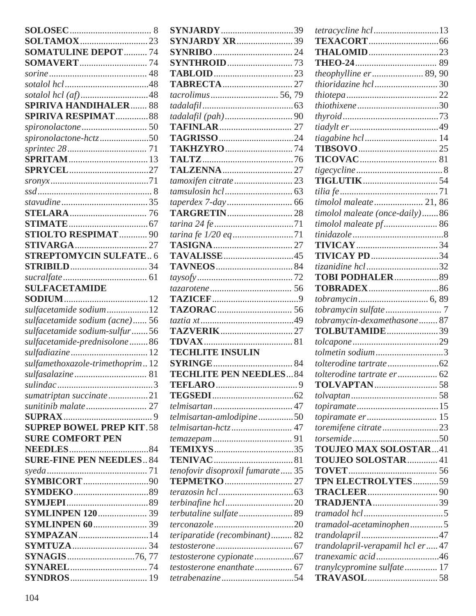| <b>SOMATULINE DEPOT  74</b>     |  |
|---------------------------------|--|
|                                 |  |
|                                 |  |
|                                 |  |
|                                 |  |
| <b>SPIRIVA HANDIHALER 88</b>    |  |
| <b>SPIRIVA RESPIMAT 88</b>      |  |
|                                 |  |
| spironolactone-hctz50           |  |
|                                 |  |
|                                 |  |
|                                 |  |
|                                 |  |
|                                 |  |
|                                 |  |
|                                 |  |
|                                 |  |
|                                 |  |
| STIOLTO RESPIMAT 90             |  |
|                                 |  |
| <b>STREPTOMYCIN SULFATE 6</b>   |  |
|                                 |  |
|                                 |  |
| <b>SULFACETAMIDE</b>            |  |
|                                 |  |
|                                 |  |
| sulfacetamide sodium12          |  |
| sulfacetamide sodium (acne) 56  |  |
| sulfacetamide sodium-sulfur56   |  |
| sulfacetamide-prednisolone86    |  |
|                                 |  |
| sulfamethoxazole-trimethoprim12 |  |
|                                 |  |
|                                 |  |
| sumatriptan succinate21         |  |
|                                 |  |
|                                 |  |
| <b>SUPREP BOWEL PREP KIT.58</b> |  |
| <b>SURE COMFORT PEN</b>         |  |
|                                 |  |
| <b>SURE-FINE PEN NEEDLES 84</b> |  |
|                                 |  |
| <b>SYMBICORT</b> 90             |  |
|                                 |  |
|                                 |  |
|                                 |  |
| <b>SYMLINPEN 120  39</b>        |  |
|                                 |  |
| <b>SYMPAZAN</b> 14              |  |
|                                 |  |
| SYNAGIS76,77                    |  |
|                                 |  |
|                                 |  |
|                                 |  |

| <b>SYNJARDY</b> 39                                                          |  |
|-----------------------------------------------------------------------------|--|
| <b>SYNJARDY XR</b> 39                                                       |  |
|                                                                             |  |
|                                                                             |  |
|                                                                             |  |
|                                                                             |  |
|                                                                             |  |
|                                                                             |  |
|                                                                             |  |
|                                                                             |  |
|                                                                             |  |
| <b>TAKHZYRO</b> 74                                                          |  |
|                                                                             |  |
|                                                                             |  |
| tamoxifen citrate 23                                                        |  |
|                                                                             |  |
|                                                                             |  |
|                                                                             |  |
|                                                                             |  |
| tarina fe 1/20 eq71                                                         |  |
|                                                                             |  |
| <b>TAVALISSE</b> 45                                                         |  |
|                                                                             |  |
|                                                                             |  |
|                                                                             |  |
|                                                                             |  |
|                                                                             |  |
|                                                                             |  |
|                                                                             |  |
|                                                                             |  |
| <b>TECHLITE INSULIN</b>                                                     |  |
|                                                                             |  |
| <b>TECHLITE PEN NEEDLES84</b>                                               |  |
|                                                                             |  |
|                                                                             |  |
|                                                                             |  |
| telmisartan-amlodipine50                                                    |  |
| telmisartan-hctz 47                                                         |  |
|                                                                             |  |
|                                                                             |  |
|                                                                             |  |
| tenofovir disoproxil fumarate  35                                           |  |
|                                                                             |  |
|                                                                             |  |
|                                                                             |  |
| terbutaline sulfate 89                                                      |  |
|                                                                             |  |
|                                                                             |  |
|                                                                             |  |
|                                                                             |  |
|                                                                             |  |
| terconazole20<br>teriparatide (recombinant) 82<br>testosterone enanthate 67 |  |

| <i>tetracycline hcl13</i>        |  |
|----------------------------------|--|
|                                  |  |
| <b>THALOMID</b> 23               |  |
|                                  |  |
| theophylline er 89, 90           |  |
| <i>thioridazine hcl</i> 30       |  |
|                                  |  |
|                                  |  |
|                                  |  |
|                                  |  |
|                                  |  |
|                                  |  |
|                                  |  |
|                                  |  |
|                                  |  |
|                                  |  |
| timolol maleate 21, 86           |  |
| timolol maleate (once-daily)86   |  |
| timolol maleate pf 86            |  |
|                                  |  |
|                                  |  |
| <b>TIVICAY PD34</b>              |  |
| tizanidine hcl 32                |  |
| TOBI PODHALER89                  |  |
|                                  |  |
|                                  |  |
|                                  |  |
| tobramycin-dexamethasone 87      |  |
| TOLBUTAMIDE39                    |  |
|                                  |  |
| tolmetin sodium3                 |  |
|                                  |  |
|                                  |  |
|                                  |  |
| tolterodine tartrate er 62       |  |
|                                  |  |
|                                  |  |
|                                  |  |
|                                  |  |
| toremifene citrate23             |  |
|                                  |  |
| <b>TOUJEO MAX SOLOSTAR41</b>     |  |
| <b>TOUJEO SOLOSTAR</b> 41        |  |
|                                  |  |
| TPN ELECTROLYTES59               |  |
|                                  |  |
| <b>TRADJENTA</b> 39              |  |
|                                  |  |
| tramadol-acetaminophen5          |  |
|                                  |  |
| trandolapril-verapamil hcl er 47 |  |
| tranexamic acid46                |  |
| tranylcypromine sulfate 17       |  |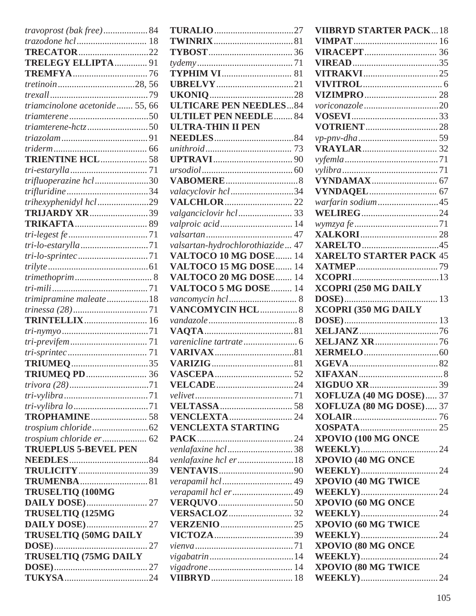| travoprost (bak free)84        |  |
|--------------------------------|--|
| trazodone hcl 18               |  |
| <b>TRECATOR</b> 22             |  |
| TRELEGY ELLIPTA 91             |  |
|                                |  |
|                                |  |
|                                |  |
| triamcinolone acetonide 55, 66 |  |
|                                |  |
| triamterene-hctz50             |  |
|                                |  |
|                                |  |
| <b>TRIENTINE HCL 58</b>        |  |
|                                |  |
| trifluoperazine hcl30          |  |
|                                |  |
|                                |  |
| trihexyphenidyl hcl29          |  |
| <b>TRIJARDY XR39</b>           |  |
|                                |  |
|                                |  |
|                                |  |
| <i>tri-lo-sprintec</i> 71      |  |
|                                |  |
|                                |  |
|                                |  |
| trimipramine maleate18         |  |
|                                |  |
| <b>TRINTELLIX 16</b>           |  |
|                                |  |
|                                |  |
|                                |  |
| <b>TRIUMEQ</b> 35              |  |
|                                |  |
|                                |  |
|                                |  |
|                                |  |
|                                |  |
|                                |  |
|                                |  |
| <b>TRUEPLUS 5-BEVEL PEN</b>    |  |
|                                |  |
| TRULICITY39                    |  |
| <b>TRUMENBA</b> 81             |  |
| TRUSELTIQ (100MG               |  |
| <b>DAILY DOSE</b> ) 27         |  |
| <b>TRUSELTIQ (125MG</b>        |  |
| <b>DAILY DOSE</b> ) 27         |  |
| <b>TRUSELTIQ (50MG DAILY</b>   |  |
|                                |  |
| <b>TRUSELTIQ (75MG DAILY</b>   |  |
|                                |  |
|                                |  |

| <b>TYPHIM VI</b> 81              |  |
|----------------------------------|--|
|                                  |  |
|                                  |  |
| <b>ULTICARE PEN NEEDLES84</b>    |  |
| <b>ULTILET PEN NEEDLE 84</b>     |  |
| ULTRA-THIN II PEN                |  |
|                                  |  |
|                                  |  |
|                                  |  |
|                                  |  |
|                                  |  |
| valacyclovir hcl34               |  |
|                                  |  |
|                                  |  |
| valproic acid 14                 |  |
|                                  |  |
| valsartan-hydrochlorothiazide 47 |  |
| VALTOCO 10 MG DOSE 14            |  |
| VALTOCO 15 MG DOSE 14            |  |
| VALTOCO 20 MG DOSE 14            |  |
| VALTOCO 5 MG DOSE  14            |  |
|                                  |  |
|                                  |  |
|                                  |  |
| VANCOMYCIN HCL 8                 |  |
|                                  |  |
|                                  |  |
|                                  |  |
|                                  |  |
|                                  |  |
|                                  |  |
|                                  |  |
|                                  |  |
|                                  |  |
|                                  |  |
| <b>VENCLEXTA STARTING</b>        |  |
|                                  |  |
| venlafaxine hcl 38               |  |
| venlafaxine hcl er18             |  |
|                                  |  |
|                                  |  |
| verapamil hcl er49               |  |
|                                  |  |
|                                  |  |
|                                  |  |
|                                  |  |
|                                  |  |
|                                  |  |
|                                  |  |

| <b>VIIBRYD STARTER PACK18</b>  |  |
|--------------------------------|--|
|                                |  |
|                                |  |
|                                |  |
| <b>VITRAKVI</b> 25             |  |
|                                |  |
|                                |  |
| voriconazole 20                |  |
|                                |  |
|                                |  |
|                                |  |
|                                |  |
|                                |  |
|                                |  |
|                                |  |
|                                |  |
| warfarin sodium45              |  |
| <b>WELIREG</b> 24              |  |
|                                |  |
|                                |  |
|                                |  |
| <b>XARELTO STARTER PACK 45</b> |  |
|                                |  |
|                                |  |
| <b>XCOPRI (250 MG DAILY</b>    |  |
|                                |  |
| <b>XCOPRI (350 MG DAILY</b>    |  |
|                                |  |
|                                |  |
| <b>XELJANZ XR76</b>            |  |
|                                |  |
|                                |  |
|                                |  |
|                                |  |
| XOFLUZA (40 MG DOSE) 37        |  |
| XOFLUZA (80 MG DOSE) 37        |  |
|                                |  |
|                                |  |
| <b>XPOVIO (100 MG ONCE</b>     |  |
|                                |  |
|                                |  |
|                                |  |
| <b>XPOVIO (40 MG TWICE</b>     |  |
|                                |  |
| <b>XPOVIO (60 MG ONCE</b>      |  |
|                                |  |
| <b>XPOVIO (60 MG TWICE</b>     |  |
|                                |  |
| XPOVIO (80 MG ONCE             |  |
|                                |  |
| <b>XPOVIO (80 MG TWICE</b>     |  |
|                                |  |
|                                |  |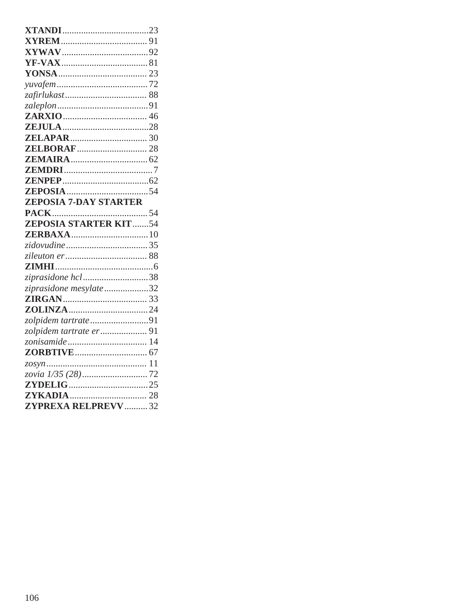| <b>ZEPOSIA 7-DAY STARTER</b> |  |
|------------------------------|--|
|                              |  |
|                              |  |
|                              |  |
|                              |  |
|                              |  |
|                              |  |
|                              |  |
| ziprasidone hcl38            |  |
| ziprasidone mesylate32       |  |
|                              |  |
|                              |  |
| zolpidem tartrate91          |  |
| zolpidem tartrate er  91     |  |
|                              |  |
|                              |  |
|                              |  |
|                              |  |
|                              |  |
| <b>ZYPREXA RELPREVV  32</b>  |  |